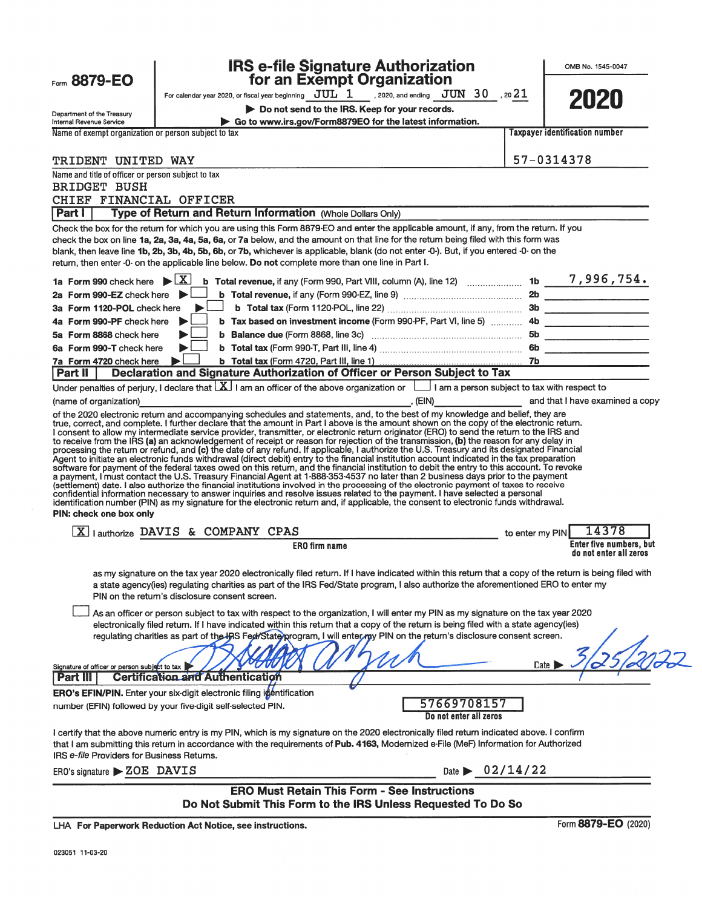| <b>IRS e-file Signature Authorization<br/>for an Exempt Organization</b>                                                                                                                                                                                                                                                                                                                                                                                                                                                                                                                                                                                                                                                                                                                                                       |                                |                 | OMB No. 1545-0047                                 |
|--------------------------------------------------------------------------------------------------------------------------------------------------------------------------------------------------------------------------------------------------------------------------------------------------------------------------------------------------------------------------------------------------------------------------------------------------------------------------------------------------------------------------------------------------------------------------------------------------------------------------------------------------------------------------------------------------------------------------------------------------------------------------------------------------------------------------------|--------------------------------|-----------------|---------------------------------------------------|
| Form 8879-EO<br>For calendar year 2020, or fiscal year beginning $JUL$ 1 , 2020, and ending $JUN$ 30 , 20 $21$                                                                                                                                                                                                                                                                                                                                                                                                                                                                                                                                                                                                                                                                                                                 |                                |                 | 2020                                              |
| Do not send to the IRS. Keep for your records.<br>Department of the Treasury                                                                                                                                                                                                                                                                                                                                                                                                                                                                                                                                                                                                                                                                                                                                                   |                                |                 |                                                   |
| Go to www.irs.gov/Form8879EO for the latest information.<br>Internal Revenue Service<br>Name of exempt organization or person subject to tax                                                                                                                                                                                                                                                                                                                                                                                                                                                                                                                                                                                                                                                                                   |                                |                 | <b>Taxpayer identification number</b>             |
|                                                                                                                                                                                                                                                                                                                                                                                                                                                                                                                                                                                                                                                                                                                                                                                                                                |                                |                 |                                                   |
| TRIDENT UNITED WAY                                                                                                                                                                                                                                                                                                                                                                                                                                                                                                                                                                                                                                                                                                                                                                                                             |                                | 57-0314378      |                                                   |
| Name and title of officer or person subject to tax                                                                                                                                                                                                                                                                                                                                                                                                                                                                                                                                                                                                                                                                                                                                                                             |                                |                 |                                                   |
| <b>BRIDGET BUSH</b>                                                                                                                                                                                                                                                                                                                                                                                                                                                                                                                                                                                                                                                                                                                                                                                                            |                                |                 |                                                   |
| CHIEF FINANCIAL OFFICER<br>Type of Return and Return Information (Whole Dollars Only)                                                                                                                                                                                                                                                                                                                                                                                                                                                                                                                                                                                                                                                                                                                                          |                                |                 |                                                   |
| <b>Part I</b><br>Check the box for the return for which you are using this Form 8879-EO and enter the applicable amount, if any, from the return. If you                                                                                                                                                                                                                                                                                                                                                                                                                                                                                                                                                                                                                                                                       |                                |                 |                                                   |
| check the box on line 1a, 2a, 3a, 4a, 5a, 6a, or 7a below, and the amount on that line for the return being filed with this form was<br>blank, then leave line 1b, 2b, 3b, 4b, 5b, 6b, or 7b, whichever is applicable, blank (do not enter -0-). But, if you entered -0- on the                                                                                                                                                                                                                                                                                                                                                                                                                                                                                                                                                |                                |                 |                                                   |
| return, then enter -0- on the applicable line below. Do not complete more than one line in Part I.                                                                                                                                                                                                                                                                                                                                                                                                                                                                                                                                                                                                                                                                                                                             |                                |                 |                                                   |
| XI<br>1a Form 990 check here                                                                                                                                                                                                                                                                                                                                                                                                                                                                                                                                                                                                                                                                                                                                                                                                   |                                |                 |                                                   |
| 2a Form 990-EZ check here                                                                                                                                                                                                                                                                                                                                                                                                                                                                                                                                                                                                                                                                                                                                                                                                      |                                |                 |                                                   |
| 3a Form 1120-POL check here                                                                                                                                                                                                                                                                                                                                                                                                                                                                                                                                                                                                                                                                                                                                                                                                    |                                |                 |                                                   |
| b Tax based on investment income (Form 990-PF, Part VI, line 5)  4b<br>4a Form 990-PF check here                                                                                                                                                                                                                                                                                                                                                                                                                                                                                                                                                                                                                                                                                                                               |                                |                 |                                                   |
| 5a Form 8868 check here                                                                                                                                                                                                                                                                                                                                                                                                                                                                                                                                                                                                                                                                                                                                                                                                        |                                |                 |                                                   |
| 6a Form 990-T check here                                                                                                                                                                                                                                                                                                                                                                                                                                                                                                                                                                                                                                                                                                                                                                                                       |                                |                 |                                                   |
| 7a Form 4720 check here<br>Declaration and Signature Authorization of Officer or Person Subject to Tax<br>Part $  $                                                                                                                                                                                                                                                                                                                                                                                                                                                                                                                                                                                                                                                                                                            |                                |                 |                                                   |
| processing the return or refund, and (c) the date of any refund. If applicable, I authorize the U.S. Treasury and its designated Financial<br>Agent to initiate an electronic funds withdrawal (direct debit) entry to the financial institution account indicated in the tax preparation<br>software for payment of the federal taxes owed on this return, and the financial i<br>(settlement) date. I also authorize the financial institutions involved in the processing of the electronic payment of taxes to receive<br>confidential information necessary to answer inquiries and resolve issues related to the payment. I have selected a personal<br>identification number (PIN) as my signature for the electronic return and, if applicable, the consent to electronic funds withdrawal.<br>PIN: check one box only |                                |                 |                                                   |
|                                                                                                                                                                                                                                                                                                                                                                                                                                                                                                                                                                                                                                                                                                                                                                                                                                |                                |                 | 14378                                             |
| [X] lauthorize DAVIS & COMPANY CPAS<br><b>ERO</b> firm name                                                                                                                                                                                                                                                                                                                                                                                                                                                                                                                                                                                                                                                                                                                                                                    |                                | to enter my PIN | Enter five numbers, but<br>do not enter all zeros |
| as my signature on the tax year 2020 electronically filed return. If I have indicated within this return that a copy of the return is being filed with<br>a state agency(ies) regulating charities as part of the IRS Fed/State program, I also authorize the aforementioned ERO to enter my<br>PIN on the return's disclosure consent screen.                                                                                                                                                                                                                                                                                                                                                                                                                                                                                 |                                |                 |                                                   |
| As an officer or person subject to tax with respect to the organization, I will enter my PIN as my signature on the tax year 2020<br>electronically filed return. If I have indicated within this return that a copy of the return is being filed with a state agency(ies)<br>regulating charities as part of the IRS Fed/State program, I will enter my PIN on the return's disclosure consent screen.<br>Signature of officer or person subject to tax                                                                                                                                                                                                                                                                                                                                                                       |                                | Date            |                                                   |
| Certification and Authentication<br><b>Part III</b>                                                                                                                                                                                                                                                                                                                                                                                                                                                                                                                                                                                                                                                                                                                                                                            |                                |                 |                                                   |
| ERO's EFIN/PIN. Enter your six-digit electronic filing intentification                                                                                                                                                                                                                                                                                                                                                                                                                                                                                                                                                                                                                                                                                                                                                         | 57669708157                    |                 |                                                   |
| number (EFIN) followed by your five-digit self-selected PIN.                                                                                                                                                                                                                                                                                                                                                                                                                                                                                                                                                                                                                                                                                                                                                                   | Do not enter all zeros         |                 |                                                   |
| I certify that the above numeric entry is my PIN, which is my signature on the 2020 electronically filed return indicated above. I confirm<br>that I am submitting this return in accordance with the requirements of Pub. 4163, Modernized e-File (MeF) Information for Authorized<br>IRS e-file Providers for Business Returns.                                                                                                                                                                                                                                                                                                                                                                                                                                                                                              |                                |                 |                                                   |
| ERO's signature > ZOE DAVIS                                                                                                                                                                                                                                                                                                                                                                                                                                                                                                                                                                                                                                                                                                                                                                                                    | Date $\triangleright$ 02/14/22 |                 |                                                   |
| <b>ERO Must Retain This Form - See Instructions</b><br>Do Not Submit This Form to the IRS Unless Requested To Do So                                                                                                                                                                                                                                                                                                                                                                                                                                                                                                                                                                                                                                                                                                            |                                |                 |                                                   |
|                                                                                                                                                                                                                                                                                                                                                                                                                                                                                                                                                                                                                                                                                                                                                                                                                                |                                |                 |                                                   |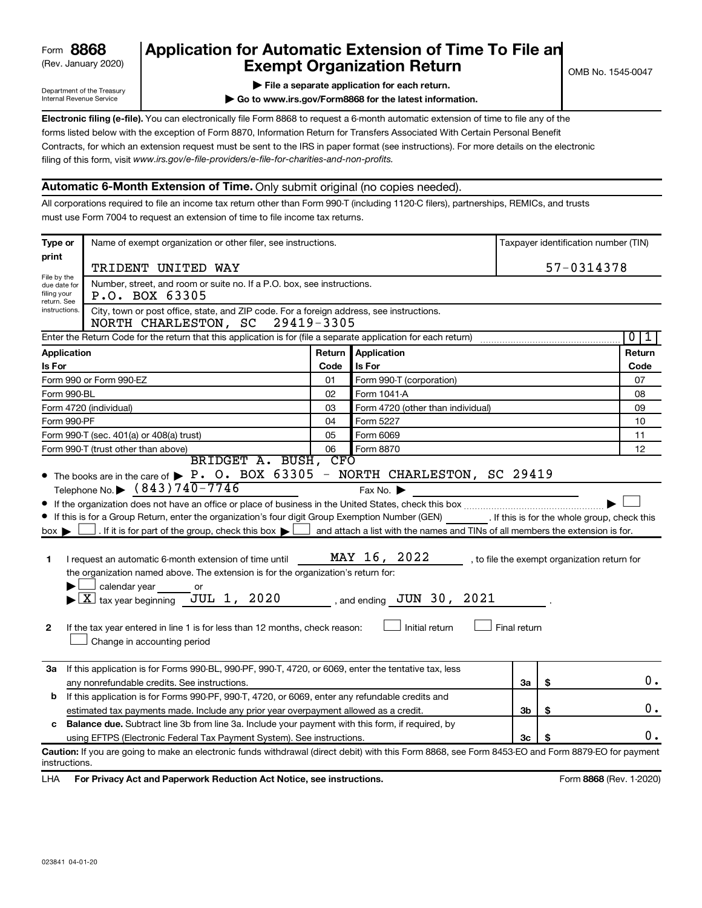# (Rev. January 2020) **Cxempt Organization Return** Manuary 2020) and the settern **Canadian Exempt Organization Return Form 8868 Application for Automatic Extension of Time To File an**<br>**Exempt Organization Return**

Department of the Treasury Internal Revenue Service

|  | $\blacktriangleright$ File a separate application for each return. |  |  |
|--|--------------------------------------------------------------------|--|--|

**| Go to www.irs.gov/Form8868 for the latest information.**

**Electronic filing (e-file).** You can electronically file Form 8868 to request a 6-month automatic extension of time to file any of the filing of this form, visit www.irs.gov/e-file-providers/e-file-for-charities-and-non-profits. forms listed below with the exception of Form 8870, Information Return for Transfers Associated With Certain Personal Benefit Contracts, for which an extension request must be sent to the IRS in paper format (see instructions). For more details on the electronic

# **Automatic 6-Month Extension of Time.** Only submit original (no copies needed).

All corporations required to file an income tax return other than Form 990-T (including 1120-C filers), partnerships, REMICs, and trusts must use Form 7004 to request an extension of time to file income tax returns.

| Type or                                                                                                                                                             | Name of exempt organization or other filer, see instructions.                                                                                                                                                                                                                                                                                                                                                                                                                                                                                                                                                                               |            |                                                                                                                                                                                           |                | Taxpayer identification number (TIN) |                                              |  |
|---------------------------------------------------------------------------------------------------------------------------------------------------------------------|---------------------------------------------------------------------------------------------------------------------------------------------------------------------------------------------------------------------------------------------------------------------------------------------------------------------------------------------------------------------------------------------------------------------------------------------------------------------------------------------------------------------------------------------------------------------------------------------------------------------------------------------|------------|-------------------------------------------------------------------------------------------------------------------------------------------------------------------------------------------|----------------|--------------------------------------|----------------------------------------------|--|
| print                                                                                                                                                               | TRIDENT UNITED WAY                                                                                                                                                                                                                                                                                                                                                                                                                                                                                                                                                                                                                          |            |                                                                                                                                                                                           |                |                                      | 57-0314378                                   |  |
| File by the<br>due date for                                                                                                                                         | Number, street, and room or suite no. If a P.O. box, see instructions.                                                                                                                                                                                                                                                                                                                                                                                                                                                                                                                                                                      |            |                                                                                                                                                                                           |                |                                      |                                              |  |
| filing your<br>return. See                                                                                                                                          | P.O. BOX 63305                                                                                                                                                                                                                                                                                                                                                                                                                                                                                                                                                                                                                              |            |                                                                                                                                                                                           |                |                                      |                                              |  |
| instructions.                                                                                                                                                       | City, town or post office, state, and ZIP code. For a foreign address, see instructions.<br>NORTH CHARLESTON, SC                                                                                                                                                                                                                                                                                                                                                                                                                                                                                                                            | 29419-3305 |                                                                                                                                                                                           |                |                                      |                                              |  |
|                                                                                                                                                                     | Enter the Return Code for the return that this application is for (file a separate application for each return)                                                                                                                                                                                                                                                                                                                                                                                                                                                                                                                             |            |                                                                                                                                                                                           |                |                                      | $\mathbf{0}$<br>1                            |  |
| Application                                                                                                                                                         |                                                                                                                                                                                                                                                                                                                                                                                                                                                                                                                                                                                                                                             | Return     | Application                                                                                                                                                                               |                |                                      | Return                                       |  |
| <b>Is For</b>                                                                                                                                                       |                                                                                                                                                                                                                                                                                                                                                                                                                                                                                                                                                                                                                                             | Code       | Is For                                                                                                                                                                                    |                |                                      | Code                                         |  |
|                                                                                                                                                                     | Form 990 or Form 990-EZ                                                                                                                                                                                                                                                                                                                                                                                                                                                                                                                                                                                                                     | 01         | Form 990-T (corporation)                                                                                                                                                                  |                |                                      | 07                                           |  |
| Form 990-BL                                                                                                                                                         |                                                                                                                                                                                                                                                                                                                                                                                                                                                                                                                                                                                                                                             | 02         | Form 1041-A                                                                                                                                                                               |                |                                      | 08                                           |  |
|                                                                                                                                                                     | Form 4720 (individual)                                                                                                                                                                                                                                                                                                                                                                                                                                                                                                                                                                                                                      | 03         | Form 4720 (other than individual)                                                                                                                                                         |                |                                      | 09                                           |  |
| Form 990-PF                                                                                                                                                         |                                                                                                                                                                                                                                                                                                                                                                                                                                                                                                                                                                                                                                             | 04         | Form 5227                                                                                                                                                                                 |                |                                      | 10                                           |  |
|                                                                                                                                                                     | Form 990-T (sec. 401(a) or 408(a) trust)                                                                                                                                                                                                                                                                                                                                                                                                                                                                                                                                                                                                    | 05         | Form 6069                                                                                                                                                                                 |                |                                      | 11                                           |  |
|                                                                                                                                                                     | Form 990-T (trust other than above)<br>BRIDGET A. BUSH, CFO                                                                                                                                                                                                                                                                                                                                                                                                                                                                                                                                                                                 | 06         | Form 8870                                                                                                                                                                                 |                |                                      | 12                                           |  |
| $box \blacktriangleright$<br>1<br>$\mathbf{2}$                                                                                                                      | Telephone No. $\triangleright$ (843) 740-7746<br>If this is for a Group Return, enter the organization's four digit Group Exemption Number (GEN) [If this is for the whole group, check this<br>. If it is for part of the group, check this box $\blacktriangleright$<br>I request an automatic 6-month extension of time until<br>the organization named above. The extension is for the organization's return for:<br>calendar year<br>or<br>JUL 1, 2020<br>$\blacktriangleright$ $\lfloor$ X $\rfloor$ tax year beginning<br>If the tax year entered in line 1 is for less than 12 months, check reason:<br>Change in accounting period |            | Fax No. $\blacktriangleright$<br>$\Box$ and attach a list with the names and TINs of all members the extension is for.<br>MAY 16, 2022<br>, and ending $JUN$ 30, $2021$<br>Initial return | Final return   |                                      | , to file the exempt organization return for |  |
| 3a If this application is for Forms 990-BL, 990-PF, 990-T, 4720, or 6069, enter the tentative tax, less<br>\$<br>any nonrefundable credits. See instructions.<br>За |                                                                                                                                                                                                                                                                                                                                                                                                                                                                                                                                                                                                                                             |            |                                                                                                                                                                                           |                | 0.                                   |                                              |  |
| If this application is for Forms 990-PF, 990-T, 4720, or 6069, enter any refundable credits and<br>b                                                                |                                                                                                                                                                                                                                                                                                                                                                                                                                                                                                                                                                                                                                             |            |                                                                                                                                                                                           |                |                                      |                                              |  |
|                                                                                                                                                                     | estimated tax payments made. Include any prior year overpayment allowed as a credit.                                                                                                                                                                                                                                                                                                                                                                                                                                                                                                                                                        |            |                                                                                                                                                                                           | 3 <sub>b</sub> | \$                                   | 0.                                           |  |
| c                                                                                                                                                                   | <b>Balance due.</b> Subtract line 3b from line 3a. Include your payment with this form, if required, by                                                                                                                                                                                                                                                                                                                                                                                                                                                                                                                                     |            |                                                                                                                                                                                           |                |                                      |                                              |  |
|                                                                                                                                                                     | using EFTPS (Electronic Federal Tax Payment System). See instructions.                                                                                                                                                                                                                                                                                                                                                                                                                                                                                                                                                                      |            |                                                                                                                                                                                           | 3c             |                                      | Ο.                                           |  |
| instructions.                                                                                                                                                       | Caution: If you are going to make an electronic funds withdrawal (direct debit) with this Form 8868, see Form 8453-EO and Form 8879-EO for payment                                                                                                                                                                                                                                                                                                                                                                                                                                                                                          |            |                                                                                                                                                                                           |                |                                      |                                              |  |

LHA For Privacy Act and Paperwork Reduction Act Notice, see instructions. **8868** CREV. 1-2020)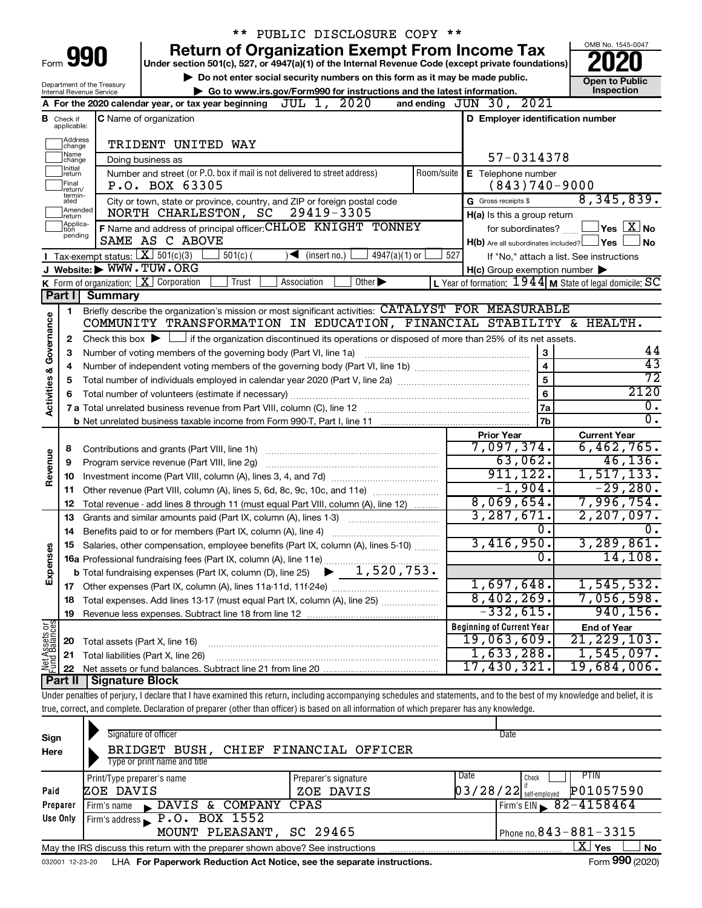|                         |                               |                                        | ** PUBLIC DISCLOSURE COPY **                                                                                                                                               |                                                         |                                                         |
|-------------------------|-------------------------------|----------------------------------------|----------------------------------------------------------------------------------------------------------------------------------------------------------------------------|---------------------------------------------------------|---------------------------------------------------------|
|                         |                               |                                        | <b>Return of Organization Exempt From Income Tax</b>                                                                                                                       |                                                         | OMB No. 1545-0047                                       |
|                         |                               | Form 990                               | Under section 501(c), 527, or 4947(a)(1) of the Internal Revenue Code (except private foundations)                                                                         |                                                         |                                                         |
|                         |                               | Department of the Treasury             | Do not enter social security numbers on this form as it may be made public.                                                                                                |                                                         | <b>Open to Public</b>                                   |
|                         |                               | Internal Revenue Service               | Go to www.irs.gov/Form990 for instructions and the latest information.                                                                                                     |                                                         | Inspection                                              |
|                         |                               |                                        | JUL 1, 2020<br>A For the 2020 calendar year, or tax year beginning                                                                                                         | and ending JUN 30, 2021                                 |                                                         |
|                         | <b>B</b> Check if applicable: |                                        | <b>C</b> Name of organization                                                                                                                                              | D Employer identification number                        |                                                         |
|                         | Address<br> change<br>Name    |                                        | TRIDENT UNITED WAY                                                                                                                                                         |                                                         |                                                         |
|                         | change<br>Ilnitial            |                                        | Doing business as                                                                                                                                                          | 57-0314378                                              |                                                         |
|                         | return<br>Final<br>return/    |                                        | Number and street (or P.O. box if mail is not delivered to street address)<br>Room/suite<br>P.O. BOX 63305                                                                 | $E$ Telephone number<br>$(843)740 - 9000$               |                                                         |
|                         | termin-<br>ated               |                                        | City or town, state or province, country, and ZIP or foreign postal code                                                                                                   | G Gross receipts \$                                     | 8,345,839.                                              |
|                         | Amended<br>Ireturn            |                                        | 29419-3305<br>NORTH CHARLESTON, SC                                                                                                                                         | H(a) Is this a group return                             |                                                         |
|                         | Applica-<br>tion              |                                        | F Name and address of principal officer: CHLOE KNIGHT TONNEY                                                                                                               | for subordinates?                                       | $\mathsf{\underline{V}}$ es $\mathsf{\underline{X}}$ No |
|                         | pending                       |                                        | SAME AS C ABOVE                                                                                                                                                            | $H(b)$ Are all subordinates included? $\Box$ Yes        | <b>No</b>                                               |
|                         |                               | Tax-exempt status: $X \over 301(c)(3)$ | $501(c)$ (<br>$\blacktriangleright$ (insert no.)<br>$4947(a)(1)$ or                                                                                                        | 527<br>If "No," attach a list. See instructions         |                                                         |
|                         |                               |                                        | J Website: WWW.TUW.ORG                                                                                                                                                     | $H(c)$ Group exemption number $\blacktriangleright$     |                                                         |
|                         |                               |                                        | <b>K</b> Form of organization: $\boxed{\mathbf{X}}$ Corporation<br>Trust<br>Other $\blacktriangleright$<br>Association                                                     | L Year of formation: 1944 M State of legal domicile: SC |                                                         |
|                         | Part I                        | <b>Summary</b>                         |                                                                                                                                                                            |                                                         |                                                         |
|                         | 1                             |                                        | Briefly describe the organization's mission or most significant activities: CATALYST FOR MEASURABLE                                                                        |                                                         |                                                         |
|                         |                               |                                        | COMMUNITY TRANSFORMATION IN EDUCATION, FINANCIAL STABILITY & HEALTH.                                                                                                       |                                                         |                                                         |
| Governance              | 2                             |                                        | Check this box $\blacktriangleright$ $\Box$ if the organization discontinued its operations or disposed of more than 25% of its net assets.                                |                                                         |                                                         |
|                         | З                             |                                        | Number of voting members of the governing body (Part VI, line 1a)                                                                                                          | $\mathbf{3}$                                            | 44                                                      |
|                         | 4                             |                                        |                                                                                                                                                                            | $\overline{\mathbf{4}}$                                 | $\overline{43}$                                         |
| <b>Activities &amp;</b> | 5                             |                                        |                                                                                                                                                                            | 5                                                       | $\overline{72}$                                         |
|                         | 6                             |                                        |                                                                                                                                                                            | $6\phantom{a}$                                          | 2120                                                    |
|                         |                               |                                        |                                                                                                                                                                            | 7a                                                      | $\overline{0}$ .                                        |
|                         |                               |                                        |                                                                                                                                                                            | 7b                                                      | $\overline{0}$ .                                        |
|                         |                               |                                        |                                                                                                                                                                            | <b>Prior Year</b>                                       | <b>Current Year</b>                                     |
|                         | 8                             |                                        |                                                                                                                                                                            | 7,097,374.                                              | 6,462,765.                                              |
| Revenue                 | 9                             |                                        | Program service revenue (Part VIII, line 2g)                                                                                                                               | 63,062.                                                 | 46, 136.                                                |
|                         | 10                            |                                        |                                                                                                                                                                            | 911, 122.<br>$-1,904.$                                  | 1, 517, 133.<br>$-29,280.$                              |
|                         | 11                            |                                        | Other revenue (Part VIII, column (A), lines 5, 6d, 8c, 9c, 10c, and 11e)                                                                                                   | 8,069,654.                                              | 7,996,754.                                              |
|                         | 12                            |                                        | Total revenue - add lines 8 through 11 (must equal Part VIII, column (A), line 12)                                                                                         | 3, 287, 671.                                            | 2, 207, 097.                                            |
|                         | 13                            |                                        | Grants and similar amounts paid (Part IX, column (A), lines 1-3)                                                                                                           | $\overline{0}$ .                                        | $\overline{0}$ .                                        |
|                         | 14                            |                                        |                                                                                                                                                                            | 3,416,950.                                              | 3,289,861.                                              |
|                         |                               |                                        | Salaries, other compensation, employee benefits (Part IX, column (A), lines 5-10)                                                                                          | σ.                                                      | 14, 108.                                                |
| Expenses                |                               |                                        | 16a Professional fundraising fees (Part IX, column (A), line 11e)<br>1,520,753.                                                                                            |                                                         |                                                         |
|                         |                               |                                        | <b>b</b> Total fundraising expenses (Part IX, column (D), line 25)                                                                                                         | 1,697,648.                                              | 1, 545, 532.                                            |
|                         |                               |                                        | 17 Other expenses (Part IX, column (A), lines 11a-11d, 11f-24e)<br>Total expenses. Add lines 13-17 (must equal Part IX, column (A), line 25) <i></i>                       | 8,402,269.                                              | 7,056,598.                                              |
|                         | 18                            |                                        |                                                                                                                                                                            | $-332,615.$                                             | 940, 156.                                               |
|                         | 19                            |                                        |                                                                                                                                                                            | <b>Beginning of Current Year</b>                        | <b>End of Year</b>                                      |
| Net Assets or           | 20                            | Total assets (Part X, line 16)         |                                                                                                                                                                            | 19,063,609.                                             | 21, 229, 103.                                           |
|                         | 21                            |                                        | Total liabilities (Part X, line 26)                                                                                                                                        | 1,633,288.                                              | 1,545,097.                                              |
|                         | 22                            |                                        |                                                                                                                                                                            | 17,430,321.                                             | 19,684,006.                                             |
|                         | Part II                       | Signature Block                        |                                                                                                                                                                            |                                                         |                                                         |
|                         |                               |                                        | Under penalties of perjury, I declare that I have examined this return, including accompanying schedules and statements, and to the best of my knowledge and belief, it is |                                                         |                                                         |
|                         |                               |                                        | true, correct, and complete. Declaration of preparer (other than officer) is based on all information of which preparer has any knowledge.                                 |                                                         |                                                         |
|                         |                               |                                        |                                                                                                                                                                            |                                                         |                                                         |

| Sign<br>Here | Signature of officer<br>BRIDGET BUSH, CHIEF FINANCIAL OFFICER<br>Type or print name and title |                                           | Date                                                   |
|--------------|-----------------------------------------------------------------------------------------------|-------------------------------------------|--------------------------------------------------------|
| Paid         | Print/Type preparer's name<br>ZOE DAVIS                                                       | Date<br>Preparer's signature<br>ZOE DAVIS | PTIN<br>Check<br>P01057590<br>$03/28/22$ self-employed |
| Preparer     | DAVIS & COMPANY CPAS<br>Firm's name                                                           |                                           | Firm's EIN $\frac{82 - 4158464}{ }$                    |
| Use Only     | Firm's address $\sqrt{P.0. BOX}$ 1552<br>MOUNT PLEASANT, SC 29465                             |                                           | Phone no. $843 - 881 - 3315$                           |
|              | May the IRS discuss this return with the preparer shown above? See instructions               |                                           | X.<br>Yes<br><b>No</b>                                 |
|              |                                                                                               |                                           | $0.00 \div 0.00$                                       |

032001 12-23-20 LHA **For Paperwork Reduction Act Notice, see the separate instructions.** Form 990 (2020)

Form **990** (2020)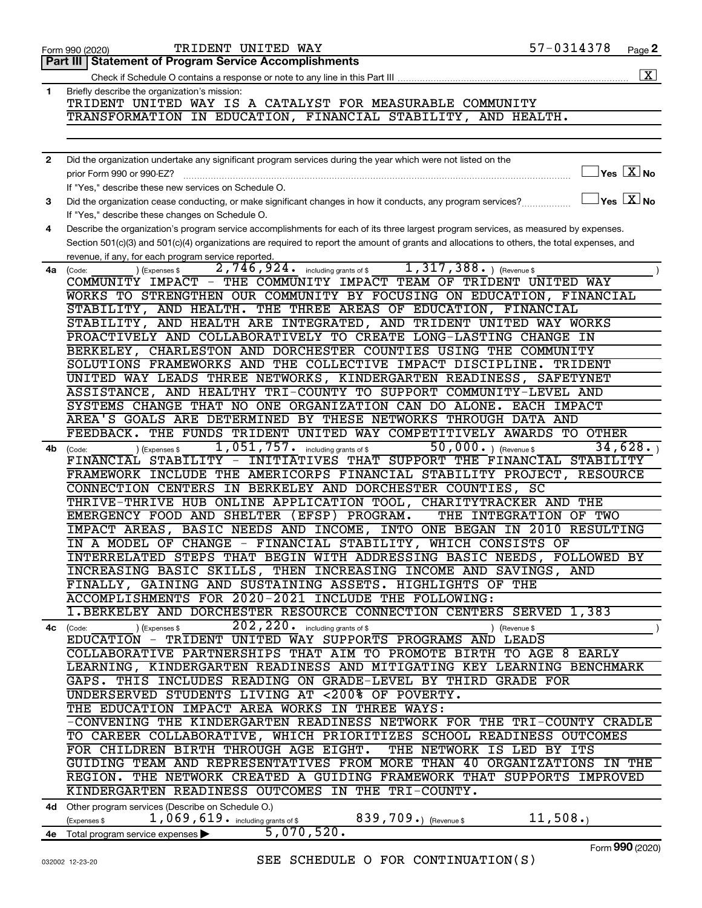|              | <b>Part III   Statement of Program Service Accomplishments</b>                                                                                                  |
|--------------|-----------------------------------------------------------------------------------------------------------------------------------------------------------------|
|              | $\boxed{\text{X}}$                                                                                                                                              |
| 1            | Briefly describe the organization's mission:<br>TRIDENT UNITED WAY IS A CATALYST FOR MEASURABLE COMMUNITY                                                       |
|              | TRANSFORMATION IN EDUCATION, FINANCIAL STABILITY, AND HEALTH.                                                                                                   |
|              |                                                                                                                                                                 |
|              |                                                                                                                                                                 |
| $\mathbf{2}$ | Did the organization undertake any significant program services during the year which were not listed on the                                                    |
|              | $\exists$ Yes $\boxed{\text{X}}$ No<br>prior Form 990 or 990-EZ?                                                                                                |
|              | If "Yes," describe these new services on Schedule O.                                                                                                            |
| 3            | $\boxed{\phantom{1}}$ Yes $\boxed{\text{X}}$ No<br>Did the organization cease conducting, or make significant changes in how it conducts, any program services? |
|              | If "Yes," describe these changes on Schedule O.                                                                                                                 |
| 4            | Describe the organization's program service accomplishments for each of its three largest program services, as measured by expenses.                            |
|              | Section 501(c)(3) and 501(c)(4) organizations are required to report the amount of grants and allocations to others, the total expenses, and                    |
|              | revenue, if any, for each program service reported.                                                                                                             |
| 4a           | $1,317,388.$ (Revenue \$)<br>2,746,924.<br>including grants of \$<br>(Expenses \$<br>(Code:                                                                     |
|              | COMMUNITY IMPACT - THE COMMUNITY IMPACT TEAM OF TRIDENT UNITED WAY                                                                                              |
|              | WORKS TO STRENGTHEN OUR COMMUNITY BY FOCUSING ON EDUCATION, FINANCIAL                                                                                           |
|              | STABILITY, AND HEALTH. THE THREE AREAS OF EDUCATION, FINANCIAL                                                                                                  |
|              | STABILITY, AND HEALTH ARE INTEGRATED, AND TRIDENT UNITED WAY WORKS                                                                                              |
|              | PROACTIVELY AND COLLABORATIVELY TO CREATE LONG-LASTING CHANGE<br>IN                                                                                             |
|              | BERKELEY, CHARLESTON AND DORCHESTER COUNTIES USING THE COMMUNITY                                                                                                |
|              | SOLUTIONS FRAMEWORKS AND THE COLLECTIVE IMPACT DISCIPLINE.<br><b>TRIDENT</b>                                                                                    |
|              | UNITED WAY LEADS THREE NETWORKS, KINDERGARTEN READINESS, SAFETYNET                                                                                              |
|              | ASSISTANCE, AND HEALTHY TRI-COUNTY TO SUPPORT COMMUNITY-LEVEL AND                                                                                               |
|              | SYSTEMS CHANGE THAT NO ONE ORGANIZATION CAN DO ALONE.<br>EACH IMPACT                                                                                            |
|              | AREA'S GOALS ARE DETERMINED BY THESE NETWORKS THROUGH DATA AND                                                                                                  |
|              | THE FUNDS TRIDENT UNITED WAY COMPETITIVELY AWARDS<br>FEEDBACK.<br><b>TO OTHER</b>                                                                               |
| 4b           | 50,000. ) (Revenue \$<br>1,051,757. including grants of \$<br>34,628.<br>(Expenses \$<br>(Code:                                                                 |
|              | INITIATIVES THAT SUPPORT THE FINANCIAL<br>STABILITY<br>FINANCIAL STABILITY -                                                                                    |
|              | FRAMEWORK INCLUDE THE AMERICORPS FINANCIAL STABILITY PROJECT,<br><b>RESOURCE</b>                                                                                |
|              | CONNECTION CENTERS IN BERKELEY AND DORCHESTER COUNTIES, SC                                                                                                      |
|              | THRIVE-THRIVE HUB ONLINE APPLICATION TOOL, CHARITYTRACKER AND<br>THE<br>EMERGENCY FOOD AND SHELTER (EFSP) PROGRAM.                                              |
|              | THE INTEGRATION OF TWO<br>RESULTING                                                                                                                             |
|              | IMPACT AREAS, BASIC NEEDS AND INCOME, INTO ONE BEGAN IN 2010<br>CHANGE - FINANCIAL STABILITY, WHICH CONSISTS OF<br>A MODEL OF                                   |
|              | INTERRELATED STEPS THAT BEGIN WITH ADDRESSING BASIC NEEDS, FOLLOWED BY                                                                                          |
|              | INCREASING BASIC SKILLS, THEN INCREASING INCOME AND SAVINGS, AND                                                                                                |
|              | FINALLY, GAINING AND SUSTAINING ASSETS. HIGHLIGHTS OF THE                                                                                                       |
|              | ACCOMPLISHMENTS FOR 2020-2021 INCLUDE THE FOLLOWING:                                                                                                            |
|              | 1. BERKELEY AND DORCHESTER RESOURCE CONNECTION CENTERS SERVED 1,383                                                                                             |
|              | 202, 220 . including grants of \$<br>(Expenses \$<br>4c (Code:<br>) (Revenue \$                                                                                 |
|              | EDUCATION - TRIDENT UNITED WAY SUPPORTS PROGRAMS AND LEADS                                                                                                      |
|              | COLLABORATIVE PARTNERSHIPS THAT AIM TO PROMOTE BIRTH TO AGE 8 EARLY                                                                                             |
|              | LEARNING, KINDERGARTEN READINESS AND MITIGATING KEY LEARNING BENCHMARK                                                                                          |
|              | GAPS. THIS INCLUDES READING ON GRADE-LEVEL BY THIRD GRADE FOR                                                                                                   |
|              | UNDERSERVED STUDENTS LIVING AT <200% OF POVERTY.                                                                                                                |
|              | THE EDUCATION IMPACT AREA WORKS IN THREE WAYS:                                                                                                                  |
|              | -CONVENING THE KINDERGARTEN READINESS NETWORK FOR THE TRI-COUNTY CRADLE                                                                                         |
|              | TO CAREER COLLABORATIVE, WHICH PRIORITIZES SCHOOL READINESS OUTCOMES                                                                                            |
|              | FOR CHILDREN BIRTH THROUGH AGE EIGHT.<br>THE NETWORK IS LED BY ITS                                                                                              |
|              | GUIDING TEAM AND REPRESENTATIVES FROM MORE THAN 40 ORGANIZATIONS IN THE                                                                                         |
|              | REGION. THE NETWORK CREATED A GUIDING FRAMEWORK THAT SUPPORTS IMPROVED                                                                                          |
|              | KINDERGARTEN READINESS OUTCOMES IN THE TRI-COUNTY.                                                                                                              |
|              | 4d Other program services (Describe on Schedule O.)                                                                                                             |
|              | 11,508.<br>1,069,619. including grants of \$<br>839,709.) (Revenue \$<br>(Expenses \$                                                                           |
|              | 5,070,520.<br>4e Total program service expenses >                                                                                                               |

Form 990 (2020) Page TRIDENT UNITED WAY 57-0314378

Form (2020) **990**

57-0314378 Page 2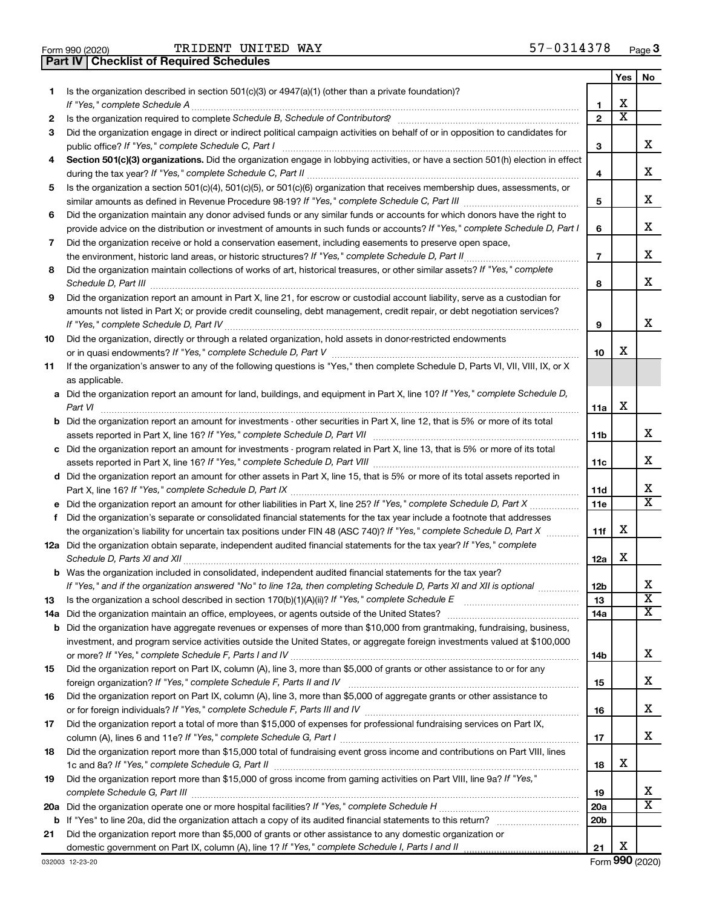|  | Form 990 (2020) |
|--|-----------------|

**Part IV Checklist of Required Schedules**

TRIDENT UNITED WAY 57-0314378

|     |                                                                                                                                                                                                                                      |              | Yes                     | No                      |
|-----|--------------------------------------------------------------------------------------------------------------------------------------------------------------------------------------------------------------------------------------|--------------|-------------------------|-------------------------|
| 1   | Is the organization described in section 501(c)(3) or 4947(a)(1) (other than a private foundation)?                                                                                                                                  |              |                         |                         |
|     |                                                                                                                                                                                                                                      | 1            | х                       |                         |
| 2   | Is the organization required to complete Schedule B, Schedule of Contributors? [11] The organization required to complete Schedule B, Schedule of Contributors?                                                                      | $\mathbf{2}$ | $\overline{\texttt{x}}$ |                         |
| 3   | Did the organization engage in direct or indirect political campaign activities on behalf of or in opposition to candidates for                                                                                                      |              |                         |                         |
|     |                                                                                                                                                                                                                                      | 3            |                         | х                       |
| 4   | Section 501(c)(3) organizations. Did the organization engage in lobbying activities, or have a section 501(h) election in effect                                                                                                     |              |                         |                         |
|     |                                                                                                                                                                                                                                      | 4            |                         | х                       |
| 5   | Is the organization a section 501(c)(4), 501(c)(5), or 501(c)(6) organization that receives membership dues, assessments, or                                                                                                         |              |                         |                         |
|     |                                                                                                                                                                                                                                      | 5            |                         | х                       |
| 6   | Did the organization maintain any donor advised funds or any similar funds or accounts for which donors have the right to                                                                                                            |              |                         |                         |
|     | provide advice on the distribution or investment of amounts in such funds or accounts? If "Yes," complete Schedule D, Part I                                                                                                         | 6            |                         | х                       |
| 7   | Did the organization receive or hold a conservation easement, including easements to preserve open space,                                                                                                                            |              |                         |                         |
|     |                                                                                                                                                                                                                                      | 7            |                         | х                       |
| 8   | Did the organization maintain collections of works of art, historical treasures, or other similar assets? If "Yes," complete                                                                                                         |              |                         |                         |
|     | Schedule D, Part III <b>Marting Community Contract Contract Contract Contract Contract Contract Contract Contract Contract Contract Contract Contract Contract Contract Contract Contract Contract Contract Contract Contract Co</b> | 8            |                         | x                       |
| 9   | Did the organization report an amount in Part X, line 21, for escrow or custodial account liability, serve as a custodian for                                                                                                        |              |                         |                         |
|     | amounts not listed in Part X; or provide credit counseling, debt management, credit repair, or debt negotiation services?                                                                                                            |              |                         |                         |
|     |                                                                                                                                                                                                                                      | 9            |                         | x                       |
| 10  | Did the organization, directly or through a related organization, hold assets in donor-restricted endowments                                                                                                                         |              |                         |                         |
|     |                                                                                                                                                                                                                                      | 10           | х                       |                         |
| 11  | If the organization's answer to any of the following questions is "Yes," then complete Schedule D, Parts VI, VII, VIII, IX, or X                                                                                                     |              |                         |                         |
|     | as applicable.                                                                                                                                                                                                                       |              |                         |                         |
|     | a Did the organization report an amount for land, buildings, and equipment in Part X, line 10? If "Yes," complete Schedule D,                                                                                                        |              |                         |                         |
|     | Part VI                                                                                                                                                                                                                              | 11a          | х                       |                         |
|     | <b>b</b> Did the organization report an amount for investments - other securities in Part X, line 12, that is 5% or more of its total                                                                                                |              |                         |                         |
|     |                                                                                                                                                                                                                                      | 11b          |                         | х                       |
|     | c Did the organization report an amount for investments - program related in Part X, line 13, that is 5% or more of its total                                                                                                        |              |                         |                         |
|     |                                                                                                                                                                                                                                      | 11c          |                         | х                       |
|     | d Did the organization report an amount for other assets in Part X, line 15, that is 5% or more of its total assets reported in                                                                                                      |              |                         | х                       |
|     |                                                                                                                                                                                                                                      | 11d<br>11e   |                         | $\overline{\mathtt{x}}$ |
| f   | Did the organization's separate or consolidated financial statements for the tax year include a footnote that addresses                                                                                                              |              |                         |                         |
|     | the organization's liability for uncertain tax positions under FIN 48 (ASC 740)? If "Yes," complete Schedule D, Part X                                                                                                               | 11f          | х                       |                         |
|     | 12a Did the organization obtain separate, independent audited financial statements for the tax year? If "Yes," complete                                                                                                              |              |                         |                         |
|     |                                                                                                                                                                                                                                      | 12a          | х                       |                         |
|     | <b>b</b> Was the organization included in consolidated, independent audited financial statements for the tax year?                                                                                                                   |              |                         |                         |
|     | If "Yes," and if the organization answered "No" to line 12a, then completing Schedule D, Parts XI and XII is optional <i>maniming</i>                                                                                                | 12b          |                         | х                       |
| 13  |                                                                                                                                                                                                                                      | 13           |                         | $\overline{\textbf{x}}$ |
| 14a |                                                                                                                                                                                                                                      | 14a          |                         | $\overline{\text{X}}$   |
|     | <b>b</b> Did the organization have aggregate revenues or expenses of more than \$10,000 from grantmaking, fundraising, business,                                                                                                     |              |                         |                         |
|     | investment, and program service activities outside the United States, or aggregate foreign investments valued at \$100,000                                                                                                           |              |                         |                         |
|     |                                                                                                                                                                                                                                      | 14b          |                         | х                       |
| 15  | Did the organization report on Part IX, column (A), line 3, more than \$5,000 of grants or other assistance to or for any                                                                                                            |              |                         |                         |
|     |                                                                                                                                                                                                                                      | 15           |                         | x                       |
| 16  | Did the organization report on Part IX, column (A), line 3, more than \$5,000 of aggregate grants or other assistance to                                                                                                             |              |                         |                         |
|     |                                                                                                                                                                                                                                      | 16           |                         | х                       |
| 17  | Did the organization report a total of more than \$15,000 of expenses for professional fundraising services on Part IX,                                                                                                              |              |                         |                         |
|     |                                                                                                                                                                                                                                      | 17           |                         | х                       |
| 18  | Did the organization report more than \$15,000 total of fundraising event gross income and contributions on Part VIII, lines                                                                                                         |              | х                       |                         |
|     |                                                                                                                                                                                                                                      | 18           |                         |                         |
| 19  | Did the organization report more than \$15,000 of gross income from gaming activities on Part VIII, line 9a? If "Yes,"                                                                                                               |              |                         | x                       |
|     |                                                                                                                                                                                                                                      | 19           |                         | $\overline{\texttt{x}}$ |
|     |                                                                                                                                                                                                                                      | 20a<br>20b   |                         |                         |
| 21  | Did the organization report more than \$5,000 of grants or other assistance to any domestic organization or                                                                                                                          |              |                         |                         |
|     |                                                                                                                                                                                                                                      | 21           | х                       |                         |
|     |                                                                                                                                                                                                                                      |              |                         |                         |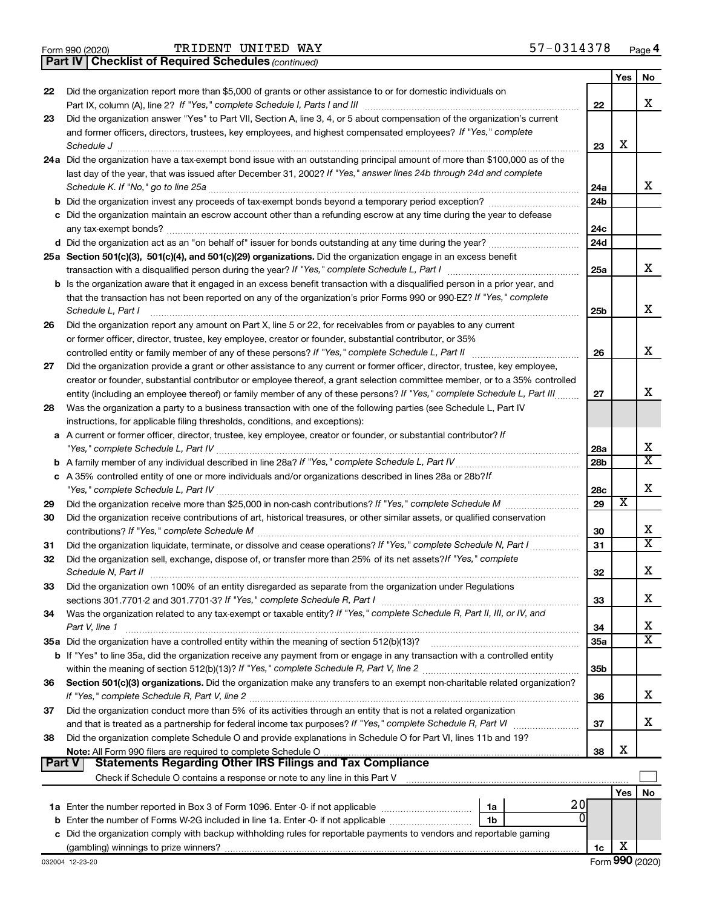|  | Form 990 (2020) |
|--|-----------------|
|  |                 |

*(continued)* **Part IV Checklist of Required Schedules**

|          |                                                                                                                                                                                                                                                            |                 | Yes | No                      |
|----------|------------------------------------------------------------------------------------------------------------------------------------------------------------------------------------------------------------------------------------------------------------|-----------------|-----|-------------------------|
| 22       | Did the organization report more than \$5,000 of grants or other assistance to or for domestic individuals on                                                                                                                                              |                 |     |                         |
|          |                                                                                                                                                                                                                                                            | 22              |     | х                       |
| 23       | Did the organization answer "Yes" to Part VII, Section A, line 3, 4, or 5 about compensation of the organization's current                                                                                                                                 |                 |     |                         |
|          | and former officers, directors, trustees, key employees, and highest compensated employees? If "Yes," complete                                                                                                                                             |                 |     |                         |
|          | Schedule J                                                                                                                                                                                                                                                 | 23              | х   |                         |
|          | 24a Did the organization have a tax-exempt bond issue with an outstanding principal amount of more than \$100,000 as of the                                                                                                                                |                 |     |                         |
|          | last day of the year, that was issued after December 31, 2002? If "Yes," answer lines 24b through 24d and complete                                                                                                                                         |                 |     |                         |
|          | Schedule K. If "No," go to line 25a                                                                                                                                                                                                                        | 24a             |     | х                       |
|          |                                                                                                                                                                                                                                                            | 24b             |     |                         |
|          | c Did the organization maintain an escrow account other than a refunding escrow at any time during the year to defease                                                                                                                                     |                 |     |                         |
|          |                                                                                                                                                                                                                                                            | 24c             |     |                         |
|          |                                                                                                                                                                                                                                                            | 24d             |     |                         |
|          | 25a Section 501(c)(3), 501(c)(4), and 501(c)(29) organizations. Did the organization engage in an excess benefit                                                                                                                                           |                 |     | х                       |
|          |                                                                                                                                                                                                                                                            | 25a             |     |                         |
|          | b Is the organization aware that it engaged in an excess benefit transaction with a disqualified person in a prior year, and                                                                                                                               |                 |     |                         |
|          | that the transaction has not been reported on any of the organization's prior Forms 990 or 990-EZ? If "Yes," complete                                                                                                                                      |                 |     | х                       |
|          | Schedule L, Part I                                                                                                                                                                                                                                         | 25b             |     |                         |
| 26       | Did the organization report any amount on Part X, line 5 or 22, for receivables from or payables to any current                                                                                                                                            |                 |     |                         |
|          | or former officer, director, trustee, key employee, creator or founder, substantial contributor, or 35%                                                                                                                                                    |                 |     | X                       |
|          |                                                                                                                                                                                                                                                            | 26              |     |                         |
| 27       | Did the organization provide a grant or other assistance to any current or former officer, director, trustee, key employee,<br>creator or founder, substantial contributor or employee thereof, a grant selection committee member, or to a 35% controlled |                 |     |                         |
|          | entity (including an employee thereof) or family member of any of these persons? If "Yes," complete Schedule L, Part III                                                                                                                                   | 27              |     | х                       |
| 28       | Was the organization a party to a business transaction with one of the following parties (see Schedule L, Part IV                                                                                                                                          |                 |     |                         |
|          | instructions, for applicable filing thresholds, conditions, and exceptions):                                                                                                                                                                               |                 |     |                         |
|          | a A current or former officer, director, trustee, key employee, creator or founder, or substantial contributor? If                                                                                                                                         |                 |     |                         |
|          |                                                                                                                                                                                                                                                            | 28a             |     | х                       |
|          |                                                                                                                                                                                                                                                            | 28 <sub>b</sub> |     | $\overline{\textbf{X}}$ |
|          | c A 35% controlled entity of one or more individuals and/or organizations described in lines 28a or 28b?If                                                                                                                                                 |                 |     |                         |
|          |                                                                                                                                                                                                                                                            | 28c             |     | X                       |
| 29       |                                                                                                                                                                                                                                                            | 29              | X   |                         |
| 30       | Did the organization receive contributions of art, historical treasures, or other similar assets, or qualified conservation                                                                                                                                |                 |     |                         |
|          |                                                                                                                                                                                                                                                            | 30              |     | x                       |
| 31       |                                                                                                                                                                                                                                                            | 31              |     | $\overline{\texttt{x}}$ |
| 32       | Did the organization sell, exchange, dispose of, or transfer more than 25% of its net assets? If "Yes," complete                                                                                                                                           |                 |     |                         |
|          |                                                                                                                                                                                                                                                            | 32              |     | X                       |
| 33       | Did the organization own 100% of an entity disregarded as separate from the organization under Regulations                                                                                                                                                 |                 |     |                         |
|          |                                                                                                                                                                                                                                                            | 33              |     | х                       |
| 34       | Was the organization related to any tax-exempt or taxable entity? If "Yes," complete Schedule R, Part II, III, or IV, and                                                                                                                                  |                 |     |                         |
|          | Part V, line 1                                                                                                                                                                                                                                             | 34              |     | x                       |
|          | 35a Did the organization have a controlled entity within the meaning of section 512(b)(13)?                                                                                                                                                                | <b>35a</b>      |     | $\overline{\textbf{X}}$ |
|          | <b>b</b> If "Yes" to line 35a, did the organization receive any payment from or engage in any transaction with a controlled entity                                                                                                                         |                 |     |                         |
|          |                                                                                                                                                                                                                                                            | 35b             |     |                         |
| 36       | Section 501(c)(3) organizations. Did the organization make any transfers to an exempt non-charitable related organization?                                                                                                                                 |                 |     |                         |
|          |                                                                                                                                                                                                                                                            | 36              |     | х                       |
| 37       | Did the organization conduct more than 5% of its activities through an entity that is not a related organization                                                                                                                                           |                 |     |                         |
|          |                                                                                                                                                                                                                                                            | 37              |     | х                       |
| 38       | Did the organization complete Schedule O and provide explanations in Schedule O for Part VI, lines 11b and 19?                                                                                                                                             |                 |     |                         |
|          |                                                                                                                                                                                                                                                            | 38              | х   |                         |
| ∣ Part V | <b>Statements Regarding Other IRS Filings and Tax Compliance</b>                                                                                                                                                                                           |                 |     |                         |
|          | Check if Schedule O contains a response or note to any line in this Part V [111] [12] contains according to contains a response or note to any line in this Part V                                                                                         |                 |     |                         |
|          |                                                                                                                                                                                                                                                            |                 | Yes | No                      |
|          | 20<br>1a                                                                                                                                                                                                                                                   |                 |     |                         |
|          | 1b                                                                                                                                                                                                                                                         |                 |     |                         |
|          | c Did the organization comply with backup withholding rules for reportable payments to vendors and reportable gaming                                                                                                                                       |                 |     |                         |
|          |                                                                                                                                                                                                                                                            | 1c              | X   |                         |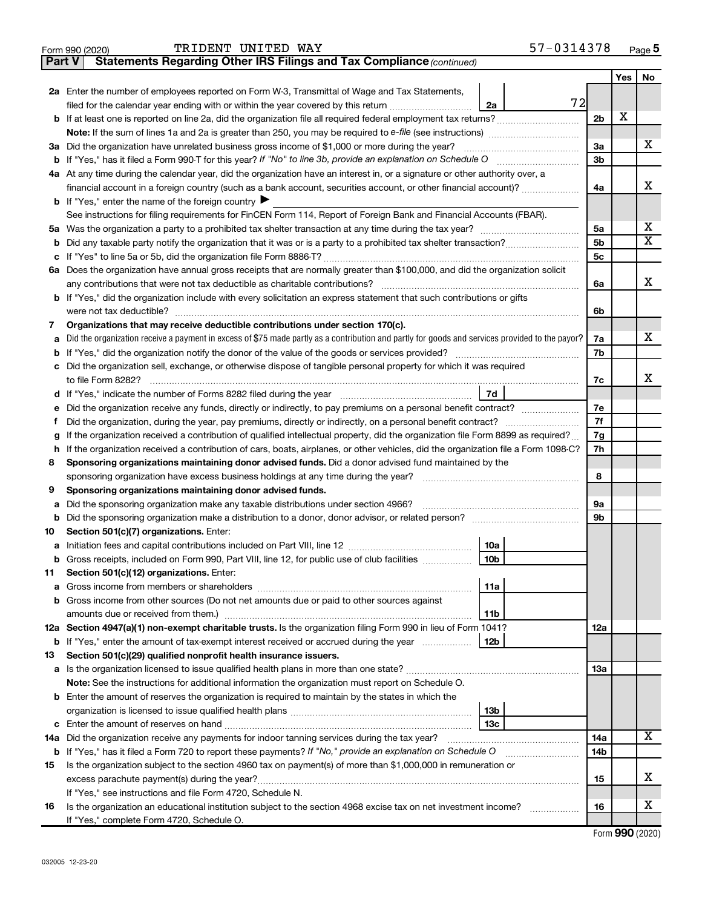|        | TRIDENT UNITED WAY<br>Form 990 (2020)                                                                                                                        |                 | 57-0314378 |                |     | Page 5                  |
|--------|--------------------------------------------------------------------------------------------------------------------------------------------------------------|-----------------|------------|----------------|-----|-------------------------|
| Part V | Statements Regarding Other IRS Filings and Tax Compliance (continued)                                                                                        |                 |            |                |     |                         |
|        |                                                                                                                                                              |                 |            |                | Yes | No                      |
|        | 2a Enter the number of employees reported on Form W-3, Transmittal of Wage and Tax Statements,                                                               |                 |            |                |     |                         |
|        | filed for the calendar year ending with or within the year covered by this return <i>[[[[[[[[[[[[[]]]</i> ]]                                                 | 2a              | 72         |                |     |                         |
|        | b If at least one is reported on line 2a, did the organization file all required federal employment tax returns?                                             |                 |            | 2 <sub>b</sub> | X   |                         |
|        | <b>Note:</b> If the sum of lines 1a and 2a is greater than 250, you may be required to e-file (see instructions)                                             |                 |            |                |     |                         |
|        | 3a Did the organization have unrelated business gross income of \$1,000 or more during the year?                                                             |                 |            | 3a             |     | х                       |
|        | <b>b</b> If "Yes," has it filed a Form 990-T for this year? If "No" to line 3b, provide an explanation on Schedule O                                         |                 |            | 3 <sub>b</sub> |     |                         |
|        | 4a At any time during the calendar year, did the organization have an interest in, or a signature or other authority over, a                                 |                 |            |                |     |                         |
|        | financial account in a foreign country (such as a bank account, securities account, or other financial account)?                                             |                 |            | 4a             |     | х                       |
|        | <b>b</b> If "Yes," enter the name of the foreign country $\blacktriangleright$                                                                               |                 |            |                |     |                         |
|        | See instructions for filing requirements for FinCEN Form 114, Report of Foreign Bank and Financial Accounts (FBAR).                                          |                 |            |                |     |                         |
|        |                                                                                                                                                              |                 |            | 5a             |     | х                       |
|        |                                                                                                                                                              |                 |            | 5 <sub>b</sub> |     | $\overline{\texttt{x}}$ |
|        |                                                                                                                                                              |                 |            | 5 <sub>c</sub> |     |                         |
|        | 6a Does the organization have annual gross receipts that are normally greater than \$100,000, and did the organization solicit                               |                 |            |                |     |                         |
|        | any contributions that were not tax deductible as charitable contributions?                                                                                  |                 |            | 6a             |     | X                       |
|        | b If "Yes," did the organization include with every solicitation an express statement that such contributions or gifts                                       |                 |            |                |     |                         |
|        |                                                                                                                                                              |                 |            | 6b             |     |                         |
| 7      | Organizations that may receive deductible contributions under section 170(c).                                                                                |                 |            |                |     |                         |
| a      | Did the organization receive a payment in excess of \$75 made partly as a contribution and partly for goods and services provided to the payor?              |                 |            | 7a             |     | x                       |
|        | <b>b</b> If "Yes," did the organization notify the donor of the value of the goods or services provided?                                                     |                 |            | 7b             |     |                         |
|        | c Did the organization sell, exchange, or otherwise dispose of tangible personal property for which it was required                                          |                 |            |                |     |                         |
|        | to file Form 8282?                                                                                                                                           |                 |            | 7с             |     | х                       |
|        | d If "Yes," indicate the number of Forms 8282 filed during the year manufacture intervent contains the New Yes                                               | 7d              |            |                |     |                         |
|        | e Did the organization receive any funds, directly or indirectly, to pay premiums on a personal benefit contract?                                            |                 |            | 7e             |     |                         |
| t      | Did the organization, during the year, pay premiums, directly or indirectly, on a personal benefit contract?                                                 |                 |            |                |     |                         |
| g      | If the organization received a contribution of qualified intellectual property, did the organization file Form 8899 as required?                             |                 |            |                |     |                         |
|        | h If the organization received a contribution of cars, boats, airplanes, or other vehicles, did the organization file a Form 1098-C?                         |                 |            | 7h             |     |                         |
| 8      | Sponsoring organizations maintaining donor advised funds. Did a donor advised fund maintained by the                                                         |                 |            |                |     |                         |
|        | sponsoring organization have excess business holdings at any time during the year?                                                                           |                 |            | 8              |     |                         |
| 9      | Sponsoring organizations maintaining donor advised funds.                                                                                                    |                 |            |                |     |                         |
| а      | Did the sponsoring organization make any taxable distributions under section 4966?                                                                           |                 |            | 9а             |     |                         |
| b      |                                                                                                                                                              |                 |            | 9b             |     |                         |
| 10     | Section 501(c)(7) organizations. Enter:                                                                                                                      |                 |            |                |     |                         |
|        |                                                                                                                                                              | 10a             |            |                |     |                         |
|        | b Gross receipts, included on Form 990, Part VIII, line 12, for public use of club facilities                                                                | 10b             |            |                |     |                         |
| 11     | Section 501(c)(12) organizations. Enter:                                                                                                                     |                 |            |                |     |                         |
| а      |                                                                                                                                                              | 11a             |            |                |     |                         |
|        | b Gross income from other sources (Do not net amounts due or paid to other sources against                                                                   |                 |            |                |     |                         |
|        |                                                                                                                                                              | 11b             |            |                |     |                         |
|        | 12a Section 4947(a)(1) non-exempt charitable trusts. Is the organization filing Form 990 in lieu of Form 1041?                                               |                 |            | 12a            |     |                         |
|        | <b>b</b> If "Yes," enter the amount of tax-exempt interest received or accrued during the year                                                               | 12b             |            |                |     |                         |
| 13     | Section 501(c)(29) qualified nonprofit health insurance issuers.                                                                                             |                 |            |                |     |                         |
|        |                                                                                                                                                              |                 |            | 13a            |     |                         |
|        | Note: See the instructions for additional information the organization must report on Schedule O.                                                            |                 |            |                |     |                         |
|        | <b>b</b> Enter the amount of reserves the organization is required to maintain by the states in which the                                                    |                 |            |                |     |                         |
|        |                                                                                                                                                              | 13 <sub>b</sub> |            |                |     |                         |
|        |                                                                                                                                                              | 13с             |            |                |     | х                       |
|        | 14a Did the organization receive any payments for indoor tanning services during the tax year?                                                               |                 |            | 14a            |     |                         |
|        | b If "Yes," has it filed a Form 720 to report these payments? If "No," provide an explanation on Schedule O                                                  |                 |            | 14b            |     |                         |
| 15     | Is the organization subject to the section 4960 tax on payment(s) of more than \$1,000,000 in remuneration or                                                |                 |            |                |     | х                       |
|        |                                                                                                                                                              |                 |            | 15             |     |                         |
|        | If "Yes," see instructions and file Form 4720, Schedule N.                                                                                                   |                 |            |                |     | х                       |
| 16     | Is the organization an educational institution subject to the section 4968 excise tax on net investment income?<br>If "Yes," complete Form 4720, Schedule O. |                 | .          | 16             |     |                         |
|        |                                                                                                                                                              |                 |            |                |     |                         |

Form (2020) **990**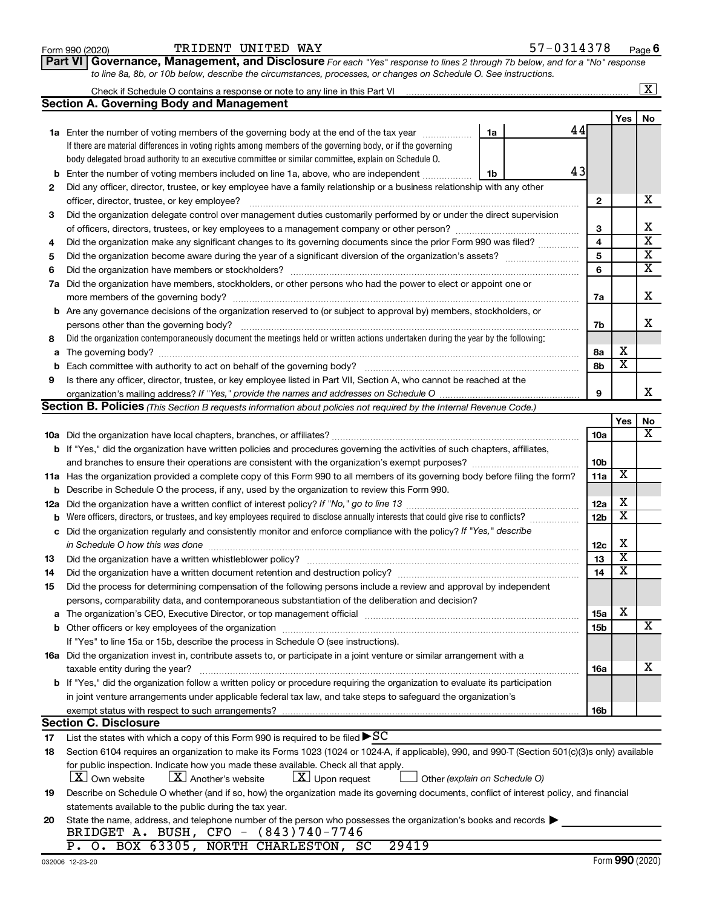| Form 990 (202 |  |
|---------------|--|
|               |  |

### Form 990 (2020) Page TRIDENT UNITED WAY 57-0314378

*For each "Yes" response to lines 2 through 7b below, and for a "No" response to line 8a, 8b, or 10b below, describe the circumstances, processes, or changes on Schedule O. See instructions.* **Part VI Governance, Management, and Disclosure** 

|     |                                                                                                                                                  |                 |                         | $\overline{\text{X}}$   |  |  |  |  |  |
|-----|--------------------------------------------------------------------------------------------------------------------------------------------------|-----------------|-------------------------|-------------------------|--|--|--|--|--|
|     | <b>Section A. Governing Body and Management</b>                                                                                                  |                 |                         |                         |  |  |  |  |  |
|     |                                                                                                                                                  |                 | Yes                     | No                      |  |  |  |  |  |
|     | 44<br><b>1a</b> Enter the number of voting members of the governing body at the end of the tax year<br>1a                                        |                 |                         |                         |  |  |  |  |  |
|     | If there are material differences in voting rights among members of the governing body, or if the governing                                      |                 |                         |                         |  |  |  |  |  |
|     | body delegated broad authority to an executive committee or similar committee, explain on Schedule O.                                            |                 |                         |                         |  |  |  |  |  |
| b   | 43<br>Enter the number of voting members included on line 1a, above, who are independent<br>1b                                                   |                 |                         |                         |  |  |  |  |  |
| 2   | Did any officer, director, trustee, or key employee have a family relationship or a business relationship with any other                         |                 |                         |                         |  |  |  |  |  |
|     | officer, director, trustee, or key employee?                                                                                                     | $\mathbf{2}$    |                         | х                       |  |  |  |  |  |
| 3   | Did the organization delegate control over management duties customarily performed by or under the direct supervision                            |                 |                         |                         |  |  |  |  |  |
|     |                                                                                                                                                  | 3               |                         | х                       |  |  |  |  |  |
| 4   | Did the organization make any significant changes to its governing documents since the prior Form 990 was filed?                                 | 4               |                         | $\overline{\mathbf{x}}$ |  |  |  |  |  |
| 5   |                                                                                                                                                  | 5               |                         | $\overline{\mathbf{x}}$ |  |  |  |  |  |
| 6   |                                                                                                                                                  |                 |                         |                         |  |  |  |  |  |
| 7a  | Did the organization have members, stockholders, or other persons who had the power to elect or appoint one or                                   |                 |                         |                         |  |  |  |  |  |
|     | more members of the governing body?                                                                                                              | 7a              |                         | х                       |  |  |  |  |  |
|     | <b>b</b> Are any governance decisions of the organization reserved to (or subject to approval by) members, stockholders, or                      |                 |                         |                         |  |  |  |  |  |
|     | persons other than the governing body?                                                                                                           | 7b              |                         | x                       |  |  |  |  |  |
| 8   | Did the organization contemporaneously document the meetings held or written actions undertaken during the year by the following:                |                 |                         |                         |  |  |  |  |  |
| a   |                                                                                                                                                  | 8а              | х                       |                         |  |  |  |  |  |
| b   |                                                                                                                                                  | 8b              | $\overline{\mathbf{x}}$ |                         |  |  |  |  |  |
| 9   | Is there any officer, director, trustee, or key employee listed in Part VII, Section A, who cannot be reached at the                             |                 |                         |                         |  |  |  |  |  |
|     |                                                                                                                                                  | 9               |                         | x                       |  |  |  |  |  |
|     | Section B. Policies (This Section B requests information about policies not required by the Internal Revenue Code.)                              |                 |                         |                         |  |  |  |  |  |
|     |                                                                                                                                                  |                 | Yes                     | No                      |  |  |  |  |  |
|     |                                                                                                                                                  | 10a             |                         | х                       |  |  |  |  |  |
|     | <b>b</b> If "Yes," did the organization have written policies and procedures governing the activities of such chapters, affiliates,              |                 |                         |                         |  |  |  |  |  |
|     |                                                                                                                                                  | 10 <sub>b</sub> |                         |                         |  |  |  |  |  |
|     | 11a Has the organization provided a complete copy of this Form 990 to all members of its governing body before filing the form?                  | 11a             | X                       |                         |  |  |  |  |  |
| b   | Describe in Schedule O the process, if any, used by the organization to review this Form 990.                                                    |                 |                         |                         |  |  |  |  |  |
| 12a | Did the organization have a written conflict of interest policy? If "No," go to line 13                                                          | 12a             | х                       |                         |  |  |  |  |  |
| b   | Were officers, directors, or trustees, and key employees required to disclose annually interests that could give rise to conflicts?              | 12 <sub>b</sub> | $\overline{\textbf{x}}$ |                         |  |  |  |  |  |
| с   | Did the organization regularly and consistently monitor and enforce compliance with the policy? If "Yes," describe                               |                 |                         |                         |  |  |  |  |  |
|     | in Schedule O how this was done                                                                                                                  | 12c             | х                       |                         |  |  |  |  |  |
| 13  | Did the organization have a written whistleblower policy?                                                                                        | 13              | $\overline{\textbf{x}}$ |                         |  |  |  |  |  |
| 14  |                                                                                                                                                  | 14              | $\overline{\mathbf{X}}$ |                         |  |  |  |  |  |
| 15  | Did the process for determining compensation of the following persons include a review and approval by independent                               |                 |                         |                         |  |  |  |  |  |
|     | persons, comparability data, and contemporaneous substantiation of the deliberation and decision?                                                |                 |                         |                         |  |  |  |  |  |
| а   |                                                                                                                                                  | <b>15a</b>      | х                       |                         |  |  |  |  |  |
|     |                                                                                                                                                  | 15b             |                         | х                       |  |  |  |  |  |
|     | If "Yes" to line 15a or 15b, describe the process in Schedule O (see instructions).                                                              |                 |                         |                         |  |  |  |  |  |
|     | 16a Did the organization invest in, contribute assets to, or participate in a joint venture or similar arrangement with a                        |                 |                         |                         |  |  |  |  |  |
|     | taxable entity during the year?                                                                                                                  | 16a             |                         | x                       |  |  |  |  |  |
|     | b If "Yes," did the organization follow a written policy or procedure requiring the organization to evaluate its participation                   |                 |                         |                         |  |  |  |  |  |
|     | in joint venture arrangements under applicable federal tax law, and take steps to safeguard the organization's                                   |                 |                         |                         |  |  |  |  |  |
|     | exempt status with respect to such arrangements?                                                                                                 | 16b             |                         |                         |  |  |  |  |  |
|     | <b>Section C. Disclosure</b>                                                                                                                     |                 |                         |                         |  |  |  |  |  |
| 17  | List the states with which a copy of this Form 990 is required to be filed $\blacktriangleright$ SC                                              |                 |                         |                         |  |  |  |  |  |
| 18  | Section 6104 requires an organization to make its Forms 1023 (1024 or 1024-A, if applicable), 990, and 990-T (Section 501(c)(3)s only) available |                 |                         |                         |  |  |  |  |  |
|     | for public inspection. Indicate how you made these available. Check all that apply.                                                              |                 |                         |                         |  |  |  |  |  |
|     | $\lfloor x \rfloor$ Upon request<br>$ \mathbf{X} $ Own website<br>$\lfloor X \rfloor$ Another's website<br>Other (explain on Schedule O)         |                 |                         |                         |  |  |  |  |  |
| 19  | Describe on Schedule O whether (and if so, how) the organization made its governing documents, conflict of interest policy, and financial        |                 |                         |                         |  |  |  |  |  |
|     | statements available to the public during the tax year.                                                                                          |                 |                         |                         |  |  |  |  |  |
| 20  | State the name, address, and telephone number of the person who possesses the organization's books and records                                   |                 |                         |                         |  |  |  |  |  |
|     | BRIDGET A. BUSH, CFO - (843)740-7746<br>P. O. BOX 63305, NORTH CHARLESTON, SC<br>29419                                                           |                 |                         |                         |  |  |  |  |  |
|     |                                                                                                                                                  |                 |                         |                         |  |  |  |  |  |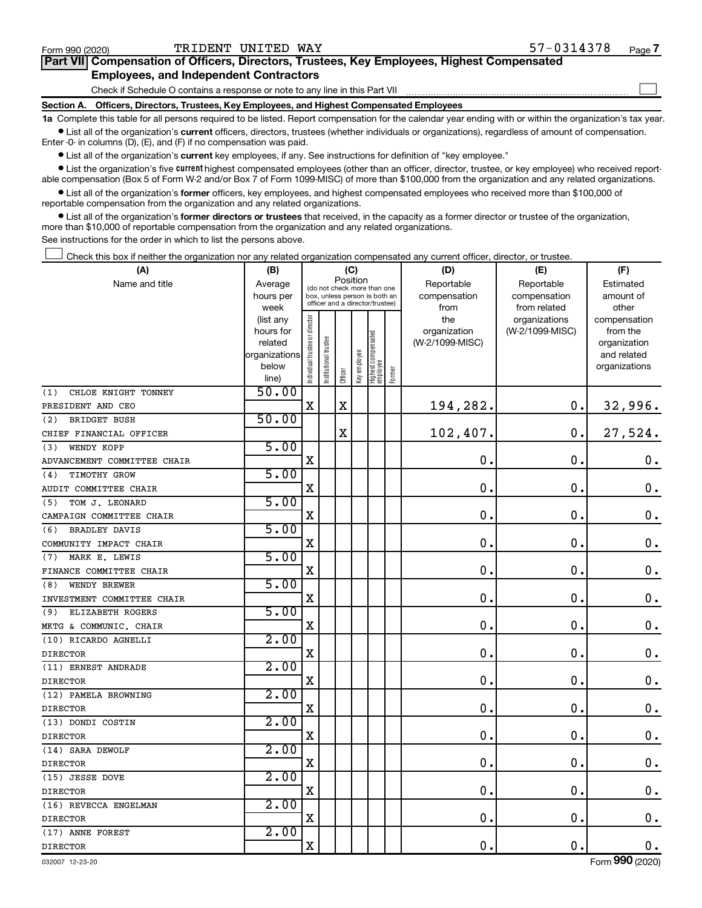| (A)                         | (B)                      |                                |                                         | (C)         |              |                                   |           | (D)             | (E)             | (F)                         |
|-----------------------------|--------------------------|--------------------------------|-----------------------------------------|-------------|--------------|-----------------------------------|-----------|-----------------|-----------------|-----------------------------|
| Name and title              | Average                  |                                | Position<br>(do not check more than one |             | Reportable   | Reportable                        | Estimated |                 |                 |                             |
|                             | hours per                |                                |                                         |             |              | box, unless person is both an     |           | compensation    | compensation    | amount of                   |
|                             | week                     |                                |                                         |             |              | officer and a director/trustee)   |           | from            | from related    | other                       |
|                             | (list any                |                                |                                         |             |              |                                   |           | the             | organizations   | compensation                |
|                             | hours for                |                                |                                         |             |              |                                   |           | organization    | (W-2/1099-MISC) | from the                    |
|                             | related<br>organizations |                                |                                         |             |              |                                   |           | (W-2/1099-MISC) |                 | organization<br>and related |
|                             | below                    |                                |                                         |             |              |                                   |           |                 |                 | organizations               |
|                             | line)                    | Individual trustee or director | Institutional trustee                   | Officer     | Key employee | Highest compensated<br>  employee | Former    |                 |                 |                             |
| CHLOE KNIGHT TONNEY<br>(1)  | 50.00                    |                                |                                         |             |              |                                   |           |                 |                 |                             |
| PRESIDENT AND CEO           |                          | $\mathbf X$                    |                                         | $\mathbf X$ |              |                                   |           | 194,282.        | 0.              | 32,996.                     |
| BRIDGET BUSH<br>(2)         | 50.00                    |                                |                                         |             |              |                                   |           |                 |                 |                             |
| CHIEF FINANCIAL OFFICER     |                          |                                |                                         | $\mathbf X$ |              |                                   |           | 102,407.        | 0.              | 27,524.                     |
| WENDY KOPP<br>(3)           | 5.00                     |                                |                                         |             |              |                                   |           |                 |                 |                             |
| ADVANCEMENT COMMITTEE CHAIR |                          | X                              |                                         |             |              |                                   |           | $\mathbf 0$ .   | 0.              | $\mathbf 0$ .               |
| TIMOTHY GROW<br>(4)         | 5.00                     |                                |                                         |             |              |                                   |           |                 |                 |                             |
| AUDIT COMMITTEE CHAIR       |                          | $\mathbf X$                    |                                         |             |              |                                   |           | $\mathbf 0$     | $\mathbf 0$ .   | $0$ .                       |
| TOM J. LEONARD<br>(5)       | 5.00                     |                                |                                         |             |              |                                   |           |                 |                 |                             |
| CAMPAIGN COMMITTEE CHAIR    |                          | X                              |                                         |             |              |                                   |           | $\mathbf 0$     | $\mathbf 0$ .   | $\mathbf 0$ .               |
| <b>BRADLEY DAVIS</b><br>(6) | 5.00                     |                                |                                         |             |              |                                   |           |                 |                 |                             |
| COMMUNITY IMPACT CHAIR      |                          | $\mathbf X$                    |                                         |             |              |                                   |           | 0.              | 0.              | $\mathbf 0$ .               |
| MARK E. LEWIS<br>(7)        | 5.00                     |                                |                                         |             |              |                                   |           |                 |                 |                             |
| FINANCE COMMITTEE CHAIR     |                          | $\overline{\mathbf{X}}$        |                                         |             |              |                                   |           | $\mathbf 0$     | $\mathbf 0$ .   | 0.                          |
| WENDY BREWER<br>(8)         | 5.00                     |                                |                                         |             |              |                                   |           |                 |                 |                             |
| INVESTMENT COMMITTEE CHAIR  |                          | $\mathbf X$                    |                                         |             |              |                                   |           | $\mathbf 0$ .   | $\mathbf 0$ .   | 0.                          |
| ELIZABETH ROGERS<br>(9)     | 5.00                     |                                |                                         |             |              |                                   |           |                 |                 |                             |
| MKTG & COMMUNIC. CHAIR      |                          | X                              |                                         |             |              |                                   |           | $\mathbf 0$ .   | $\mathbf 0$ .   | $0$ .                       |
| (10) RICARDO AGNELLI        | 2.00                     |                                |                                         |             |              |                                   |           |                 |                 |                             |
| <b>DIRECTOR</b>             |                          | X                              |                                         |             |              |                                   |           | $\mathbf 0$ .   | $\mathbf 0$ .   | $0$ .                       |
| (11) ERNEST ANDRADE         | 2.00                     |                                |                                         |             |              |                                   |           |                 |                 |                             |
| <b>DIRECTOR</b>             |                          | X                              |                                         |             |              |                                   |           | $\mathbf 0$ .   | $\mathbf 0$ .   | $0$ .                       |
| (12) PAMELA BROWNING        | 2.00                     |                                |                                         |             |              |                                   |           |                 |                 |                             |
| <b>DIRECTOR</b>             |                          | X                              |                                         |             |              |                                   |           | 0.              | $\mathbf 0$ .   | $\mathbf 0$ .               |
| (13) DONDI COSTIN           | 2.00                     |                                |                                         |             |              |                                   |           |                 |                 |                             |
| <b>DIRECTOR</b>             |                          | X                              |                                         |             |              |                                   |           | 0.              | 0.              | $\mathbf 0$ .               |
| (14) SARA DEWOLF            | 2.00                     |                                |                                         |             |              |                                   |           |                 |                 |                             |
| <b>DIRECTOR</b>             |                          | X                              |                                         |             |              |                                   |           | $\mathbf 0$     | $\mathbf 0$ .   | 0.                          |
| (15) JESSE DOVE             | 2.00                     |                                |                                         |             |              |                                   |           |                 |                 |                             |
| <b>DIRECTOR</b>             |                          | X                              |                                         |             |              |                                   |           | $\mathbf 0$ .   | $\mathbf 0$ .   | $\mathbf 0$ .               |
| (16) REVECCA ENGELMAN       | 2.00                     |                                |                                         |             |              |                                   |           |                 |                 |                             |
| <b>DIRECTOR</b>             |                          | $\mathbf X$                    |                                         |             |              |                                   |           | $\mathbf 0$ .   | 0.              | $0$ .                       |
| (17) ANNE FOREST            | 2.00                     |                                |                                         |             |              |                                   |           |                 |                 |                             |
| <b>DIRECTOR</b>             |                          | $\mathbf X$                    |                                         |             |              |                                   |           | $\mathbf 0$ .   | $\mathbf 0$ .   | $\mathbf 0$ .               |

 $\bullet$  List all of the organization's current officers, directors, trustees (whether individuals or organizations), regardless of amount of compensation. Enter -0- in columns (D), (E), and (F) if no compensation was paid.

**•** List all of the organization's current key employees, if any. See instructions for definition of "key employee."

**Section A. Officers, Directors, Trustees, Key Employees, and Highest Compensated Employees**

• List the organization's five *current* highest compensated employees (other than an officer, director, trustee, or key employee) who received reportable compensation (Box 5 of Form W-2 and/or Box 7 of Form 1099-MISC) of more than \$100,000 from the organization and any related organizations.

**1a**  Complete this table for all persons required to be listed. Report compensation for the calendar year ending with or within the organization's tax year.

 $\bullet$  List all of the organization's former officers, key employees, and highest compensated employees who received more than \$100,000 of reportable compensation from the organization and any related organizations.

**•** List all of the organization's former directors or trustees that received, in the capacity as a former director or trustee of the organization, more than \$10,000 of reportable compensation from the organization and any related organizations.

See instructions for the order in which to list the persons above.

Check this box if neither the organization nor any related organization compensated any current officer, director, or trustee. †

# Check if Schedule O contains a response or note to any line in this Part VII **Part VII Compensation of Officers, Directors, Trustees, Key Employees, Highest Compensated Employees, and Independent Contractors**

 $\Box$ 

032007 12-23-20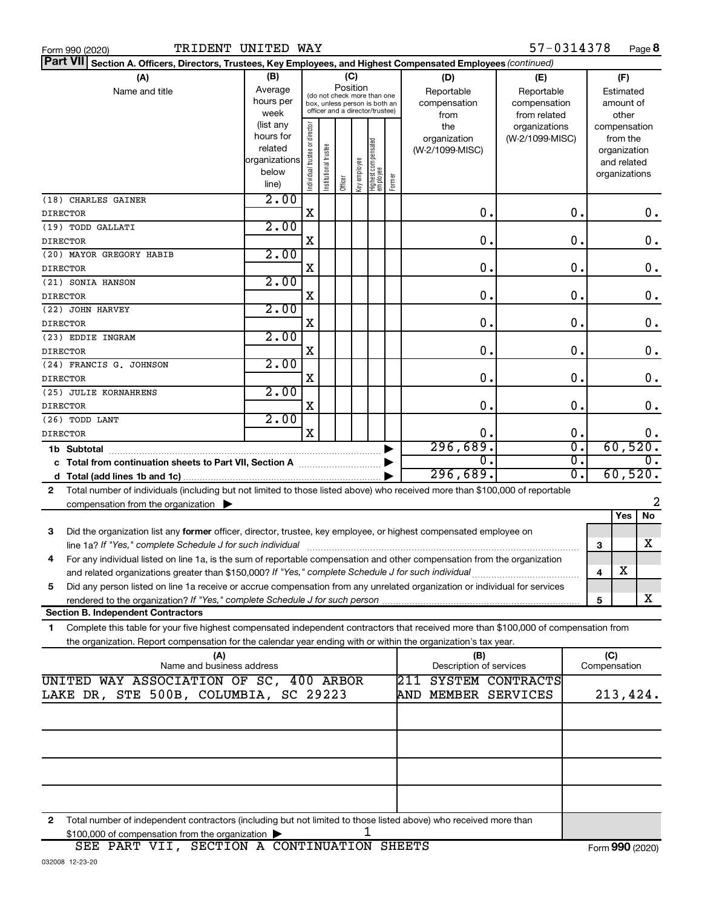| Form 990 (2020 |  |
|----------------|--|
|                |  |

| Part VII Section A. Officers, Directors, Trustees, Key Employees, and Highest Compensated Employees (continued)                                                                                                                      |                        |                                |                                         |                                 |              |                                   |        |                         |                 |    |                             |               |
|--------------------------------------------------------------------------------------------------------------------------------------------------------------------------------------------------------------------------------------|------------------------|--------------------------------|-----------------------------------------|---------------------------------|--------------|-----------------------------------|--------|-------------------------|-----------------|----|-----------------------------|---------------|
| (A)                                                                                                                                                                                                                                  | (B)                    |                                |                                         | (C)                             |              |                                   |        | (D)                     | (E)             |    | (F)                         |               |
| Name and title                                                                                                                                                                                                                       | Average                |                                | Position<br>(do not check more than one |                                 |              |                                   |        | Reportable              | Reportable      |    | Estimated                   |               |
|                                                                                                                                                                                                                                      | hours per              |                                |                                         | box, unless person is both an   |              |                                   |        | compensation            | compensation    |    | amount of                   |               |
|                                                                                                                                                                                                                                      | week                   |                                |                                         | officer and a director/trustee) |              |                                   |        | from                    | from related    |    | other                       |               |
|                                                                                                                                                                                                                                      | (list any<br>hours for |                                |                                         |                                 |              |                                   |        | the                     | organizations   |    | compensation                |               |
|                                                                                                                                                                                                                                      | related                |                                |                                         |                                 |              |                                   |        | organization            | (W-2/1099-MISC) |    | from the                    |               |
|                                                                                                                                                                                                                                      | organizations          |                                |                                         |                                 |              |                                   |        | (W-2/1099-MISC)         |                 |    | organization<br>and related |               |
|                                                                                                                                                                                                                                      | below                  |                                |                                         |                                 |              |                                   |        |                         |                 |    | organizations               |               |
|                                                                                                                                                                                                                                      | line)                  | Individual trustee or director | nstitutional trustee                    | Officer                         | Key employee | Highest compensated<br>  employee | Former |                         |                 |    |                             |               |
| (18) CHARLES GAINER                                                                                                                                                                                                                  | 2.00                   |                                |                                         |                                 |              |                                   |        |                         |                 |    |                             |               |
| <b>DIRECTOR</b>                                                                                                                                                                                                                      |                        | $\mathbf X$                    |                                         |                                 |              |                                   |        | 0.                      |                 | 0. |                             | 0.            |
| (19) TODD GALLATI                                                                                                                                                                                                                    | 2.00                   |                                |                                         |                                 |              |                                   |        |                         |                 |    |                             |               |
| <b>DIRECTOR</b>                                                                                                                                                                                                                      |                        | X                              |                                         |                                 |              |                                   |        | 0.                      |                 | 0. |                             | $\mathbf 0$ . |
| (20) MAYOR GREGORY HABIB                                                                                                                                                                                                             | 2.00                   |                                |                                         |                                 |              |                                   |        |                         |                 |    |                             |               |
| <b>DIRECTOR</b>                                                                                                                                                                                                                      |                        | X                              |                                         |                                 |              |                                   |        | 0.                      |                 | 0. |                             | $\mathbf 0$ . |
| (21) SONIA HANSON                                                                                                                                                                                                                    | 2.00                   |                                |                                         |                                 |              |                                   |        |                         |                 |    |                             |               |
| <b>DIRECTOR</b>                                                                                                                                                                                                                      |                        | X                              |                                         |                                 |              |                                   |        | 0.                      |                 | 0. |                             | $\mathbf 0$ . |
| (22) JOHN HARVEY                                                                                                                                                                                                                     | 2.00                   |                                |                                         |                                 |              |                                   |        |                         |                 |    |                             |               |
| <b>DIRECTOR</b>                                                                                                                                                                                                                      | 2.00                   | X                              |                                         |                                 |              |                                   |        | 0.                      |                 | 0. |                             | $\mathbf 0$ . |
| (23) EDDIE INGRAM<br><b>DIRECTOR</b>                                                                                                                                                                                                 |                        | X                              |                                         |                                 |              |                                   |        | 0.                      |                 | О. |                             | $\mathbf 0$ . |
| (24) FRANCIS G. JOHNSON                                                                                                                                                                                                              | 2.00                   |                                |                                         |                                 |              |                                   |        |                         |                 |    |                             |               |
| <b>DIRECTOR</b>                                                                                                                                                                                                                      |                        | X                              |                                         |                                 |              |                                   |        | 0.                      |                 | О. |                             | $\mathbf 0$ . |
| (25) JULIE KORNAHRENS                                                                                                                                                                                                                | 2.00                   |                                |                                         |                                 |              |                                   |        |                         |                 |    |                             |               |
| <b>DIRECTOR</b>                                                                                                                                                                                                                      |                        | X                              |                                         |                                 |              |                                   |        | 0.                      |                 | 0. |                             | 0.            |
| (26) TODD LANT                                                                                                                                                                                                                       | 2.00                   |                                |                                         |                                 |              |                                   |        |                         |                 |    |                             |               |
| <b>DIRECTOR</b>                                                                                                                                                                                                                      |                        | $\mathbf x$                    |                                         |                                 |              |                                   |        | 0.                      |                 | 0. |                             | 0.            |
| 1b Subtotal                                                                                                                                                                                                                          |                        |                                |                                         |                                 |              |                                   |        | 296,689.                |                 | σ. | 60,520.                     |               |
|                                                                                                                                                                                                                                      |                        |                                |                                         |                                 |              |                                   |        | 0.                      |                 | σ. | $\overline{0}$ .            |               |
|                                                                                                                                                                                                                                      |                        |                                |                                         |                                 |              |                                   |        | 296,689.                |                 | σ. |                             | 60,520.       |
| Total number of individuals (including but not limited to those listed above) who received more than \$100,000 of reportable<br>2                                                                                                    |                        |                                |                                         |                                 |              |                                   |        |                         |                 |    |                             |               |
| compensation from the organization $\blacktriangleright$                                                                                                                                                                             |                        |                                |                                         |                                 |              |                                   |        |                         |                 |    |                             | 2             |
|                                                                                                                                                                                                                                      |                        |                                |                                         |                                 |              |                                   |        |                         |                 |    | Yes                         | No            |
| Did the organization list any former officer, director, trustee, key employee, or highest compensated employee on<br>3                                                                                                               |                        |                                |                                         |                                 |              |                                   |        |                         |                 |    |                             | х             |
| line 1a? If "Yes," complete Schedule J for such individual                                                                                                                                                                           |                        |                                |                                         |                                 |              |                                   |        |                         |                 | 3  |                             |               |
| For any individual listed on line 1a, is the sum of reportable compensation and other compensation from the organization<br>4<br>and related organizations greater than \$150,000? If "Yes," complete Schedule J for such individual |                        |                                |                                         |                                 |              |                                   |        |                         |                 | 4  | X                           |               |
| Did any person listed on line 1a receive or accrue compensation from any unrelated organization or individual for services<br>5                                                                                                      |                        |                                |                                         |                                 |              |                                   |        |                         |                 |    |                             |               |
| rendered to the organization? If "Yes," complete Schedule J for such person.                                                                                                                                                         |                        |                                |                                         |                                 |              |                                   |        |                         |                 | 5  |                             | x             |
| <b>Section B. Independent Contractors</b>                                                                                                                                                                                            |                        |                                |                                         |                                 |              |                                   |        |                         |                 |    |                             |               |
| Complete this table for your five highest compensated independent contractors that received more than \$100,000 of compensation from<br>1.                                                                                           |                        |                                |                                         |                                 |              |                                   |        |                         |                 |    |                             |               |
| the organization. Report compensation for the calendar year ending with or within the organization's tax year.                                                                                                                       |                        |                                |                                         |                                 |              |                                   |        |                         |                 |    |                             |               |
| (A)                                                                                                                                                                                                                                  |                        |                                |                                         |                                 |              |                                   |        | (B)                     |                 |    | (C)                         |               |
| Name and business address                                                                                                                                                                                                            |                        |                                |                                         |                                 |              |                                   |        | Description of services |                 |    | Compensation                |               |
| UNITED WAY ASSOCIATION OF SC, 400 ARBOR                                                                                                                                                                                              |                        |                                |                                         |                                 |              |                                   |        | SYSTEM CONTRACTS<br>211 |                 |    |                             |               |
| LAKE DR, STE 500B, COLUMBIA, SC 29223                                                                                                                                                                                                |                        |                                |                                         |                                 |              |                                   |        | AND MEMBER SERVICES     |                 |    |                             | 213,424.      |
|                                                                                                                                                                                                                                      |                        |                                |                                         |                                 |              |                                   |        |                         |                 |    |                             |               |
|                                                                                                                                                                                                                                      |                        |                                |                                         |                                 |              |                                   |        |                         |                 |    |                             |               |
|                                                                                                                                                                                                                                      |                        |                                |                                         |                                 |              |                                   |        |                         |                 |    |                             |               |
|                                                                                                                                                                                                                                      |                        |                                |                                         |                                 |              |                                   |        |                         |                 |    |                             |               |
|                                                                                                                                                                                                                                      |                        |                                |                                         |                                 |              |                                   |        |                         |                 |    |                             |               |
|                                                                                                                                                                                                                                      |                        |                                |                                         |                                 |              |                                   |        |                         |                 |    |                             |               |
|                                                                                                                                                                                                                                      |                        |                                |                                         |                                 |              |                                   |        |                         |                 |    |                             |               |

**2** Total number of independent contractors (including but not limited to those listed above) who received more than  $$100,000$  of compensation from the organization  $\blacktriangleright$  1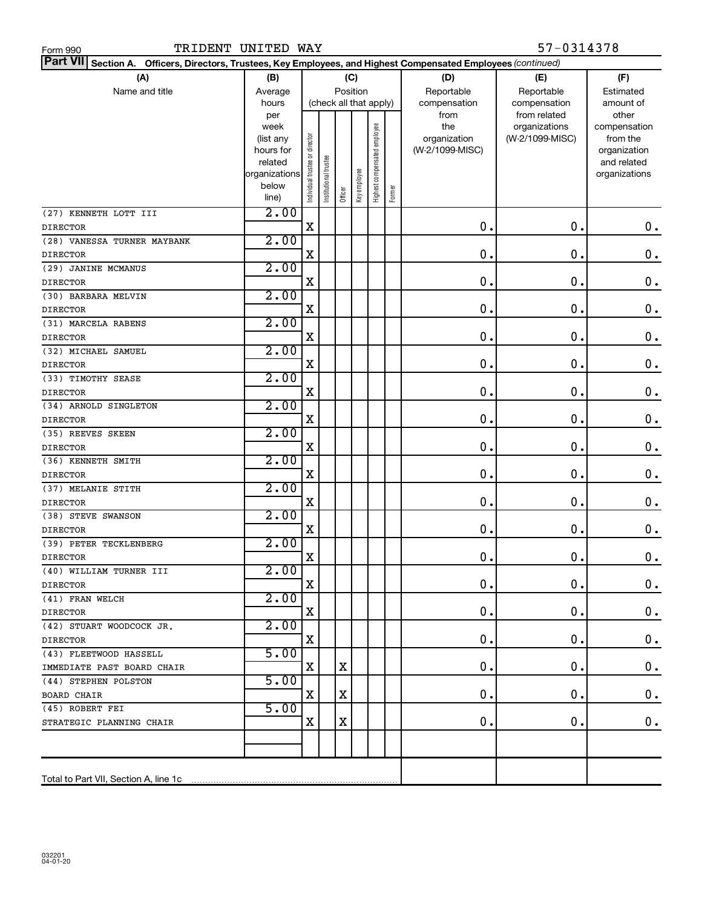| Part VII Section A. Officers, Directors, Trustees, Key Employees, and Highest Compensated Employees (continued) |                        |                                |                        |         |              |                              |        |                     |                                  |                          |
|-----------------------------------------------------------------------------------------------------------------|------------------------|--------------------------------|------------------------|---------|--------------|------------------------------|--------|---------------------|----------------------------------|--------------------------|
| (A)                                                                                                             | (B)                    |                                |                        | (C)     |              |                              |        | (D)                 | (E)                              | (F)                      |
| Name and title                                                                                                  | Average                |                                |                        |         | Position     |                              |        | Reportable          | Reportable                       | Estimated                |
|                                                                                                                 | hours                  |                                | (check all that apply) |         |              |                              |        | compensation        | compensation                     | amount of                |
|                                                                                                                 | per                    |                                |                        |         |              |                              |        | from                | from related                     | other                    |
|                                                                                                                 | week                   |                                |                        |         |              |                              |        | the<br>organization | organizations<br>(W-2/1099-MISC) | compensation<br>from the |
|                                                                                                                 | (list any<br>hours for |                                |                        |         |              |                              |        | (W-2/1099-MISC)     |                                  | organization             |
|                                                                                                                 | related                |                                |                        |         |              |                              |        |                     |                                  | and related              |
|                                                                                                                 | organizations          |                                |                        |         |              |                              |        |                     |                                  | organizations            |
|                                                                                                                 | below                  | Individual trustee or director | nstitutional trustee   |         | Key employee | Highest compensated employee |        |                     |                                  |                          |
|                                                                                                                 | line)                  |                                |                        | Officer |              |                              | Former |                     |                                  |                          |
| (27) KENNETH LOTT III                                                                                           | 2.00                   |                                |                        |         |              |                              |        |                     |                                  |                          |
| <b>DIRECTOR</b>                                                                                                 |                        | X                              |                        |         |              |                              |        | $\mathbf 0$ .       | 0.                               | 0.                       |
| (28) VANESSA TURNER MAYBANK                                                                                     | 2.00                   |                                |                        |         |              |                              |        |                     |                                  |                          |
| <b>DIRECTOR</b>                                                                                                 |                        | X                              |                        |         |              |                              |        | $\mathbf 0$ .       | 0.                               | 0.                       |
| (29) JANINE MCMANUS                                                                                             | 2.00                   |                                |                        |         |              |                              |        |                     |                                  |                          |
| <b>DIRECTOR</b>                                                                                                 |                        | X                              |                        |         |              |                              |        | $\mathbf 0$ .       | 0.                               | $\mathbf 0$ .            |
| (30) BARBARA MELVIN                                                                                             | 2.00                   |                                |                        |         |              |                              |        |                     |                                  |                          |
| <b>DIRECTOR</b>                                                                                                 |                        | X                              |                        |         |              |                              |        | $\mathbf 0$ .       | 0.                               | $\mathbf 0$ .            |
| (31) MARCELA RABENS                                                                                             | 2.00                   |                                |                        |         |              |                              |        |                     |                                  |                          |
| <b>DIRECTOR</b>                                                                                                 |                        | X                              |                        |         |              |                              |        | $\mathbf 0$ .       | 0.                               | $\mathbf 0$ .            |
| (32) MICHAEL SAMUEL                                                                                             | 2.00                   |                                |                        |         |              |                              |        |                     |                                  |                          |
| <b>DIRECTOR</b>                                                                                                 |                        | X                              |                        |         |              |                              |        | 0.                  | 0.                               | $\mathbf 0$ .            |
| (33) TIMOTHY SEASE                                                                                              | 2.00                   |                                |                        |         |              |                              |        |                     |                                  |                          |
| <b>DIRECTOR</b>                                                                                                 |                        | X                              |                        |         |              |                              |        | 0.                  | 0.                               | $\mathbf 0$ .            |
| (34) ARNOLD SINGLETON                                                                                           | 2.00                   |                                |                        |         |              |                              |        |                     |                                  |                          |
| <b>DIRECTOR</b>                                                                                                 |                        | $\mathbf X$                    |                        |         |              |                              |        | $\mathbf 0$ .       | $\mathbf 0$ .                    | $\mathbf 0$ .            |
| (35) REEVES SKEEN                                                                                               | 2.00                   |                                |                        |         |              |                              |        |                     |                                  |                          |
| <b>DIRECTOR</b>                                                                                                 |                        | $\mathbf X$                    |                        |         |              |                              |        | $\mathbf 0$ .       | $\mathbf 0$ .                    | $\mathbf 0$ .            |
| (36) KENNETH SMITH                                                                                              | 2.00                   |                                |                        |         |              |                              |        |                     |                                  |                          |
| <b>DIRECTOR</b>                                                                                                 |                        | $\mathbf X$                    |                        |         |              |                              |        | $\mathbf 0$ .       | $\mathbf 0$ .                    | $\mathbf 0$ .            |
| (37) MELANIE STITH                                                                                              | 2.00                   |                                |                        |         |              |                              |        |                     |                                  |                          |
| <b>DIRECTOR</b>                                                                                                 |                        | $\mathbf X$                    |                        |         |              |                              |        | $\mathbf 0$ .       | $\mathbf 0$ .                    | 0.                       |
| (38) STEVE SWANSON                                                                                              | 2.00                   |                                |                        |         |              |                              |        |                     |                                  |                          |
| <b>DIRECTOR</b>                                                                                                 |                        | X                              |                        |         |              |                              |        | $\mathbf 0$ .       | $\mathbf 0$ .                    | $\mathbf 0$ .            |
| (39) PETER TECKLENBERG                                                                                          | 2.00                   |                                |                        |         |              |                              |        |                     |                                  |                          |
| <b>DIRECTOR</b>                                                                                                 |                        | $\mathbf X$                    |                        |         |              |                              |        | 0.                  | $\mathbf 0$ .                    | $\mathbf 0$ .            |
| (40) WILLIAM TURNER III                                                                                         | 2.00                   |                                |                        |         |              |                              |        |                     |                                  |                          |
| <b>DIRECTOR</b>                                                                                                 |                        | X                              |                        |         |              |                              |        | $0$ .               | 0.                               | 0.                       |
| (41) FRAN WELCH                                                                                                 | 2.00                   |                                |                        |         |              |                              |        |                     |                                  |                          |
| <b>DIRECTOR</b>                                                                                                 |                        | X                              |                        |         |              |                              |        | 0.                  | 0.                               | 0.                       |
| (42) STUART WOODCOCK JR.                                                                                        | 2.00                   |                                |                        |         |              |                              |        |                     |                                  |                          |
| <b>DIRECTOR</b>                                                                                                 |                        | X                              |                        |         |              |                              |        | 0.                  | 0.                               | 0.                       |
| (43) FLEETWOOD HASSELL                                                                                          | 5.00                   |                                |                        |         |              |                              |        |                     |                                  |                          |
| IMMEDIATE PAST BOARD CHAIR                                                                                      |                        | X                              |                        | X       |              |                              |        | 0.                  | 0.                               | 0.                       |
| (44) STEPHEN POLSTON                                                                                            | 5.00                   |                                |                        |         |              |                              |        |                     |                                  |                          |
| BOARD CHAIR                                                                                                     |                        | X                              |                        | X       |              |                              |        | 0.                  | 0.                               | 0.                       |
| (45) ROBERT FEI                                                                                                 | 5.00                   |                                |                        |         |              |                              |        |                     |                                  |                          |
| STRATEGIC PLANNING CHAIR                                                                                        |                        | X                              |                        | X       |              |                              |        | 0.                  | 0.                               | 0.                       |
|                                                                                                                 |                        |                                |                        |         |              |                              |        |                     |                                  |                          |
|                                                                                                                 |                        |                                |                        |         |              |                              |        |                     |                                  |                          |
|                                                                                                                 |                        |                                |                        |         |              |                              |        |                     |                                  |                          |
|                                                                                                                 |                        |                                |                        |         |              |                              |        |                     |                                  |                          |

TRIDENT UNITED WAY 57-0314378

Form 990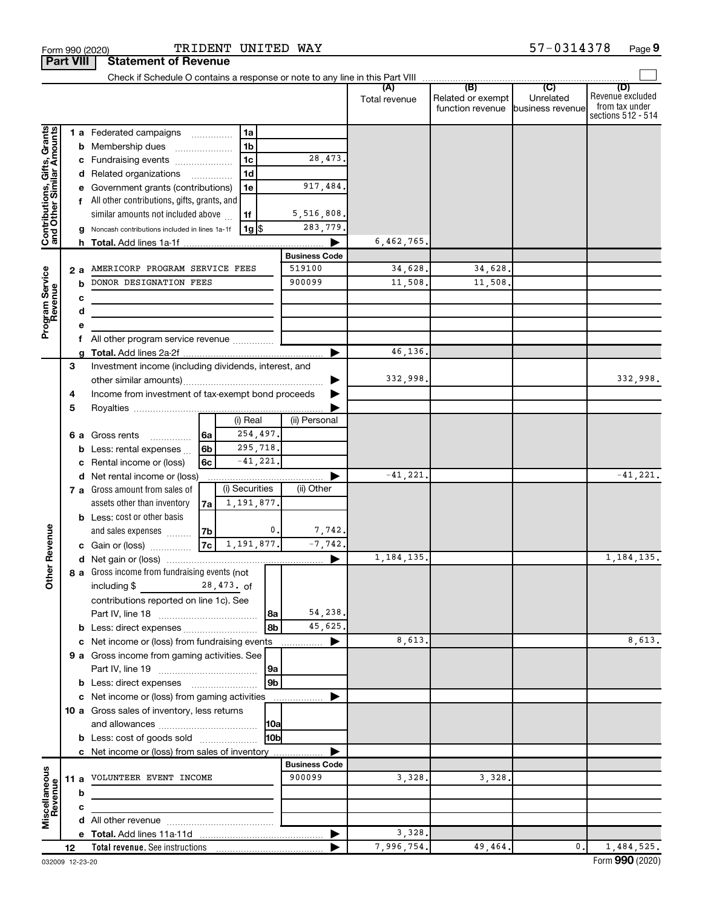|                                                           |      |    |                                                       |    |                |                      | Total revenue        | (B)<br>Related or exempt<br>function revenue | (C)<br>Unrelated<br>business revenue | (D)<br>Revenue excluded<br>from tax under<br>sections 512 - 514 |
|-----------------------------------------------------------|------|----|-------------------------------------------------------|----|----------------|----------------------|----------------------|----------------------------------------------|--------------------------------------|-----------------------------------------------------------------|
|                                                           |      |    | <b>1 a</b> Federated campaigns                        |    | 1a             |                      |                      |                                              |                                      |                                                                 |
| Contributions, Gifts, Grants<br>and Other Similar Amounts |      |    | <b>b</b> Membership dues<br>$\overline{\phantom{a}}$  |    | 1 <sub>b</sub> |                      |                      |                                              |                                      |                                                                 |
|                                                           |      |    | c Fundraising events                                  |    | 1 <sub>c</sub> | 28,473.              |                      |                                              |                                      |                                                                 |
|                                                           |      |    | d Related organizations                               |    | 1 <sub>d</sub> |                      |                      |                                              |                                      |                                                                 |
|                                                           |      |    | e Government grants (contributions)                   |    | 1e             | 917,484.             |                      |                                              |                                      |                                                                 |
|                                                           |      |    | f All other contributions, gifts, grants, and         |    |                |                      |                      |                                              |                                      |                                                                 |
|                                                           |      |    | similar amounts not included above                    |    | 1f             | 5,516,808.           |                      |                                              |                                      |                                                                 |
|                                                           |      |    | g Noncash contributions included in lines 1a-1f       |    | 1g  \$         | 283,779.             |                      |                                              |                                      |                                                                 |
|                                                           |      |    |                                                       |    |                |                      | 6,462,765.           |                                              |                                      |                                                                 |
|                                                           |      |    |                                                       |    |                | <b>Business Code</b> |                      |                                              |                                      |                                                                 |
|                                                           |      | 2а | AMERICORP PROGRAM SERVICE FEES                        |    |                | 519100               | 34,628.              | 34,628                                       |                                      |                                                                 |
|                                                           |      | b  | DONOR DESIGNATION FEES                                |    |                | 900099               | 11,508.              | 11,508.                                      |                                      |                                                                 |
| Program Service<br>Revenue                                |      | с  |                                                       |    |                |                      |                      |                                              |                                      |                                                                 |
|                                                           |      | d  |                                                       |    |                |                      |                      |                                              |                                      |                                                                 |
|                                                           |      | е  |                                                       |    |                |                      |                      |                                              |                                      |                                                                 |
|                                                           |      |    | f All other program service revenue                   |    |                |                      |                      |                                              |                                      |                                                                 |
|                                                           |      |    |                                                       |    |                |                      | 46.136.              |                                              |                                      |                                                                 |
|                                                           | 3    |    | Investment income (including dividends, interest, and |    |                |                      |                      |                                              |                                      |                                                                 |
|                                                           |      |    |                                                       |    |                |                      | 332,998.             |                                              |                                      | 332,998.                                                        |
|                                                           | 4    |    | Income from investment of tax-exempt bond proceeds    |    |                |                      |                      |                                              |                                      |                                                                 |
|                                                           | 5    |    |                                                       |    |                |                      |                      |                                              |                                      |                                                                 |
|                                                           |      |    |                                                       |    | (i) Real       | (ii) Personal        |                      |                                              |                                      |                                                                 |
|                                                           |      |    | <b>6 a</b> Gross rents<br>.                           | 6a | 254,497.       |                      |                      |                                              |                                      |                                                                 |
|                                                           |      |    | <b>b</b> Less: rental expenses $\ldots$               | 6b | 295,718.       |                      |                      |                                              |                                      |                                                                 |
|                                                           |      |    | c Rental income or (loss)                             | 6c | $-41,221.$     |                      |                      |                                              |                                      |                                                                 |
|                                                           |      |    | d Net rental income or (loss)                         |    |                |                      | $-41,221$            |                                              |                                      | $-41, 221.$                                                     |
|                                                           |      |    | 7 a Gross amount from sales of                        |    | (i) Securities | (ii) Other           |                      |                                              |                                      |                                                                 |
|                                                           |      |    | assets other than inventory                           | 7a | 1,191,877      |                      |                      |                                              |                                      |                                                                 |
|                                                           |      |    | <b>b</b> Less: cost or other basis                    |    |                |                      |                      |                                              |                                      |                                                                 |
|                                                           |      |    | and sales expenses                                    | 7b | $\mathbf{0}$   | 7,742.               |                      |                                              |                                      |                                                                 |
|                                                           |      |    | <b>c</b> Gain or (loss) $\ldots$                      | 7c | 1,191,877.     | $-7,742.$            |                      |                                              |                                      |                                                                 |
| <b>Other Revenue</b>                                      |      |    |                                                       |    |                |                      | 1, 184, 135.         |                                              |                                      | 1, 184, 135.                                                    |
|                                                           |      |    | 8 a Gross income from fundraising events (not         |    |                |                      |                      |                                              |                                      |                                                                 |
|                                                           |      |    | including $$$ 28,473. of                              |    |                |                      |                      |                                              |                                      |                                                                 |
|                                                           |      |    | contributions reported on line 1c). See               |    |                |                      |                      |                                              |                                      |                                                                 |
|                                                           |      |    |                                                       |    | 8a             | 54,238.              |                      |                                              |                                      |                                                                 |
|                                                           |      |    |                                                       |    | 8b             | 45,625.              |                      |                                              |                                      |                                                                 |
|                                                           |      |    | c Net income or (loss) from fundraising events        |    |                |                      | 8,613.               |                                              |                                      | 8,613.                                                          |
|                                                           |      |    | 9 a Gross income from gaming activities. See          |    |                |                      |                      |                                              |                                      |                                                                 |
|                                                           |      |    |                                                       |    | 9a             |                      |                      |                                              |                                      |                                                                 |
|                                                           |      |    | <b>b</b> Less: direct expenses                        |    | 9 <sub>b</sub> |                      |                      |                                              |                                      |                                                                 |
|                                                           |      |    | c Net income or (loss) from gaming activities         |    |                | .                    |                      |                                              |                                      |                                                                 |
|                                                           |      |    | 10 a Gross sales of inventory, less returns           |    |                |                      |                      |                                              |                                      |                                                                 |
|                                                           |      |    |                                                       |    | [10al          |                      |                      |                                              |                                      |                                                                 |
|                                                           |      |    | <b>b</b> Less: cost of goods sold                     |    | 10bl           |                      |                      |                                              |                                      |                                                                 |
|                                                           |      |    | c Net income or (loss) from sales of inventory        |    |                |                      |                      |                                              |                                      |                                                                 |
|                                                           |      |    |                                                       |    |                | <b>Business Code</b> |                      |                                              |                                      |                                                                 |
| Miscellaneous                                             | 11 a |    | VOLUNTEER EVENT INCOME                                |    |                | 900099               | 3,328.               | 3,328,                                       |                                      |                                                                 |
| Revenue                                                   |      | b  |                                                       |    |                |                      |                      |                                              |                                      |                                                                 |
|                                                           |      | с  |                                                       |    |                |                      |                      |                                              |                                      |                                                                 |
|                                                           |      |    |                                                       |    |                |                      |                      |                                              |                                      |                                                                 |
|                                                           |      |    |                                                       |    |                |                      | 3,328.<br>7,996,754. |                                              |                                      |                                                                 |
|                                                           | 12   |    | Total revenue. See instructions                       |    |                |                      |                      | 49,464.                                      | 0.                                   | 1,484,525.                                                      |

**Part VIII Statement of Revenue**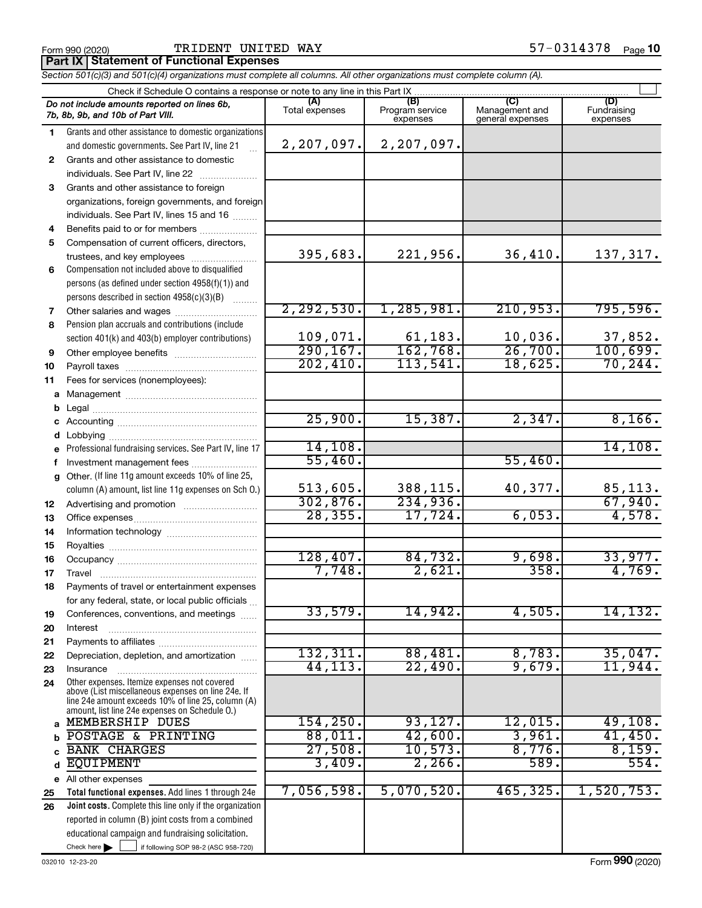Form 990 (2020) **PIRIDENT UNITED WAY** Form 990 (2020) **Page**  $57-0314378$  Page

**Part IX Statement of Functional Expenses**

*Section 501(c)(3) and 501(c)(4) organizations must complete all columns. All other organizations must complete column (A).*

|              | Check if Schedule O contains a response or note to any line in this Part IX                          |                       |                                    |                                           |                                |  |  |  |  |  |  |
|--------------|------------------------------------------------------------------------------------------------------|-----------------------|------------------------------------|-------------------------------------------|--------------------------------|--|--|--|--|--|--|
|              | Do not include amounts reported on lines 6b,<br>7b, 8b, 9b, and 10b of Part VIII.                    | (A)<br>Total expenses | (B)<br>Program service<br>expenses | (C)<br>Management and<br>general expenses | (D)<br>Fundraising<br>expenses |  |  |  |  |  |  |
| 1.           | Grants and other assistance to domestic organizations                                                |                       |                                    |                                           |                                |  |  |  |  |  |  |
|              | and domestic governments. See Part IV, line 21                                                       | 2,207,097.            | 2,207,097.                         |                                           |                                |  |  |  |  |  |  |
| $\mathbf{2}$ | Grants and other assistance to domestic                                                              |                       |                                    |                                           |                                |  |  |  |  |  |  |
|              | individuals. See Part IV, line 22                                                                    |                       |                                    |                                           |                                |  |  |  |  |  |  |
| 3            | Grants and other assistance to foreign                                                               |                       |                                    |                                           |                                |  |  |  |  |  |  |
|              | organizations, foreign governments, and foreign                                                      |                       |                                    |                                           |                                |  |  |  |  |  |  |
|              | individuals. See Part IV, lines 15 and 16                                                            |                       |                                    |                                           |                                |  |  |  |  |  |  |
| 4            | Benefits paid to or for members                                                                      |                       |                                    |                                           |                                |  |  |  |  |  |  |
| 5            | Compensation of current officers, directors,                                                         |                       |                                    |                                           |                                |  |  |  |  |  |  |
|              | trustees, and key employees                                                                          | 395,683.              | 221,956.                           | 36,410.                                   | 137,317.                       |  |  |  |  |  |  |
| 6            | Compensation not included above to disqualified                                                      |                       |                                    |                                           |                                |  |  |  |  |  |  |
|              | persons (as defined under section 4958(f)(1)) and                                                    |                       |                                    |                                           |                                |  |  |  |  |  |  |
|              | persons described in section 4958(c)(3)(B)                                                           |                       |                                    |                                           |                                |  |  |  |  |  |  |
| 7            |                                                                                                      | 2, 292, 530.          | 1, 285, 981.                       | 210,953.                                  | 795,596.                       |  |  |  |  |  |  |
| 8            | Pension plan accruals and contributions (include                                                     | 109,071.              | 61,183.                            | 10,036.                                   | 37,852.                        |  |  |  |  |  |  |
|              | section 401(k) and 403(b) employer contributions)                                                    | 290, 167.             | 162,768.                           | 26,700.                                   | 100,699.                       |  |  |  |  |  |  |
| 9            |                                                                                                      | 202,410.              | 113,541.                           | 18,625.                                   | 70, 244.                       |  |  |  |  |  |  |
| 10<br>11     | Fees for services (nonemployees):                                                                    |                       |                                    |                                           |                                |  |  |  |  |  |  |
| а            |                                                                                                      |                       |                                    |                                           |                                |  |  |  |  |  |  |
| b            |                                                                                                      |                       |                                    |                                           |                                |  |  |  |  |  |  |
| с            |                                                                                                      | 25,900.               | 15,387.                            | 2,347.                                    | 8,166.                         |  |  |  |  |  |  |
| d            |                                                                                                      |                       |                                    |                                           |                                |  |  |  |  |  |  |
|              | Professional fundraising services. See Part IV, line 17                                              | 14, 108.              |                                    |                                           | 14, 108.                       |  |  |  |  |  |  |
| f            | Investment management fees                                                                           | 55,460.               |                                    | 55,460.                                   |                                |  |  |  |  |  |  |
| g            | Other. (If line 11g amount exceeds 10% of line 25,                                                   |                       |                                    |                                           |                                |  |  |  |  |  |  |
|              | column (A) amount, list line 11g expenses on Sch O.)                                                 | 513,605.              | 388,115.                           | 40,377.                                   | 85,113.                        |  |  |  |  |  |  |
| 12           |                                                                                                      | 302,876.              | 234,936.                           |                                           | 67,940.                        |  |  |  |  |  |  |
| 13           |                                                                                                      | 28, 355.              | 17,724.                            | 6,053.                                    | 4,578.                         |  |  |  |  |  |  |
| 14           |                                                                                                      |                       |                                    |                                           |                                |  |  |  |  |  |  |
| 15           |                                                                                                      |                       |                                    |                                           |                                |  |  |  |  |  |  |
| 16           |                                                                                                      | 128,407.              | 84,732.                            | 9,698.                                    | 33,977.                        |  |  |  |  |  |  |
| 17           |                                                                                                      | 7,748.                | 2,621.                             | 358.                                      | 4,769.                         |  |  |  |  |  |  |
| 18           | Payments of travel or entertainment expenses                                                         |                       |                                    |                                           |                                |  |  |  |  |  |  |
|              | for any federal, state, or local public officials                                                    |                       |                                    |                                           |                                |  |  |  |  |  |  |
| 19           | Conferences, conventions, and meetings                                                               | 33,579.               | 14,942.                            | 4,505.                                    | 14, 132.                       |  |  |  |  |  |  |
| 20           | Interest                                                                                             |                       |                                    |                                           |                                |  |  |  |  |  |  |
| 21           |                                                                                                      | 132,311.              | 88,481.                            | 8,783.                                    | 35,047.                        |  |  |  |  |  |  |
| 22           | Depreciation, depletion, and amortization                                                            | 44, 113.              | 22,490.                            | 9,679.                                    | 11,944.                        |  |  |  |  |  |  |
| 23<br>24     | Insurance<br>Other expenses. Itemize expenses not covered                                            |                       |                                    |                                           |                                |  |  |  |  |  |  |
|              | above (List miscellaneous expenses on line 24e. If                                                   |                       |                                    |                                           |                                |  |  |  |  |  |  |
|              | line 24e amount exceeds 10% of line 25, column (A)<br>amount, list line 24e expenses on Schedule O.) |                       |                                    |                                           |                                |  |  |  |  |  |  |
| a            | MEMBERSHIP DUES                                                                                      | 154, 250.             | 93,127.                            | 12,015.                                   | 49,108.                        |  |  |  |  |  |  |
| b            | POSTAGE & PRINTING                                                                                   | 88,011.               | 42,600.                            | 3,961.                                    | 41,450.                        |  |  |  |  |  |  |
|              | <b>BANK CHARGES</b>                                                                                  | 27,508.               | 10,573.                            | 8,776.                                    | 8,159.                         |  |  |  |  |  |  |
| d            | <b>EQUIPMENT</b>                                                                                     | 3,409.                | 2,266.                             | 589.                                      | 554.                           |  |  |  |  |  |  |
|              | e All other expenses                                                                                 |                       |                                    |                                           |                                |  |  |  |  |  |  |
| 25           | Total functional expenses. Add lines 1 through 24e                                                   | 7,056,598.            | 5,070,520.                         | 465,325.                                  | 1,520,753.                     |  |  |  |  |  |  |
| 26           | Joint costs. Complete this line only if the organization                                             |                       |                                    |                                           |                                |  |  |  |  |  |  |
|              | reported in column (B) joint costs from a combined                                                   |                       |                                    |                                           |                                |  |  |  |  |  |  |
|              | educational campaign and fundraising solicitation.                                                   |                       |                                    |                                           |                                |  |  |  |  |  |  |
|              | Check here $\blacktriangleright$<br>if following SOP 98-2 (ASC 958-720)                              |                       |                                    |                                           |                                |  |  |  |  |  |  |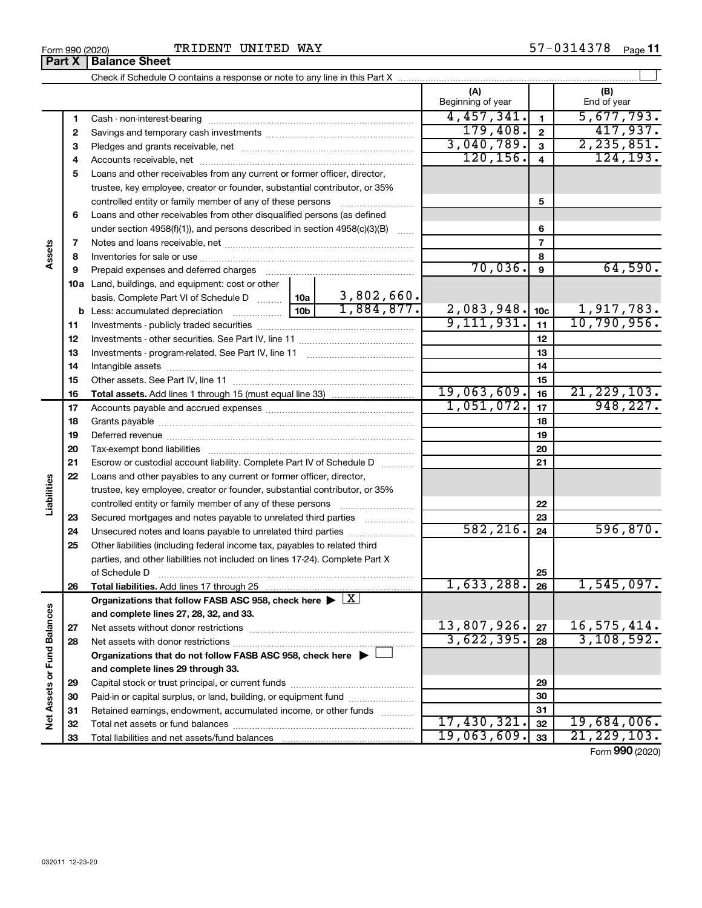|                             |          |                                                                                                                                                  |  |                                | (A)<br>Beginning of year |                         | (B)<br>End of year        |
|-----------------------------|----------|--------------------------------------------------------------------------------------------------------------------------------------------------|--|--------------------------------|--------------------------|-------------------------|---------------------------|
|                             | 1        |                                                                                                                                                  |  |                                | 4,457,341.               | $\mathbf{1}$            | 5,677,793.                |
|                             | 2        |                                                                                                                                                  |  |                                | 179,408.                 | $\mathbf{2}$            | 417,937.                  |
|                             | з        |                                                                                                                                                  |  |                                | 3,040,789.               | $\mathbf{3}$            | 2, 235, 851.              |
|                             | 4        |                                                                                                                                                  |  |                                | 120, 156.                | $\overline{\mathbf{4}}$ | 124, 193.                 |
|                             | 5        | Loans and other receivables from any current or former officer, director,                                                                        |  |                                |                          |                         |                           |
|                             |          | trustee, key employee, creator or founder, substantial contributor, or 35%                                                                       |  |                                |                          |                         |                           |
|                             |          | controlled entity or family member of any of these persons                                                                                       |  | .                              |                          | 5                       |                           |
|                             | 6        | Loans and other receivables from other disqualified persons (as defined                                                                          |  |                                |                          |                         |                           |
|                             |          | under section $4958(f)(1)$ , and persons described in section $4958(c)(3)(B)$                                                                    |  | 1.1.1.1                        |                          | 6                       |                           |
|                             | 7        |                                                                                                                                                  |  |                                |                          | $\overline{7}$          |                           |
| ssets                       | 8        |                                                                                                                                                  |  |                                | 8                        |                         |                           |
|                             | 9        | Prepaid expenses and deferred charges                                                                                                            |  |                                | 70,036.                  | 9                       | 64,590.                   |
|                             |          | 10a Land, buildings, and equipment: cost or other                                                                                                |  |                                |                          |                         |                           |
|                             |          | basis. Complete Part VI of Schedule D  10a                                                                                                       |  | $\frac{3,802,660}{1,884,877.}$ |                          |                         |                           |
|                             | b        |                                                                                                                                                  |  |                                | 2,083,948.<br>9,111,931. | 10 <sub>c</sub>         | 1,917,783.<br>10,790,956. |
|                             | 11       |                                                                                                                                                  |  |                                | 11                       |                         |                           |
|                             | 12       |                                                                                                                                                  |  | 12                             |                          |                         |                           |
|                             | 13       |                                                                                                                                                  |  | 13                             |                          |                         |                           |
|                             | 14       |                                                                                                                                                  |  |                                | 14                       |                         |                           |
|                             | 15       |                                                                                                                                                  |  |                                |                          | 15                      |                           |
|                             | 16       |                                                                                                                                                  |  |                                | 19,063,609.              | 16                      | 21, 229, 103.             |
|                             | 17       |                                                                                                                                                  |  |                                | 1,051,072.               | 17                      | 948, 227.                 |
|                             | 18       |                                                                                                                                                  |  |                                |                          | 18                      |                           |
|                             | 19       |                                                                                                                                                  |  | 19                             |                          |                         |                           |
|                             | 20       |                                                                                                                                                  |  |                                | 20                       |                         |                           |
|                             | 21       | Escrow or custodial account liability. Complete Part IV of Schedule D                                                                            |  |                                |                          | 21                      |                           |
|                             | 22       | Loans and other payables to any current or former officer, director,                                                                             |  |                                |                          |                         |                           |
| abilities                   |          | trustee, key employee, creator or founder, substantial contributor, or 35%                                                                       |  |                                |                          |                         |                           |
|                             |          | controlled entity or family member of any of these persons                                                                                       |  |                                |                          | 22                      |                           |
|                             | 23       | Secured mortgages and notes payable to unrelated third parties                                                                                   |  |                                | 582, 216.                | 23                      | 596, 870.                 |
|                             | 24       |                                                                                                                                                  |  |                                |                          | 24                      |                           |
|                             | 25       | Other liabilities (including federal income tax, payables to related third                                                                       |  |                                |                          |                         |                           |
|                             |          | parties, and other liabilities not included on lines 17-24). Complete Part X                                                                     |  |                                |                          |                         |                           |
|                             |          | of Schedule D                                                                                                                                    |  |                                | $1,633,288.$ 26          | 25                      | 1,545,097.                |
|                             | 26       | Total liabilities. Add lines 17 through 25                                                                                                       |  |                                |                          |                         |                           |
|                             |          | Organizations that follow FASB ASC 958, check here $\blacktriangleright \lfloor \underline{X} \rfloor$<br>and complete lines 27, 28, 32, and 33. |  |                                |                          |                         |                           |
|                             |          |                                                                                                                                                  |  |                                | 13,807,926.              | 27                      | 16, 575, 414.             |
|                             | 27<br>28 |                                                                                                                                                  |  |                                | 3,622,395.               | 28                      | 3,108,592.                |
|                             |          | Organizations that do not follow FASB ASC 958, check here $\blacktriangleright$                                                                  |  |                                |                          |                         |                           |
|                             |          | and complete lines 29 through 33.                                                                                                                |  |                                |                          |                         |                           |
| Net Assets or Fund Balances | 29       |                                                                                                                                                  |  |                                | 29                       |                         |                           |
|                             | 30       | Paid-in or capital surplus, or land, building, or equipment fund                                                                                 |  |                                | 30                       |                         |                           |
|                             | 31       | Retained earnings, endowment, accumulated income, or other funds                                                                                 |  |                                |                          | 31                      |                           |
|                             | 32       |                                                                                                                                                  |  |                                | 17,430,321.              | 32                      | 19,684,006.               |
|                             | 33       |                                                                                                                                                  |  |                                | 19,063,609.              | 33                      | 21, 229, 103.             |
|                             |          |                                                                                                                                                  |  |                                |                          |                         |                           |

Form (2020) **990**

 $\overline{\phantom{a}}$ 

**Part X Balance Sheet**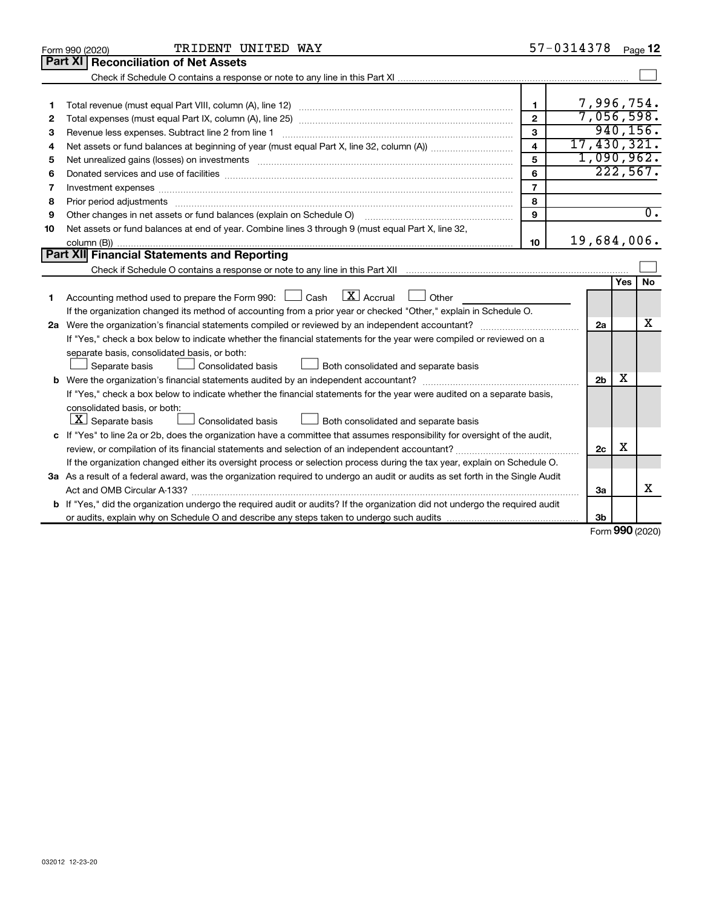|    | TRIDENT UNITED WAY<br>Form 990 (2020)                                                                                                |                         | 57-0314378 |                |                 | Page 12          |
|----|--------------------------------------------------------------------------------------------------------------------------------------|-------------------------|------------|----------------|-----------------|------------------|
|    | Part XI Reconciliation of Net Assets                                                                                                 |                         |            |                |                 |                  |
|    |                                                                                                                                      |                         |            |                |                 |                  |
|    |                                                                                                                                      |                         |            |                |                 |                  |
| 1  |                                                                                                                                      | $\mathbf{1}$            |            |                |                 | 7,996,754.       |
| 2  |                                                                                                                                      | $\mathbf{2}$            |            |                |                 | 7,056,598.       |
| 3  | Revenue less expenses. Subtract line 2 from line 1                                                                                   | 3                       |            |                |                 | 940, 156.        |
| 4  |                                                                                                                                      | $\overline{\mathbf{4}}$ |            |                |                 | 17,430,321.      |
| 5  |                                                                                                                                      | 5                       |            |                |                 | 1,090,962.       |
| 6  |                                                                                                                                      | 6                       |            |                |                 | 222,567.         |
| 7  |                                                                                                                                      | $\overline{7}$          |            |                |                 |                  |
| 8  |                                                                                                                                      | 8                       |            |                |                 |                  |
| 9  | Other changes in net assets or fund balances (explain on Schedule O)                                                                 | 9                       |            |                |                 | $\overline{0}$ . |
| 10 | Net assets or fund balances at end of year. Combine lines 3 through 9 (must equal Part X, line 32,                                   |                         |            |                |                 |                  |
|    |                                                                                                                                      | 10                      |            |                |                 | 19,684,006.      |
|    | Part XII Financial Statements and Reporting                                                                                          |                         |            |                |                 |                  |
|    |                                                                                                                                      |                         |            |                |                 |                  |
|    |                                                                                                                                      |                         |            |                | <b>Yes</b>      | No.              |
| 1  | $\boxed{\textbf{X}}$ Accrual $\boxed{\ }$<br>Accounting method used to prepare the Form 990: $\Box$ Cash<br>Other                    |                         |            |                |                 |                  |
|    | If the organization changed its method of accounting from a prior year or checked "Other," explain in Schedule O.                    |                         |            |                |                 |                  |
|    |                                                                                                                                      |                         |            | 2a             |                 | х                |
|    | If "Yes," check a box below to indicate whether the financial statements for the year were compiled or reviewed on a                 |                         |            |                |                 |                  |
|    | separate basis, consolidated basis, or both:                                                                                         |                         |            |                |                 |                  |
|    | Both consolidated and separate basis<br>Separate basis<br>Consolidated basis<br>$\Box$                                               |                         |            |                |                 |                  |
|    |                                                                                                                                      |                         |            | 2 <sub>b</sub> | х               |                  |
|    | If "Yes," check a box below to indicate whether the financial statements for the year were audited on a separate basis,              |                         |            |                |                 |                  |
|    | consolidated basis, or both:                                                                                                         |                         |            |                |                 |                  |
|    | $ \mathbf{X} $ Separate basis<br>Consolidated basis<br>Both consolidated and separate basis                                          |                         |            |                |                 |                  |
|    | c If "Yes" to line 2a or 2b, does the organization have a committee that assumes responsibility for oversight of the audit,          |                         |            |                |                 |                  |
|    |                                                                                                                                      |                         |            | 2c             | х               |                  |
|    | If the organization changed either its oversight process or selection process during the tax year, explain on Schedule O.            |                         |            |                |                 |                  |
|    | 3a As a result of a federal award, was the organization required to undergo an audit or audits as set forth in the Single Audit      |                         |            |                |                 |                  |
|    |                                                                                                                                      |                         |            | 3a             |                 | х                |
|    | <b>b</b> If "Yes," did the organization undergo the required audit or audits? If the organization did not undergo the required audit |                         |            |                |                 |                  |
|    |                                                                                                                                      |                         |            | 3b             |                 |                  |
|    |                                                                                                                                      |                         |            |                | $000 \approx 0$ |                  |

Form (2020) **990**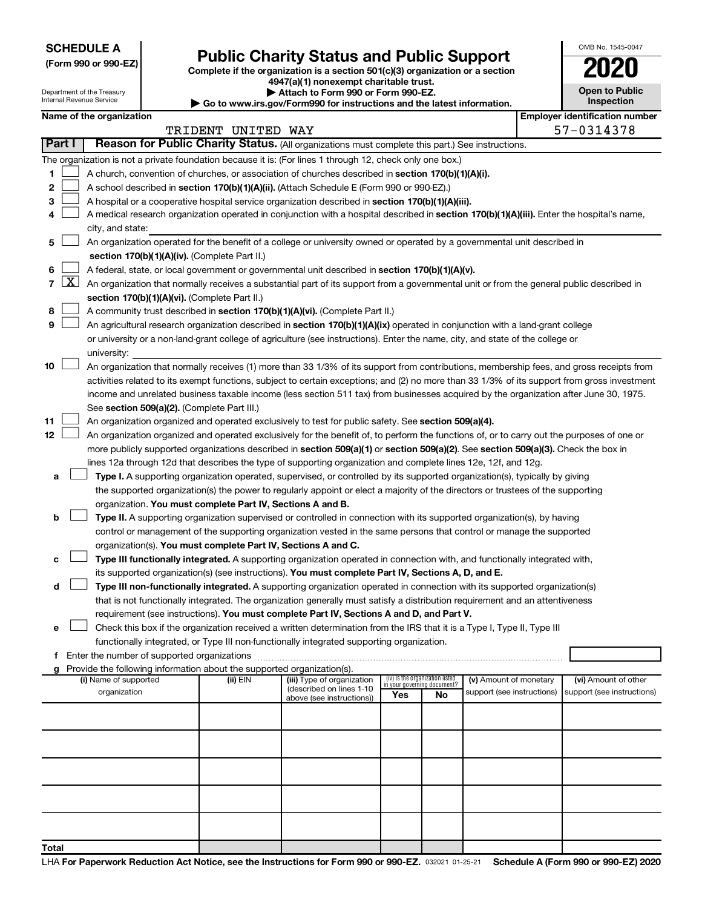**SCHEDULE A**

Department of the Treasury Internal Revenue Service

# Form 990 or 990-EZ) **Public Charity Status and Public Support**<br>
Complete if the organization is a section 501(c)(3) organization or a section<br> **2020**

**4947(a)(1) nonexempt charitable trust. | Attach to Form 990 or Form 990-EZ.** 

**| Go to www.irs.gov/Form990 for instructions and the latest information.**

| <b>Open to Public</b><br>Inspection |
|-------------------------------------|
|                                     |

OMB No. 1545-0047

|  | Name of the organization |
|--|--------------------------|

|        | Name of the organization                                                                                                                                                                           |                    |                                                       |                                    |    |                            |  | <b>Employer identification number</b> |  |  |  |
|--------|----------------------------------------------------------------------------------------------------------------------------------------------------------------------------------------------------|--------------------|-------------------------------------------------------|------------------------------------|----|----------------------------|--|---------------------------------------|--|--|--|
| Part I | Reason for Public Charity Status. (All organizations must complete this part.) See instructions.                                                                                                   | TRIDENT UNITED WAY |                                                       |                                    |    |                            |  | 57-0314378                            |  |  |  |
|        |                                                                                                                                                                                                    |                    |                                                       |                                    |    |                            |  |                                       |  |  |  |
|        | The organization is not a private foundation because it is: (For lines 1 through 12, check only one box.)                                                                                          |                    |                                                       |                                    |    |                            |  |                                       |  |  |  |
| 1.     | A church, convention of churches, or association of churches described in section 170(b)(1)(A)(i).                                                                                                 |                    |                                                       |                                    |    |                            |  |                                       |  |  |  |
| 2      | A school described in section 170(b)(1)(A)(ii). (Attach Schedule E (Form 990 or 990-EZ).)                                                                                                          |                    |                                                       |                                    |    |                            |  |                                       |  |  |  |
| з      | A hospital or a cooperative hospital service organization described in section 170(b)(1)(A)(iii).                                                                                                  |                    |                                                       |                                    |    |                            |  |                                       |  |  |  |
| 4      | A medical research organization operated in conjunction with a hospital described in section 170(b)(1)(A)(iii). Enter the hospital's name,<br>city, and state:                                     |                    |                                                       |                                    |    |                            |  |                                       |  |  |  |
| 5      | An organization operated for the benefit of a college or university owned or operated by a governmental unit described in                                                                          |                    |                                                       |                                    |    |                            |  |                                       |  |  |  |
|        | section 170(b)(1)(A)(iv). (Complete Part II.)                                                                                                                                                      |                    |                                                       |                                    |    |                            |  |                                       |  |  |  |
| 6.     | A federal, state, or local government or governmental unit described in section 170(b)(1)(A)(v).                                                                                                   |                    |                                                       |                                    |    |                            |  |                                       |  |  |  |
|        |                                                                                                                                                                                                    |                    |                                                       |                                    |    |                            |  |                                       |  |  |  |
|        | 7 $ X $ An organization that normally receives a substantial part of its support from a governmental unit or from the general public described in<br>section 170(b)(1)(A)(vi). (Complete Part II.) |                    |                                                       |                                    |    |                            |  |                                       |  |  |  |
| 8      | A community trust described in section 170(b)(1)(A)(vi). (Complete Part II.)                                                                                                                       |                    |                                                       |                                    |    |                            |  |                                       |  |  |  |
| 9      | An agricultural research organization described in section 170(b)(1)(A)(ix) operated in conjunction with a land-grant college                                                                      |                    |                                                       |                                    |    |                            |  |                                       |  |  |  |
|        | or university or a non-land-grant college of agriculture (see instructions). Enter the name, city, and state of the college or                                                                     |                    |                                                       |                                    |    |                            |  |                                       |  |  |  |
|        | university:                                                                                                                                                                                        |                    |                                                       |                                    |    |                            |  |                                       |  |  |  |
| 10     | An organization that normally receives (1) more than 33 1/3% of its support from contributions, membership fees, and gross receipts from                                                           |                    |                                                       |                                    |    |                            |  |                                       |  |  |  |
|        | activities related to its exempt functions, subject to certain exceptions; and (2) no more than 33 1/3% of its support from gross investment                                                       |                    |                                                       |                                    |    |                            |  |                                       |  |  |  |
|        | income and unrelated business taxable income (less section 511 tax) from businesses acquired by the organization after June 30, 1975.                                                              |                    |                                                       |                                    |    |                            |  |                                       |  |  |  |
|        | See section 509(a)(2). (Complete Part III.)                                                                                                                                                        |                    |                                                       |                                    |    |                            |  |                                       |  |  |  |
| 11     | An organization organized and operated exclusively to test for public safety. See section 509(a)(4).                                                                                               |                    |                                                       |                                    |    |                            |  |                                       |  |  |  |
| 12     | An organization organized and operated exclusively for the benefit of, to perform the functions of, or to carry out the purposes of one or                                                         |                    |                                                       |                                    |    |                            |  |                                       |  |  |  |
|        | more publicly supported organizations described in section 509(a)(1) or section 509(a)(2). See section 509(a)(3). Check the box in                                                                 |                    |                                                       |                                    |    |                            |  |                                       |  |  |  |
|        | lines 12a through 12d that describes the type of supporting organization and complete lines 12e, 12f, and 12g.                                                                                     |                    |                                                       |                                    |    |                            |  |                                       |  |  |  |
| а      | Type I. A supporting organization operated, supervised, or controlled by its supported organization(s), typically by giving                                                                        |                    |                                                       |                                    |    |                            |  |                                       |  |  |  |
|        | the supported organization(s) the power to regularly appoint or elect a majority of the directors or trustees of the supporting                                                                    |                    |                                                       |                                    |    |                            |  |                                       |  |  |  |
|        | organization. You must complete Part IV, Sections A and B.                                                                                                                                         |                    |                                                       |                                    |    |                            |  |                                       |  |  |  |
| b      | Type II. A supporting organization supervised or controlled in connection with its supported organization(s), by having                                                                            |                    |                                                       |                                    |    |                            |  |                                       |  |  |  |
|        | control or management of the supporting organization vested in the same persons that control or manage the supported                                                                               |                    |                                                       |                                    |    |                            |  |                                       |  |  |  |
|        | organization(s). You must complete Part IV, Sections A and C.                                                                                                                                      |                    |                                                       |                                    |    |                            |  |                                       |  |  |  |
| с      | Type III functionally integrated. A supporting organization operated in connection with, and functionally integrated with,                                                                         |                    |                                                       |                                    |    |                            |  |                                       |  |  |  |
|        | its supported organization(s) (see instructions). You must complete Part IV, Sections A, D, and E.                                                                                                 |                    |                                                       |                                    |    |                            |  |                                       |  |  |  |
| d      | Type III non-functionally integrated. A supporting organization operated in connection with its supported organization(s)                                                                          |                    |                                                       |                                    |    |                            |  |                                       |  |  |  |
|        | that is not functionally integrated. The organization generally must satisfy a distribution requirement and an attentiveness                                                                       |                    |                                                       |                                    |    |                            |  |                                       |  |  |  |
|        | requirement (see instructions). You must complete Part IV, Sections A and D, and Part V.                                                                                                           |                    |                                                       |                                    |    |                            |  |                                       |  |  |  |
|        | Check this box if the organization received a written determination from the IRS that it is a Type I, Type II, Type III                                                                            |                    |                                                       |                                    |    |                            |  |                                       |  |  |  |
|        | functionally integrated, or Type III non-functionally integrated supporting organization.                                                                                                          |                    |                                                       |                                    |    |                            |  |                                       |  |  |  |
|        | f Enter the number of supported organizations<br>g Provide the following information about the supported organization(s).                                                                          |                    |                                                       |                                    |    |                            |  |                                       |  |  |  |
|        | (i) Name of supported                                                                                                                                                                              | (ii) EIN           | (iii) Type of organization                            | (iv) Is the organization listed    |    | (v) Amount of monetary     |  | (vi) Amount of other                  |  |  |  |
|        | organization                                                                                                                                                                                       |                    | (described on lines 1-10<br>above (see instructions)) | in your governing document?<br>Yes | No | support (see instructions) |  | support (see instructions)            |  |  |  |
|        |                                                                                                                                                                                                    |                    |                                                       |                                    |    |                            |  |                                       |  |  |  |
|        |                                                                                                                                                                                                    |                    |                                                       |                                    |    |                            |  |                                       |  |  |  |
|        |                                                                                                                                                                                                    |                    |                                                       |                                    |    |                            |  |                                       |  |  |  |
|        |                                                                                                                                                                                                    |                    |                                                       |                                    |    |                            |  |                                       |  |  |  |
|        |                                                                                                                                                                                                    |                    |                                                       |                                    |    |                            |  |                                       |  |  |  |
|        |                                                                                                                                                                                                    |                    |                                                       |                                    |    |                            |  |                                       |  |  |  |
|        |                                                                                                                                                                                                    |                    |                                                       |                                    |    |                            |  |                                       |  |  |  |
|        |                                                                                                                                                                                                    |                    |                                                       |                                    |    |                            |  |                                       |  |  |  |
|        |                                                                                                                                                                                                    |                    |                                                       |                                    |    |                            |  |                                       |  |  |  |
|        |                                                                                                                                                                                                    |                    |                                                       |                                    |    |                            |  |                                       |  |  |  |
| Total  |                                                                                                                                                                                                    |                    |                                                       |                                    |    |                            |  |                                       |  |  |  |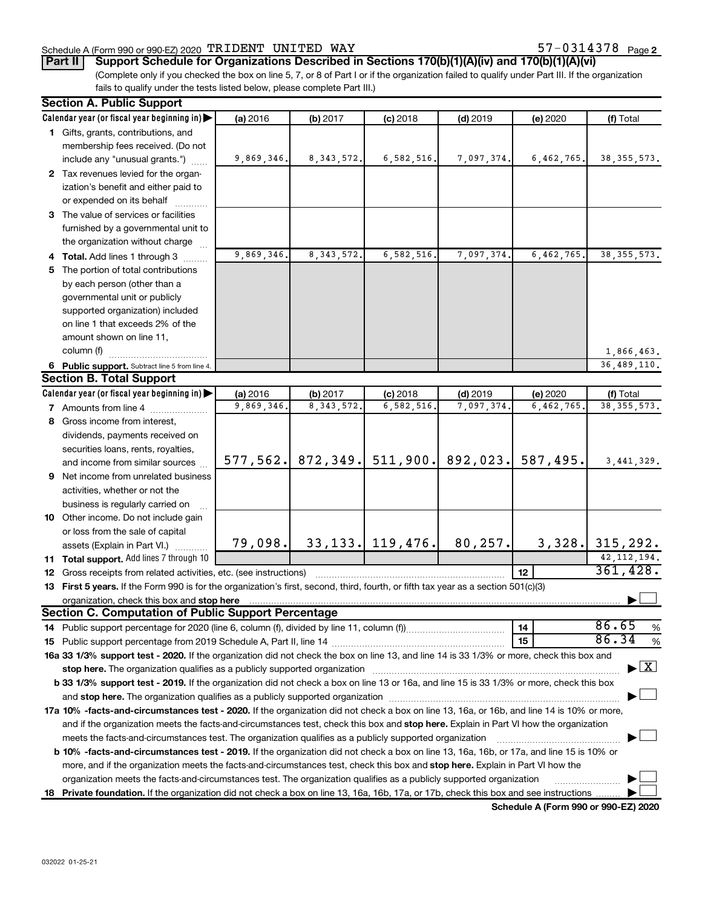# Schedule A (Form 990 or 990-EZ) 2020 Page TRIDENT UNITED WAY 57-0314378

**Part II Support Schedule for Organizations Described in Sections 170(b)(1)(A)(iv) and 170(b)(1)(A)(vi)**

(Complete only if you checked the box on line 5, 7, or 8 of Part I or if the organization failed to qualify under Part III. If the organization fails to qualify under the tests listed below, please complete Part III.)

| Calendar year (or fiscal year beginning in)<br>(a) 2016<br>(f) Total<br>(b) 2017<br>$(c)$ 2018<br>$(d)$ 2019<br>(e) 2020<br>1 Gifts, grants, contributions, and<br>membership fees received. (Do not<br>9,869,346.<br>8, 343, 572.<br>6,582,516.<br>7,097,374.<br>6,462,765.<br>include any "unusual grants.")<br>2 Tax revenues levied for the organ-<br>ization's benefit and either paid to<br>or expended on its behalf<br>3 The value of services or facilities<br>furnished by a governmental unit to<br>the organization without charge<br>9,869,346.<br>8, 343, 572.<br>6,582,516<br>7,097,374.<br>6,462,765<br>38, 355, 573.<br>4 Total. Add lines 1 through 3<br>5 The portion of total contributions<br>by each person (other than a<br>governmental unit or publicly<br>supported organization) included<br>on line 1 that exceeds 2% of the<br>amount shown on line 11,<br>column (f)<br>1,866,463.<br>36,489,110.<br>6 Public support. Subtract line 5 from line 4.<br>Calendar year (or fiscal year beginning in)<br>(a) 2016<br>(b) 2017<br>$(c)$ 2018<br>$(d)$ 2019<br>(e) 2020<br>(f) Total<br>9,869,346.<br>8, 343, 572.<br>6,582,516<br>7,097,374<br>6,462,765<br>38, 355, 573.<br><b>7</b> Amounts from line 4<br>8 Gross income from interest,<br>dividends, payments received on<br>securities loans, rents, royalties,<br>511,900.<br>872, 349.<br>892,023.<br>587,495.<br>577, 562.<br>3, 441, 329.<br>and income from similar sources<br>9 Net income from unrelated business<br>activities, whether or not the<br>business is regularly carried on<br>10 Other income. Do not include gain<br>or loss from the sale of capital<br>$33, 133$ , 119, 476.<br>80,257.<br>79,098.<br>3,328.<br>315, 292.<br>assets (Explain in Part VI.)<br>42, 112, 194.<br><b>11 Total support.</b> Add lines 7 through 10<br>361,428.<br>12<br>12 Gross receipts from related activities, etc. (see instructions)<br>13 First 5 years. If the Form 990 is for the organization's first, second, third, fourth, or fifth tax year as a section 501(c)(3)<br>organization, check this box and stop here [[11, 12] content that the state of the state of the state of the state of the state of the state of the state of the state of the state of the state of the state of the state of<br><b>Section C. Computation of Public Support Percentage</b><br>86.65<br>14<br>86.34<br>15<br>16a 33 1/3% support test - 2020. If the organization did not check the box on line 13, and line 14 is 33 1/3% or more, check this box and<br>$\blacktriangleright$ $\mathbf{X}$<br>stop here. The organization qualifies as a publicly supported organization manufaction manufacture or the organization manufacture or the state of the state of the state of the state of the state of the state of the state<br>b 33 1/3% support test - 2019. If the organization did not check a box on line 13 or 16a, and line 15 is 33 1/3% or more, check this box |  | <b>Section A. Public Support</b> |  |  |  |  |  |               |  |
|----------------------------------------------------------------------------------------------------------------------------------------------------------------------------------------------------------------------------------------------------------------------------------------------------------------------------------------------------------------------------------------------------------------------------------------------------------------------------------------------------------------------------------------------------------------------------------------------------------------------------------------------------------------------------------------------------------------------------------------------------------------------------------------------------------------------------------------------------------------------------------------------------------------------------------------------------------------------------------------------------------------------------------------------------------------------------------------------------------------------------------------------------------------------------------------------------------------------------------------------------------------------------------------------------------------------------------------------------------------------------------------------------------------------------------------------------------------------------------------------------------------------------------------------------------------------------------------------------------------------------------------------------------------------------------------------------------------------------------------------------------------------------------------------------------------------------------------------------------------------------------------------------------------------------------------------------------------------------------------------------------------------------------------------------------------------------------------------------------------------------------------------------------------------------------------------------------------------------------------------------------------------------------------------------------------------------------------------------------------------------------------------------------------------------------------------------------------------------------------------------------------------------------------------------------------------------------------------------------------------------------------------------------------------------------------------------------------------------------------------------------------------------------------------------------------------------------------------------------------------------------------------------------------------------------------------------------------|--|----------------------------------|--|--|--|--|--|---------------|--|
|                                                                                                                                                                                                                                                                                                                                                                                                                                                                                                                                                                                                                                                                                                                                                                                                                                                                                                                                                                                                                                                                                                                                                                                                                                                                                                                                                                                                                                                                                                                                                                                                                                                                                                                                                                                                                                                                                                                                                                                                                                                                                                                                                                                                                                                                                                                                                                                                                                                                                                                                                                                                                                                                                                                                                                                                                                                                                                                                                                |  |                                  |  |  |  |  |  |               |  |
| <b>Section B. Total Support</b>                                                                                                                                                                                                                                                                                                                                                                                                                                                                                                                                                                                                                                                                                                                                                                                                                                                                                                                                                                                                                                                                                                                                                                                                                                                                                                                                                                                                                                                                                                                                                                                                                                                                                                                                                                                                                                                                                                                                                                                                                                                                                                                                                                                                                                                                                                                                                                                                                                                                                                                                                                                                                                                                                                                                                                                                                                                                                                                                |  |                                  |  |  |  |  |  |               |  |
|                                                                                                                                                                                                                                                                                                                                                                                                                                                                                                                                                                                                                                                                                                                                                                                                                                                                                                                                                                                                                                                                                                                                                                                                                                                                                                                                                                                                                                                                                                                                                                                                                                                                                                                                                                                                                                                                                                                                                                                                                                                                                                                                                                                                                                                                                                                                                                                                                                                                                                                                                                                                                                                                                                                                                                                                                                                                                                                                                                |  |                                  |  |  |  |  |  |               |  |
|                                                                                                                                                                                                                                                                                                                                                                                                                                                                                                                                                                                                                                                                                                                                                                                                                                                                                                                                                                                                                                                                                                                                                                                                                                                                                                                                                                                                                                                                                                                                                                                                                                                                                                                                                                                                                                                                                                                                                                                                                                                                                                                                                                                                                                                                                                                                                                                                                                                                                                                                                                                                                                                                                                                                                                                                                                                                                                                                                                |  |                                  |  |  |  |  |  | 38, 355, 573. |  |
|                                                                                                                                                                                                                                                                                                                                                                                                                                                                                                                                                                                                                                                                                                                                                                                                                                                                                                                                                                                                                                                                                                                                                                                                                                                                                                                                                                                                                                                                                                                                                                                                                                                                                                                                                                                                                                                                                                                                                                                                                                                                                                                                                                                                                                                                                                                                                                                                                                                                                                                                                                                                                                                                                                                                                                                                                                                                                                                                                                |  |                                  |  |  |  |  |  |               |  |
|                                                                                                                                                                                                                                                                                                                                                                                                                                                                                                                                                                                                                                                                                                                                                                                                                                                                                                                                                                                                                                                                                                                                                                                                                                                                                                                                                                                                                                                                                                                                                                                                                                                                                                                                                                                                                                                                                                                                                                                                                                                                                                                                                                                                                                                                                                                                                                                                                                                                                                                                                                                                                                                                                                                                                                                                                                                                                                                                                                |  |                                  |  |  |  |  |  |               |  |
|                                                                                                                                                                                                                                                                                                                                                                                                                                                                                                                                                                                                                                                                                                                                                                                                                                                                                                                                                                                                                                                                                                                                                                                                                                                                                                                                                                                                                                                                                                                                                                                                                                                                                                                                                                                                                                                                                                                                                                                                                                                                                                                                                                                                                                                                                                                                                                                                                                                                                                                                                                                                                                                                                                                                                                                                                                                                                                                                                                |  |                                  |  |  |  |  |  |               |  |
|                                                                                                                                                                                                                                                                                                                                                                                                                                                                                                                                                                                                                                                                                                                                                                                                                                                                                                                                                                                                                                                                                                                                                                                                                                                                                                                                                                                                                                                                                                                                                                                                                                                                                                                                                                                                                                                                                                                                                                                                                                                                                                                                                                                                                                                                                                                                                                                                                                                                                                                                                                                                                                                                                                                                                                                                                                                                                                                                                                |  |                                  |  |  |  |  |  |               |  |
|                                                                                                                                                                                                                                                                                                                                                                                                                                                                                                                                                                                                                                                                                                                                                                                                                                                                                                                                                                                                                                                                                                                                                                                                                                                                                                                                                                                                                                                                                                                                                                                                                                                                                                                                                                                                                                                                                                                                                                                                                                                                                                                                                                                                                                                                                                                                                                                                                                                                                                                                                                                                                                                                                                                                                                                                                                                                                                                                                                |  |                                  |  |  |  |  |  |               |  |
|                                                                                                                                                                                                                                                                                                                                                                                                                                                                                                                                                                                                                                                                                                                                                                                                                                                                                                                                                                                                                                                                                                                                                                                                                                                                                                                                                                                                                                                                                                                                                                                                                                                                                                                                                                                                                                                                                                                                                                                                                                                                                                                                                                                                                                                                                                                                                                                                                                                                                                                                                                                                                                                                                                                                                                                                                                                                                                                                                                |  |                                  |  |  |  |  |  |               |  |
|                                                                                                                                                                                                                                                                                                                                                                                                                                                                                                                                                                                                                                                                                                                                                                                                                                                                                                                                                                                                                                                                                                                                                                                                                                                                                                                                                                                                                                                                                                                                                                                                                                                                                                                                                                                                                                                                                                                                                                                                                                                                                                                                                                                                                                                                                                                                                                                                                                                                                                                                                                                                                                                                                                                                                                                                                                                                                                                                                                |  |                                  |  |  |  |  |  |               |  |
|                                                                                                                                                                                                                                                                                                                                                                                                                                                                                                                                                                                                                                                                                                                                                                                                                                                                                                                                                                                                                                                                                                                                                                                                                                                                                                                                                                                                                                                                                                                                                                                                                                                                                                                                                                                                                                                                                                                                                                                                                                                                                                                                                                                                                                                                                                                                                                                                                                                                                                                                                                                                                                                                                                                                                                                                                                                                                                                                                                |  |                                  |  |  |  |  |  |               |  |
|                                                                                                                                                                                                                                                                                                                                                                                                                                                                                                                                                                                                                                                                                                                                                                                                                                                                                                                                                                                                                                                                                                                                                                                                                                                                                                                                                                                                                                                                                                                                                                                                                                                                                                                                                                                                                                                                                                                                                                                                                                                                                                                                                                                                                                                                                                                                                                                                                                                                                                                                                                                                                                                                                                                                                                                                                                                                                                                                                                |  |                                  |  |  |  |  |  |               |  |
|                                                                                                                                                                                                                                                                                                                                                                                                                                                                                                                                                                                                                                                                                                                                                                                                                                                                                                                                                                                                                                                                                                                                                                                                                                                                                                                                                                                                                                                                                                                                                                                                                                                                                                                                                                                                                                                                                                                                                                                                                                                                                                                                                                                                                                                                                                                                                                                                                                                                                                                                                                                                                                                                                                                                                                                                                                                                                                                                                                |  |                                  |  |  |  |  |  |               |  |
|                                                                                                                                                                                                                                                                                                                                                                                                                                                                                                                                                                                                                                                                                                                                                                                                                                                                                                                                                                                                                                                                                                                                                                                                                                                                                                                                                                                                                                                                                                                                                                                                                                                                                                                                                                                                                                                                                                                                                                                                                                                                                                                                                                                                                                                                                                                                                                                                                                                                                                                                                                                                                                                                                                                                                                                                                                                                                                                                                                |  |                                  |  |  |  |  |  |               |  |
|                                                                                                                                                                                                                                                                                                                                                                                                                                                                                                                                                                                                                                                                                                                                                                                                                                                                                                                                                                                                                                                                                                                                                                                                                                                                                                                                                                                                                                                                                                                                                                                                                                                                                                                                                                                                                                                                                                                                                                                                                                                                                                                                                                                                                                                                                                                                                                                                                                                                                                                                                                                                                                                                                                                                                                                                                                                                                                                                                                |  |                                  |  |  |  |  |  |               |  |
|                                                                                                                                                                                                                                                                                                                                                                                                                                                                                                                                                                                                                                                                                                                                                                                                                                                                                                                                                                                                                                                                                                                                                                                                                                                                                                                                                                                                                                                                                                                                                                                                                                                                                                                                                                                                                                                                                                                                                                                                                                                                                                                                                                                                                                                                                                                                                                                                                                                                                                                                                                                                                                                                                                                                                                                                                                                                                                                                                                |  |                                  |  |  |  |  |  |               |  |
|                                                                                                                                                                                                                                                                                                                                                                                                                                                                                                                                                                                                                                                                                                                                                                                                                                                                                                                                                                                                                                                                                                                                                                                                                                                                                                                                                                                                                                                                                                                                                                                                                                                                                                                                                                                                                                                                                                                                                                                                                                                                                                                                                                                                                                                                                                                                                                                                                                                                                                                                                                                                                                                                                                                                                                                                                                                                                                                                                                |  |                                  |  |  |  |  |  |               |  |
|                                                                                                                                                                                                                                                                                                                                                                                                                                                                                                                                                                                                                                                                                                                                                                                                                                                                                                                                                                                                                                                                                                                                                                                                                                                                                                                                                                                                                                                                                                                                                                                                                                                                                                                                                                                                                                                                                                                                                                                                                                                                                                                                                                                                                                                                                                                                                                                                                                                                                                                                                                                                                                                                                                                                                                                                                                                                                                                                                                |  |                                  |  |  |  |  |  |               |  |
|                                                                                                                                                                                                                                                                                                                                                                                                                                                                                                                                                                                                                                                                                                                                                                                                                                                                                                                                                                                                                                                                                                                                                                                                                                                                                                                                                                                                                                                                                                                                                                                                                                                                                                                                                                                                                                                                                                                                                                                                                                                                                                                                                                                                                                                                                                                                                                                                                                                                                                                                                                                                                                                                                                                                                                                                                                                                                                                                                                |  |                                  |  |  |  |  |  |               |  |
|                                                                                                                                                                                                                                                                                                                                                                                                                                                                                                                                                                                                                                                                                                                                                                                                                                                                                                                                                                                                                                                                                                                                                                                                                                                                                                                                                                                                                                                                                                                                                                                                                                                                                                                                                                                                                                                                                                                                                                                                                                                                                                                                                                                                                                                                                                                                                                                                                                                                                                                                                                                                                                                                                                                                                                                                                                                                                                                                                                |  |                                  |  |  |  |  |  |               |  |
|                                                                                                                                                                                                                                                                                                                                                                                                                                                                                                                                                                                                                                                                                                                                                                                                                                                                                                                                                                                                                                                                                                                                                                                                                                                                                                                                                                                                                                                                                                                                                                                                                                                                                                                                                                                                                                                                                                                                                                                                                                                                                                                                                                                                                                                                                                                                                                                                                                                                                                                                                                                                                                                                                                                                                                                                                                                                                                                                                                |  |                                  |  |  |  |  |  |               |  |
|                                                                                                                                                                                                                                                                                                                                                                                                                                                                                                                                                                                                                                                                                                                                                                                                                                                                                                                                                                                                                                                                                                                                                                                                                                                                                                                                                                                                                                                                                                                                                                                                                                                                                                                                                                                                                                                                                                                                                                                                                                                                                                                                                                                                                                                                                                                                                                                                                                                                                                                                                                                                                                                                                                                                                                                                                                                                                                                                                                |  |                                  |  |  |  |  |  |               |  |
|                                                                                                                                                                                                                                                                                                                                                                                                                                                                                                                                                                                                                                                                                                                                                                                                                                                                                                                                                                                                                                                                                                                                                                                                                                                                                                                                                                                                                                                                                                                                                                                                                                                                                                                                                                                                                                                                                                                                                                                                                                                                                                                                                                                                                                                                                                                                                                                                                                                                                                                                                                                                                                                                                                                                                                                                                                                                                                                                                                |  |                                  |  |  |  |  |  |               |  |
|                                                                                                                                                                                                                                                                                                                                                                                                                                                                                                                                                                                                                                                                                                                                                                                                                                                                                                                                                                                                                                                                                                                                                                                                                                                                                                                                                                                                                                                                                                                                                                                                                                                                                                                                                                                                                                                                                                                                                                                                                                                                                                                                                                                                                                                                                                                                                                                                                                                                                                                                                                                                                                                                                                                                                                                                                                                                                                                                                                |  |                                  |  |  |  |  |  |               |  |
|                                                                                                                                                                                                                                                                                                                                                                                                                                                                                                                                                                                                                                                                                                                                                                                                                                                                                                                                                                                                                                                                                                                                                                                                                                                                                                                                                                                                                                                                                                                                                                                                                                                                                                                                                                                                                                                                                                                                                                                                                                                                                                                                                                                                                                                                                                                                                                                                                                                                                                                                                                                                                                                                                                                                                                                                                                                                                                                                                                |  |                                  |  |  |  |  |  |               |  |
|                                                                                                                                                                                                                                                                                                                                                                                                                                                                                                                                                                                                                                                                                                                                                                                                                                                                                                                                                                                                                                                                                                                                                                                                                                                                                                                                                                                                                                                                                                                                                                                                                                                                                                                                                                                                                                                                                                                                                                                                                                                                                                                                                                                                                                                                                                                                                                                                                                                                                                                                                                                                                                                                                                                                                                                                                                                                                                                                                                |  |                                  |  |  |  |  |  |               |  |
|                                                                                                                                                                                                                                                                                                                                                                                                                                                                                                                                                                                                                                                                                                                                                                                                                                                                                                                                                                                                                                                                                                                                                                                                                                                                                                                                                                                                                                                                                                                                                                                                                                                                                                                                                                                                                                                                                                                                                                                                                                                                                                                                                                                                                                                                                                                                                                                                                                                                                                                                                                                                                                                                                                                                                                                                                                                                                                                                                                |  |                                  |  |  |  |  |  |               |  |
|                                                                                                                                                                                                                                                                                                                                                                                                                                                                                                                                                                                                                                                                                                                                                                                                                                                                                                                                                                                                                                                                                                                                                                                                                                                                                                                                                                                                                                                                                                                                                                                                                                                                                                                                                                                                                                                                                                                                                                                                                                                                                                                                                                                                                                                                                                                                                                                                                                                                                                                                                                                                                                                                                                                                                                                                                                                                                                                                                                |  |                                  |  |  |  |  |  |               |  |
|                                                                                                                                                                                                                                                                                                                                                                                                                                                                                                                                                                                                                                                                                                                                                                                                                                                                                                                                                                                                                                                                                                                                                                                                                                                                                                                                                                                                                                                                                                                                                                                                                                                                                                                                                                                                                                                                                                                                                                                                                                                                                                                                                                                                                                                                                                                                                                                                                                                                                                                                                                                                                                                                                                                                                                                                                                                                                                                                                                |  |                                  |  |  |  |  |  |               |  |
|                                                                                                                                                                                                                                                                                                                                                                                                                                                                                                                                                                                                                                                                                                                                                                                                                                                                                                                                                                                                                                                                                                                                                                                                                                                                                                                                                                                                                                                                                                                                                                                                                                                                                                                                                                                                                                                                                                                                                                                                                                                                                                                                                                                                                                                                                                                                                                                                                                                                                                                                                                                                                                                                                                                                                                                                                                                                                                                                                                |  |                                  |  |  |  |  |  |               |  |
|                                                                                                                                                                                                                                                                                                                                                                                                                                                                                                                                                                                                                                                                                                                                                                                                                                                                                                                                                                                                                                                                                                                                                                                                                                                                                                                                                                                                                                                                                                                                                                                                                                                                                                                                                                                                                                                                                                                                                                                                                                                                                                                                                                                                                                                                                                                                                                                                                                                                                                                                                                                                                                                                                                                                                                                                                                                                                                                                                                |  |                                  |  |  |  |  |  |               |  |
|                                                                                                                                                                                                                                                                                                                                                                                                                                                                                                                                                                                                                                                                                                                                                                                                                                                                                                                                                                                                                                                                                                                                                                                                                                                                                                                                                                                                                                                                                                                                                                                                                                                                                                                                                                                                                                                                                                                                                                                                                                                                                                                                                                                                                                                                                                                                                                                                                                                                                                                                                                                                                                                                                                                                                                                                                                                                                                                                                                |  |                                  |  |  |  |  |  |               |  |
|                                                                                                                                                                                                                                                                                                                                                                                                                                                                                                                                                                                                                                                                                                                                                                                                                                                                                                                                                                                                                                                                                                                                                                                                                                                                                                                                                                                                                                                                                                                                                                                                                                                                                                                                                                                                                                                                                                                                                                                                                                                                                                                                                                                                                                                                                                                                                                                                                                                                                                                                                                                                                                                                                                                                                                                                                                                                                                                                                                |  |                                  |  |  |  |  |  |               |  |
|                                                                                                                                                                                                                                                                                                                                                                                                                                                                                                                                                                                                                                                                                                                                                                                                                                                                                                                                                                                                                                                                                                                                                                                                                                                                                                                                                                                                                                                                                                                                                                                                                                                                                                                                                                                                                                                                                                                                                                                                                                                                                                                                                                                                                                                                                                                                                                                                                                                                                                                                                                                                                                                                                                                                                                                                                                                                                                                                                                |  |                                  |  |  |  |  |  |               |  |
|                                                                                                                                                                                                                                                                                                                                                                                                                                                                                                                                                                                                                                                                                                                                                                                                                                                                                                                                                                                                                                                                                                                                                                                                                                                                                                                                                                                                                                                                                                                                                                                                                                                                                                                                                                                                                                                                                                                                                                                                                                                                                                                                                                                                                                                                                                                                                                                                                                                                                                                                                                                                                                                                                                                                                                                                                                                                                                                                                                |  |                                  |  |  |  |  |  |               |  |
|                                                                                                                                                                                                                                                                                                                                                                                                                                                                                                                                                                                                                                                                                                                                                                                                                                                                                                                                                                                                                                                                                                                                                                                                                                                                                                                                                                                                                                                                                                                                                                                                                                                                                                                                                                                                                                                                                                                                                                                                                                                                                                                                                                                                                                                                                                                                                                                                                                                                                                                                                                                                                                                                                                                                                                                                                                                                                                                                                                |  |                                  |  |  |  |  |  |               |  |
|                                                                                                                                                                                                                                                                                                                                                                                                                                                                                                                                                                                                                                                                                                                                                                                                                                                                                                                                                                                                                                                                                                                                                                                                                                                                                                                                                                                                                                                                                                                                                                                                                                                                                                                                                                                                                                                                                                                                                                                                                                                                                                                                                                                                                                                                                                                                                                                                                                                                                                                                                                                                                                                                                                                                                                                                                                                                                                                                                                |  |                                  |  |  |  |  |  |               |  |
|                                                                                                                                                                                                                                                                                                                                                                                                                                                                                                                                                                                                                                                                                                                                                                                                                                                                                                                                                                                                                                                                                                                                                                                                                                                                                                                                                                                                                                                                                                                                                                                                                                                                                                                                                                                                                                                                                                                                                                                                                                                                                                                                                                                                                                                                                                                                                                                                                                                                                                                                                                                                                                                                                                                                                                                                                                                                                                                                                                |  |                                  |  |  |  |  |  | %             |  |
|                                                                                                                                                                                                                                                                                                                                                                                                                                                                                                                                                                                                                                                                                                                                                                                                                                                                                                                                                                                                                                                                                                                                                                                                                                                                                                                                                                                                                                                                                                                                                                                                                                                                                                                                                                                                                                                                                                                                                                                                                                                                                                                                                                                                                                                                                                                                                                                                                                                                                                                                                                                                                                                                                                                                                                                                                                                                                                                                                                |  |                                  |  |  |  |  |  | %             |  |
|                                                                                                                                                                                                                                                                                                                                                                                                                                                                                                                                                                                                                                                                                                                                                                                                                                                                                                                                                                                                                                                                                                                                                                                                                                                                                                                                                                                                                                                                                                                                                                                                                                                                                                                                                                                                                                                                                                                                                                                                                                                                                                                                                                                                                                                                                                                                                                                                                                                                                                                                                                                                                                                                                                                                                                                                                                                                                                                                                                |  |                                  |  |  |  |  |  |               |  |
|                                                                                                                                                                                                                                                                                                                                                                                                                                                                                                                                                                                                                                                                                                                                                                                                                                                                                                                                                                                                                                                                                                                                                                                                                                                                                                                                                                                                                                                                                                                                                                                                                                                                                                                                                                                                                                                                                                                                                                                                                                                                                                                                                                                                                                                                                                                                                                                                                                                                                                                                                                                                                                                                                                                                                                                                                                                                                                                                                                |  |                                  |  |  |  |  |  |               |  |
|                                                                                                                                                                                                                                                                                                                                                                                                                                                                                                                                                                                                                                                                                                                                                                                                                                                                                                                                                                                                                                                                                                                                                                                                                                                                                                                                                                                                                                                                                                                                                                                                                                                                                                                                                                                                                                                                                                                                                                                                                                                                                                                                                                                                                                                                                                                                                                                                                                                                                                                                                                                                                                                                                                                                                                                                                                                                                                                                                                |  |                                  |  |  |  |  |  |               |  |
|                                                                                                                                                                                                                                                                                                                                                                                                                                                                                                                                                                                                                                                                                                                                                                                                                                                                                                                                                                                                                                                                                                                                                                                                                                                                                                                                                                                                                                                                                                                                                                                                                                                                                                                                                                                                                                                                                                                                                                                                                                                                                                                                                                                                                                                                                                                                                                                                                                                                                                                                                                                                                                                                                                                                                                                                                                                                                                                                                                |  |                                  |  |  |  |  |  |               |  |
| 17a 10% -facts-and-circumstances test - 2020. If the organization did not check a box on line 13, 16a, or 16b, and line 14 is 10% or more,                                                                                                                                                                                                                                                                                                                                                                                                                                                                                                                                                                                                                                                                                                                                                                                                                                                                                                                                                                                                                                                                                                                                                                                                                                                                                                                                                                                                                                                                                                                                                                                                                                                                                                                                                                                                                                                                                                                                                                                                                                                                                                                                                                                                                                                                                                                                                                                                                                                                                                                                                                                                                                                                                                                                                                                                                     |  |                                  |  |  |  |  |  |               |  |
| and if the organization meets the facts-and-circumstances test, check this box and stop here. Explain in Part VI how the organization                                                                                                                                                                                                                                                                                                                                                                                                                                                                                                                                                                                                                                                                                                                                                                                                                                                                                                                                                                                                                                                                                                                                                                                                                                                                                                                                                                                                                                                                                                                                                                                                                                                                                                                                                                                                                                                                                                                                                                                                                                                                                                                                                                                                                                                                                                                                                                                                                                                                                                                                                                                                                                                                                                                                                                                                                          |  |                                  |  |  |  |  |  |               |  |
| meets the facts-and-circumstances test. The organization qualifies as a publicly supported organization                                                                                                                                                                                                                                                                                                                                                                                                                                                                                                                                                                                                                                                                                                                                                                                                                                                                                                                                                                                                                                                                                                                                                                                                                                                                                                                                                                                                                                                                                                                                                                                                                                                                                                                                                                                                                                                                                                                                                                                                                                                                                                                                                                                                                                                                                                                                                                                                                                                                                                                                                                                                                                                                                                                                                                                                                                                        |  |                                  |  |  |  |  |  |               |  |
| <b>b 10%</b> -facts-and-circumstances test - 2019. If the organization did not check a box on line 13, 16a, 16b, or 17a, and line 15 is 10% or                                                                                                                                                                                                                                                                                                                                                                                                                                                                                                                                                                                                                                                                                                                                                                                                                                                                                                                                                                                                                                                                                                                                                                                                                                                                                                                                                                                                                                                                                                                                                                                                                                                                                                                                                                                                                                                                                                                                                                                                                                                                                                                                                                                                                                                                                                                                                                                                                                                                                                                                                                                                                                                                                                                                                                                                                 |  |                                  |  |  |  |  |  |               |  |
| more, and if the organization meets the facts-and-circumstances test, check this box and stop here. Explain in Part VI how the                                                                                                                                                                                                                                                                                                                                                                                                                                                                                                                                                                                                                                                                                                                                                                                                                                                                                                                                                                                                                                                                                                                                                                                                                                                                                                                                                                                                                                                                                                                                                                                                                                                                                                                                                                                                                                                                                                                                                                                                                                                                                                                                                                                                                                                                                                                                                                                                                                                                                                                                                                                                                                                                                                                                                                                                                                 |  |                                  |  |  |  |  |  |               |  |
| organization meets the facts-and-circumstances test. The organization qualifies as a publicly supported organization                                                                                                                                                                                                                                                                                                                                                                                                                                                                                                                                                                                                                                                                                                                                                                                                                                                                                                                                                                                                                                                                                                                                                                                                                                                                                                                                                                                                                                                                                                                                                                                                                                                                                                                                                                                                                                                                                                                                                                                                                                                                                                                                                                                                                                                                                                                                                                                                                                                                                                                                                                                                                                                                                                                                                                                                                                           |  |                                  |  |  |  |  |  |               |  |
| 18 Private foundation. If the organization did not check a box on line 13, 16a, 16b, 17a, or 17b, check this box and see instructions                                                                                                                                                                                                                                                                                                                                                                                                                                                                                                                                                                                                                                                                                                                                                                                                                                                                                                                                                                                                                                                                                                                                                                                                                                                                                                                                                                                                                                                                                                                                                                                                                                                                                                                                                                                                                                                                                                                                                                                                                                                                                                                                                                                                                                                                                                                                                                                                                                                                                                                                                                                                                                                                                                                                                                                                                          |  |                                  |  |  |  |  |  |               |  |

**Schedule A (Form 990 or 990-EZ) 2020**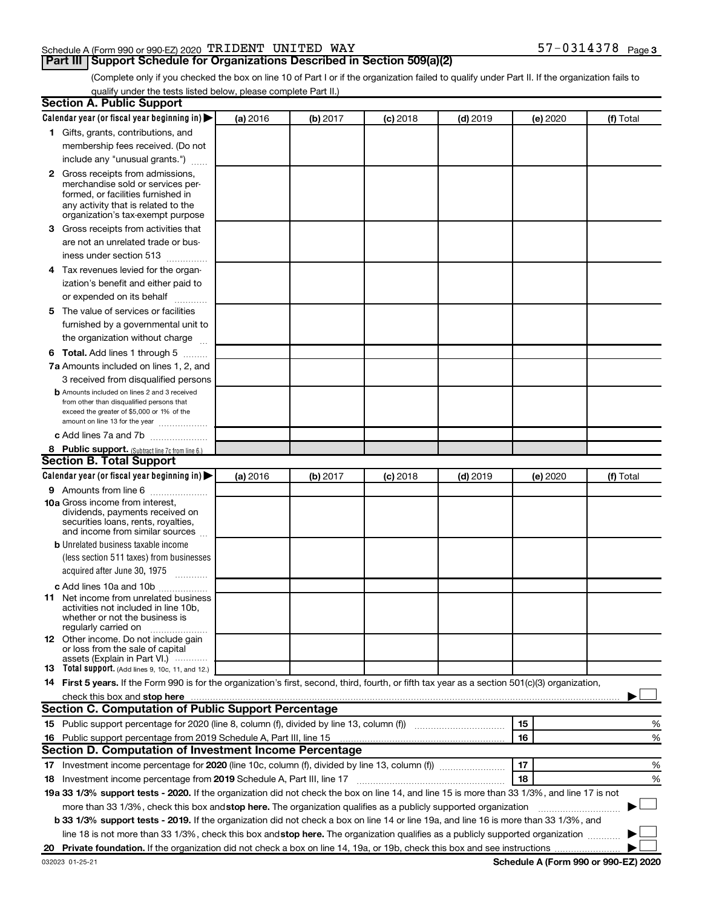# Schedule A (Form 990 or 990-EZ) 2020 Page TRIDENT UNITED WAY 57-0314378

# **Part III Support Schedule for Organizations Described in Section 509(a)(2)**

57-0314378 Page 3

(Complete only if you checked the box on line 10 of Part I or if the organization failed to qualify under Part II. If the organization fails to qualify under the tests listed below, please complete Part II.)

| <b>Section A. Public Support</b>                                                                                                                                                                                                                                    |          |          |            |            |          |           |
|---------------------------------------------------------------------------------------------------------------------------------------------------------------------------------------------------------------------------------------------------------------------|----------|----------|------------|------------|----------|-----------|
| Calendar year (or fiscal year beginning in)                                                                                                                                                                                                                         | (a) 2016 | (b) 2017 | $(c)$ 2018 | $(d)$ 2019 | (e) 2020 | (f) Total |
| 1 Gifts, grants, contributions, and                                                                                                                                                                                                                                 |          |          |            |            |          |           |
| membership fees received. (Do not                                                                                                                                                                                                                                   |          |          |            |            |          |           |
| include any "unusual grants.")                                                                                                                                                                                                                                      |          |          |            |            |          |           |
| 2 Gross receipts from admissions,                                                                                                                                                                                                                                   |          |          |            |            |          |           |
| merchandise sold or services per-                                                                                                                                                                                                                                   |          |          |            |            |          |           |
| formed, or facilities furnished in                                                                                                                                                                                                                                  |          |          |            |            |          |           |
| any activity that is related to the<br>organization's tax-exempt purpose                                                                                                                                                                                            |          |          |            |            |          |           |
| <b>3</b> Gross receipts from activities that                                                                                                                                                                                                                        |          |          |            |            |          |           |
| are not an unrelated trade or bus-                                                                                                                                                                                                                                  |          |          |            |            |          |           |
| iness under section 513                                                                                                                                                                                                                                             |          |          |            |            |          |           |
| 4 Tax revenues levied for the organ-                                                                                                                                                                                                                                |          |          |            |            |          |           |
| ization's benefit and either paid to                                                                                                                                                                                                                                |          |          |            |            |          |           |
| or expended on its behalf                                                                                                                                                                                                                                           |          |          |            |            |          |           |
| 5 The value of services or facilities                                                                                                                                                                                                                               |          |          |            |            |          |           |
| furnished by a governmental unit to                                                                                                                                                                                                                                 |          |          |            |            |          |           |
| the organization without charge                                                                                                                                                                                                                                     |          |          |            |            |          |           |
| <b>6 Total.</b> Add lines 1 through 5                                                                                                                                                                                                                               |          |          |            |            |          |           |
| 7a Amounts included on lines 1, 2, and                                                                                                                                                                                                                              |          |          |            |            |          |           |
| 3 received from disqualified persons                                                                                                                                                                                                                                |          |          |            |            |          |           |
| <b>b</b> Amounts included on lines 2 and 3 received                                                                                                                                                                                                                 |          |          |            |            |          |           |
| from other than disqualified persons that                                                                                                                                                                                                                           |          |          |            |            |          |           |
| exceed the greater of \$5,000 or 1% of the<br>amount on line 13 for the year                                                                                                                                                                                        |          |          |            |            |          |           |
| c Add lines 7a and 7b                                                                                                                                                                                                                                               |          |          |            |            |          |           |
| 8 Public support. (Subtract line 7c from line 6.)                                                                                                                                                                                                                   |          |          |            |            |          |           |
| <b>Section B. Total Support</b>                                                                                                                                                                                                                                     |          |          |            |            |          |           |
| Calendar year (or fiscal year beginning in)                                                                                                                                                                                                                         | (a) 2016 | (b) 2017 | $(c)$ 2018 | $(d)$ 2019 | (e) 2020 | (f) Total |
| 9 Amounts from line 6                                                                                                                                                                                                                                               |          |          |            |            |          |           |
| <b>10a</b> Gross income from interest,                                                                                                                                                                                                                              |          |          |            |            |          |           |
| dividends, payments received on                                                                                                                                                                                                                                     |          |          |            |            |          |           |
| securities loans, rents, royalties,<br>and income from similar sources                                                                                                                                                                                              |          |          |            |            |          |           |
| <b>b</b> Unrelated business taxable income                                                                                                                                                                                                                          |          |          |            |            |          |           |
| (less section 511 taxes) from businesses                                                                                                                                                                                                                            |          |          |            |            |          |           |
| acquired after June 30, 1975                                                                                                                                                                                                                                        |          |          |            |            |          |           |
|                                                                                                                                                                                                                                                                     |          |          |            |            |          |           |
| c Add lines 10a and 10b<br><b>11</b> Net income from unrelated business                                                                                                                                                                                             |          |          |            |            |          |           |
| activities not included in line 10b.                                                                                                                                                                                                                                |          |          |            |            |          |           |
| whether or not the business is                                                                                                                                                                                                                                      |          |          |            |            |          |           |
| regularly carried on<br>12 Other income. Do not include gain                                                                                                                                                                                                        |          |          |            |            |          |           |
| or loss from the sale of capital                                                                                                                                                                                                                                    |          |          |            |            |          |           |
| assets (Explain in Part VI.)                                                                                                                                                                                                                                        |          |          |            |            |          |           |
| <b>13</b> Total support. (Add lines 9, 10c, 11, and 12.)                                                                                                                                                                                                            |          |          |            |            |          |           |
| 14 First 5 years. If the Form 990 is for the organization's first, second, third, fourth, or fifth tax year as a section 501(c)(3) organization,                                                                                                                    |          |          |            |            |          |           |
| check this box and stop here <b>construction and construction</b> and stop here <b>constructed</b> and stop here <b>constructed</b> and <b>stop here construction</b> and <b>stop here construction</b> and <b>construction</b> and <b>construction</b> and <b></b> |          |          |            |            |          |           |
| <b>Section C. Computation of Public Support Percentage</b>                                                                                                                                                                                                          |          |          |            |            |          |           |
| 15 Public support percentage for 2020 (line 8, column (f), divided by line 13, column (f) <i></i>                                                                                                                                                                   |          |          |            |            | 15       | %         |
| 16 Public support percentage from 2019 Schedule A, Part III, line 15                                                                                                                                                                                                |          |          |            |            | 16       | %         |
| Section D. Computation of Investment Income Percentage                                                                                                                                                                                                              |          |          |            |            |          |           |
|                                                                                                                                                                                                                                                                     |          |          |            |            | 17       | %         |
| 18 Investment income percentage from 2019 Schedule A, Part III, line 17                                                                                                                                                                                             |          |          |            |            | 18       | %         |
| 19a 33 1/3% support tests - 2020. If the organization did not check the box on line 14, and line 15 is more than 33 1/3%, and line 17 is not                                                                                                                        |          |          |            |            |          |           |
| more than 33 1/3%, check this box and stop here. The organization qualifies as a publicly supported organization                                                                                                                                                    |          |          |            |            |          |           |
| b 33 1/3% support tests - 2019. If the organization did not check a box on line 14 or line 19a, and line 16 is more than 33 1/3%, and                                                                                                                               |          |          |            |            |          |           |
| line 18 is not more than 33 1/3%, check this box and stop here. The organization qualifies as a publicly supported organization                                                                                                                                     |          |          |            |            |          |           |
|                                                                                                                                                                                                                                                                     |          |          |            |            |          |           |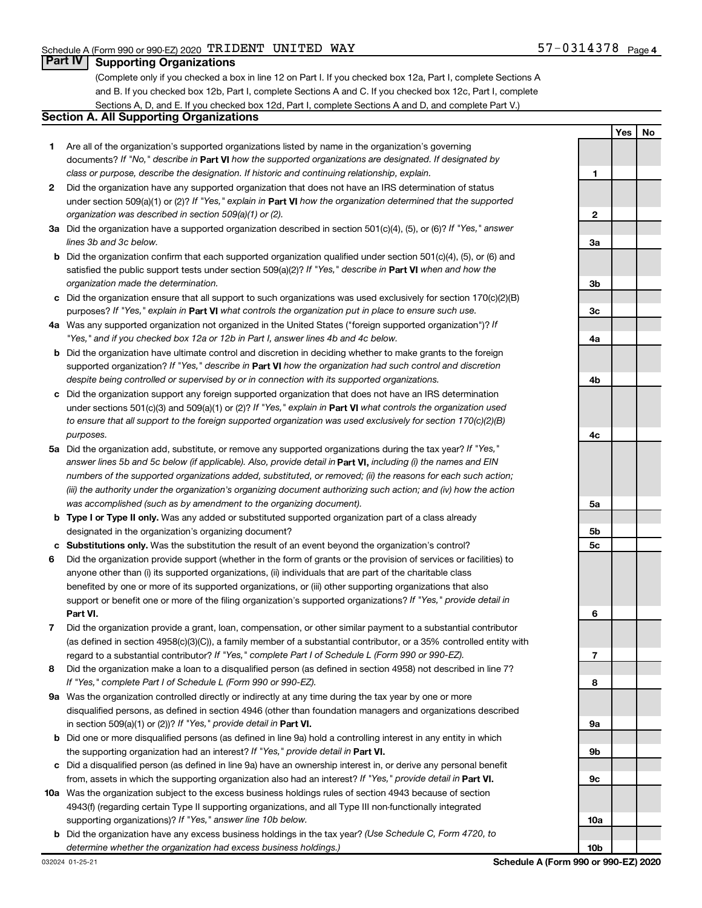# **Part IV Supporting Organizations**

(Complete only if you checked a box in line 12 on Part I. If you checked box 12a, Part I, complete Sections A and B. If you checked box 12b, Part I, complete Sections A and C. If you checked box 12c, Part I, complete Sections A, D, and E. If you checked box 12d, Part I, complete Sections A and D, and complete Part V.)

# **Section A. All Supporting Organizations**

- **1** Are all of the organization's supported organizations listed by name in the organization's governing documents? If "No," describe in Part VI how the supported organizations are designated. If designated by *class or purpose, describe the designation. If historic and continuing relationship, explain.*
- **2** Did the organization have any supported organization that does not have an IRS determination of status under section 509(a)(1) or (2)? If "Yes," explain in Part **VI** how the organization determined that the supported *organization was described in section 509(a)(1) or (2).*
- **3a** Did the organization have a supported organization described in section 501(c)(4), (5), or (6)? If "Yes," answer *lines 3b and 3c below.*
- **b** Did the organization confirm that each supported organization qualified under section 501(c)(4), (5), or (6) and satisfied the public support tests under section 509(a)(2)? If "Yes," describe in Part VI when and how the *organization made the determination.*
- **c** Did the organization ensure that all support to such organizations was used exclusively for section 170(c)(2)(B) purposes? If "Yes," explain in Part VI what controls the organization put in place to ensure such use.
- **4 a** *If* Was any supported organization not organized in the United States ("foreign supported organization")? *"Yes," and if you checked box 12a or 12b in Part I, answer lines 4b and 4c below.*
- **b** Did the organization have ultimate control and discretion in deciding whether to make grants to the foreign supported organization? If "Yes," describe in Part VI how the organization had such control and discretion *despite being controlled or supervised by or in connection with its supported organizations.*
- **c** Did the organization support any foreign supported organization that does not have an IRS determination under sections 501(c)(3) and 509(a)(1) or (2)? If "Yes," explain in Part VI what controls the organization used *to ensure that all support to the foreign supported organization was used exclusively for section 170(c)(2)(B) purposes.*
- **5a** Did the organization add, substitute, or remove any supported organizations during the tax year? If "Yes," answer lines 5b and 5c below (if applicable). Also, provide detail in **Part VI,** including (i) the names and EIN *numbers of the supported organizations added, substituted, or removed; (ii) the reasons for each such action; (iii) the authority under the organization's organizing document authorizing such action; and (iv) how the action was accomplished (such as by amendment to the organizing document).*
- **b** Type I or Type II only. Was any added or substituted supported organization part of a class already designated in the organization's organizing document?
- **c Substitutions only.**  Was the substitution the result of an event beyond the organization's control?
- **6** Did the organization provide support (whether in the form of grants or the provision of services or facilities) to **Part VI.** support or benefit one or more of the filing organization's supported organizations? If "Yes," provide detail in anyone other than (i) its supported organizations, (ii) individuals that are part of the charitable class benefited by one or more of its supported organizations, or (iii) other supporting organizations that also
- **7** Did the organization provide a grant, loan, compensation, or other similar payment to a substantial contributor regard to a substantial contributor? If "Yes," complete Part I of Schedule L (Form 990 or 990-EZ). (as defined in section 4958(c)(3)(C)), a family member of a substantial contributor, or a 35% controlled entity with
- **8** Did the organization make a loan to a disqualified person (as defined in section 4958) not described in line 7? *If "Yes," complete Part I of Schedule L (Form 990 or 990-EZ).*
- **9 a** Was the organization controlled directly or indirectly at any time during the tax year by one or more in section 509(a)(1) or (2))? If "Yes," provide detail in **Part VI.** disqualified persons, as defined in section 4946 (other than foundation managers and organizations described
- **b** Did one or more disqualified persons (as defined in line 9a) hold a controlling interest in any entity in which the supporting organization had an interest? If "Yes," provide detail in Part VI.
- **c** Did a disqualified person (as defined in line 9a) have an ownership interest in, or derive any personal benefit from, assets in which the supporting organization also had an interest? If "Yes," provide detail in Part VI.
- **10 a** Was the organization subject to the excess business holdings rules of section 4943 because of section supporting organizations)? If "Yes," answer line 10b below. 4943(f) (regarding certain Type II supporting organizations, and all Type III non-functionally integrated
	- **b** Did the organization have any excess business holdings in the tax year? (Use Schedule C, Form 4720, to *determine whether the organization had excess business holdings.)*

**Yes No 1 2 3a 3b 3c 4a 4b 4c 5a 5b 5c 6 7 8 9a 9b 9c 10a 10b**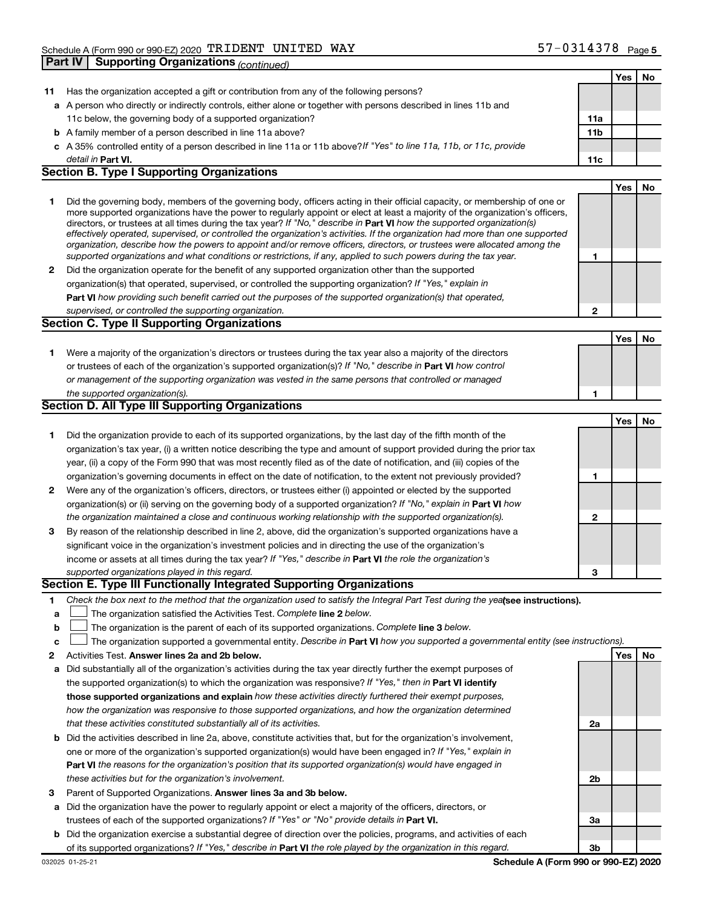|    |                                                                                                                                                                                                                                                            |                 | Yes | No |
|----|------------------------------------------------------------------------------------------------------------------------------------------------------------------------------------------------------------------------------------------------------------|-----------------|-----|----|
| 11 | Has the organization accepted a gift or contribution from any of the following persons?                                                                                                                                                                    |                 |     |    |
|    | a A person who directly or indirectly controls, either alone or together with persons described in lines 11b and                                                                                                                                           |                 |     |    |
|    | 11c below, the governing body of a supported organization?                                                                                                                                                                                                 | 11a             |     |    |
|    | <b>b</b> A family member of a person described in line 11a above?                                                                                                                                                                                          | 11 <sub>b</sub> |     |    |
|    | c A 35% controlled entity of a person described in line 11a or 11b above?If "Yes" to line 11a, 11b, or 11c, provide                                                                                                                                        |                 |     |    |
|    | detail in <b>Part VI.</b>                                                                                                                                                                                                                                  | 11c             |     |    |
|    | <b>Section B. Type I Supporting Organizations</b>                                                                                                                                                                                                          |                 |     |    |
|    |                                                                                                                                                                                                                                                            |                 | Yes | No |
| 1  | Did the governing body, members of the governing body, officers acting in their official capacity, or membership of one or                                                                                                                                 |                 |     |    |
|    | more supported organizations have the power to regularly appoint or elect at least a majority of the organization's officers,                                                                                                                              |                 |     |    |
|    | directors, or trustees at all times during the tax year? If "No," describe in Part VI how the supported organization(s)                                                                                                                                    |                 |     |    |
|    | effectively operated, supervised, or controlled the organization's activities. If the organization had more than one supported<br>organization, describe how the powers to appoint and/or remove officers, directors, or trustees were allocated among the |                 |     |    |
|    | supported organizations and what conditions or restrictions, if any, applied to such powers during the tax year.                                                                                                                                           | 1               |     |    |
| 2  | Did the organization operate for the benefit of any supported organization other than the supported                                                                                                                                                        |                 |     |    |
|    | organization(s) that operated, supervised, or controlled the supporting organization? If "Yes," explain in                                                                                                                                                 |                 |     |    |
|    | Part VI how providing such benefit carried out the purposes of the supported organization(s) that operated,                                                                                                                                                |                 |     |    |
|    | supervised, or controlled the supporting organization.                                                                                                                                                                                                     | 2               |     |    |
|    | <b>Section C. Type II Supporting Organizations</b>                                                                                                                                                                                                         |                 |     |    |
|    |                                                                                                                                                                                                                                                            |                 | Yes | No |
| 1. | Were a majority of the organization's directors or trustees during the tax year also a majority of the directors                                                                                                                                           |                 |     |    |
|    | or trustees of each of the organization's supported organization(s)? If "No," describe in Part VI how control                                                                                                                                              |                 |     |    |
|    | or management of the supporting organization was vested in the same persons that controlled or managed                                                                                                                                                     |                 |     |    |
|    | the supported organization(s).                                                                                                                                                                                                                             | 1               |     |    |
|    | <b>Section D. All Type III Supporting Organizations</b>                                                                                                                                                                                                    |                 |     |    |
|    |                                                                                                                                                                                                                                                            |                 | Yes | No |
| 1  | Did the organization provide to each of its supported organizations, by the last day of the fifth month of the                                                                                                                                             |                 |     |    |
|    | organization's tax year, (i) a written notice describing the type and amount of support provided during the prior tax                                                                                                                                      |                 |     |    |
|    | year, (ii) a copy of the Form 990 that was most recently filed as of the date of notification, and (iii) copies of the                                                                                                                                     |                 |     |    |
|    | organization's governing documents in effect on the date of notification, to the extent not previously provided?                                                                                                                                           | 1               |     |    |
| 2  | Were any of the organization's officers, directors, or trustees either (i) appointed or elected by the supported                                                                                                                                           |                 |     |    |
|    | organization(s) or (ii) serving on the governing body of a supported organization? If "No," explain in Part VI how                                                                                                                                         |                 |     |    |
|    | the organization maintained a close and continuous working relationship with the supported organization(s).                                                                                                                                                | 2               |     |    |
| 3  | By reason of the relationship described in line 2, above, did the organization's supported organizations have a                                                                                                                                            |                 |     |    |
|    | significant voice in the organization's investment policies and in directing the use of the organization's                                                                                                                                                 |                 |     |    |
|    | income or assets at all times during the tax year? If "Yes," describe in Part VI the role the organization's                                                                                                                                               |                 |     |    |
|    | supported organizations played in this regard.                                                                                                                                                                                                             | З               |     |    |
|    | Section E. Type III Functionally Integrated Supporting Organizations                                                                                                                                                                                       |                 |     |    |
| 1  | Check the box next to the method that the organization used to satisfy the Integral Part Test during the yealsee instructions).                                                                                                                            |                 |     |    |
| a  | The organization satisfied the Activities Test. Complete line 2 below.                                                                                                                                                                                     |                 |     |    |
| b  | The organization is the parent of each of its supported organizations. Complete line 3 below.                                                                                                                                                              |                 |     |    |
| c  | The organization supported a governmental entity. Describe in Part VI how you supported a governmental entity (see instructions).                                                                                                                          |                 |     |    |
| 2  | Activities Test. Answer lines 2a and 2b below.                                                                                                                                                                                                             |                 | Yes | No |
| а  | Did substantially all of the organization's activities during the tax year directly further the exempt purposes of                                                                                                                                         |                 |     |    |
|    | the supported organization(s) to which the organization was responsive? If "Yes," then in Part VI identify                                                                                                                                                 |                 |     |    |
|    | those supported organizations and explain how these activities directly furthered their exempt purposes,                                                                                                                                                   |                 |     |    |
|    | how the organization was responsive to those supported organizations, and how the organization determined                                                                                                                                                  |                 |     |    |
|    | that these activities constituted substantially all of its activities.                                                                                                                                                                                     | 2a              |     |    |
| b  | Did the activities described in line 2a, above, constitute activities that, but for the organization's involvement,                                                                                                                                        |                 |     |    |
|    | one or more of the organization's supported organization(s) would have been engaged in? If "Yes," explain in                                                                                                                                               |                 |     |    |
|    | <b>Part VI</b> the reasons for the organization's position that its supported organization(s) would have engaged in                                                                                                                                        |                 |     |    |
|    | these activities but for the organization's involvement.                                                                                                                                                                                                   | 2b              |     |    |
| з  | Parent of Supported Organizations. Answer lines 3a and 3b below.                                                                                                                                                                                           |                 |     |    |
| а  | Did the organization have the power to regularly appoint or elect a majority of the officers, directors, or                                                                                                                                                |                 |     |    |
|    | trustees of each of the supported organizations? If "Yes" or "No" provide details in Part VI.                                                                                                                                                              | За              |     |    |
|    | <b>h</b> Did the organization exercise a substantial degree of direction over the policies, programs, and activities of each                                                                                                                               |                 |     |    |

**b** Did the organiz of its supported organizations? If "Yes," describe in Part VI the role played by the organization in this regard. ation exercise a substantial degree of direction over the policies, programs, and activities of e

**3b**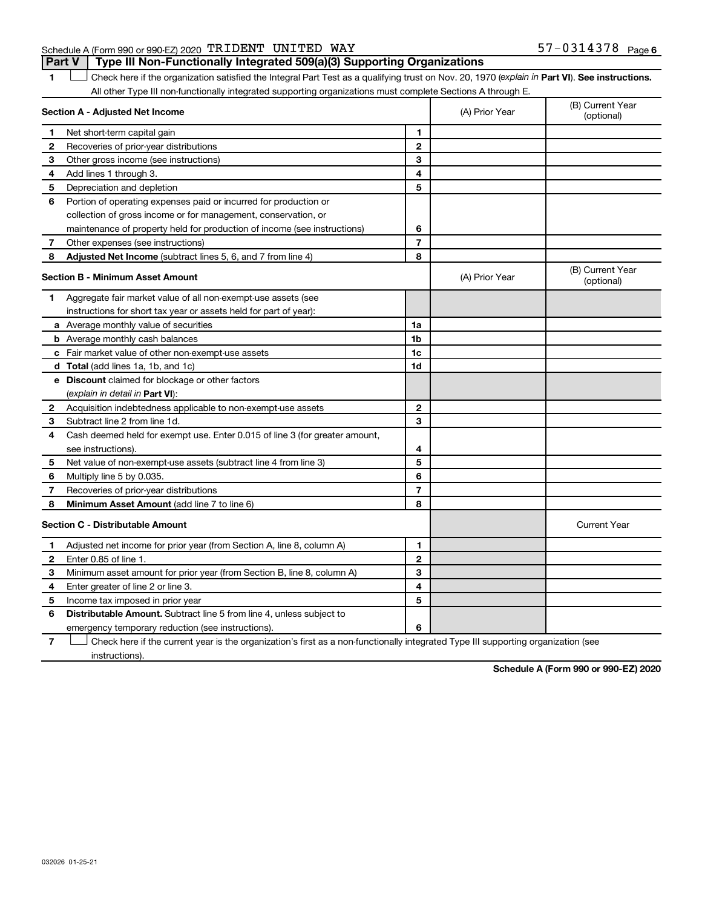# Schedule A (Form 990 or 990-EZ) 2020 Page TRIDENT UNITED WAY 57-0314378**Part V Type III Non-Functionally Integrated 509(a)(3) Supporting Organizations**

1 **Letter See instructions.** Check here if the organization satisfied the Integral Part Test as a qualifying trust on Nov. 20, 1970 (*explain in* Part **VI**). See instructions. All other Type III non-functionally integrated supporting organizations must complete Sections A through E.

|                                         | Section A - Adjusted Net Income                                             |                         | (A) Prior Year | (B) Current Year<br>(optional) |
|-----------------------------------------|-----------------------------------------------------------------------------|-------------------------|----------------|--------------------------------|
| 1.                                      | Net short-term capital gain                                                 | 1                       |                |                                |
| 2                                       | Recoveries of prior-year distributions                                      | $\mathbf{2}$            |                |                                |
| З                                       | Other gross income (see instructions)                                       | 3                       |                |                                |
| 4                                       | Add lines 1 through 3.                                                      | $\overline{\mathbf{4}}$ |                |                                |
| 5                                       | Depreciation and depletion                                                  | 5                       |                |                                |
| 6                                       | Portion of operating expenses paid or incurred for production or            |                         |                |                                |
|                                         | collection of gross income or for management, conservation, or              |                         |                |                                |
|                                         | maintenance of property held for production of income (see instructions)    | 6                       |                |                                |
| 7                                       | Other expenses (see instructions)                                           | $\overline{7}$          |                |                                |
| 8                                       | Adjusted Net Income (subtract lines 5, 6, and 7 from line 4)                | 8                       |                |                                |
| <b>Section B - Minimum Asset Amount</b> |                                                                             |                         | (A) Prior Year | (B) Current Year<br>(optional) |
| 1.                                      | Aggregate fair market value of all non-exempt-use assets (see               |                         |                |                                |
|                                         | instructions for short tax year or assets held for part of year):           |                         |                |                                |
|                                         | a Average monthly value of securities                                       | 1a                      |                |                                |
|                                         | <b>b</b> Average monthly cash balances                                      | 1b                      |                |                                |
|                                         | c Fair market value of other non-exempt-use assets                          | 1c                      |                |                                |
|                                         | <b>d</b> Total (add lines 1a, 1b, and 1c)                                   | 1d                      |                |                                |
|                                         | e Discount claimed for blockage or other factors                            |                         |                |                                |
|                                         | (explain in detail in <b>Part VI</b> ):                                     |                         |                |                                |
| 2                                       | Acquisition indebtedness applicable to non-exempt-use assets                | $\mathbf{2}$            |                |                                |
| 3                                       | Subtract line 2 from line 1d.                                               | 3                       |                |                                |
| 4                                       | Cash deemed held for exempt use. Enter 0.015 of line 3 (for greater amount, |                         |                |                                |
|                                         | see instructions).                                                          | 4                       |                |                                |
| 5                                       | Net value of non-exempt-use assets (subtract line 4 from line 3)            | 5                       |                |                                |
| 6                                       | Multiply line 5 by 0.035.                                                   | 6                       |                |                                |
| 7                                       | Recoveries of prior-year distributions                                      | 7                       |                |                                |
| 8                                       | Minimum Asset Amount (add line 7 to line 6)                                 | 8                       |                |                                |
|                                         | <b>Section C - Distributable Amount</b>                                     |                         |                | <b>Current Year</b>            |
| 1                                       | Adjusted net income for prior year (from Section A, line 8, column A)       | 1                       |                |                                |
| 2                                       | Enter 0.85 of line 1.                                                       | $\mathbf{2}$            |                |                                |
| 3                                       | Minimum asset amount for prior year (from Section B, line 8, column A)      | 3                       |                |                                |
| 4                                       | Enter greater of line 2 or line 3.                                          | 4                       |                |                                |
| 5                                       | Income tax imposed in prior year                                            | 5                       |                |                                |
| 6                                       | Distributable Amount. Subtract line 5 from line 4, unless subject to        |                         |                |                                |
|                                         | emergency temporary reduction (see instructions).                           | 6                       |                |                                |
|                                         |                                                                             |                         |                |                                |

**7** Let Check here if the current year is the organization's first as a non-functionally integrated Type III supporting organization (see instructions).

**Schedule A (Form 990 or 990-EZ) 2020**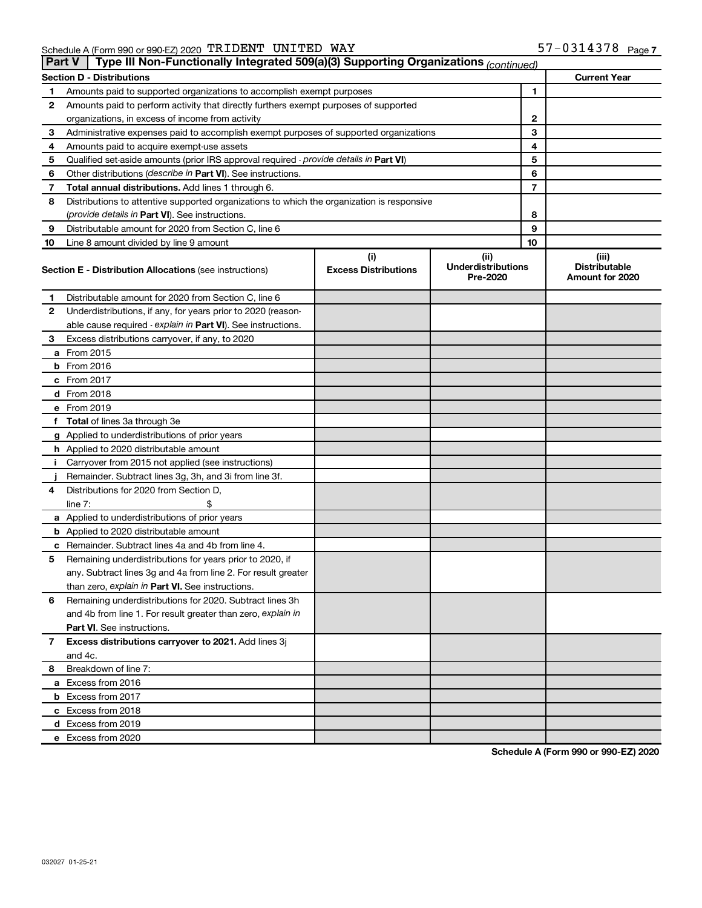| Type III Non-Functionally Integrated 509(a)(3) Supporting Organizations (continued)<br><b>Part V</b> |                                                                                            |                             |                                       |    |                                         |  |  |
|------------------------------------------------------------------------------------------------------|--------------------------------------------------------------------------------------------|-----------------------------|---------------------------------------|----|-----------------------------------------|--|--|
|                                                                                                      | <b>Current Year</b><br><b>Section D - Distributions</b>                                    |                             |                                       |    |                                         |  |  |
| 1                                                                                                    | Amounts paid to supported organizations to accomplish exempt purposes                      |                             | 1                                     |    |                                         |  |  |
| 2                                                                                                    | Amounts paid to perform activity that directly furthers exempt purposes of supported       |                             |                                       |    |                                         |  |  |
|                                                                                                      | organizations, in excess of income from activity                                           |                             | 2                                     |    |                                         |  |  |
| 3                                                                                                    | Administrative expenses paid to accomplish exempt purposes of supported organizations      |                             | 3                                     |    |                                         |  |  |
| 4                                                                                                    | Amounts paid to acquire exempt-use assets                                                  |                             | 4                                     |    |                                         |  |  |
| 5                                                                                                    | Qualified set-aside amounts (prior IRS approval required - provide details in Part VI)     |                             | 5                                     |    |                                         |  |  |
| 6                                                                                                    | Other distributions ( <i>describe in Part VI</i> ). See instructions.                      |                             |                                       | 6  |                                         |  |  |
| 7                                                                                                    | Total annual distributions. Add lines 1 through 6.                                         |                             |                                       | 7  |                                         |  |  |
| 8                                                                                                    | Distributions to attentive supported organizations to which the organization is responsive |                             |                                       |    |                                         |  |  |
|                                                                                                      | (provide details in Part VI). See instructions.                                            |                             | 8                                     |    |                                         |  |  |
| 9                                                                                                    | Distributable amount for 2020 from Section C, line 6                                       |                             |                                       | 9  |                                         |  |  |
| 10                                                                                                   | Line 8 amount divided by line 9 amount                                                     |                             |                                       | 10 |                                         |  |  |
|                                                                                                      |                                                                                            | (i)                         | (ii)                                  |    | (iii)                                   |  |  |
|                                                                                                      | <b>Section E - Distribution Allocations (see instructions)</b>                             | <b>Excess Distributions</b> | <b>Underdistributions</b><br>Pre-2020 |    | <b>Distributable</b><br>Amount for 2020 |  |  |
| 1                                                                                                    | Distributable amount for 2020 from Section C, line 6                                       |                             |                                       |    |                                         |  |  |
| 2                                                                                                    | Underdistributions, if any, for years prior to 2020 (reason-                               |                             |                                       |    |                                         |  |  |
|                                                                                                      | able cause required - explain in Part VI). See instructions.                               |                             |                                       |    |                                         |  |  |
| 3                                                                                                    | Excess distributions carryover, if any, to 2020                                            |                             |                                       |    |                                         |  |  |
|                                                                                                      | a From 2015                                                                                |                             |                                       |    |                                         |  |  |
|                                                                                                      | <b>b</b> From 2016                                                                         |                             |                                       |    |                                         |  |  |
|                                                                                                      | c From 2017                                                                                |                             |                                       |    |                                         |  |  |
|                                                                                                      | d From 2018                                                                                |                             |                                       |    |                                         |  |  |
|                                                                                                      | e From 2019                                                                                |                             |                                       |    |                                         |  |  |
|                                                                                                      | f Total of lines 3a through 3e                                                             |                             |                                       |    |                                         |  |  |
|                                                                                                      | g Applied to underdistributions of prior years                                             |                             |                                       |    |                                         |  |  |
|                                                                                                      | <b>h</b> Applied to 2020 distributable amount                                              |                             |                                       |    |                                         |  |  |
| Ť.                                                                                                   | Carryover from 2015 not applied (see instructions)                                         |                             |                                       |    |                                         |  |  |
|                                                                                                      | Remainder. Subtract lines 3g, 3h, and 3i from line 3f.                                     |                             |                                       |    |                                         |  |  |
| 4                                                                                                    | Distributions for 2020 from Section D,                                                     |                             |                                       |    |                                         |  |  |
|                                                                                                      | line $7:$                                                                                  |                             |                                       |    |                                         |  |  |
|                                                                                                      | a Applied to underdistributions of prior years                                             |                             |                                       |    |                                         |  |  |
|                                                                                                      | <b>b</b> Applied to 2020 distributable amount                                              |                             |                                       |    |                                         |  |  |
|                                                                                                      | c Remainder. Subtract lines 4a and 4b from line 4.                                         |                             |                                       |    |                                         |  |  |
| 5                                                                                                    | Remaining underdistributions for years prior to 2020, if                                   |                             |                                       |    |                                         |  |  |
|                                                                                                      | any. Subtract lines 3g and 4a from line 2. For result greater                              |                             |                                       |    |                                         |  |  |
|                                                                                                      | than zero, explain in Part VI. See instructions.                                           |                             |                                       |    |                                         |  |  |
| 6                                                                                                    | Remaining underdistributions for 2020. Subtract lines 3h                                   |                             |                                       |    |                                         |  |  |
|                                                                                                      | and 4b from line 1. For result greater than zero, explain in                               |                             |                                       |    |                                         |  |  |
|                                                                                                      | <b>Part VI.</b> See instructions.                                                          |                             |                                       |    |                                         |  |  |
| 7                                                                                                    | Excess distributions carryover to 2021. Add lines 3j                                       |                             |                                       |    |                                         |  |  |
|                                                                                                      | and 4c.                                                                                    |                             |                                       |    |                                         |  |  |
| 8                                                                                                    | Breakdown of line 7:                                                                       |                             |                                       |    |                                         |  |  |
|                                                                                                      | a Excess from 2016                                                                         |                             |                                       |    |                                         |  |  |
|                                                                                                      | <b>b</b> Excess from 2017                                                                  |                             |                                       |    |                                         |  |  |
|                                                                                                      | c Excess from 2018                                                                         |                             |                                       |    |                                         |  |  |
|                                                                                                      | d Excess from 2019                                                                         |                             |                                       |    |                                         |  |  |
|                                                                                                      | e Excess from 2020                                                                         |                             |                                       |    |                                         |  |  |

**Schedule A (Form 990 or 990-EZ) 2020**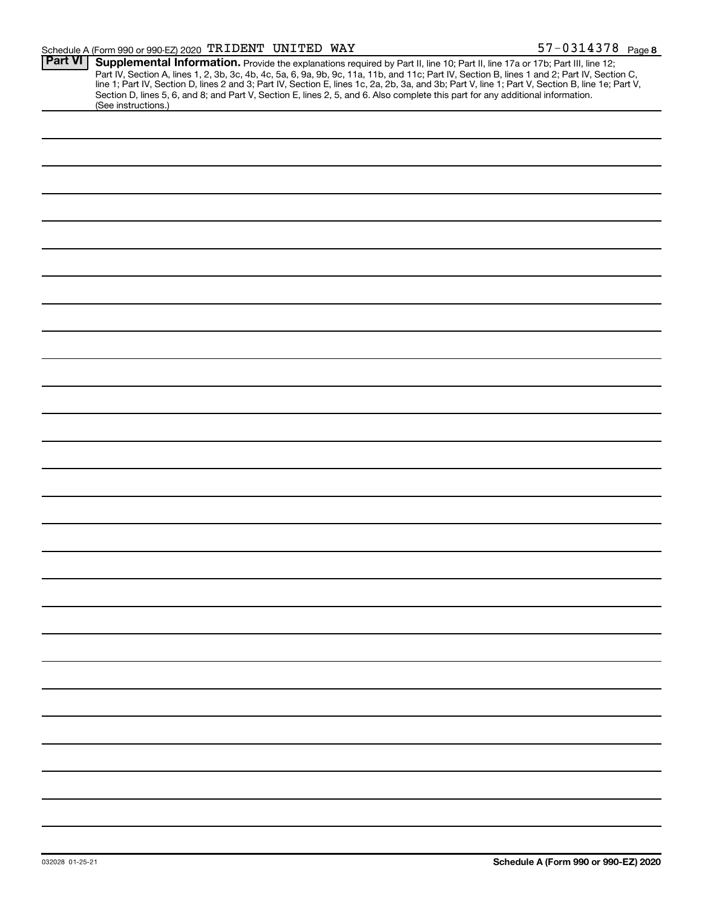| <b>Part VI</b> | Supplemental Information. Provide the explanations required by Part II, line 10; Part II, line 17a or 17b; Part III, line 12;                                                                                                                                                                                                                                                                                                       |
|----------------|-------------------------------------------------------------------------------------------------------------------------------------------------------------------------------------------------------------------------------------------------------------------------------------------------------------------------------------------------------------------------------------------------------------------------------------|
|                | Part IV, Section A, lines 1, 2, 3b, 3c, 4b, 4c, 5a, 6, 9a, 9b, 9c, 11a, 11b, and 11c; Part IV, Section B, lines 1 and 2; Part IV, Section C,<br>line 1; Part IV, Section D, lines 2 and 3; Part IV, Section E, lines 1c, 2a, 2b, 3a, and 3b; Part V, line 1; Part V, Section B, line 1e; Part V,<br>Section D, lines 5, 6, and 8; and Part V, Section E, lines 2, 5, and 6. Also complete this part for any additional information. |
|                | (See instructions.)                                                                                                                                                                                                                                                                                                                                                                                                                 |
|                |                                                                                                                                                                                                                                                                                                                                                                                                                                     |
|                |                                                                                                                                                                                                                                                                                                                                                                                                                                     |
|                |                                                                                                                                                                                                                                                                                                                                                                                                                                     |
|                |                                                                                                                                                                                                                                                                                                                                                                                                                                     |
|                |                                                                                                                                                                                                                                                                                                                                                                                                                                     |
|                |                                                                                                                                                                                                                                                                                                                                                                                                                                     |
|                |                                                                                                                                                                                                                                                                                                                                                                                                                                     |
|                |                                                                                                                                                                                                                                                                                                                                                                                                                                     |
|                |                                                                                                                                                                                                                                                                                                                                                                                                                                     |
|                |                                                                                                                                                                                                                                                                                                                                                                                                                                     |
|                |                                                                                                                                                                                                                                                                                                                                                                                                                                     |
|                |                                                                                                                                                                                                                                                                                                                                                                                                                                     |
|                |                                                                                                                                                                                                                                                                                                                                                                                                                                     |
|                |                                                                                                                                                                                                                                                                                                                                                                                                                                     |
|                |                                                                                                                                                                                                                                                                                                                                                                                                                                     |
|                |                                                                                                                                                                                                                                                                                                                                                                                                                                     |
|                |                                                                                                                                                                                                                                                                                                                                                                                                                                     |
|                |                                                                                                                                                                                                                                                                                                                                                                                                                                     |
|                |                                                                                                                                                                                                                                                                                                                                                                                                                                     |
|                |                                                                                                                                                                                                                                                                                                                                                                                                                                     |
|                |                                                                                                                                                                                                                                                                                                                                                                                                                                     |
|                |                                                                                                                                                                                                                                                                                                                                                                                                                                     |
|                |                                                                                                                                                                                                                                                                                                                                                                                                                                     |
|                |                                                                                                                                                                                                                                                                                                                                                                                                                                     |
|                |                                                                                                                                                                                                                                                                                                                                                                                                                                     |
|                |                                                                                                                                                                                                                                                                                                                                                                                                                                     |
|                |                                                                                                                                                                                                                                                                                                                                                                                                                                     |
|                |                                                                                                                                                                                                                                                                                                                                                                                                                                     |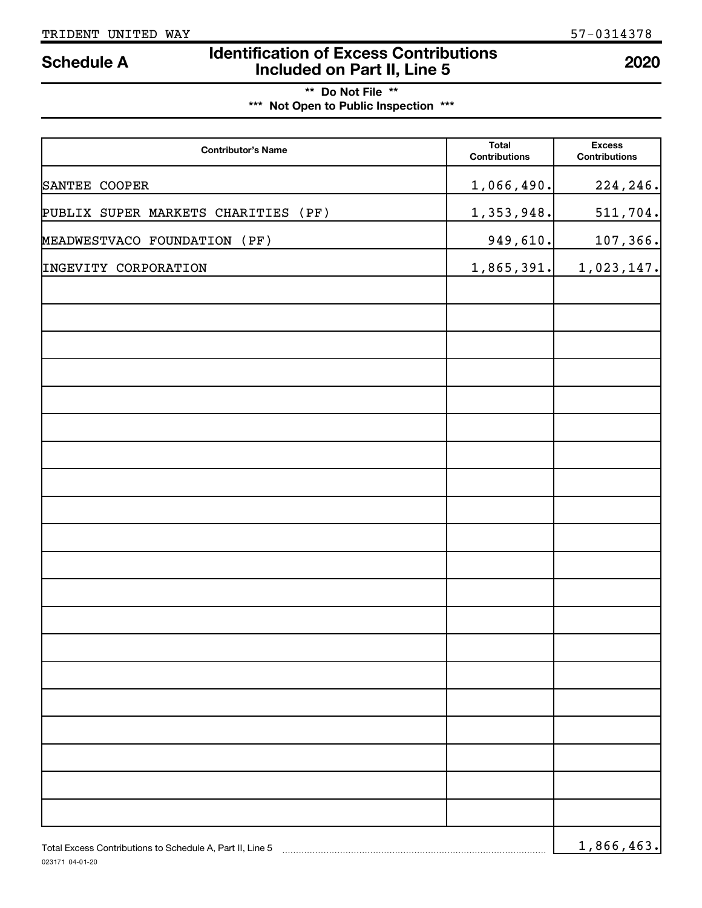# **Identification of Excess Contributions Included on Part II, Line 5 Schedule A <sup>2020</sup>**

# **\*\* Do Not File \*\* \*\*\* Not Open to Public Inspection \*\*\***

| <b>Contributor's Name</b>                                 | <b>Total</b><br><b>Contributions</b> | <b>Excess</b><br><b>Contributions</b> |
|-----------------------------------------------------------|--------------------------------------|---------------------------------------|
| SANTEE COOPER                                             | 1,066,490.                           | 224, 246.                             |
| PUBLIX SUPER MARKETS CHARITIES<br>(PF)                    | 1,353,948.                           | 511,704.                              |
| MEADWESTVACO FOUNDATION (PF)                              | 949,610.                             | 107,366.                              |
| INGEVITY CORPORATION                                      | 1,865,391.                           | 1,023,147.                            |
|                                                           |                                      |                                       |
|                                                           |                                      |                                       |
|                                                           |                                      |                                       |
|                                                           |                                      |                                       |
|                                                           |                                      |                                       |
|                                                           |                                      |                                       |
|                                                           |                                      |                                       |
|                                                           |                                      |                                       |
|                                                           |                                      |                                       |
|                                                           |                                      |                                       |
|                                                           |                                      |                                       |
|                                                           |                                      |                                       |
|                                                           |                                      |                                       |
|                                                           |                                      |                                       |
|                                                           |                                      |                                       |
|                                                           |                                      |                                       |
|                                                           |                                      |                                       |
|                                                           |                                      |                                       |
|                                                           |                                      |                                       |
| Total Excess Contributions to Schedule A, Part II, Line 5 |                                      | 1,866,463.                            |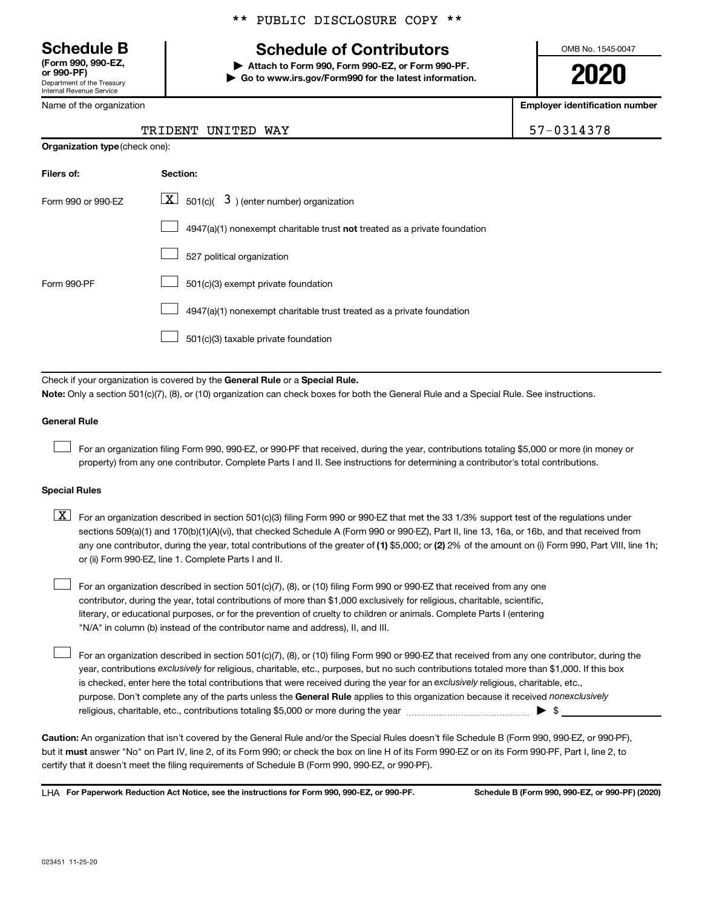Department of the Treasury Internal Revenue Service **(Form 990, 990-EZ,**

Name of the organization

# **Schedule B Schedule of Contributors**

**or 990-PF) | Attach to Form 990, Form 990-EZ, or Form 990-PF. | Go to www.irs.gov/Form990 for the latest information.** OMB No. 1545-0047

**2020**

**Employer identification number**

| 7-0314378 |  |  |  |  |
|-----------|--|--|--|--|
|           |  |  |  |  |

| TRIDENT UNITED WAY |  | 57-0314378 |
|--------------------|--|------------|
|                    |  |            |

| <b>Organization type (check one):</b> |                                                                           |  |  |  |
|---------------------------------------|---------------------------------------------------------------------------|--|--|--|
| Filers of:                            | Section:                                                                  |  |  |  |
| Form 990 or 990-EZ                    | $ \mathbf{X} $ 501(c)( 3) (enter number) organization                     |  |  |  |
|                                       | 4947(a)(1) nonexempt charitable trust not treated as a private foundation |  |  |  |
|                                       | 527 political organization                                                |  |  |  |
| Form 990-PF                           | 501(c)(3) exempt private foundation                                       |  |  |  |
|                                       | 4947(a)(1) nonexempt charitable trust treated as a private foundation     |  |  |  |
|                                       | 501(c)(3) taxable private foundation                                      |  |  |  |

Check if your organization is covered by the General Rule or a Special Rule.

**Note:**  Only a section 501(c)(7), (8), or (10) organization can check boxes for both the General Rule and a Special Rule. See instructions.

### **General Rule**

 $\Box$ 

 $\Box$ 

For an organization filing Form 990, 990-EZ, or 990-PF that received, during the year, contributions totaling \$5,000 or more (in money or property) from any one contributor. Complete Parts I and II. See instructions for determining a contributor's total contributions.

# **Special Rules**

any one contributor, during the year, total contributions of the greater of (1) \$5,000; or (2) 2% of the amount on (i) Form 990, Part VIII, line 1h;  $\boxed{\text{X}}$  For an organization described in section 501(c)(3) filing Form 990 or 990-EZ that met the 33 1/3% support test of the regulations under sections 509(a)(1) and 170(b)(1)(A)(vi), that checked Schedule A (Form 990 or 990-EZ), Part II, line 13, 16a, or 16b, and that received from or (ii) Form 990-EZ, line 1. Complete Parts I and II.

For an organization described in section 501(c)(7), (8), or (10) filing Form 990 or 990-EZ that received from any one contributor, during the year, total contributions of more than \$1,000 exclusively for religious, charitable, scientific, literary, or educational purposes, or for the prevention of cruelty to children or animals. Complete Parts I (entering "N/A" in column (b) instead of the contributor name and address), II, and III.  $\Box$ 

purpose. Don't complete any of the parts unless the General Rule applies to this organization because it received nonexclusively year, contributions exclusively for religious, charitable, etc., purposes, but no such contributions totaled more than \$1,000. If this box is checked, enter here the total contributions that were received during the year for an exclusively religious, charitable, etc., For an organization described in section 501(c)(7), (8), or (10) filing Form 990 or 990-EZ that received from any one contributor, during the religious, charitable, etc., contributions totaling \$5,000 or more during the year  $~\ldots\ldots\ldots\ldots\ldots\ldots\ldots\ldots\blacktriangleright~$ \$

**Caution:**  An organization that isn't covered by the General Rule and/or the Special Rules doesn't file Schedule B (Form 990, 990-EZ, or 990-PF),  **must** but it answer "No" on Part IV, line 2, of its Form 990; or check the box on line H of its Form 990-EZ or on its Form 990-PF, Part I, line 2, to certify that it doesn't meet the filing requirements of Schedule B (Form 990, 990-EZ, or 990-PF).

**For Paperwork Reduction Act Notice, see the instructions for Form 990, 990-EZ, or 990-PF. Schedule B (Form 990, 990-EZ, or 990-PF) (2020)** LHA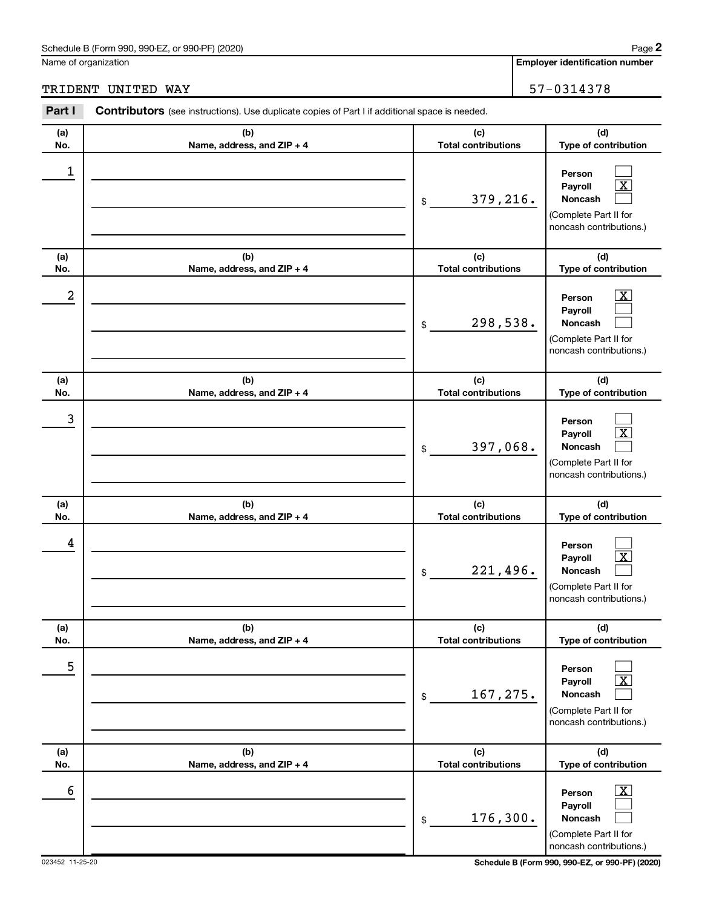### Schedule B (Form 990, 990-EZ, or 990-PF) (2020)

Name of organization

**Employer identification number 2**

TRIDENT UNITED WAY 57-0314378

### **(a) No. (b) Name, address, and ZIP + 4 (c) Total contributions (d) Type of contribution Person Payroll Noncash (a) No. (b) Name, address, and ZIP + 4 (c) Total contributions (d) Type of contribution Person Payroll Noncash (a) No. (b) Name, address, and ZIP + 4 (c) Total contributions (d) Type of contribution Person Payroll Noncash (a) No. (b) Name, address, and ZIP + 4 (c) Total contributions (d) Type of contribution Person Payroll Noncash (a) No. (b) Name, address, and ZIP + 4 (c) Total contributions (d) Type of contribution Person Payroll Noncash (a) No. (b) Name, address, and ZIP + 4 (c) Total contributions (d) Type of contribution Person Payroll Noncash Part I** Contributors (see instructions). Use duplicate copies of Part I if additional space is needed. \$ (Complete Part II for noncash contributions.) \$ (Complete Part II for noncash contributions.) \$ (Complete Part II for noncash contributions.) \$ (Complete Part II for noncash contributions.) \$ (Complete Part II for noncash contributions.) \$ (Complete Part II for noncash contributions.)  $\Box$  $\boxed{\text{X}}$  $\Box$  $\overline{\mathbf{X}}$  $\Box$  $\Box$  $\Box$  $\boxed{\text{X}}$  $\Box$  $\Box$  $\boxed{\text{X}}$  $\Box$  $\Box$  $\boxed{\text{X}}$  $\Box$  $\boxed{\text{X}}$  $\Box$  $\Box$ 1 379,216.  $2$  Person  $\overline{\text{X}}$ 298,538. 3 397,068. 4 221,496. 5 167,275.  $\overline{6}$  Person  $\overline{X}$ 176,300.

023452 11-25-20 **Schedule B (Form 990, 990-EZ, or 990-PF) (2020)**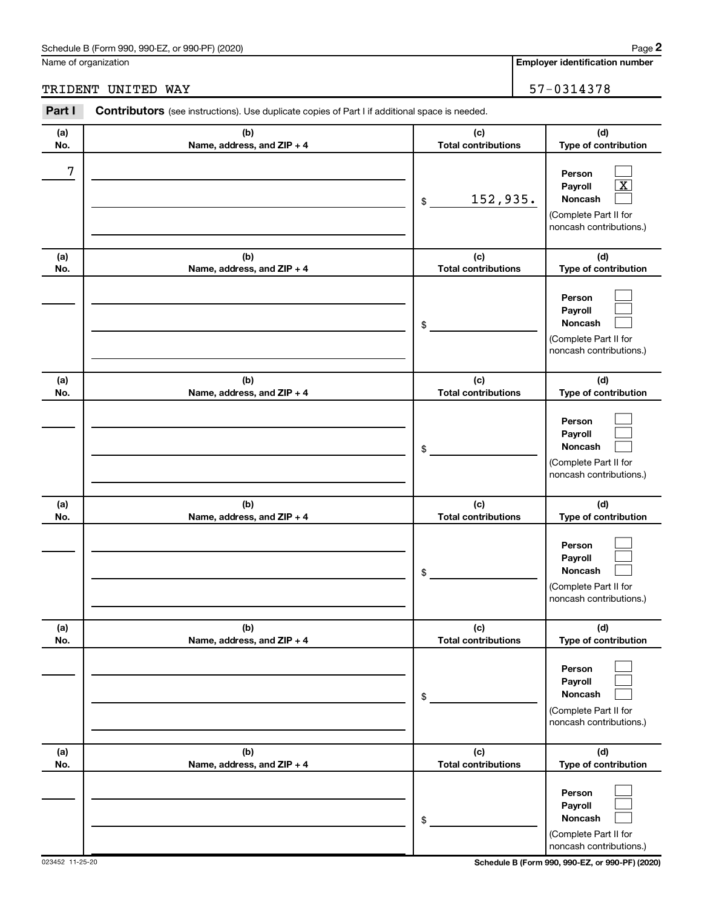### Schedule B (Form 990, 990-EZ, or 990-PF) (2020)

Name of organization

**Employer identification number 2**

TRIDENT UNITED WAY 57-0314378

### **(a) No. (b) Name, address, and ZIP + 4 (c) Total contributions (d) Type of contribution Person Payroll Noncash (a) No. (b) Name, address, and ZIP + 4 (c) Total contributions (d) Type of contribution Person Payroll Noncash (a) No. (b) Name, address, and ZIP + 4 (c) Total contributions (d) Type of contribution Person Payroll Noncash (a) No. (b) Name, address, and ZIP + 4 (c) Total contributions (d) Type of contribution Person Payroll Noncash (a) No. (b) Name, address, and ZIP + 4 (c) Total contributions (d) Type of contribution Person Payroll Noncash (a) No. (b) Name, address, and ZIP + 4 (c) Total contributions (d) Type of contribution Person Payroll Noncash Part I** Contributors (see instructions). Use duplicate copies of Part I if additional space is needed. \$ (Complete Part II for noncash contributions.) \$ (Complete Part II for noncash contributions.) \$ (Complete Part II for noncash contributions.) \$ (Complete Part II for noncash contributions.) \$ (Complete Part II for noncash contributions.) \$ (Complete Part II for noncash contributions.)  $\Box$  $\boxed{\text{X}}$  $\Box$  $\Box$  $\Box$  $\Box$  $\Box$  $\Box$  $\Box$  $\Box$  $\Box$  $\Box$  $\Box$  $\Box$  $\Box$  $\Box$  $\Box$  $\Box$ 7 152,935.

023452 11-25-20 **Schedule B (Form 990, 990-EZ, or 990-PF) (2020)**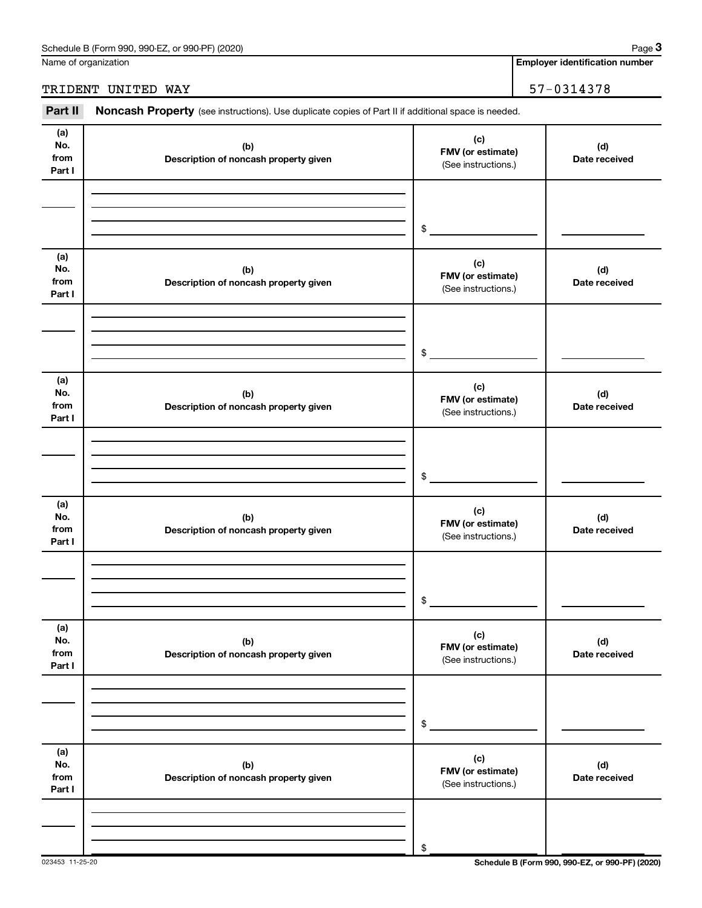Name of organization

# TRIDENT UNITED WAY 57-0314378

Part II Noncash Property (see instructions). Use duplicate copies of Part II if additional space is needed.

| (a)<br>No.<br>from<br>Part I | (b)<br>Description of noncash property given | (c)<br>FMV (or estimate)<br>(See instructions.) | (d)<br>Date received |
|------------------------------|----------------------------------------------|-------------------------------------------------|----------------------|
|                              |                                              | \$                                              |                      |
| (a)<br>No.<br>from<br>Part I | (b)<br>Description of noncash property given | (c)<br>FMV (or estimate)<br>(See instructions.) | (d)<br>Date received |
|                              |                                              | \$                                              |                      |
| (a)<br>No.<br>from<br>Part I | (b)<br>Description of noncash property given | (c)<br>FMV (or estimate)<br>(See instructions.) | (d)<br>Date received |
|                              |                                              | \$                                              |                      |
| (a)<br>No.<br>from<br>Part I | (b)<br>Description of noncash property given | (c)<br>FMV (or estimate)<br>(See instructions.) | (d)<br>Date received |
|                              |                                              | \$                                              |                      |
| (a)<br>No.<br>from<br>Part I | (b)<br>Description of noncash property given | (c)<br>FMV (or estimate)<br>(See instructions.) | (d)<br>Date received |
|                              |                                              | $\$$                                            |                      |
| (a)<br>No.<br>from<br>Part I | (b)<br>Description of noncash property given | (c)<br>FMV (or estimate)<br>(See instructions.) | (d)<br>Date received |
|                              |                                              | \$                                              |                      |

023453 11-25-20 **Schedule B (Form 990, 990-EZ, or 990-PF) (2020)**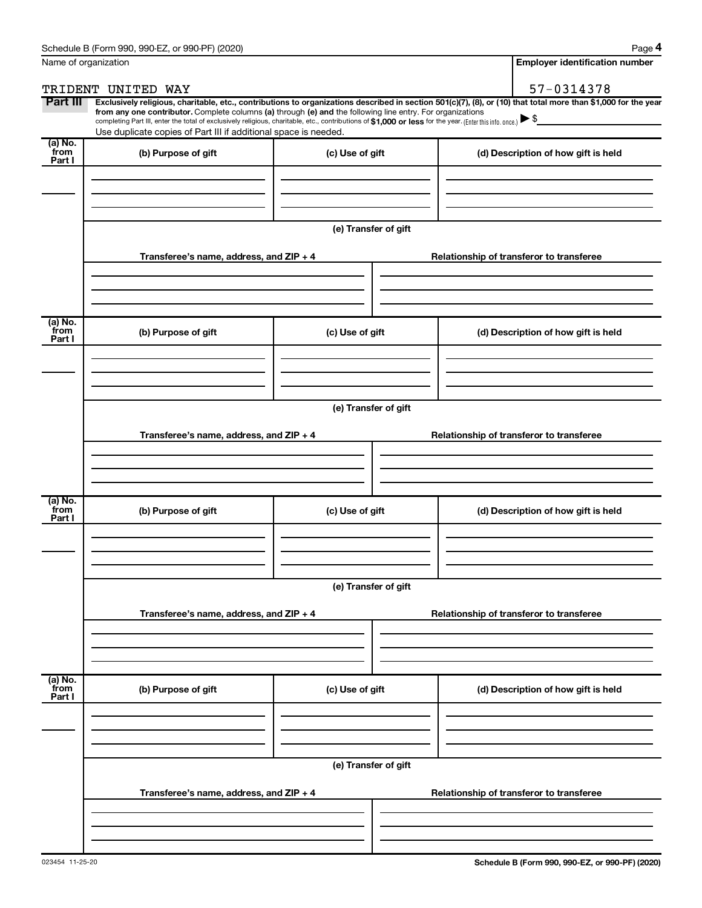|                           | Name of organization                                                                                                                                                                                                                                                                                                                      |                      | <b>Employer identification number</b>                                                                                                                          |  |  |
|---------------------------|-------------------------------------------------------------------------------------------------------------------------------------------------------------------------------------------------------------------------------------------------------------------------------------------------------------------------------------------|----------------------|----------------------------------------------------------------------------------------------------------------------------------------------------------------|--|--|
|                           | TRIDENT UNITED WAY                                                                                                                                                                                                                                                                                                                        |                      | 57-0314378                                                                                                                                                     |  |  |
| Part III                  | from any one contributor. Complete columns (a) through (e) and the following line entry. For organizations<br>completing Part III, enter the total of exclusively religious, charitable, etc., contributions of \$1,000 or less for the year. (Enter this info. once.)<br>Use duplicate copies of Part III if additional space is needed. |                      | Exclusively religious, charitable, etc., contributions to organizations described in section 501(c)(7), (8), or (10) that total more than \$1,000 for the year |  |  |
| (a) No.<br>from<br>Part I | (b) Purpose of gift                                                                                                                                                                                                                                                                                                                       | (c) Use of gift      | (d) Description of how gift is held                                                                                                                            |  |  |
|                           |                                                                                                                                                                                                                                                                                                                                           | (e) Transfer of gift |                                                                                                                                                                |  |  |
|                           | Transferee's name, address, and $ZIP + 4$                                                                                                                                                                                                                                                                                                 |                      | Relationship of transferor to transferee                                                                                                                       |  |  |
| (a) No.<br>from<br>Part I | (b) Purpose of gift                                                                                                                                                                                                                                                                                                                       | (c) Use of gift      | (d) Description of how gift is held                                                                                                                            |  |  |
|                           | Transferee's name, address, and $ZIP + 4$                                                                                                                                                                                                                                                                                                 | (e) Transfer of gift | Relationship of transferor to transferee                                                                                                                       |  |  |
| (a) No.<br>from           | (b) Purpose of gift                                                                                                                                                                                                                                                                                                                       | (c) Use of gift      | (d) Description of how gift is held                                                                                                                            |  |  |
| Part I                    |                                                                                                                                                                                                                                                                                                                                           |                      |                                                                                                                                                                |  |  |
|                           | (e) Transfer of gift<br>Transferee's name, address, and ZIP + 4<br>Relationship of transferor to transferee                                                                                                                                                                                                                               |                      |                                                                                                                                                                |  |  |
|                           |                                                                                                                                                                                                                                                                                                                                           |                      |                                                                                                                                                                |  |  |
| (a) No.<br>from<br>Part I | (b) Purpose of gift                                                                                                                                                                                                                                                                                                                       | (c) Use of gift      | (d) Description of how gift is held                                                                                                                            |  |  |
|                           |                                                                                                                                                                                                                                                                                                                                           | (e) Transfer of gift |                                                                                                                                                                |  |  |
|                           | Transferee's name, address, and $ZIP + 4$                                                                                                                                                                                                                                                                                                 |                      | Relationship of transferor to transferee                                                                                                                       |  |  |
|                           |                                                                                                                                                                                                                                                                                                                                           |                      |                                                                                                                                                                |  |  |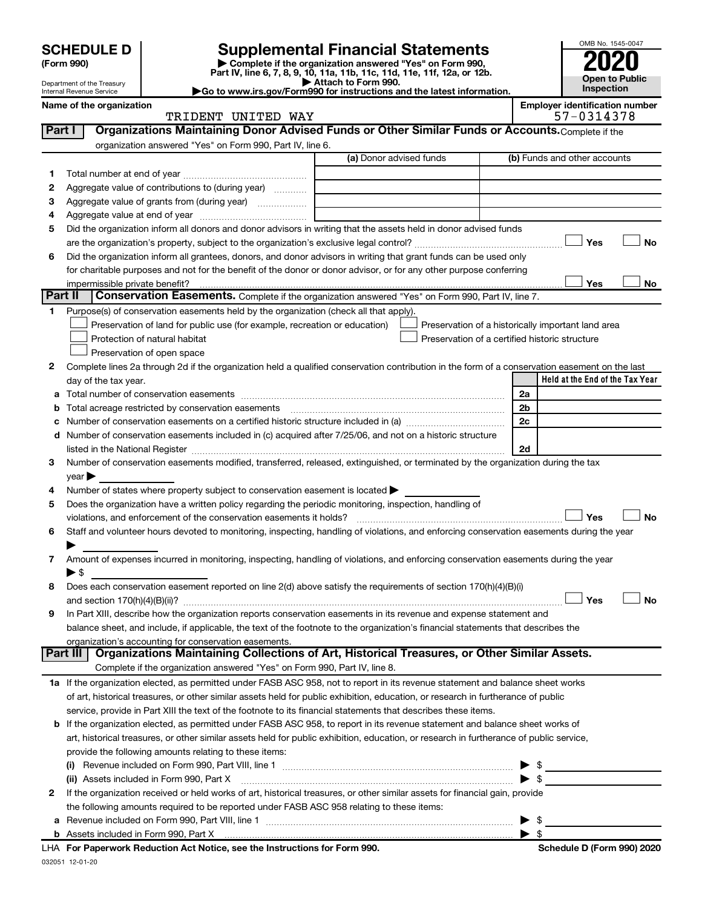| (Form 990) |  |
|------------|--|
|------------|--|

# **SCHEDULE D Supplemental Financial Statements**<br> **Form 990 2020**<br> **Part IV** line 6.7.8.9.10, 11a, 11b, 11d, 11d, 11d, 11d, 11d, 12a, 0r, 12b

**(Form 990) | Complete if the organization answered "Yes" on Form 990, Part IV, line 6, 7, 8, 9, 10, 11a, 11b, 11c, 11d, 11e, 11f, 12a, or 12b.**

**| Attach to Form 990. |Go to www.irs.gov/Form990 for instructions and the latest information.**



Department of the Treasury Internal Revenue Service **Name of the organization <b>Employer is a set of the organization Employer in the organization Employer is a set of the organization Employer in the organization Employer is a set of the organization Employer in t** 

| ployer identification number |           |  |  |
|------------------------------|-----------|--|--|
|                              | F 8311350 |  |  |

|         | TRIDENT UNITED WAY                                                                                                                             |                         | 57-0314378                                         |
|---------|------------------------------------------------------------------------------------------------------------------------------------------------|-------------------------|----------------------------------------------------|
| Part I  | Organizations Maintaining Donor Advised Funds or Other Similar Funds or Accounts. Complete if the                                              |                         |                                                    |
|         | organization answered "Yes" on Form 990, Part IV, line 6.                                                                                      |                         |                                                    |
|         |                                                                                                                                                | (a) Donor advised funds | (b) Funds and other accounts                       |
| 1       |                                                                                                                                                |                         |                                                    |
| 2       | Aggregate value of contributions to (during year)                                                                                              |                         |                                                    |
| з       | Aggregate value of grants from (during year)                                                                                                   |                         |                                                    |
| 4       |                                                                                                                                                |                         |                                                    |
| 5       | Did the organization inform all donors and donor advisors in writing that the assets held in donor advised funds                               |                         |                                                    |
|         |                                                                                                                                                |                         | Yes<br>No                                          |
| 6       | Did the organization inform all grantees, donors, and donor advisors in writing that grant funds can be used only                              |                         |                                                    |
|         | for charitable purposes and not for the benefit of the donor or donor advisor, or for any other purpose conferring                             |                         |                                                    |
|         | impermissible private benefit?                                                                                                                 |                         | Yes<br>No                                          |
| Part II | Conservation Easements. Complete if the organization answered "Yes" on Form 990, Part IV, line 7.                                              |                         |                                                    |
| 1.      | Purpose(s) of conservation easements held by the organization (check all that apply).                                                          |                         |                                                    |
|         | Preservation of land for public use (for example, recreation or education)                                                                     |                         | Preservation of a historically important land area |
|         | Protection of natural habitat                                                                                                                  |                         | Preservation of a certified historic structure     |
|         | Preservation of open space                                                                                                                     |                         |                                                    |
| 2       | Complete lines 2a through 2d if the organization held a qualified conservation contribution in the form of a conservation easement on the last |                         |                                                    |
|         | day of the tax year.                                                                                                                           |                         | Held at the End of the Tax Year                    |
|         |                                                                                                                                                |                         | 2a                                                 |
|         | <b>b</b> Total acreage restricted by conservation easements                                                                                    |                         | 2b                                                 |
|         |                                                                                                                                                |                         | 2c                                                 |
|         | d Number of conservation easements included in (c) acquired after 7/25/06, and not on a historic structure                                     |                         |                                                    |
|         |                                                                                                                                                |                         | 2d                                                 |
| З       | Number of conservation easements modified, transferred, released, extinguished, or terminated by the organization during the tax               |                         |                                                    |
|         | $year \triangleright$                                                                                                                          |                         |                                                    |
| 4       | Number of states where property subject to conservation easement is located >                                                                  |                         |                                                    |
| 5       | Does the organization have a written policy regarding the periodic monitoring, inspection, handling of                                         |                         |                                                    |
|         | violations, and enforcement of the conservation easements it holds?                                                                            |                         | Yes<br>No                                          |
| 6       | Staff and volunteer hours devoted to monitoring, inspecting, handling of violations, and enforcing conservation easements during the year      |                         |                                                    |
|         |                                                                                                                                                |                         |                                                    |
| 7       | Amount of expenses incurred in monitoring, inspecting, handling of violations, and enforcing conservation easements during the year            |                         |                                                    |
|         | $\blacktriangleright$ \$                                                                                                                       |                         |                                                    |
| 8       | Does each conservation easement reported on line 2(d) above satisfy the requirements of section 170(h)(4)(B)(i)                                |                         |                                                    |
|         |                                                                                                                                                |                         | Yes<br>No                                          |
| 9       | In Part XIII, describe how the organization reports conservation easements in its revenue and expense statement and                            |                         |                                                    |
|         | balance sheet, and include, if applicable, the text of the footnote to the organization's financial statements that describes the              |                         |                                                    |
|         | organization's accounting for conservation easements.                                                                                          |                         |                                                    |
|         | Organizations Maintaining Collections of Art, Historical Treasures, or Other Similar Assets.<br>Part III                                       |                         |                                                    |
|         | Complete if the organization answered "Yes" on Form 990, Part IV, line 8.                                                                      |                         |                                                    |
|         | 1a If the organization elected, as permitted under FASB ASC 958, not to report in its revenue statement and balance sheet works                |                         |                                                    |
|         | of art, historical treasures, or other similar assets held for public exhibition, education, or research in furtherance of public              |                         |                                                    |
|         | service, provide in Part XIII the text of the footnote to its financial statements that describes these items.                                 |                         |                                                    |
|         | b If the organization elected, as permitted under FASB ASC 958, to report in its revenue statement and balance sheet works of                  |                         |                                                    |
|         | art, historical treasures, or other similar assets held for public exhibition, education, or research in furtherance of public service,        |                         |                                                    |
|         | provide the following amounts relating to these items:                                                                                         |                         |                                                    |
|         |                                                                                                                                                |                         | $\blacktriangleright$ \$                           |
|         | (ii) Assets included in Form 990, Part X                                                                                                       |                         | \$                                                 |
| 2       | If the organization received or held works of art, historical treasures, or other similar assets for financial gain, provide                   |                         |                                                    |
|         | the following amounts required to be reported under FASB ASC 958 relating to these items:                                                      |                         |                                                    |
|         |                                                                                                                                                |                         | $\blacktriangleright$ \$                           |

| \$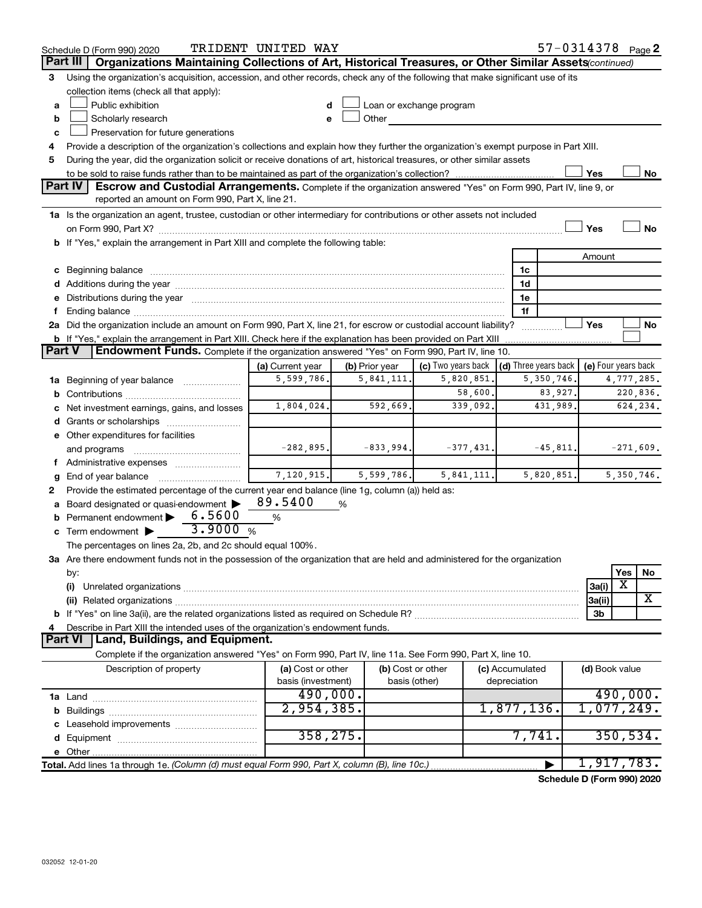|               | Schedule D (Form 990) 2020                                                                                                                                                                                                     | TRIDENT UNITED WAY             |                   |                          |                                      | 57-0314378 Page 2          |
|---------------|--------------------------------------------------------------------------------------------------------------------------------------------------------------------------------------------------------------------------------|--------------------------------|-------------------|--------------------------|--------------------------------------|----------------------------|
|               | Organizations Maintaining Collections of Art, Historical Treasures, or Other Similar Assets(continued)<br>Part III                                                                                                             |                                |                   |                          |                                      |                            |
| 3             | Using the organization's acquisition, accession, and other records, check any of the following that make significant use of its                                                                                                |                                |                   |                          |                                      |                            |
|               | collection items (check all that apply):                                                                                                                                                                                       |                                |                   |                          |                                      |                            |
| a             | Public exhibition                                                                                                                                                                                                              |                                |                   | Loan or exchange program |                                      |                            |
| b             | Scholarly research                                                                                                                                                                                                             |                                | Other             |                          |                                      |                            |
| c             | Preservation for future generations                                                                                                                                                                                            |                                |                   |                          |                                      |                            |
| 4             | Provide a description of the organization's collections and explain how they further the organization's exempt purpose in Part XIII.                                                                                           |                                |                   |                          |                                      |                            |
| 5             | During the year, did the organization solicit or receive donations of art, historical treasures, or other similar assets                                                                                                       |                                |                   |                          |                                      |                            |
|               |                                                                                                                                                                                                                                |                                |                   |                          |                                      | Yes<br>No                  |
|               | <b>Part IV</b><br>Escrow and Custodial Arrangements. Complete if the organization answered "Yes" on Form 990, Part IV, line 9, or                                                                                              |                                |                   |                          |                                      |                            |
|               | reported an amount on Form 990, Part X, line 21.                                                                                                                                                                               |                                |                   |                          |                                      |                            |
|               | 1a Is the organization an agent, trustee, custodian or other intermediary for contributions or other assets not included                                                                                                       |                                |                   |                          |                                      |                            |
|               |                                                                                                                                                                                                                                |                                |                   |                          |                                      | <b>No</b><br>Yes           |
|               | <b>b</b> If "Yes," explain the arrangement in Part XIII and complete the following table:                                                                                                                                      |                                |                   |                          |                                      |                            |
|               |                                                                                                                                                                                                                                |                                |                   |                          |                                      | Amount                     |
|               | c Beginning balance                                                                                                                                                                                                            |                                |                   |                          | 1c                                   |                            |
|               |                                                                                                                                                                                                                                |                                |                   |                          | 1d                                   |                            |
|               | e Distributions during the year manufactured and continuum and contact the year manufactured and contact the year manufactured and contact the year manufactured and contact the year manufactured and contact the year manufa |                                |                   |                          | 1e<br>1f                             |                            |
|               | 2a Did the organization include an amount on Form 990, Part X, line 21, for escrow or custodial account liability?                                                                                                             |                                |                   |                          |                                      | Yes<br>No                  |
|               | <b>b</b> If "Yes," explain the arrangement in Part XIII. Check here if the explanation has been provided on Part XIII                                                                                                          |                                |                   |                          |                                      |                            |
| <b>Part V</b> | Endowment Funds. Complete if the organization answered "Yes" on Form 990, Part IV, line 10.                                                                                                                                    |                                |                   |                          |                                      |                            |
|               |                                                                                                                                                                                                                                | (a) Current year               | (b) Prior year    | (c) Two years back       | $\vert$ (d) Three years back $\vert$ | (e) Four years back        |
|               | 1a Beginning of year balance                                                                                                                                                                                                   | 5,599,786.                     | 5, 841, 111.      | 5,820,851.               | 5,350,746.                           | 4,777,285.                 |
| b             |                                                                                                                                                                                                                                |                                |                   | 58,600.                  | 83,927.                              | 220,836.                   |
|               | Net investment earnings, gains, and losses                                                                                                                                                                                     | 1,804,024.                     | 592,669.          | 339,092.                 | 431,989.                             | 624,234.                   |
|               | <b>d</b> Grants or scholarships                                                                                                                                                                                                |                                |                   |                          |                                      |                            |
|               | e Other expenditures for facilities                                                                                                                                                                                            |                                |                   |                          |                                      |                            |
|               | and programs                                                                                                                                                                                                                   | $-282,895.$                    | $-833,994.$       | $-377,431.$              | $-45,811.$                           | $-271,609.$                |
|               | f Administrative expenses                                                                                                                                                                                                      |                                |                   |                          |                                      |                            |
|               | End of year balance                                                                                                                                                                                                            | 7,120,915.                     | 5,599,786.        | 5,841,111.               | 5,820,851.                           | 5, 350, 746.               |
| 2             | Provide the estimated percentage of the current year end balance (line 1g, column (a)) held as:                                                                                                                                |                                |                   |                          |                                      |                            |
|               | Board designated or quasi-endowment                                                                                                                                                                                            | 89.5400                        | %                 |                          |                                      |                            |
| b             | 6.5600<br>Permanent endowment                                                                                                                                                                                                  | %                              |                   |                          |                                      |                            |
|               | 3.9000%<br>c Term endowment $\blacktriangleright$                                                                                                                                                                              |                                |                   |                          |                                      |                            |
|               | The percentages on lines 2a, 2b, and 2c should equal 100%.                                                                                                                                                                     |                                |                   |                          |                                      |                            |
|               | ${\bf 3a}$ Are there endowment funds not in the possession of the organization that are held and administered for the organization                                                                                             |                                |                   |                          |                                      |                            |
|               | by:                                                                                                                                                                                                                            |                                |                   |                          |                                      | Yes<br>No                  |
|               | (i)                                                                                                                                                                                                                            |                                |                   |                          |                                      | х<br>3a(i)                 |
|               |                                                                                                                                                                                                                                |                                |                   |                          |                                      | х<br>3a(ii)                |
|               |                                                                                                                                                                                                                                |                                |                   |                          |                                      | 3b                         |
|               | Describe in Part XIII the intended uses of the organization's endowment funds.                                                                                                                                                 |                                |                   |                          |                                      |                            |
|               | Land, Buildings, and Equipment.<br>Part VI                                                                                                                                                                                     |                                |                   |                          |                                      |                            |
|               | Complete if the organization answered "Yes" on Form 990, Part IV, line 11a. See Form 990, Part X, line 10.                                                                                                                     |                                |                   |                          |                                      |                            |
|               | Description of property                                                                                                                                                                                                        | (a) Cost or other              | (b) Cost or other |                          | (c) Accumulated                      | (d) Book value             |
|               |                                                                                                                                                                                                                                | basis (investment)<br>490,000. | basis (other)     |                          | depreciation                         | 490,000.                   |
|               |                                                                                                                                                                                                                                | 2,954,385.                     |                   |                          | 1,877,136.                           | 1,077,249.                 |
|               |                                                                                                                                                                                                                                |                                |                   |                          |                                      |                            |
|               |                                                                                                                                                                                                                                | 358, 275.                      |                   |                          | 7,741.                               | 350, 534.                  |
|               |                                                                                                                                                                                                                                |                                |                   |                          |                                      |                            |
|               | Total. Add lines 1a through 1e. (Column (d) must equal Form 990, Part X, column (B), line 10c.)                                                                                                                                |                                |                   |                          |                                      | 1,917,783.                 |
|               |                                                                                                                                                                                                                                |                                |                   |                          |                                      | Schedule D (Form 990) 2020 |
|               |                                                                                                                                                                                                                                |                                |                   |                          |                                      |                            |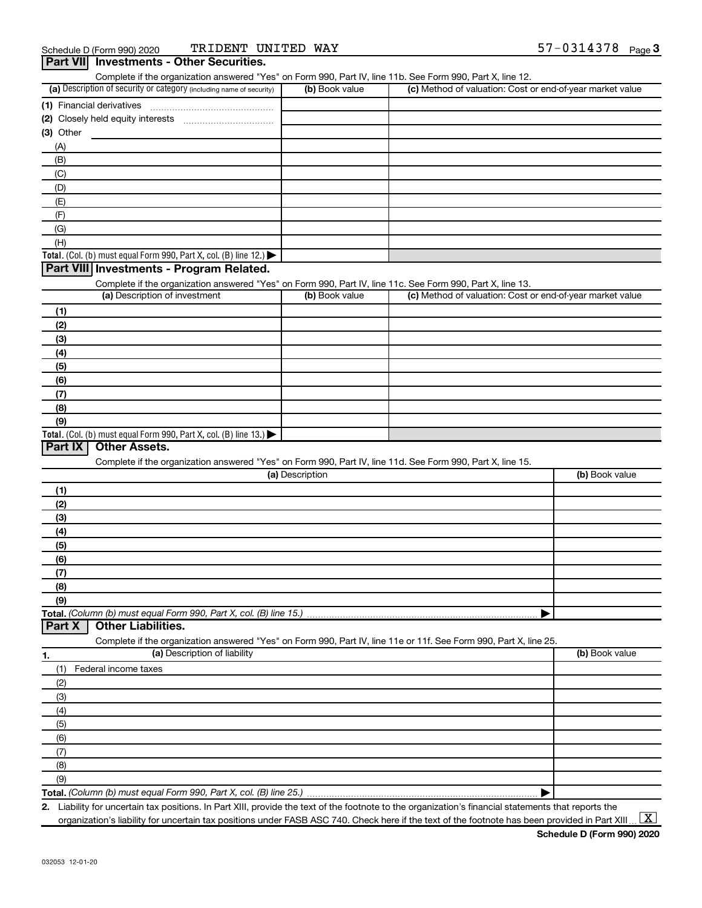| Complete if the organization answered "Yes" on Form 990, Part IV, line 11b. See Form 990, Part X, line 12.        |                 |                                                           |                |
|-------------------------------------------------------------------------------------------------------------------|-----------------|-----------------------------------------------------------|----------------|
| (a) Description of security or category (including name of security)                                              | (b) Book value  | (c) Method of valuation: Cost or end-of-year market value |                |
| (1) Financial derivatives                                                                                         |                 |                                                           |                |
|                                                                                                                   |                 |                                                           |                |
| $(3)$ Other                                                                                                       |                 |                                                           |                |
| (A)                                                                                                               |                 |                                                           |                |
| (B)                                                                                                               |                 |                                                           |                |
| (C)                                                                                                               |                 |                                                           |                |
| (D)                                                                                                               |                 |                                                           |                |
| (E)                                                                                                               |                 |                                                           |                |
| (F)                                                                                                               |                 |                                                           |                |
| (G)                                                                                                               |                 |                                                           |                |
| (H)                                                                                                               |                 |                                                           |                |
| Total. (Col. (b) must equal Form 990, Part X, col. (B) line 12.)                                                  |                 |                                                           |                |
| Part VIII Investments - Program Related.                                                                          |                 |                                                           |                |
| Complete if the organization answered "Yes" on Form 990, Part IV, line 11c. See Form 990, Part X, line 13.        |                 |                                                           |                |
| (a) Description of investment                                                                                     | (b) Book value  | (c) Method of valuation: Cost or end-of-year market value |                |
| (1)                                                                                                               |                 |                                                           |                |
| (2)                                                                                                               |                 |                                                           |                |
| (3)                                                                                                               |                 |                                                           |                |
| (4)                                                                                                               |                 |                                                           |                |
| (5)                                                                                                               |                 |                                                           |                |
| (6)                                                                                                               |                 |                                                           |                |
| (7)                                                                                                               |                 |                                                           |                |
| (8)                                                                                                               |                 |                                                           |                |
| (9)                                                                                                               |                 |                                                           |                |
| Total. (Col. (b) must equal Form 990, Part X, col. (B) line 13.) $\blacktriangleright$                            |                 |                                                           |                |
| Part IX<br><b>Other Assets.</b>                                                                                   |                 |                                                           |                |
| Complete if the organization answered "Yes" on Form 990, Part IV, line 11d. See Form 990, Part X, line 15.        |                 |                                                           |                |
|                                                                                                                   | (a) Description |                                                           | (b) Book value |
|                                                                                                                   |                 |                                                           |                |
| (1)                                                                                                               |                 |                                                           |                |
| (2)                                                                                                               |                 |                                                           |                |
| (3)                                                                                                               |                 |                                                           |                |
|                                                                                                                   |                 |                                                           |                |
| (4)                                                                                                               |                 |                                                           |                |
| (5)                                                                                                               |                 |                                                           |                |
| (6)                                                                                                               |                 |                                                           |                |
| (7)                                                                                                               |                 |                                                           |                |
| (8)                                                                                                               |                 |                                                           |                |
| (9)                                                                                                               |                 |                                                           |                |
|                                                                                                                   |                 |                                                           |                |
| <b>Other Liabilities.</b>                                                                                         |                 |                                                           |                |
| Complete if the organization answered "Yes" on Form 990, Part IV, line 11e or 11f. See Form 990, Part X, line 25. |                 |                                                           |                |
| (a) Description of liability                                                                                      |                 |                                                           | (b) Book value |
| Federal income taxes<br>(1)                                                                                       |                 |                                                           |                |
| (2)                                                                                                               |                 |                                                           |                |
| (3)                                                                                                               |                 |                                                           |                |
|                                                                                                                   |                 |                                                           |                |
| (4)                                                                                                               |                 |                                                           |                |
| (5)                                                                                                               |                 |                                                           |                |
| (6)                                                                                                               |                 |                                                           |                |
| Total. (Column (b) must equal Form 990, Part X, col. (B) line 15.)<br>Part X<br>1.<br>(7)                         |                 |                                                           |                |
| (8)<br>(9)                                                                                                        |                 |                                                           |                |

**2.** Liability for uncertain tax positions. In Part XIII, provide the text of the footnote to the organization's financial statements that reports the organization's liability for uncertain tax positions under FASB ASC 740. Check here if the text of the footnote has been provided in Part XIII ...  $\fbox{\bf X}$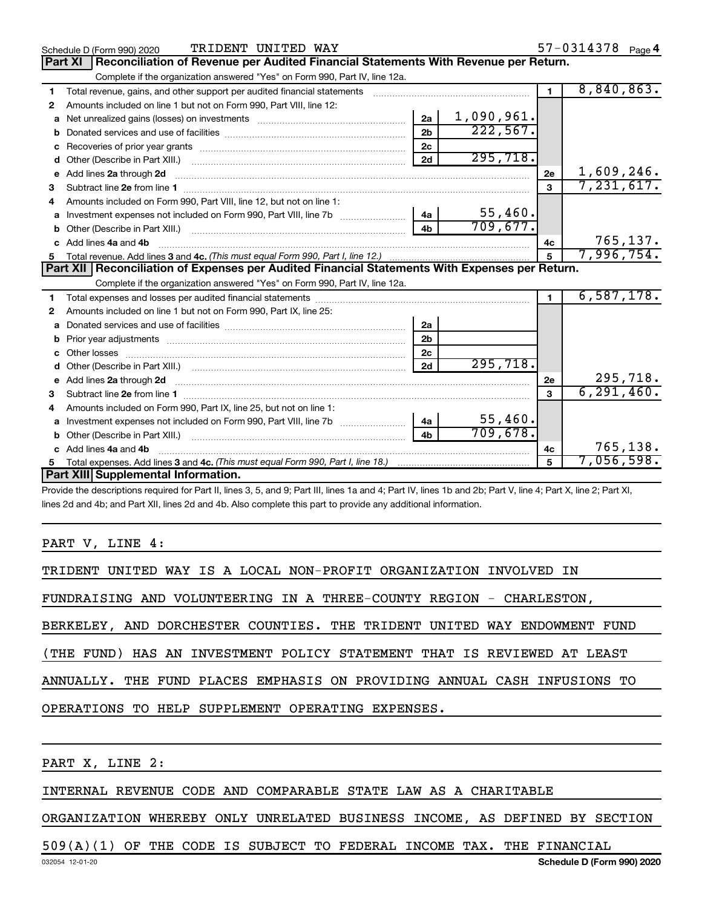|    | TRIDENT UNITED WAY<br>Schedule D (Form 990) 2020                                                                                                                                                                                    |                |            |                | $57 - 0314378$ Page 4 |
|----|-------------------------------------------------------------------------------------------------------------------------------------------------------------------------------------------------------------------------------------|----------------|------------|----------------|-----------------------|
|    | Reconciliation of Revenue per Audited Financial Statements With Revenue per Return.<br><b>Part XI</b>                                                                                                                               |                |            |                |                       |
|    | Complete if the organization answered "Yes" on Form 990, Part IV, line 12a.                                                                                                                                                         |                |            |                |                       |
| 1  | Total revenue, gains, and other support per audited financial statements                                                                                                                                                            |                |            | $\blacksquare$ | 8,840,863.            |
| 2  | Amounts included on line 1 but not on Form 990, Part VIII, line 12:                                                                                                                                                                 |                |            |                |                       |
| a  |                                                                                                                                                                                                                                     | 2a             | 1,090,961. |                |                       |
| b  |                                                                                                                                                                                                                                     | 2 <sub>b</sub> | 222,567.   |                |                       |
| c  |                                                                                                                                                                                                                                     | 2 <sub>c</sub> |            |                |                       |
| d  |                                                                                                                                                                                                                                     | 2d             | 295,718.   |                |                       |
| e  |                                                                                                                                                                                                                                     |                |            | 2e             | 1,609,246.            |
| 3  |                                                                                                                                                                                                                                     |                |            |                | 7,231,617.            |
|    | Amounts included on Form 990, Part VIII, line 12, but not on line 1:                                                                                                                                                                |                |            |                |                       |
| a  | Investment expenses not included on Form 990, Part VIII, line 7b                                                                                                                                                                    | 4a             | 55,460.    |                |                       |
|    |                                                                                                                                                                                                                                     | 4 <sub>b</sub> | 709,677.   |                |                       |
|    | Add lines 4a and 4b                                                                                                                                                                                                                 |                |            | 4с             | 765, 137.             |
| 5  |                                                                                                                                                                                                                                     |                |            | 5              | 7,996,754.            |
|    | Part XII   Reconciliation of Expenses per Audited Financial Statements With Expenses per Return.                                                                                                                                    |                |            |                |                       |
|    | Complete if the organization answered "Yes" on Form 990, Part IV, line 12a.                                                                                                                                                         |                |            |                |                       |
|    |                                                                                                                                                                                                                                     |                |            |                |                       |
| 1. |                                                                                                                                                                                                                                     |                |            |                | 6,587,178.            |
| 2  | Amounts included on line 1 but not on Form 990, Part IX, line 25:                                                                                                                                                                   |                |            |                |                       |
| a  |                                                                                                                                                                                                                                     | 2a             |            |                |                       |
| b  |                                                                                                                                                                                                                                     | 2b             |            |                |                       |
|    |                                                                                                                                                                                                                                     | 2c             |            |                |                       |
|    |                                                                                                                                                                                                                                     | 2d             | 295,718.   |                |                       |
|    | e Add lines 2a through 2d <b>contract and a contract and a contract a</b> contract a contract and a contract a contract a contract a contract a contract a contract a contract a contract a contract a contract a contract a contra |                |            | 2e             | 295,718.              |
| 3  |                                                                                                                                                                                                                                     |                |            | $\mathbf{a}$   | 6, 291, 460.          |
| 4  | Amounts included on Form 990, Part IX, line 25, but not on line 1:                                                                                                                                                                  |                |            |                |                       |
| a  |                                                                                                                                                                                                                                     | <b>4a</b>      | 55,460.    |                |                       |
|    |                                                                                                                                                                                                                                     | 4 <sub>h</sub> | 709,678.   |                |                       |
|    | Add lines 4a and 4b                                                                                                                                                                                                                 |                |            | 4c             | 765,138.              |
|    | Part XIII Supplemental Information.                                                                                                                                                                                                 |                |            | 5              | 7,056,598.            |

Provide the descriptions required for Part II, lines 3, 5, and 9; Part III, lines 1a and 4; Part IV, lines 1b and 2b; Part V, line 4; Part X, line 2; Part XI, lines 2d and 4b; and Part XII, lines 2d and 4b. Also complete this part to provide any additional information.

PART V, LINE 4:

|  |  |  | TRIDENT UNITED WAY IS A LOCAL NON-PROFIT ORGANIZATION INVOLVED IN |  |
|--|--|--|-------------------------------------------------------------------|--|
|  |  |  |                                                                   |  |

FUNDRAISING AND VOLUNTEERING IN A THREE-COUNTY REGION - CHARLESTON,

BERKELEY, AND DORCHESTER COUNTIES. THE TRIDENT UNITED WAY ENDOWMENT FUND

(THE FUND) HAS AN INVESTMENT POLICY STATEMENT THAT IS REVIEWED AT LEAST

ANNUALLY. THE FUND PLACES EMPHASIS ON PROVIDING ANNUAL CASH INFUSIONS TO

OPERATIONS TO HELP SUPPLEMENT OPERATING EXPENSES.

PART X, LINE 2:

# INTERNAL REVENUE CODE AND COMPARABLE STATE LAW AS A CHARITABLE

ORGANIZATION WHEREBY ONLY UNRELATED BUSINESS INCOME, AS DEFINED BY SECTION

# 509(A)(1) OF THE CODE IS SUBJECT TO FEDERAL INCOME TAX. THE FINANCIAL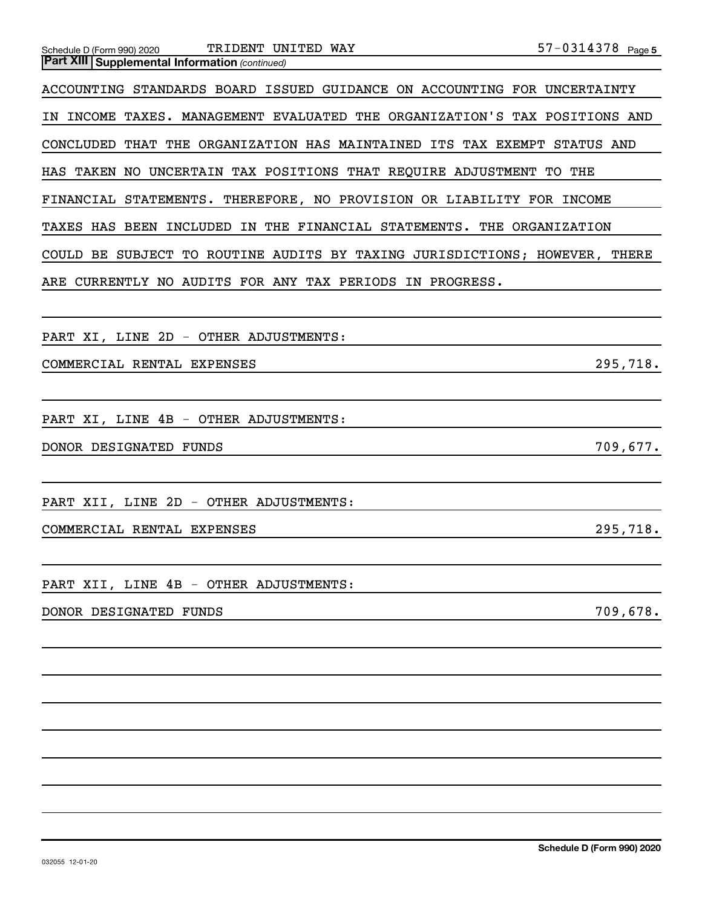| TRIDENT UNITED WAY<br>Schedule D (Form 990) 2020                           | $57 - 0314378$ Page 5 |
|----------------------------------------------------------------------------|-----------------------|
| <b>Part XIII   Supplemental Information (continued)</b>                    |                       |
| ACCOUNTING STANDARDS BOARD ISSUED GUIDANCE ON ACCOUNTING FOR UNCERTAINTY   |                       |
| IN INCOME TAXES. MANAGEMENT EVALUATED THE ORGANIZATION'S TAX POSITIONS AND |                       |
| CONCLUDED THAT THE ORGANIZATION HAS MAINTAINED ITS TAX EXEMPT STATUS AND   |                       |
| HAS TAKEN NO UNCERTAIN TAX POSITIONS THAT REQUIRE ADJUSTMENT TO THE        |                       |
| FINANCIAL STATEMENTS. THEREFORE, NO PROVISION OR LIABILITY FOR INCOME      |                       |
| TAXES HAS BEEN INCLUDED IN THE FINANCIAL STATEMENTS. THE ORGANIZATION      |                       |
| COULD BE SUBJECT TO ROUTINE AUDITS BY TAXING JURISDICTIONS; HOWEVER, THERE |                       |
| ARE CURRENTLY NO AUDITS FOR ANY TAX PERIODS IN PROGRESS.                   |                       |
|                                                                            |                       |
| PART XI, LINE 2D - OTHER ADJUSTMENTS:                                      |                       |
| COMMERCIAL RENTAL EXPENSES                                                 | 295,718.              |
|                                                                            |                       |
| PART XI, LINE 4B - OTHER ADJUSTMENTS:                                      |                       |
| DONOR DESIGNATED FUNDS                                                     | 709,677.              |
|                                                                            |                       |
| PART XII, LINE 2D - OTHER ADJUSTMENTS:                                     |                       |
| COMMERCIAL RENTAL EXPENSES                                                 | 295,718.              |
|                                                                            |                       |
| PART XII, LINE 4B - OTHER ADJUSTMENTS:                                     |                       |
| DONOR DESIGNATED FUNDS                                                     | 709,678.              |
|                                                                            |                       |
|                                                                            |                       |
|                                                                            |                       |
|                                                                            |                       |
|                                                                            |                       |
|                                                                            |                       |
|                                                                            |                       |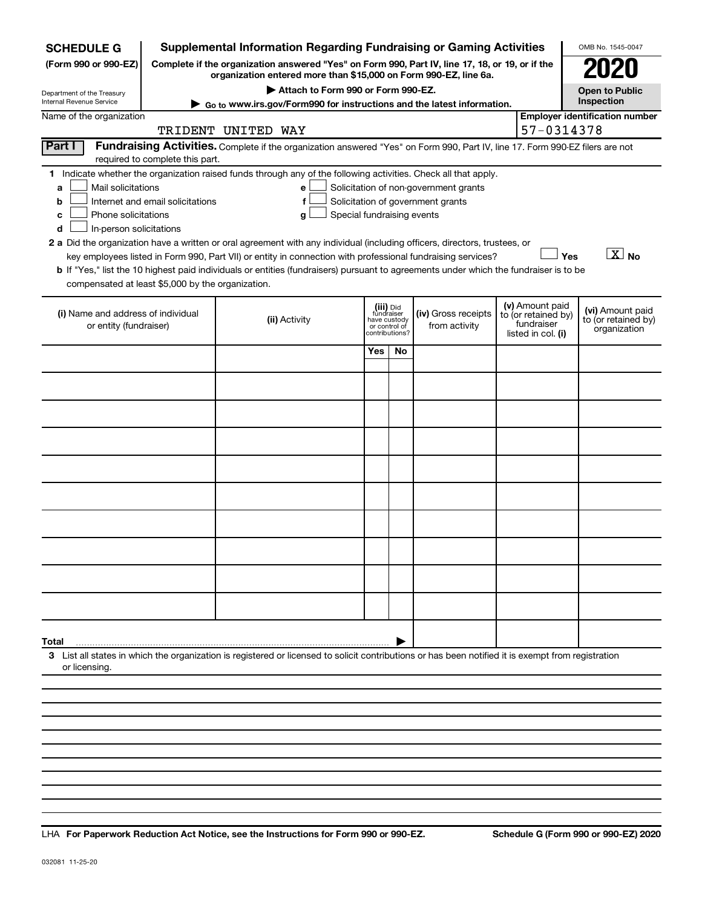| <b>SCHEDULE G</b>                                                                                                                                                                                                                                                                                                                                                                                                                                                                                                                                                                                                                                                                                                                                                                                                                                     |  |                    |                                    |     |                                                                            | <b>Supplemental Information Regarding Fundraising or Gaming Activities</b>                                                                                          |  |                                                                            | OMB No. 1545-0047                                       |
|-------------------------------------------------------------------------------------------------------------------------------------------------------------------------------------------------------------------------------------------------------------------------------------------------------------------------------------------------------------------------------------------------------------------------------------------------------------------------------------------------------------------------------------------------------------------------------------------------------------------------------------------------------------------------------------------------------------------------------------------------------------------------------------------------------------------------------------------------------|--|--------------------|------------------------------------|-----|----------------------------------------------------------------------------|---------------------------------------------------------------------------------------------------------------------------------------------------------------------|--|----------------------------------------------------------------------------|---------------------------------------------------------|
| (Form 990 or 990-EZ)                                                                                                                                                                                                                                                                                                                                                                                                                                                                                                                                                                                                                                                                                                                                                                                                                                  |  |                    |                                    |     |                                                                            | Complete if the organization answered "Yes" on Form 990, Part IV, line 17, 18, or 19, or if the<br>organization entered more than \$15,000 on Form 990-EZ, line 6a. |  |                                                                            | 2020                                                    |
| Department of the Treasury                                                                                                                                                                                                                                                                                                                                                                                                                                                                                                                                                                                                                                                                                                                                                                                                                            |  |                    | Attach to Form 990 or Form 990-EZ. |     |                                                                            |                                                                                                                                                                     |  |                                                                            | <b>Open to Public</b><br>Inspection                     |
| Internal Revenue Service<br>Name of the organization                                                                                                                                                                                                                                                                                                                                                                                                                                                                                                                                                                                                                                                                                                                                                                                                  |  |                    |                                    |     |                                                                            | ► Go to www.irs.gov/Form990 for instructions and the latest information.                                                                                            |  |                                                                            | <b>Employer identification number</b>                   |
|                                                                                                                                                                                                                                                                                                                                                                                                                                                                                                                                                                                                                                                                                                                                                                                                                                                       |  | TRIDENT UNITED WAY |                                    |     |                                                                            |                                                                                                                                                                     |  | 57-0314378                                                                 |                                                         |
| Part I<br>Fundraising Activities. Complete if the organization answered "Yes" on Form 990, Part IV, line 17. Form 990-EZ filers are not<br>required to complete this part.                                                                                                                                                                                                                                                                                                                                                                                                                                                                                                                                                                                                                                                                            |  |                    |                                    |     |                                                                            |                                                                                                                                                                     |  |                                                                            |                                                         |
| 1 Indicate whether the organization raised funds through any of the following activities. Check all that apply.<br>Mail solicitations<br>Solicitation of non-government grants<br>a<br>e<br>Solicitation of government grants<br>Internet and email solicitations<br>b<br>f<br>Phone solicitations<br>Special fundraising events<br>с<br>a<br>In-person solicitations<br>d<br>2 a Did the organization have a written or oral agreement with any individual (including officers, directors, trustees, or<br>$\boxed{\text{X}}$ No<br>Yes<br>key employees listed in Form 990, Part VII) or entity in connection with professional fundraising services?<br>b If "Yes," list the 10 highest paid individuals or entities (fundraisers) pursuant to agreements under which the fundraiser is to be<br>compensated at least \$5,000 by the organization. |  |                    |                                    |     |                                                                            |                                                                                                                                                                     |  |                                                                            |                                                         |
| (i) Name and address of individual<br>or entity (fundraiser)                                                                                                                                                                                                                                                                                                                                                                                                                                                                                                                                                                                                                                                                                                                                                                                          |  | (ii) Activity      |                                    |     | (iii) Did<br>fundraiser<br>have custody<br>or control of<br>contributions? | (iv) Gross receipts<br>from activity                                                                                                                                |  | (v) Amount paid<br>to (or retained by)<br>fundraiser<br>listed in col. (i) | (vi) Amount paid<br>to (or retained by)<br>organization |
|                                                                                                                                                                                                                                                                                                                                                                                                                                                                                                                                                                                                                                                                                                                                                                                                                                                       |  |                    |                                    | Yes | No                                                                         |                                                                                                                                                                     |  |                                                                            |                                                         |
|                                                                                                                                                                                                                                                                                                                                                                                                                                                                                                                                                                                                                                                                                                                                                                                                                                                       |  |                    |                                    |     |                                                                            |                                                                                                                                                                     |  |                                                                            |                                                         |
|                                                                                                                                                                                                                                                                                                                                                                                                                                                                                                                                                                                                                                                                                                                                                                                                                                                       |  |                    |                                    |     |                                                                            |                                                                                                                                                                     |  |                                                                            |                                                         |
|                                                                                                                                                                                                                                                                                                                                                                                                                                                                                                                                                                                                                                                                                                                                                                                                                                                       |  |                    |                                    |     |                                                                            |                                                                                                                                                                     |  |                                                                            |                                                         |
|                                                                                                                                                                                                                                                                                                                                                                                                                                                                                                                                                                                                                                                                                                                                                                                                                                                       |  |                    |                                    |     |                                                                            |                                                                                                                                                                     |  |                                                                            |                                                         |
|                                                                                                                                                                                                                                                                                                                                                                                                                                                                                                                                                                                                                                                                                                                                                                                                                                                       |  |                    |                                    |     |                                                                            |                                                                                                                                                                     |  |                                                                            |                                                         |
|                                                                                                                                                                                                                                                                                                                                                                                                                                                                                                                                                                                                                                                                                                                                                                                                                                                       |  |                    |                                    |     |                                                                            |                                                                                                                                                                     |  |                                                                            |                                                         |
|                                                                                                                                                                                                                                                                                                                                                                                                                                                                                                                                                                                                                                                                                                                                                                                                                                                       |  |                    |                                    |     |                                                                            |                                                                                                                                                                     |  |                                                                            |                                                         |
|                                                                                                                                                                                                                                                                                                                                                                                                                                                                                                                                                                                                                                                                                                                                                                                                                                                       |  |                    |                                    |     |                                                                            |                                                                                                                                                                     |  |                                                                            |                                                         |
|                                                                                                                                                                                                                                                                                                                                                                                                                                                                                                                                                                                                                                                                                                                                                                                                                                                       |  |                    |                                    |     |                                                                            |                                                                                                                                                                     |  |                                                                            |                                                         |
| Total                                                                                                                                                                                                                                                                                                                                                                                                                                                                                                                                                                                                                                                                                                                                                                                                                                                 |  |                    |                                    |     |                                                                            |                                                                                                                                                                     |  |                                                                            |                                                         |
| 3 List all states in which the organization is registered or licensed to solicit contributions or has been notified it is exempt from registration<br>or licensing.                                                                                                                                                                                                                                                                                                                                                                                                                                                                                                                                                                                                                                                                                   |  |                    |                                    |     |                                                                            |                                                                                                                                                                     |  |                                                                            |                                                         |
|                                                                                                                                                                                                                                                                                                                                                                                                                                                                                                                                                                                                                                                                                                                                                                                                                                                       |  |                    |                                    |     |                                                                            |                                                                                                                                                                     |  |                                                                            |                                                         |
|                                                                                                                                                                                                                                                                                                                                                                                                                                                                                                                                                                                                                                                                                                                                                                                                                                                       |  |                    |                                    |     |                                                                            |                                                                                                                                                                     |  |                                                                            |                                                         |
|                                                                                                                                                                                                                                                                                                                                                                                                                                                                                                                                                                                                                                                                                                                                                                                                                                                       |  |                    |                                    |     |                                                                            |                                                                                                                                                                     |  |                                                                            |                                                         |

**For Paperwork Reduction Act Notice, see the Instructions for Form 990 or 990-EZ. Schedule G (Form 990 or 990-EZ) 2020** LHA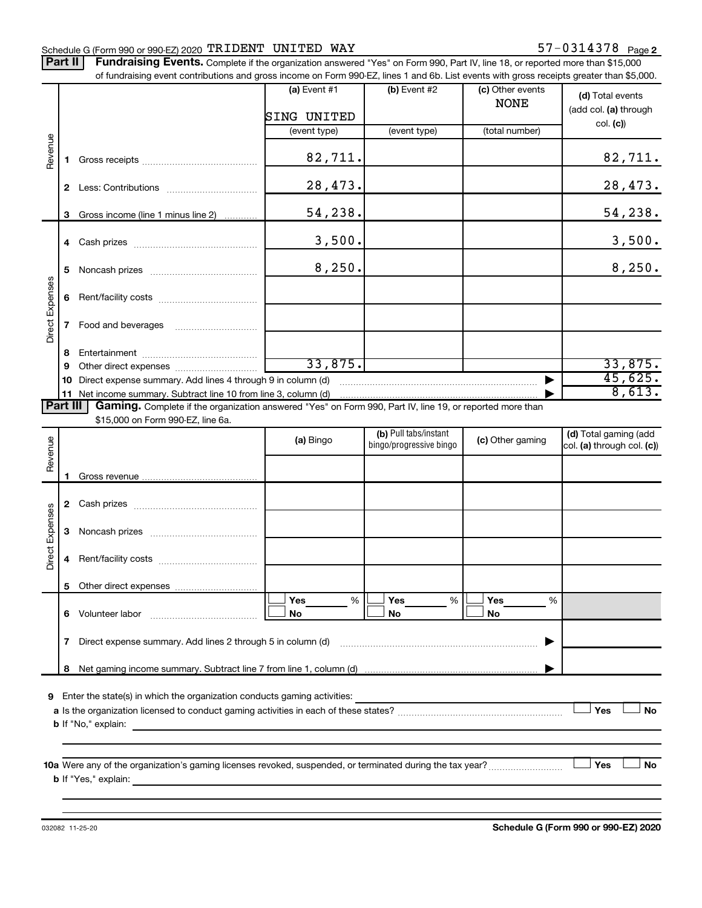# Schedule G (Form 990 or 990-EZ) 2020  $\texttt{TRIDENT}$   $\texttt{UNITED}$   $\texttt{WAY}$   $\texttt{57--0314378}$   $\texttt{Page}$

Part II | Fundraising Events. Complete if the organization answered "Yes" on Form 990, Part IV, line 18, or reported more than \$15,000 of fundraising event contributions and gross income on Form 990-EZ, lines 1 and 6b. List events with gross receipts greater than \$5,000.

|                 |              | of fundraising event contributions and gross income on Form 990-EZ, lines 1 and 6b. List events with gross receipts greater than \$5,000. |                |                                                  |                                 |                                                     |
|-----------------|--------------|-------------------------------------------------------------------------------------------------------------------------------------------|----------------|--------------------------------------------------|---------------------------------|-----------------------------------------------------|
|                 |              |                                                                                                                                           | (a) Event $#1$ | (b) Event #2                                     | (c) Other events<br><b>NONE</b> | (d) Total events<br>(add col. (a) through           |
|                 |              |                                                                                                                                           | SING UNITED    |                                                  |                                 | col. (c)                                            |
|                 |              |                                                                                                                                           | (event type)   | (event type)                                     | (total number)                  |                                                     |
| Revenue         | 1.           |                                                                                                                                           | 82,711.        |                                                  |                                 | 82,711.                                             |
|                 |              |                                                                                                                                           | 28,473.        |                                                  |                                 | 28,473.                                             |
|                 | 3            | Gross income (line 1 minus line 2)                                                                                                        | 54,238.        |                                                  |                                 | <u>54,238.</u>                                      |
|                 |              |                                                                                                                                           | 3,500.         |                                                  |                                 | 3,500.                                              |
|                 | 5            |                                                                                                                                           | 8,250.         |                                                  |                                 | 8,250.                                              |
| Direct Expenses | 6            |                                                                                                                                           |                |                                                  |                                 |                                                     |
|                 | $\mathbf{7}$ |                                                                                                                                           |                |                                                  |                                 |                                                     |
|                 | 8            |                                                                                                                                           |                |                                                  |                                 |                                                     |
|                 | 9            |                                                                                                                                           | 33,875.        |                                                  |                                 | 33,875.                                             |
|                 |              | Direct expense summary. Add lines 4 through 9 in column (d)                                                                               |                |                                                  |                                 | 45,625.                                             |
|                 |              | 11 Net income summary. Subtract line 10 from line 3, column (d)                                                                           |                |                                                  |                                 | 8,613.                                              |
| Part III        |              | Gaming. Complete if the organization answered "Yes" on Form 990, Part IV, line 19, or reported more than                                  |                |                                                  |                                 |                                                     |
|                 |              | \$15,000 on Form 990-EZ, line 6a.                                                                                                         |                |                                                  |                                 |                                                     |
| Revenue         |              |                                                                                                                                           | (a) Bingo      | (b) Pull tabs/instant<br>bingo/progressive bingo | (c) Other gaming                | (d) Total gaming (add<br>col. (a) through col. (c)) |
|                 |              |                                                                                                                                           |                |                                                  |                                 |                                                     |
|                 | 1.           |                                                                                                                                           |                |                                                  |                                 |                                                     |
|                 |              |                                                                                                                                           |                |                                                  |                                 |                                                     |
|                 | 3            |                                                                                                                                           |                |                                                  |                                 |                                                     |
| Direct Expenses | 4            |                                                                                                                                           |                |                                                  |                                 |                                                     |
|                 |              | 5 Other direct expenses                                                                                                                   |                |                                                  |                                 |                                                     |
|                 |              |                                                                                                                                           | Yes<br>%       | Yes<br>%                                         | Yes<br>%                        |                                                     |
|                 |              | 6 Volunteer labor <b>6 Volunteer</b> labor                                                                                                | No             | No                                               | No                              |                                                     |
|                 | 7            | Direct expense summary. Add lines 2 through 5 in column (d)                                                                               |                |                                                  |                                 |                                                     |
|                 | 8            |                                                                                                                                           |                |                                                  |                                 |                                                     |
|                 |              |                                                                                                                                           |                |                                                  |                                 |                                                     |
|                 |              | <b>9</b> Enter the state(s) in which the organization conducts gaming activities:                                                         |                |                                                  |                                 | Yes<br>No                                           |
|                 |              | <b>b</b> If "No," explain:                                                                                                                |                |                                                  |                                 |                                                     |
|                 |              |                                                                                                                                           |                |                                                  |                                 |                                                     |
|                 |              | 10a Were any of the organization's gaming licenses revoked, suspended, or terminated during the tax year?                                 |                |                                                  |                                 | Yes<br>No                                           |
|                 |              |                                                                                                                                           |                |                                                  |                                 |                                                     |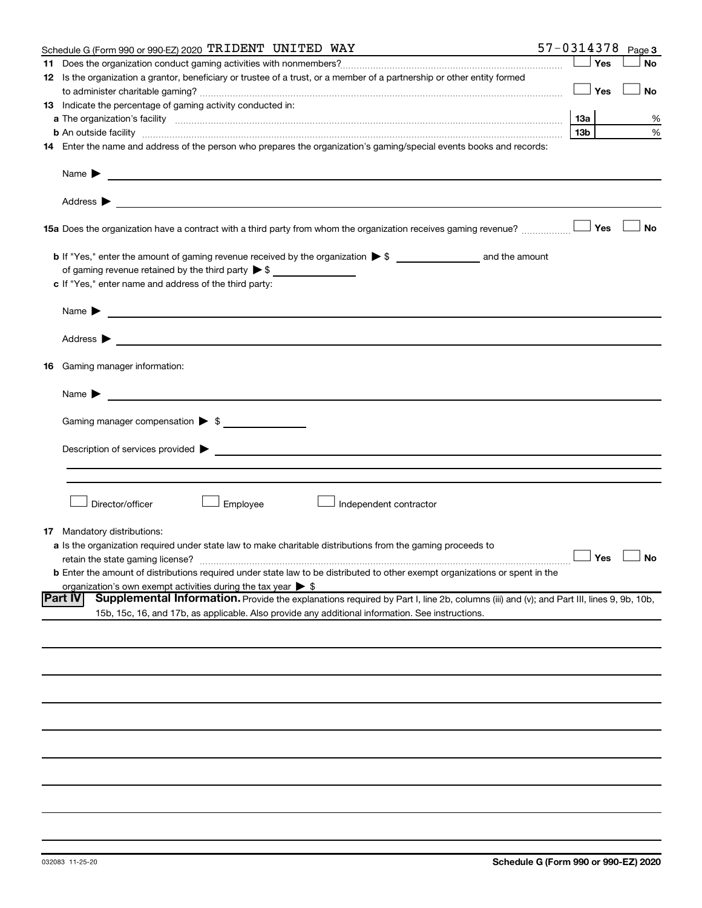|    | Schedule G (Form 990 or 990-EZ) 2020 TRIDENT UNITED WAY                                                                                                                                                                                                            |     |                 |     | $57 - 0314378$ Page 3 |
|----|--------------------------------------------------------------------------------------------------------------------------------------------------------------------------------------------------------------------------------------------------------------------|-----|-----------------|-----|-----------------------|
| 11 |                                                                                                                                                                                                                                                                    |     |                 | Yes | No                    |
|    | 12 Is the organization a grantor, beneficiary or trustee of a trust, or a member of a partnership or other entity formed                                                                                                                                           |     |                 |     |                       |
|    |                                                                                                                                                                                                                                                                    |     |                 | Yes | <b>No</b>             |
|    | 13 Indicate the percentage of gaming activity conducted in:                                                                                                                                                                                                        |     |                 |     |                       |
|    |                                                                                                                                                                                                                                                                    | 13a |                 |     | %                     |
|    | <b>b</b> An outside facility <i>www.communicality www.communicality.communicality www.communicality www.communicality.communicality www.communicality.com</i>                                                                                                      |     | 13 <sub>b</sub> |     | %                     |
|    | 14 Enter the name and address of the person who prepares the organization's gaming/special events books and records:                                                                                                                                               |     |                 |     |                       |
|    | Name $\blacktriangleright$<br><u>and the state of the state of the state of the state of the state of the state of the state of the state of the state of the state of the state of the state of the state of the state of the state of the state of the state</u> |     |                 |     |                       |
|    |                                                                                                                                                                                                                                                                    |     |                 |     |                       |
|    | 15a Does the organization have a contract with a third party from whom the organization receives gaming revenue?                                                                                                                                                   |     |                 | Yes | <b>No</b>             |
|    |                                                                                                                                                                                                                                                                    |     |                 |     |                       |
|    | of gaming revenue retained by the third party $\triangleright$ \$                                                                                                                                                                                                  |     |                 |     |                       |
|    | c If "Yes," enter name and address of the third party:                                                                                                                                                                                                             |     |                 |     |                       |
|    |                                                                                                                                                                                                                                                                    |     |                 |     |                       |
|    | Name $\blacktriangleright$ $\blacksquare$                                                                                                                                                                                                                          |     |                 |     |                       |
|    |                                                                                                                                                                                                                                                                    |     |                 |     |                       |
|    | <b>16</b> Gaming manager information:                                                                                                                                                                                                                              |     |                 |     |                       |
|    | <u> 1989 - Johann Harry Barn, mars and de Branch and de Branch and de Branch and de Branch and de Branch and de B</u><br>Name $\blacktriangleright$                                                                                                                |     |                 |     |                       |
|    | Gaming manager compensation > \$                                                                                                                                                                                                                                   |     |                 |     |                       |
|    |                                                                                                                                                                                                                                                                    |     |                 |     |                       |
|    | Description of services provided > example and the contract of the contract of the contract of the contract of                                                                                                                                                     |     |                 |     |                       |
|    |                                                                                                                                                                                                                                                                    |     |                 |     |                       |
|    |                                                                                                                                                                                                                                                                    |     |                 |     |                       |
|    |                                                                                                                                                                                                                                                                    |     |                 |     |                       |
|    | Director/officer<br>Employee<br>Independent contractor                                                                                                                                                                                                             |     |                 |     |                       |
|    | <b>17</b> Mandatory distributions:                                                                                                                                                                                                                                 |     |                 |     |                       |
|    | a Is the organization required under state law to make charitable distributions from the gaming proceeds to                                                                                                                                                        |     |                 |     |                       |
|    |                                                                                                                                                                                                                                                                    |     |                 |     | $\Box$ Yes $\Box$ No  |
|    | b Enter the amount of distributions required under state law to be distributed to other exempt organizations or spent in the                                                                                                                                       |     |                 |     |                       |
|    | organization's own exempt activities during the tax year $\triangleright$ \$                                                                                                                                                                                       |     |                 |     |                       |
|    | Part IV<br>Supplemental Information. Provide the explanations required by Part I, line 2b, columns (iii) and (v); and Part III, lines 9, 9b, 10b,                                                                                                                  |     |                 |     |                       |
|    | 15b, 15c, 16, and 17b, as applicable. Also provide any additional information. See instructions.                                                                                                                                                                   |     |                 |     |                       |
|    |                                                                                                                                                                                                                                                                    |     |                 |     |                       |
|    |                                                                                                                                                                                                                                                                    |     |                 |     |                       |
|    |                                                                                                                                                                                                                                                                    |     |                 |     |                       |
|    |                                                                                                                                                                                                                                                                    |     |                 |     |                       |
|    |                                                                                                                                                                                                                                                                    |     |                 |     |                       |
|    |                                                                                                                                                                                                                                                                    |     |                 |     |                       |
|    |                                                                                                                                                                                                                                                                    |     |                 |     |                       |
|    |                                                                                                                                                                                                                                                                    |     |                 |     |                       |
|    |                                                                                                                                                                                                                                                                    |     |                 |     |                       |
|    |                                                                                                                                                                                                                                                                    |     |                 |     |                       |
|    |                                                                                                                                                                                                                                                                    |     |                 |     |                       |
|    |                                                                                                                                                                                                                                                                    |     |                 |     |                       |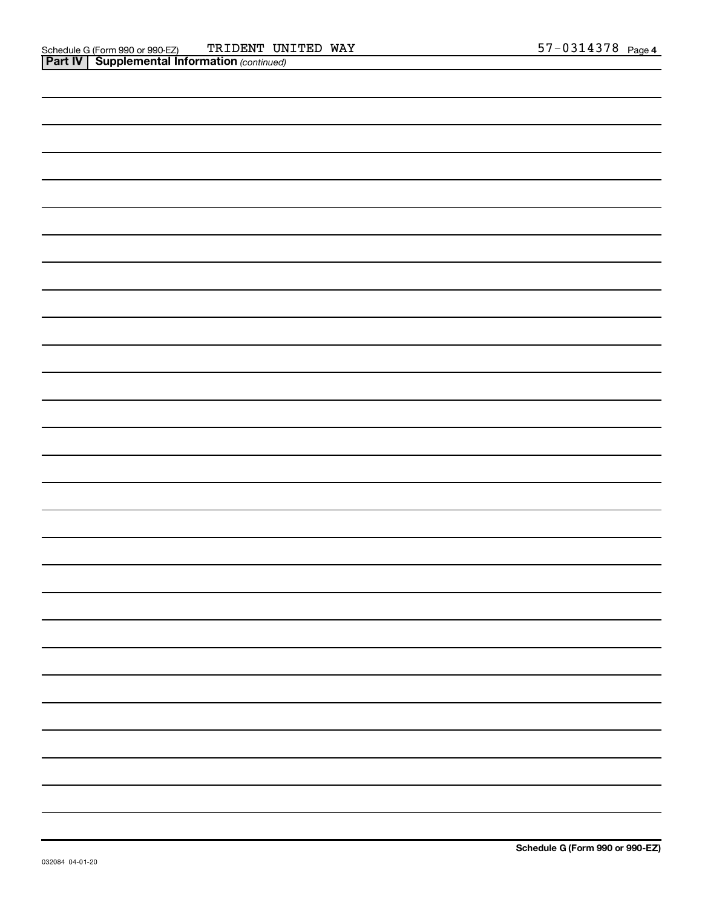| - |
|---|
|   |
|   |
|   |
|   |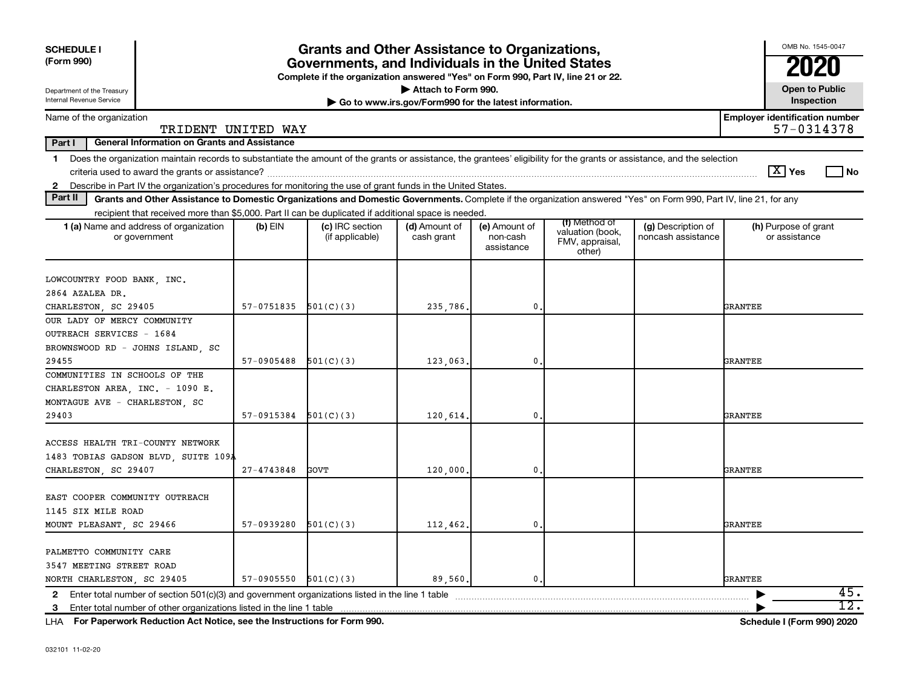| <b>SCHEDULE I</b><br>(Form 990)                                                                                                                                                                                                                                                                                 | <b>Grants and Other Assistance to Organizations,</b><br>Governments, and Individuals in the United States<br>Complete if the organization answered "Yes" on Form 990, Part IV, line 21 or 22. |                                    |                                                                              |                                         |                                                                |                                          |                                                     |  |  |  |  |
|-----------------------------------------------------------------------------------------------------------------------------------------------------------------------------------------------------------------------------------------------------------------------------------------------------------------|-----------------------------------------------------------------------------------------------------------------------------------------------------------------------------------------------|------------------------------------|------------------------------------------------------------------------------|-----------------------------------------|----------------------------------------------------------------|------------------------------------------|-----------------------------------------------------|--|--|--|--|
| Department of the Treasury<br>Internal Revenue Service                                                                                                                                                                                                                                                          |                                                                                                                                                                                               |                                    | Attach to Form 990.<br>Go to www.irs.gov/Form990 for the latest information. |                                         |                                                                |                                          | <b>Open to Public</b><br>Inspection                 |  |  |  |  |
| Name of the organization<br>TRIDENT UNITED WAY                                                                                                                                                                                                                                                                  |                                                                                                                                                                                               |                                    |                                                                              |                                         |                                                                |                                          | <b>Employer identification number</b><br>57-0314378 |  |  |  |  |
| Part I<br><b>General Information on Grants and Assistance</b>                                                                                                                                                                                                                                                   |                                                                                                                                                                                               |                                    |                                                                              |                                         |                                                                |                                          |                                                     |  |  |  |  |
| Does the organization maintain records to substantiate the amount of the grants or assistance, the grantees' eligibility for the grants or assistance, and the selection<br>1.<br>Describe in Part IV the organization's procedures for monitoring the use of grant funds in the United States.<br>$\mathbf{2}$ |                                                                                                                                                                                               |                                    |                                                                              |                                         |                                                                |                                          | $\lfloor X \rfloor$ Yes<br>l No                     |  |  |  |  |
| Part II<br>Grants and Other Assistance to Domestic Organizations and Domestic Governments. Complete if the organization answered "Yes" on Form 990, Part IV, line 21, for any                                                                                                                                   |                                                                                                                                                                                               |                                    |                                                                              |                                         |                                                                |                                          |                                                     |  |  |  |  |
| recipient that received more than \$5,000. Part II can be duplicated if additional space is needed.                                                                                                                                                                                                             |                                                                                                                                                                                               |                                    |                                                                              |                                         |                                                                |                                          |                                                     |  |  |  |  |
| 1 (a) Name and address of organization<br>or government                                                                                                                                                                                                                                                         | $(b)$ EIN                                                                                                                                                                                     | (c) IRC section<br>(if applicable) | (d) Amount of<br>cash grant                                                  | (e) Amount of<br>non-cash<br>assistance | (f) Method of<br>valuation (book,<br>FMV, appraisal,<br>other) | (g) Description of<br>noncash assistance | (h) Purpose of grant<br>or assistance               |  |  |  |  |
| LOWCOUNTRY FOOD BANK, INC.<br>2864 AZALEA DR.                                                                                                                                                                                                                                                                   |                                                                                                                                                                                               |                                    |                                                                              |                                         |                                                                |                                          |                                                     |  |  |  |  |
| CHARLESTON, SC 29405                                                                                                                                                                                                                                                                                            | 57-0751835                                                                                                                                                                                    | 501(C)(3)                          | 235,786,                                                                     | 0.                                      |                                                                |                                          | GRANTEE                                             |  |  |  |  |
| OUR LADY OF MERCY COMMUNITY<br>OUTREACH SERVICES - 1684<br>BROWNSWOOD RD - JOHNS ISLAND, SC                                                                                                                                                                                                                     |                                                                                                                                                                                               |                                    |                                                                              |                                         |                                                                |                                          |                                                     |  |  |  |  |
| 29455                                                                                                                                                                                                                                                                                                           | 57-0905488                                                                                                                                                                                    | 501(C)(3)                          | 123,063                                                                      | $\mathbf 0$                             |                                                                |                                          | GRANTEE                                             |  |  |  |  |
| COMMUNITIES IN SCHOOLS OF THE<br>CHARLESTON AREA, INC. - 1090 E.<br>MONTAGUE AVE - CHARLESTON, SC                                                                                                                                                                                                               |                                                                                                                                                                                               |                                    |                                                                              |                                         |                                                                |                                          |                                                     |  |  |  |  |
| 29403                                                                                                                                                                                                                                                                                                           | 57-0915384                                                                                                                                                                                    | 501(C)(3)                          | 120,614.                                                                     | 0.                                      |                                                                |                                          | <b>GRANTEE</b>                                      |  |  |  |  |
| ACCESS HEALTH TRI-COUNTY NETWORK<br>1483 TOBIAS GADSON BLVD, SUITE 109A                                                                                                                                                                                                                                         |                                                                                                                                                                                               |                                    |                                                                              |                                         |                                                                |                                          |                                                     |  |  |  |  |
| CHARLESTON, SC 29407                                                                                                                                                                                                                                                                                            | 27-4743848                                                                                                                                                                                    | GOVT                               | 120,000                                                                      | $\mathbf 0$                             |                                                                |                                          | <b>GRANTEE</b>                                      |  |  |  |  |
| EAST COOPER COMMUNITY OUTREACH<br>1145 SIX MILE ROAD<br>MOUNT PLEASANT, SC 29466                                                                                                                                                                                                                                | 57-0939280                                                                                                                                                                                    | 501(C)(3)                          | 112,462.                                                                     | 0.                                      |                                                                |                                          | GRANTEE                                             |  |  |  |  |
|                                                                                                                                                                                                                                                                                                                 |                                                                                                                                                                                               |                                    |                                                                              |                                         |                                                                |                                          |                                                     |  |  |  |  |
| PALMETTO COMMUNITY CARE<br>3547 MEETING STREET ROAD                                                                                                                                                                                                                                                             |                                                                                                                                                                                               |                                    |                                                                              |                                         |                                                                |                                          |                                                     |  |  |  |  |
| NORTH CHARLESTON, SC 29405                                                                                                                                                                                                                                                                                      | 57-0905550                                                                                                                                                                                    | 501(C)(3)                          | 89,560.                                                                      | 0.                                      |                                                                |                                          | <b>GRANTEE</b>                                      |  |  |  |  |
|                                                                                                                                                                                                                                                                                                                 |                                                                                                                                                                                               |                                    |                                                                              |                                         |                                                                |                                          | 45.<br>$\overline{12}$ .                            |  |  |  |  |
| 3                                                                                                                                                                                                                                                                                                               |                                                                                                                                                                                               |                                    |                                                                              |                                         |                                                                |                                          |                                                     |  |  |  |  |

**For Paperwork Reduction Act Notice, see the Instructions for Form 990. Schedule I (Form 990) 2020** LHA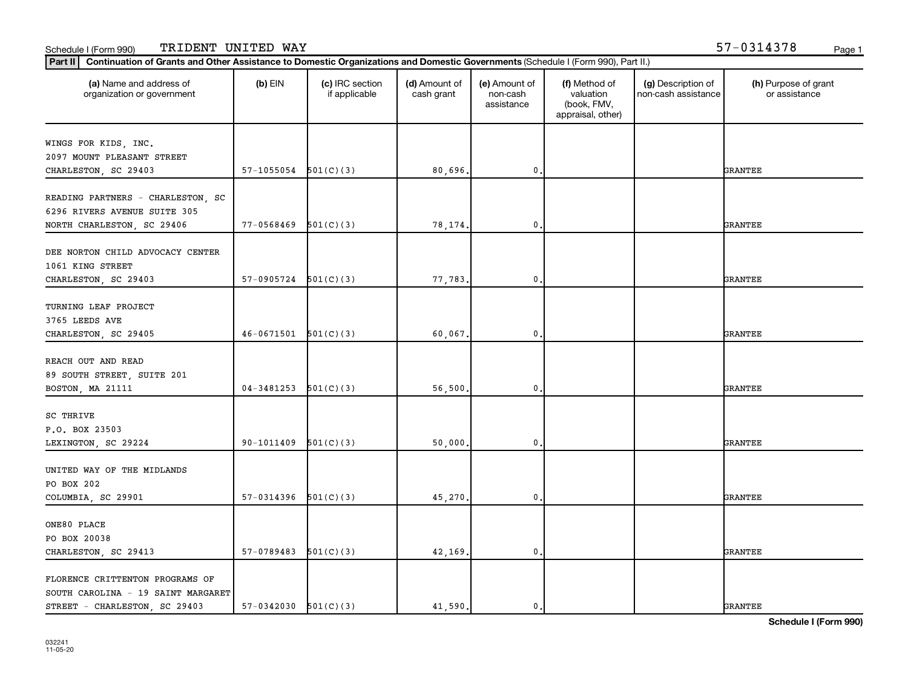| (a) Name and address of<br>organization or government               | $(b)$ EIN  | (c) IRC section<br>if applicable | (d) Amount of<br>cash grant | (e) Amount of<br>non-cash<br>assistance | (f) Method of<br>valuation<br>(book, FMV,<br>appraisal, other) | (g) Description of<br>non-cash assistance | (h) Purpose of grant<br>or assistance |
|---------------------------------------------------------------------|------------|----------------------------------|-----------------------------|-----------------------------------------|----------------------------------------------------------------|-------------------------------------------|---------------------------------------|
| WINGS FOR KIDS, INC.                                                |            |                                  |                             |                                         |                                                                |                                           |                                       |
| 2097 MOUNT PLEASANT STREET                                          |            |                                  |                             |                                         |                                                                |                                           |                                       |
| CHARLESTON, SC 29403                                                | 57-1055054 | 501(C)(3)                        | 80,696.                     | 0                                       |                                                                |                                           | <b>GRANTEE</b>                        |
|                                                                     |            |                                  |                             |                                         |                                                                |                                           |                                       |
| READING PARTNERS - CHARLESTON, SC                                   |            |                                  |                             |                                         |                                                                |                                           |                                       |
| 6296 RIVERS AVENUE SUITE 305                                        |            |                                  |                             |                                         |                                                                |                                           |                                       |
| NORTH CHARLESTON, SC 29406                                          | 77-0568469 | 501(C)(3)                        | 78,174.                     | 0                                       |                                                                |                                           | <b>GRANTEE</b>                        |
|                                                                     |            |                                  |                             |                                         |                                                                |                                           |                                       |
| DEE NORTON CHILD ADVOCACY CENTER                                    |            |                                  |                             |                                         |                                                                |                                           |                                       |
| 1061 KING STREET                                                    |            |                                  |                             |                                         |                                                                |                                           |                                       |
| CHARLESTON, SC 29403                                                | 57-0905724 | 501(C)(3)                        | 77,783.                     | 0                                       |                                                                |                                           | <b>GRANTEE</b>                        |
|                                                                     |            |                                  |                             |                                         |                                                                |                                           |                                       |
| TURNING LEAF PROJECT                                                |            |                                  |                             |                                         |                                                                |                                           |                                       |
| 3765 LEEDS AVE                                                      |            |                                  |                             |                                         |                                                                |                                           |                                       |
| CHARLESTON, SC 29405                                                | 46-0671501 | 501(C)(3)                        | 60,067.                     | 0                                       |                                                                |                                           | <b>GRANTEE</b>                        |
| REACH OUT AND READ                                                  |            |                                  |                             |                                         |                                                                |                                           |                                       |
| 89 SOUTH STREET, SUITE 201                                          |            |                                  |                             |                                         |                                                                |                                           |                                       |
| BOSTON, MA 21111                                                    | 04-3481253 | 501(C)(3)                        | 56,500.                     | 0                                       |                                                                |                                           | <b>GRANTEE</b>                        |
|                                                                     |            |                                  |                             |                                         |                                                                |                                           |                                       |
| SC THRIVE                                                           |            |                                  |                             |                                         |                                                                |                                           |                                       |
| P.O. BOX 23503                                                      |            |                                  |                             |                                         |                                                                |                                           |                                       |
| LEXINGTON, SC 29224                                                 | 90-1011409 | 501(C)(3)                        | 50,000.                     | 0                                       |                                                                |                                           | <b>GRANTEE</b>                        |
|                                                                     |            |                                  |                             |                                         |                                                                |                                           |                                       |
| UNITED WAY OF THE MIDLANDS                                          |            |                                  |                             |                                         |                                                                |                                           |                                       |
| PO BOX 202                                                          |            |                                  |                             |                                         |                                                                |                                           |                                       |
| COLUMBIA, SC 29901                                                  | 57-0314396 | 501(C)(3)                        | 45,270.                     | $\mathbf 0$ .                           |                                                                |                                           | <b>GRANTEE</b>                        |
|                                                                     |            |                                  |                             |                                         |                                                                |                                           |                                       |
| ONE80 PLACE                                                         |            |                                  |                             |                                         |                                                                |                                           |                                       |
| PO BOX 20038                                                        |            |                                  |                             |                                         |                                                                |                                           |                                       |
| CHARLESTON, SC 29413                                                | 57-0789483 | 501(C)(3)                        | 42,169.                     | $\mathbf{0}$                            |                                                                |                                           | <b>GRANTEE</b>                        |
|                                                                     |            |                                  |                             |                                         |                                                                |                                           |                                       |
| FLORENCE CRITTENTON PROGRAMS OF                                     |            |                                  |                             |                                         |                                                                |                                           |                                       |
| SOUTH CAROLINA - 19 SAINT MARGARET<br>STREET - CHARLESTON, SC 29403 |            |                                  |                             |                                         |                                                                |                                           | <b>GRANTEE</b>                        |
|                                                                     | 57-0342030 | 501(C)(3)                        | 41,590.                     | 0.                                      |                                                                |                                           |                                       |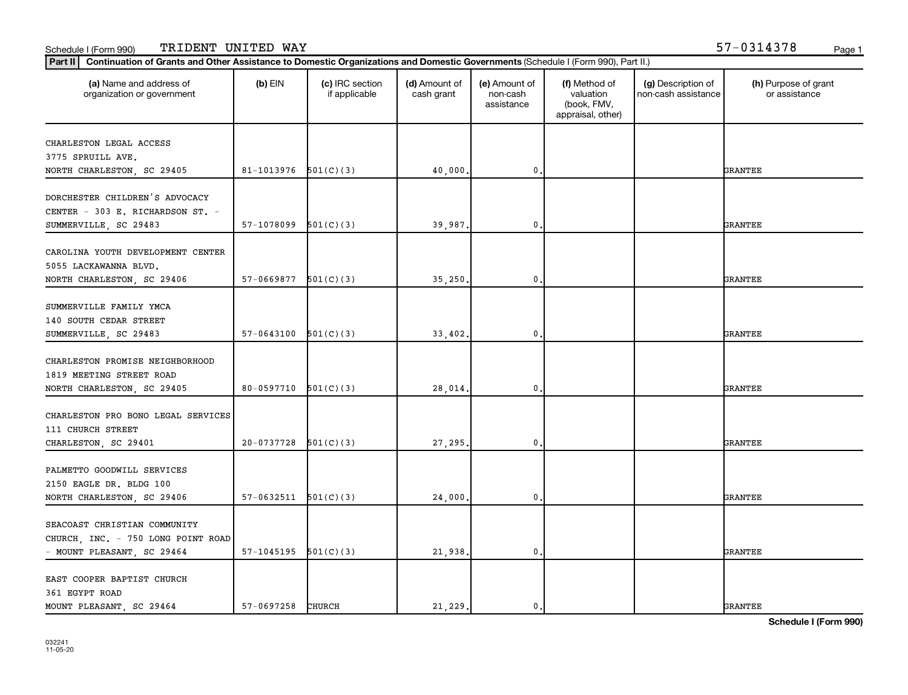| (a) Name and address of<br>organization or government                                       | $(b)$ EIN                | (c) IRC section<br>if applicable | (d) Amount of<br>cash grant | (e) Amount of<br>non-cash<br>assistance | (f) Method of<br>valuation<br>(book, FMV,<br>appraisal, other) | (g) Description of<br>non-cash assistance | (h) Purpose of grant<br>or assistance |
|---------------------------------------------------------------------------------------------|--------------------------|----------------------------------|-----------------------------|-----------------------------------------|----------------------------------------------------------------|-------------------------------------------|---------------------------------------|
| CHARLESTON LEGAL ACCESS                                                                     |                          |                                  |                             |                                         |                                                                |                                           |                                       |
| 3775 SPRUILL AVE.                                                                           |                          |                                  |                             |                                         |                                                                |                                           |                                       |
| NORTH CHARLESTON, SC 29405                                                                  | $81-1013976$ $501(C)(3)$ |                                  | 40,000                      | 0                                       |                                                                |                                           | <b>GRANTEE</b>                        |
| DORCHESTER CHILDREN'S ADVOCACY<br>CENTER - 303 E. RICHARDSON ST. -<br>SUMMERVILLE, SC 29483 | 57-1078099               | 501(C)(3)                        | 39,987.                     | 0                                       |                                                                |                                           | <b>GRANTEE</b>                        |
|                                                                                             |                          |                                  |                             |                                         |                                                                |                                           |                                       |
| CAROLINA YOUTH DEVELOPMENT CENTER<br>5055 LACKAWANNA BLVD.                                  |                          |                                  |                             |                                         |                                                                |                                           |                                       |
| NORTH CHARLESTON, SC 29406                                                                  | 57-0669877               | 501(C)(3)                        | 35,250                      | $\mathbf{0}$                            |                                                                |                                           | <b>GRANTEE</b>                        |
| SUMMERVILLE FAMILY YMCA                                                                     |                          |                                  |                             |                                         |                                                                |                                           |                                       |
| 140 SOUTH CEDAR STREET<br>SUMMERVILLE, SC 29483                                             | $57-0643100$ $501(C)(3)$ |                                  | 33,402.                     | $\mathbf{0}$                            |                                                                |                                           | <b>GRANTEE</b>                        |
|                                                                                             |                          |                                  |                             |                                         |                                                                |                                           |                                       |
| CHARLESTON PROMISE NEIGHBORHOOD<br>1819 MEETING STREET ROAD                                 |                          |                                  |                             |                                         |                                                                |                                           |                                       |
| NORTH CHARLESTON, SC 29405                                                                  | $80-0597710$ $501(C)(3)$ |                                  | 28,014                      | 0                                       |                                                                |                                           | <b>GRANTEE</b>                        |
| CHARLESTON PRO BONO LEGAL SERVICES<br>111 CHURCH STREET                                     |                          |                                  |                             |                                         |                                                                |                                           |                                       |
| CHARLESTON, SC 29401                                                                        | 20-0737728               | 501(C)(3)                        | 27,295                      | 0                                       |                                                                |                                           | <b>GRANTEE</b>                        |
| PALMETTO GOODWILL SERVICES                                                                  |                          |                                  |                             |                                         |                                                                |                                           |                                       |
| 2150 EAGLE DR. BLDG 100<br>NORTH CHARLESTON, SC 29406                                       | $57-0632511$ $501(C)(3)$ |                                  | 24,000                      | $\mathbf{0}$                            |                                                                |                                           | <b>GRANTEE</b>                        |
| SEACOAST CHRISTIAN COMMUNITY                                                                |                          |                                  |                             |                                         |                                                                |                                           |                                       |
| CHURCH, INC. - 750 LONG POINT ROAD<br>- MOUNT PLEASANT, SC 29464                            | $57-1045195$ $501(C)(3)$ |                                  | 21,938.                     | $\mathbf{0}$                            |                                                                |                                           | <b>GRANTEE</b>                        |
|                                                                                             |                          |                                  |                             |                                         |                                                                |                                           |                                       |
| EAST COOPER BAPTIST CHURCH<br>361 EGYPT ROAD                                                |                          |                                  |                             |                                         |                                                                |                                           |                                       |
| MOUNT PLEASANT, SC 29464                                                                    | 57-0697258 CHURCH        |                                  | 21,229.                     | $\mathbf 0$ .                           |                                                                |                                           | <b>GRANTEE</b>                        |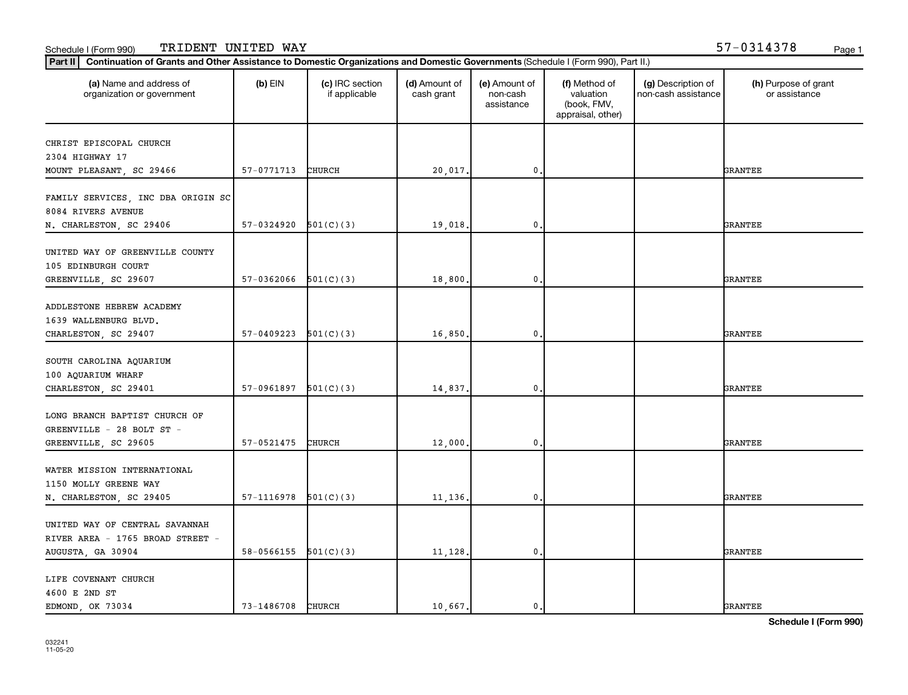| (a) Name and address of<br>organization or government              | $(b)$ EIN                | (c) IRC section<br>if applicable | (d) Amount of<br>cash grant | (e) Amount of<br>non-cash<br>assistance | (f) Method of<br>valuation<br>(book, FMV,<br>appraisal, other) | (g) Description of<br>non-cash assistance | (h) Purpose of grant<br>or assistance |
|--------------------------------------------------------------------|--------------------------|----------------------------------|-----------------------------|-----------------------------------------|----------------------------------------------------------------|-------------------------------------------|---------------------------------------|
| CHRIST EPISCOPAL CHURCH                                            |                          |                                  |                             |                                         |                                                                |                                           |                                       |
| 2304 HIGHWAY 17                                                    |                          |                                  |                             |                                         |                                                                |                                           |                                       |
| MOUNT PLEASANT, SC 29466                                           | 57-0771713               | CHURCH                           | 20,017.                     | $\mathbf{0}$                            |                                                                |                                           | <b>GRANTEE</b>                        |
|                                                                    |                          |                                  |                             |                                         |                                                                |                                           |                                       |
| FAMILY SERVICES, INC DBA ORIGIN SC<br>8084 RIVERS AVENUE           |                          |                                  |                             |                                         |                                                                |                                           |                                       |
| N. CHARLESTON, SC 29406                                            | 57-0324920               | 501(C)(3)                        | 19,018.                     | $\mathbf{0}$                            |                                                                |                                           | <b>GRANTEE</b>                        |
| UNITED WAY OF GREENVILLE COUNTY<br>105 EDINBURGH COURT             |                          |                                  |                             |                                         |                                                                |                                           |                                       |
| GREENVILLE, SC 29607                                               | 57-0362066               | 501(C)(3)                        | 18,800.                     | $\mathbf 0$                             |                                                                |                                           | <b>GRANTEE</b>                        |
| ADDLESTONE HEBREW ACADEMY<br>1639 WALLENBURG BLVD.                 |                          |                                  |                             |                                         |                                                                |                                           |                                       |
| CHARLESTON, SC 29407                                               | 57-0409223               | 501(C)(3)                        | 16,850.                     | $\mathbf{0}$                            |                                                                |                                           | <b>GRANTEE</b>                        |
| SOUTH CAROLINA AQUARIUM<br>100 AQUARIUM WHARF                      | 57-0961897               | 501(C)(3)                        |                             | $\mathbf 0$                             |                                                                |                                           | <b>GRANTEE</b>                        |
| CHARLESTON, SC 29401                                               |                          |                                  | 14,837.                     |                                         |                                                                |                                           |                                       |
| LONG BRANCH BAPTIST CHURCH OF<br>GREENVILLE - 28 BOLT ST -         |                          |                                  |                             |                                         |                                                                |                                           |                                       |
| GREENVILLE, SC 29605                                               | 57-0521475               | CHURCH                           | 12,000.                     | $\mathbf 0$                             |                                                                |                                           | <b>GRANTEE</b>                        |
| WATER MISSION INTERNATIONAL<br>1150 MOLLY GREENE WAY               |                          |                                  |                             |                                         |                                                                |                                           |                                       |
| N. CHARLESTON, SC 29405                                            | $57-1116978$ $501(C)(3)$ |                                  | 11,136.                     | $\mathbf 0$ .                           |                                                                |                                           | <b>GRANTEE</b>                        |
| UNITED WAY OF CENTRAL SAVANNAH<br>RIVER AREA - 1765 BROAD STREET - |                          |                                  |                             |                                         |                                                                |                                           |                                       |
| AUGUSTA, GA 30904                                                  | $58-0566155$ $501(C)(3)$ |                                  | 11,128.                     | $\mathbf{0}$                            |                                                                |                                           | <b>GRANTEE</b>                        |
| LIFE COVENANT CHURCH<br>4600 E 2ND ST                              |                          |                                  |                             |                                         |                                                                |                                           |                                       |
| EDMOND, OK 73034                                                   | 73-1486708               | CHURCH                           | 10.667.                     | 0.                                      |                                                                |                                           | <b>GRANTEE</b>                        |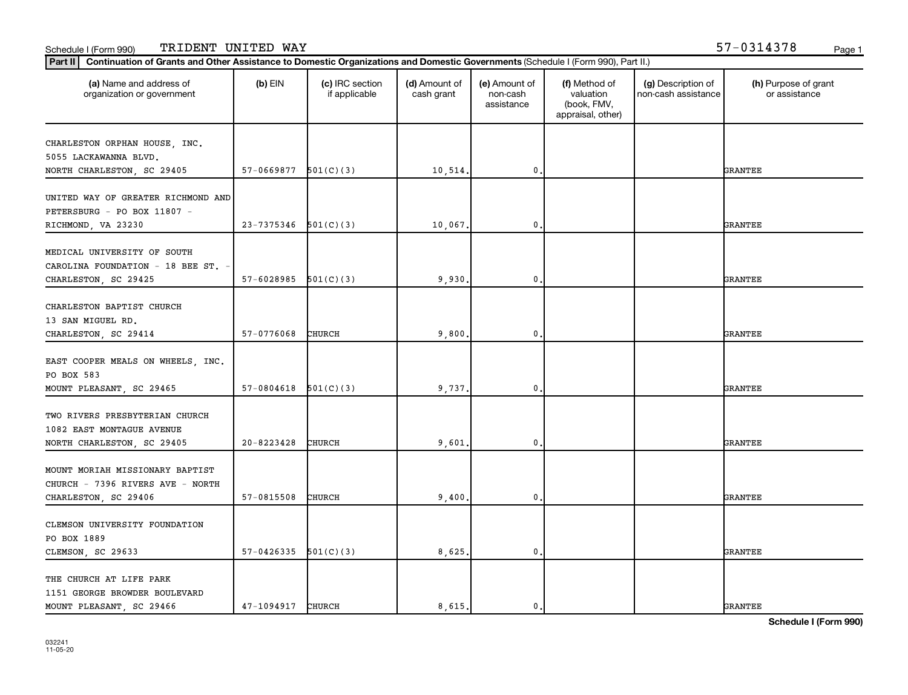| (a) Name and address of<br>organization or government                                     | $(b)$ EIN                | (c) IRC section<br>if applicable | (d) Amount of<br>cash grant | (e) Amount of<br>non-cash<br>assistance | (f) Method of<br>valuation<br>(book, FMV,<br>appraisal, other) | (g) Description of<br>non-cash assistance | (h) Purpose of grant<br>or assistance |
|-------------------------------------------------------------------------------------------|--------------------------|----------------------------------|-----------------------------|-----------------------------------------|----------------------------------------------------------------|-------------------------------------------|---------------------------------------|
| CHARLESTON ORPHAN HOUSE, INC.<br>5055 LACKAWANNA BLVD.                                    |                          |                                  |                             |                                         |                                                                |                                           |                                       |
| NORTH CHARLESTON, SC 29405                                                                | 57-0669877               | 501(C)(3)                        | 10,514.                     | 0                                       |                                                                |                                           | <b>GRANTEE</b>                        |
| UNITED WAY OF GREATER RICHMOND AND<br>PETERSBURG - PO BOX 11807 -                         | 23-7375346               | 501(C)(3)                        | 10,067.                     | 0                                       |                                                                |                                           | <b>GRANTEE</b>                        |
| RICHMOND, VA 23230                                                                        |                          |                                  |                             |                                         |                                                                |                                           |                                       |
| MEDICAL UNIVERSITY OF SOUTH<br>CAROLINA FOUNDATION - 18 BEE ST. -<br>CHARLESTON, SC 29425 | 57-6028985               | 501(C)(3)                        | 9,930,                      | $\mathbf 0$                             |                                                                |                                           | <b>GRANTEE</b>                        |
|                                                                                           |                          |                                  |                             |                                         |                                                                |                                           |                                       |
| CHARLESTON BAPTIST CHURCH                                                                 |                          |                                  |                             |                                         |                                                                |                                           |                                       |
| 13 SAN MIGUEL RD.<br>CHARLESTON, SC 29414                                                 | 57-0776068               | CHURCH                           | 9,800                       | $\mathbf 0$                             |                                                                |                                           | <b>GRANTEE</b>                        |
|                                                                                           |                          |                                  |                             |                                         |                                                                |                                           |                                       |
| EAST COOPER MEALS ON WHEELS, INC.<br>PO BOX 583                                           |                          |                                  |                             |                                         |                                                                |                                           |                                       |
| MOUNT PLEASANT, SC 29465                                                                  | 57-0804618               | 501(C)(3)                        | 9,737.                      | 0                                       |                                                                |                                           | <b>GRANTEE</b>                        |
| TWO RIVERS PRESBYTERIAN CHURCH<br>1082 EAST MONTAGUE AVENUE                               |                          |                                  |                             |                                         |                                                                |                                           |                                       |
| NORTH CHARLESTON, SC 29405                                                                | 20-8223428               | CHURCH                           | 9,601                       | 0                                       |                                                                |                                           | <b>GRANTEE</b>                        |
| MOUNT MORIAH MISSIONARY BAPTIST<br>CHURCH - 7396 RIVERS AVE - NORTH                       |                          |                                  |                             |                                         |                                                                |                                           |                                       |
| CHARLESTON, SC 29406                                                                      | 57-0815508               | CHURCH                           | 9,400.                      | $\mathbf 0$                             |                                                                |                                           | <b>GRANTEE</b>                        |
|                                                                                           |                          |                                  |                             |                                         |                                                                |                                           |                                       |
| CLEMSON UNIVERSITY FOUNDATION<br>PO BOX 1889                                              |                          |                                  |                             |                                         |                                                                |                                           |                                       |
| CLEMSON, SC 29633                                                                         | $57-0426335$ $501(C)(3)$ |                                  | 8,625                       | $\mathbf 0$                             |                                                                |                                           | <b>GRANTEE</b>                        |
| THE CHURCH AT LIFE PARK                                                                   |                          |                                  |                             |                                         |                                                                |                                           |                                       |
| 1151 GEORGE BROWDER BOULEVARD                                                             |                          |                                  |                             |                                         |                                                                |                                           |                                       |
| MOUNT PLEASANT, SC 29466                                                                  | 47-1094917               | CHURCH                           | 8,615.                      | $\mathbf 0$ .                           |                                                                |                                           | <b>GRANTEE</b>                        |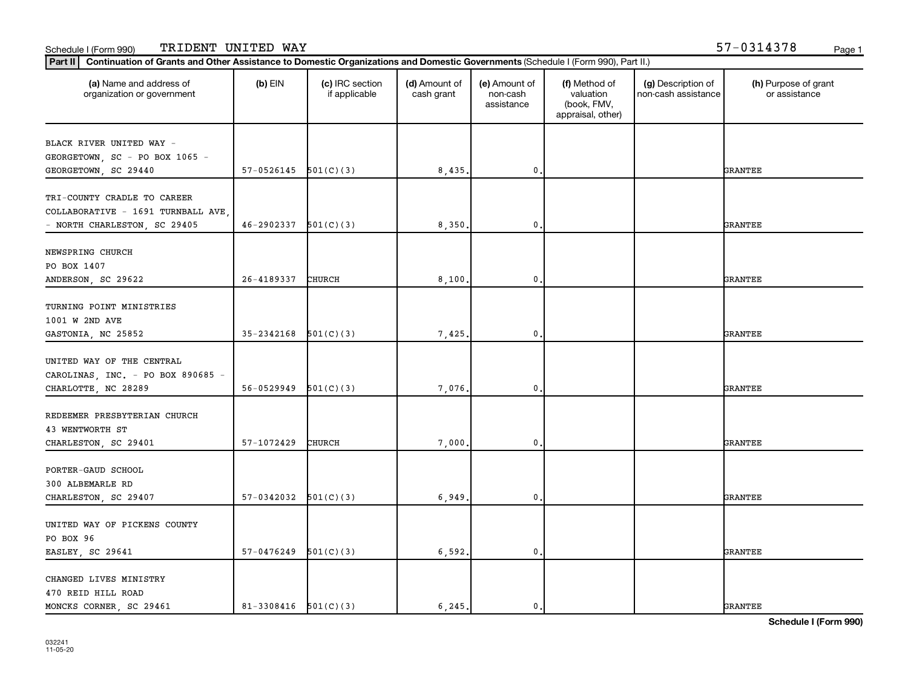| (a) Name and address of<br>organization or government | $(b)$ EIN                  | (c) IRC section<br>if applicable | (d) Amount of<br>cash grant | (e) Amount of<br>non-cash<br>assistance | (f) Method of<br>valuation<br>(book, FMV,<br>appraisal, other) | (g) Description of<br>non-cash assistance | (h) Purpose of grant<br>or assistance |
|-------------------------------------------------------|----------------------------|----------------------------------|-----------------------------|-----------------------------------------|----------------------------------------------------------------|-------------------------------------------|---------------------------------------|
| BLACK RIVER UNITED WAY -                              |                            |                                  |                             |                                         |                                                                |                                           |                                       |
| GEORGETOWN, SC - PO BOX 1065 -                        |                            |                                  |                             |                                         |                                                                |                                           |                                       |
| GEORGETOWN, SC 29440                                  | 57-0526145                 | 501(C)(3)                        | 8,435                       | 0,                                      |                                                                |                                           | <b>GRANTEE</b>                        |
|                                                       |                            |                                  |                             |                                         |                                                                |                                           |                                       |
| TRI-COUNTY CRADLE TO CAREER                           |                            |                                  |                             |                                         |                                                                |                                           |                                       |
| COLLABORATIVE - 1691 TURNBALL AVE                     |                            |                                  |                             |                                         |                                                                |                                           |                                       |
| - NORTH CHARLESTON, SC 29405                          | 46-2902337                 | 501(C)(3)                        | 8,350.                      | $\mathbf 0$                             |                                                                |                                           | GRANTEE                               |
|                                                       |                            |                                  |                             |                                         |                                                                |                                           |                                       |
| NEWSPRING CHURCH                                      |                            |                                  |                             |                                         |                                                                |                                           |                                       |
| PO BOX 1407                                           | 26-4189337                 |                                  |                             |                                         |                                                                |                                           |                                       |
| ANDERSON, SC 29622                                    |                            | CHURCH                           | 8,100                       | 0,                                      |                                                                |                                           | GRANTEE                               |
| TURNING POINT MINISTRIES                              |                            |                                  |                             |                                         |                                                                |                                           |                                       |
| 1001 W 2ND AVE                                        |                            |                                  |                             |                                         |                                                                |                                           |                                       |
| GASTONIA, NC 25852                                    | 35-2342168                 | 501(C)(3)                        | 7,425                       | $\mathbf 0$                             |                                                                |                                           | <b>GRANTEE</b>                        |
|                                                       |                            |                                  |                             |                                         |                                                                |                                           |                                       |
| UNITED WAY OF THE CENTRAL                             |                            |                                  |                             |                                         |                                                                |                                           |                                       |
| CAROLINAS, INC. - PO BOX 890685 -                     |                            |                                  |                             |                                         |                                                                |                                           |                                       |
| CHARLOTTE, NC 28289                                   | 56-0529949                 | 501(C)(3)                        | 7,076                       | $\mathbf 0$                             |                                                                |                                           | GRANTEE                               |
|                                                       |                            |                                  |                             |                                         |                                                                |                                           |                                       |
| REDEEMER PRESBYTERIAN CHURCH                          |                            |                                  |                             |                                         |                                                                |                                           |                                       |
| 43 WENTWORTH ST                                       | 57-1072429                 | CHURCH                           |                             | $\mathbf 0$                             |                                                                |                                           | GRANTEE                               |
| CHARLESTON, SC 29401                                  |                            |                                  | 7,000                       |                                         |                                                                |                                           |                                       |
| PORTER-GAUD SCHOOL                                    |                            |                                  |                             |                                         |                                                                |                                           |                                       |
| 300 ALBEMARLE RD                                      |                            |                                  |                             |                                         |                                                                |                                           |                                       |
| CHARLESTON, SC 29407                                  | 57-0342032                 | 501(C)(3)                        | 6,949                       | 0.                                      |                                                                |                                           | <b>GRANTEE</b>                        |
|                                                       |                            |                                  |                             |                                         |                                                                |                                           |                                       |
| UNITED WAY OF PICKENS COUNTY                          |                            |                                  |                             |                                         |                                                                |                                           |                                       |
| PO BOX 96                                             |                            |                                  |                             |                                         |                                                                |                                           |                                       |
| EASLEY, SC 29641                                      | 57-0476249                 | 501(C)(3)                        | 6, 592.                     | $\mathbf 0$                             |                                                                |                                           | GRANTEE                               |
|                                                       |                            |                                  |                             |                                         |                                                                |                                           |                                       |
| CHANGED LIVES MINISTRY                                |                            |                                  |                             |                                         |                                                                |                                           |                                       |
| 470 REID HILL ROAD                                    |                            |                                  |                             |                                         |                                                                |                                           |                                       |
| MONCKS CORNER, SC 29461                               | $81 - 3308416$ $501(C)(3)$ |                                  | 6,245.                      | $\mathbf{0}$ .                          |                                                                |                                           | <b>GRANTEE</b>                        |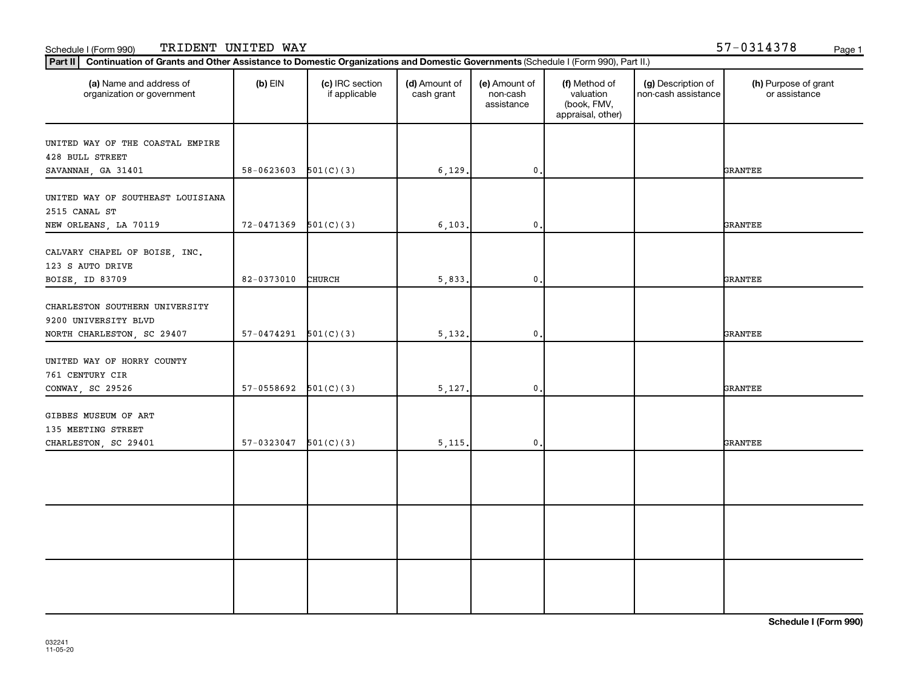| (a) Name and address of<br>organization or government  | $(b)$ EIN                | (c) IRC section<br>if applicable | (d) Amount of<br>cash grant | (e) Amount of<br>non-cash<br>assistance | (f) Method of<br>valuation<br>(book, FMV,<br>appraisal, other) | (g) Description of<br>non-cash assistance | (h) Purpose of grant<br>or assistance |
|--------------------------------------------------------|--------------------------|----------------------------------|-----------------------------|-----------------------------------------|----------------------------------------------------------------|-------------------------------------------|---------------------------------------|
| UNITED WAY OF THE COASTAL EMPIRE<br>428 BULL STREET    |                          |                                  |                             |                                         |                                                                |                                           |                                       |
| SAVANNAH, GA 31401                                     | $58-0623603$ $501(C)(3)$ |                                  | 6,129.                      | 0.                                      |                                                                |                                           | <b>GRANTEE</b>                        |
| UNITED WAY OF SOUTHEAST LOUISIANA<br>2515 CANAL ST     |                          |                                  |                             |                                         |                                                                |                                           |                                       |
| NEW ORLEANS, LA 70119                                  | 72-0471369               | 501(C)(3)                        | 6, 103.                     | $\mathbf{0}$                            |                                                                |                                           | <b>GRANTEE</b>                        |
| CALVARY CHAPEL OF BOISE, INC.<br>123 S AUTO DRIVE      |                          |                                  |                             |                                         |                                                                |                                           |                                       |
| BOISE, ID 83709                                        | 82-0373010               | <b>CHURCH</b>                    | 5,833.                      | $\mathbf{0}$                            |                                                                |                                           | <b>GRANTEE</b>                        |
| CHARLESTON SOUTHERN UNIVERSITY<br>9200 UNIVERSITY BLVD |                          |                                  |                             |                                         |                                                                |                                           |                                       |
| NORTH CHARLESTON, SC 29407                             | $57-0474291$ $501(C)(3)$ |                                  | 5,132.                      | 0.                                      |                                                                |                                           | <b>GRANTEE</b>                        |
| UNITED WAY OF HORRY COUNTY<br>761 CENTURY CIR          |                          |                                  |                             |                                         |                                                                |                                           |                                       |
| CONWAY, SC 29526                                       | $57-0558692$ $501(C)(3)$ |                                  | 5,127.                      | 0.                                      |                                                                |                                           | <b>GRANTEE</b>                        |
| GIBBES MUSEUM OF ART<br>135 MEETING STREET             |                          |                                  |                             |                                         |                                                                |                                           |                                       |
| CHARLESTON, SC 29401                                   | 57-0323047               | 501(C)(3)                        | 5,115.                      | $\mathbf{0}$                            |                                                                |                                           | <b>GRANTEE</b>                        |
|                                                        |                          |                                  |                             |                                         |                                                                |                                           |                                       |
|                                                        |                          |                                  |                             |                                         |                                                                |                                           |                                       |
|                                                        |                          |                                  |                             |                                         |                                                                |                                           |                                       |
|                                                        |                          |                                  |                             |                                         |                                                                |                                           |                                       |
|                                                        |                          |                                  |                             |                                         |                                                                |                                           |                                       |
|                                                        |                          |                                  |                             |                                         |                                                                |                                           |                                       |
|                                                        |                          |                                  |                             |                                         |                                                                |                                           |                                       |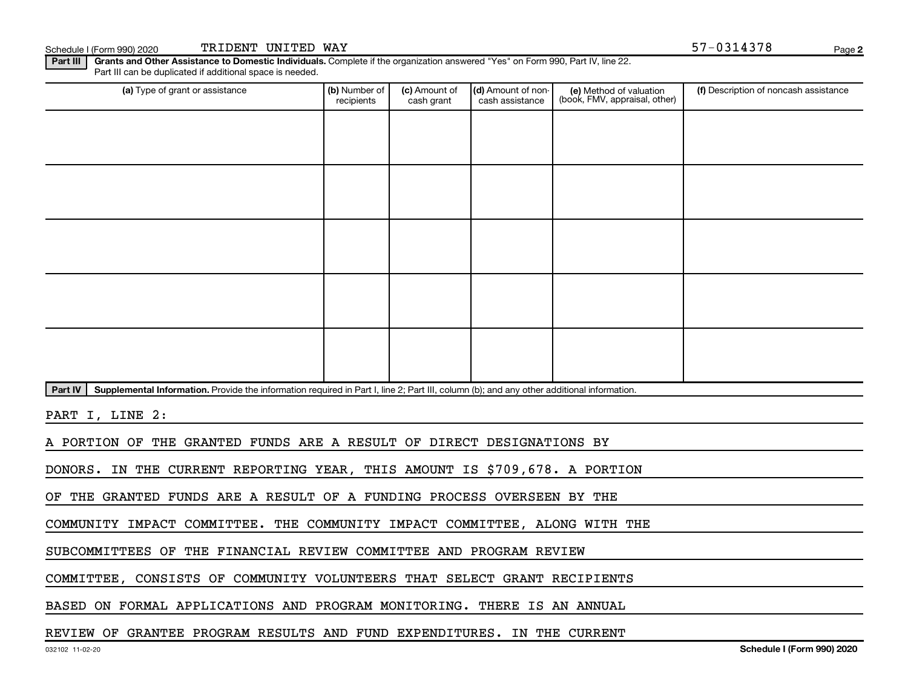Schedule I (Form 990) 2020 Page TRIDENT UNITED WAY 57-0314378

**2**

Part III | Grants and Other Assistance to Domestic Individuals. Complete if the organization answered "Yes" on Form 990, Part IV, line 22. Part III can be duplicated if additional space is needed.

| (a) Type of grant or assistance                                                                                                                      | (b) Number of<br>recipients | (c) Amount of<br>cash grant | (d) Amount of non-<br>cash assistance | (e) Method of valuation<br>(book, FMV, appraisal, other) | (f) Description of noncash assistance |
|------------------------------------------------------------------------------------------------------------------------------------------------------|-----------------------------|-----------------------------|---------------------------------------|----------------------------------------------------------|---------------------------------------|
|                                                                                                                                                      |                             |                             |                                       |                                                          |                                       |
|                                                                                                                                                      |                             |                             |                                       |                                                          |                                       |
|                                                                                                                                                      |                             |                             |                                       |                                                          |                                       |
|                                                                                                                                                      |                             |                             |                                       |                                                          |                                       |
|                                                                                                                                                      |                             |                             |                                       |                                                          |                                       |
|                                                                                                                                                      |                             |                             |                                       |                                                          |                                       |
|                                                                                                                                                      |                             |                             |                                       |                                                          |                                       |
|                                                                                                                                                      |                             |                             |                                       |                                                          |                                       |
|                                                                                                                                                      |                             |                             |                                       |                                                          |                                       |
|                                                                                                                                                      |                             |                             |                                       |                                                          |                                       |
| Part IV<br>Supplemental Information. Provide the information required in Part I, line 2; Part III, column (b); and any other additional information. |                             |                             |                                       |                                                          |                                       |

PART I, LINE 2:

A PORTION OF THE GRANTED FUNDS ARE A RESULT OF DIRECT DESIGNATIONS BY

DONORS. IN THE CURRENT REPORTING YEAR, THIS AMOUNT IS \$709,678. A PORTION

OF THE GRANTED FUNDS ARE A RESULT OF A FUNDING PROCESS OVERSEEN BY THE

COMMUNITY IMPACT COMMITTEE. THE COMMUNITY IMPACT COMMITTEE, ALONG WITH THE

SUBCOMMITTEES OF THE FINANCIAL REVIEW COMMITTEE AND PROGRAM REVIEW

COMMITTEE, CONSISTS OF COMMUNITY VOLUNTEERS THAT SELECT GRANT RECIPIENTS

BASED ON FORMAL APPLICATIONS AND PROGRAM MONITORING. THERE IS AN ANNUAL

REVIEW OF GRANTEE PROGRAM RESULTS AND FUND EXPENDITURES. IN THE CURRENT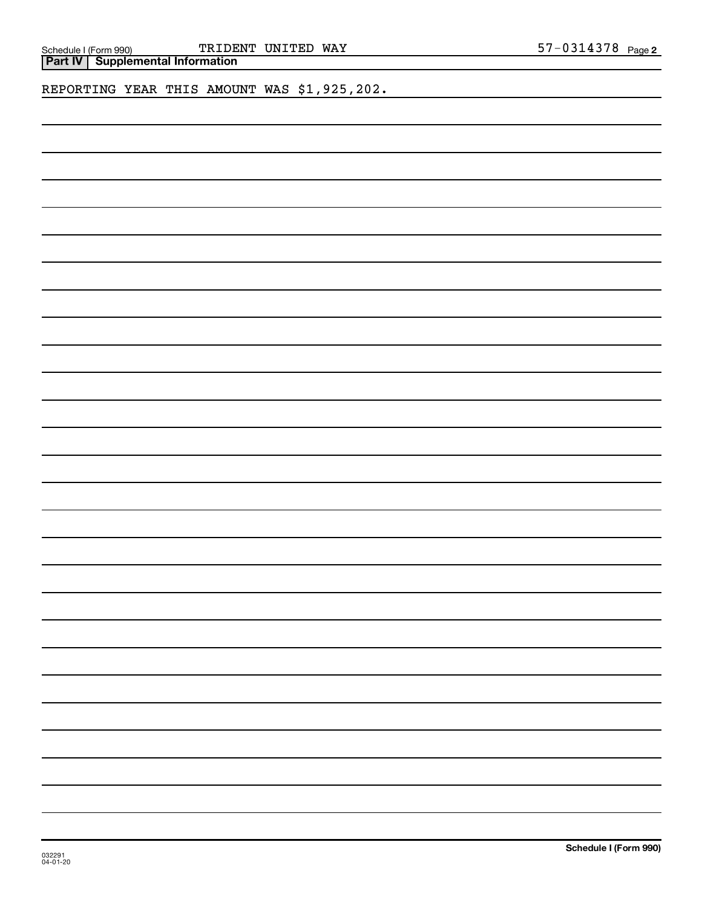| Schedule I (Form 99 |  |
|---------------------|--|

Schedule I (Form 990) TRIDENT UNITED WAY 57-0314378 Page

**Part IV Supplemental Information**

REPORTING YEAR THIS AMOUNT WAS \$1,925,202.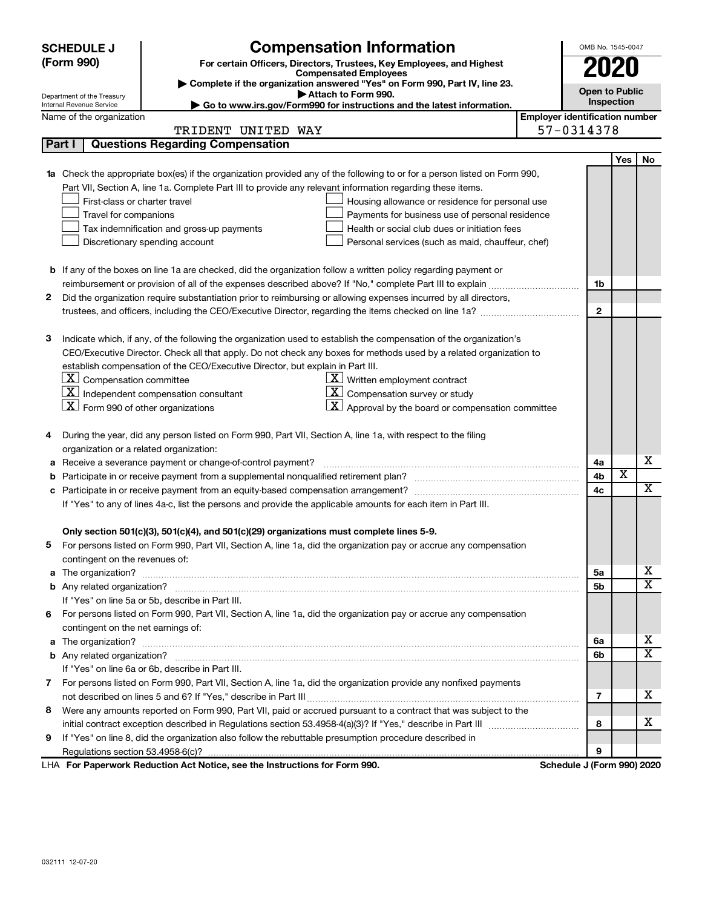|        | <b>Compensation Information</b><br><b>SCHEDULE J</b>                                                                    |                                       |              | OMB No. 1545-0047 |                         |
|--------|-------------------------------------------------------------------------------------------------------------------------|---------------------------------------|--------------|-------------------|-------------------------|
|        | (Form 990)<br>For certain Officers, Directors, Trustees, Key Employees, and Highest                                     |                                       |              |                   |                         |
|        | <b>Compensated Employees</b><br>Complete if the organization answered "Yes" on Form 990, Part IV, line 23.              |                                       |              |                   |                         |
|        | Attach to Form 990.<br>Department of the Treasury                                                                       | <b>Open to Public</b>                 |              |                   |                         |
|        | ► Go to www.irs.gov/Form990 for instructions and the latest information.<br>Internal Revenue Service                    |                                       |              | Inspection        |                         |
|        | Name of the organization                                                                                                | <b>Employer identification number</b> |              |                   |                         |
|        | TRIDENT UNITED WAY                                                                                                      | 57-0314378                            |              |                   |                         |
| Part I | <b>Questions Regarding Compensation</b>                                                                                 |                                       |              |                   |                         |
|        |                                                                                                                         |                                       |              | Yes               | No                      |
| 1a     | Check the appropriate box(es) if the organization provided any of the following to or for a person listed on Form 990,  |                                       |              |                   |                         |
|        | Part VII, Section A, line 1a. Complete Part III to provide any relevant information regarding these items.              |                                       |              |                   |                         |
|        | First-class or charter travel<br>Housing allowance or residence for personal use                                        |                                       |              |                   |                         |
|        | Travel for companions<br>Payments for business use of personal residence                                                |                                       |              |                   |                         |
|        | Health or social club dues or initiation fees<br>Tax indemnification and gross-up payments                              |                                       |              |                   |                         |
|        | Discretionary spending account<br>Personal services (such as maid, chauffeur, chef)                                     |                                       |              |                   |                         |
|        |                                                                                                                         |                                       |              |                   |                         |
|        | <b>b</b> If any of the boxes on line 1a are checked, did the organization follow a written policy regarding payment or  |                                       |              |                   |                         |
|        |                                                                                                                         | 1b                                    |              |                   |                         |
| 2      | Did the organization require substantiation prior to reimbursing or allowing expenses incurred by all directors,        |                                       |              |                   |                         |
|        |                                                                                                                         |                                       | $\mathbf{2}$ |                   |                         |
|        |                                                                                                                         |                                       |              |                   |                         |
| з      | Indicate which, if any, of the following the organization used to establish the compensation of the organization's      |                                       |              |                   |                         |
|        | CEO/Executive Director. Check all that apply. Do not check any boxes for methods used by a related organization to      |                                       |              |                   |                         |
|        | establish compensation of the CEO/Executive Director, but explain in Part III.                                          |                                       |              |                   |                         |
|        | $\lfloor \underline{\textbf{X}} \rfloor$ Compensation committee<br>$\underline{\mathbf{X}}$ Written employment contract |                                       |              |                   |                         |
|        | $ \mathbf{X} $ Compensation survey or study<br>  X  <br>Independent compensation consultant                             |                                       |              |                   |                         |
|        | $ \mathbf{X} $ Form 990 of other organizations<br>$\mathbf{X}$ Approval by the board or compensation committee          |                                       |              |                   |                         |
|        | During the year, did any person listed on Form 990, Part VII, Section A, line 1a, with respect to the filing            |                                       |              |                   |                         |
| 4      | organization or a related organization:                                                                                 |                                       |              |                   |                         |
| а      | Receive a severance payment or change-of-control payment?                                                               | 4a                                    |              |                   | х                       |
| b      |                                                                                                                         | 4b                                    |              | X                 |                         |
| с      |                                                                                                                         | 4c                                    |              |                   | х                       |
|        | If "Yes" to any of lines 4a-c, list the persons and provide the applicable amounts for each item in Part III.           |                                       |              |                   |                         |
|        |                                                                                                                         |                                       |              |                   |                         |
|        | Only section 501(c)(3), 501(c)(4), and 501(c)(29) organizations must complete lines 5-9.                                |                                       |              |                   |                         |
|        | 5 For persons listed on Form 990, Part VII, Section A, line 1a, did the organization pay or accrue any compensation     |                                       |              |                   |                         |
|        | contingent on the revenues of:                                                                                          |                                       |              |                   |                         |
|        |                                                                                                                         | 5a                                    |              |                   | х                       |
|        |                                                                                                                         | 5b                                    |              |                   | $\overline{\mathbf{X}}$ |
|        | If "Yes" on line 5a or 5b, describe in Part III.                                                                        |                                       |              |                   |                         |
| 6      | For persons listed on Form 990, Part VII, Section A, line 1a, did the organization pay or accrue any compensation       |                                       |              |                   |                         |
|        | contingent on the net earnings of:                                                                                      |                                       |              |                   |                         |
|        |                                                                                                                         | 6a                                    |              |                   | х                       |
|        |                                                                                                                         | 6b                                    |              |                   | х                       |
|        | If "Yes" on line 6a or 6b, describe in Part III.                                                                        |                                       |              |                   |                         |
|        | 7 For persons listed on Form 990, Part VII, Section A, line 1a, did the organization provide any nonfixed payments      |                                       |              |                   |                         |
|        |                                                                                                                         | 7                                     |              |                   | х                       |
| 8      | Were any amounts reported on Form 990, Part VII, paid or accrued pursuant to a contract that was subject to the         |                                       |              |                   |                         |
|        |                                                                                                                         | 8                                     |              |                   | х                       |
| 9      | If "Yes" on line 8, did the organization also follow the rebuttable presumption procedure described in                  |                                       |              |                   |                         |
|        |                                                                                                                         |                                       | 9            |                   |                         |
|        | LHA For Paperwork Reduction Act Notice, see the Instructions for Form 990.                                              | Schedule J (Form 990) 2020            |              |                   |                         |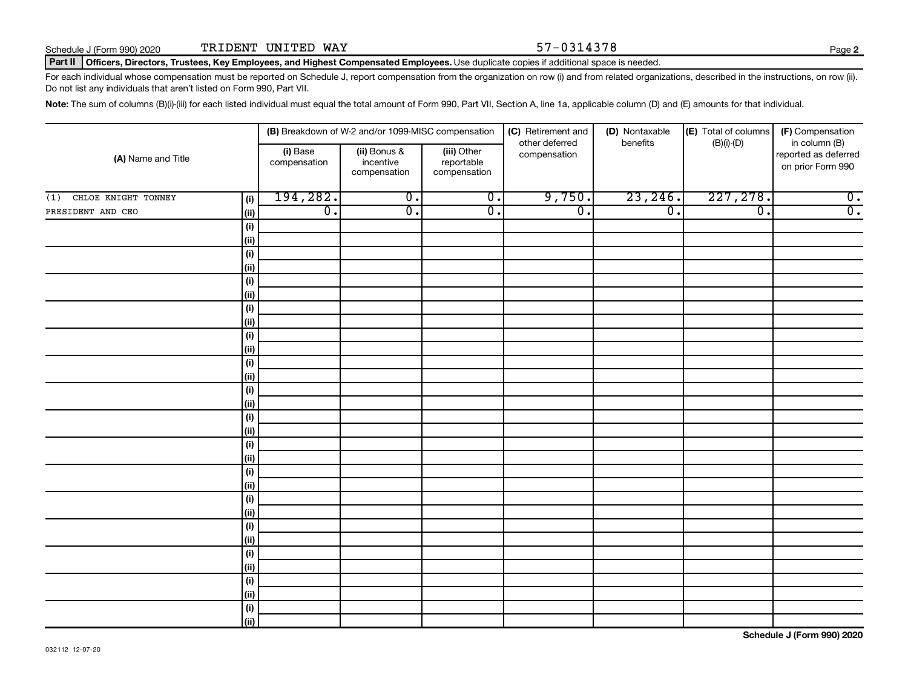**2**

### Part II | Officers, Directors, Trustees, Key Employees, and Highest Compensated Employees. Use duplicate copies if additional space is needed.

For each individual whose compensation must be reported on Schedule J, report compensation from the organization on row (i) and from related organizations, described in the instructions, on row (ii). Do not list any individuals that aren't listed on Form 990, Part VII.

Note: The sum of columns (B)(i)-(iii) for each listed individual must equal the total amount of Form 990, Part VII, Section A, line 1a, applicable column (D) and (E) amounts for that individual.

|                            |                    | (B) Breakdown of W-2 and/or 1099-MISC compensation |                                           | (C) Retirement and                        | (D) Nontaxable                 | (E) Total of columns | (F) Compensation |                                                            |
|----------------------------|--------------------|----------------------------------------------------|-------------------------------------------|-------------------------------------------|--------------------------------|----------------------|------------------|------------------------------------------------------------|
| (A) Name and Title         |                    | (i) Base<br>compensation                           | (ii) Bonus &<br>incentive<br>compensation | (iii) Other<br>reportable<br>compensation | other deferred<br>compensation | benefits             | $(B)(i)$ - $(D)$ | in column (B)<br>reported as deferred<br>on prior Form 990 |
| CHLOE KNIGHT TONNEY<br>(1) | (i)                | 194,282.                                           | $\overline{0}$ .                          | $\overline{0}$ .                          | 9,750.                         | 23, 246.             | 227, 278.        | $\overline{0}$ .                                           |
| PRESIDENT AND CEO          | (ii)               | $\overline{0}$ .                                   | $\overline{0}$ .                          | $\overline{0}$ .                          | $\overline{0}$ .               | $\overline{0}$ .     | $\overline{0}$ . | $\overline{0}$ .                                           |
|                            | (i)                |                                                    |                                           |                                           |                                |                      |                  |                                                            |
|                            | (ii)               |                                                    |                                           |                                           |                                |                      |                  |                                                            |
|                            | (i)                |                                                    |                                           |                                           |                                |                      |                  |                                                            |
|                            | $\vert$ (ii)       |                                                    |                                           |                                           |                                |                      |                  |                                                            |
|                            | (i)                |                                                    |                                           |                                           |                                |                      |                  |                                                            |
|                            | (ii)               |                                                    |                                           |                                           |                                |                      |                  |                                                            |
|                            | (i)                |                                                    |                                           |                                           |                                |                      |                  |                                                            |
|                            | (ii)               |                                                    |                                           |                                           |                                |                      |                  |                                                            |
|                            | (i)                |                                                    |                                           |                                           |                                |                      |                  |                                                            |
|                            | (ii)               |                                                    |                                           |                                           |                                |                      |                  |                                                            |
|                            | (i)                |                                                    |                                           |                                           |                                |                      |                  |                                                            |
|                            | (ii)               |                                                    |                                           |                                           |                                |                      |                  |                                                            |
|                            | (i)                |                                                    |                                           |                                           |                                |                      |                  |                                                            |
|                            | (ii)               |                                                    |                                           |                                           |                                |                      |                  |                                                            |
|                            | $(\sf{i})$<br>(ii) |                                                    |                                           |                                           |                                |                      |                  |                                                            |
|                            | $(\sf{i})$         |                                                    |                                           |                                           |                                |                      |                  |                                                            |
|                            | (ii)               |                                                    |                                           |                                           |                                |                      |                  |                                                            |
|                            | (i)                |                                                    |                                           |                                           |                                |                      |                  |                                                            |
|                            | (ii)               |                                                    |                                           |                                           |                                |                      |                  |                                                            |
|                            | (i)                |                                                    |                                           |                                           |                                |                      |                  |                                                            |
|                            | (ii)               |                                                    |                                           |                                           |                                |                      |                  |                                                            |
|                            | (i)                |                                                    |                                           |                                           |                                |                      |                  |                                                            |
|                            | (i)                |                                                    |                                           |                                           |                                |                      |                  |                                                            |
|                            | (i)                |                                                    |                                           |                                           |                                |                      |                  |                                                            |
|                            | (i)                |                                                    |                                           |                                           |                                |                      |                  |                                                            |
|                            | (i)                |                                                    |                                           |                                           |                                |                      |                  |                                                            |
|                            | (ii)               |                                                    |                                           |                                           |                                |                      |                  |                                                            |
|                            | $(\sf{i})$         |                                                    |                                           |                                           |                                |                      |                  |                                                            |
|                            | (ii)               |                                                    |                                           |                                           |                                |                      |                  |                                                            |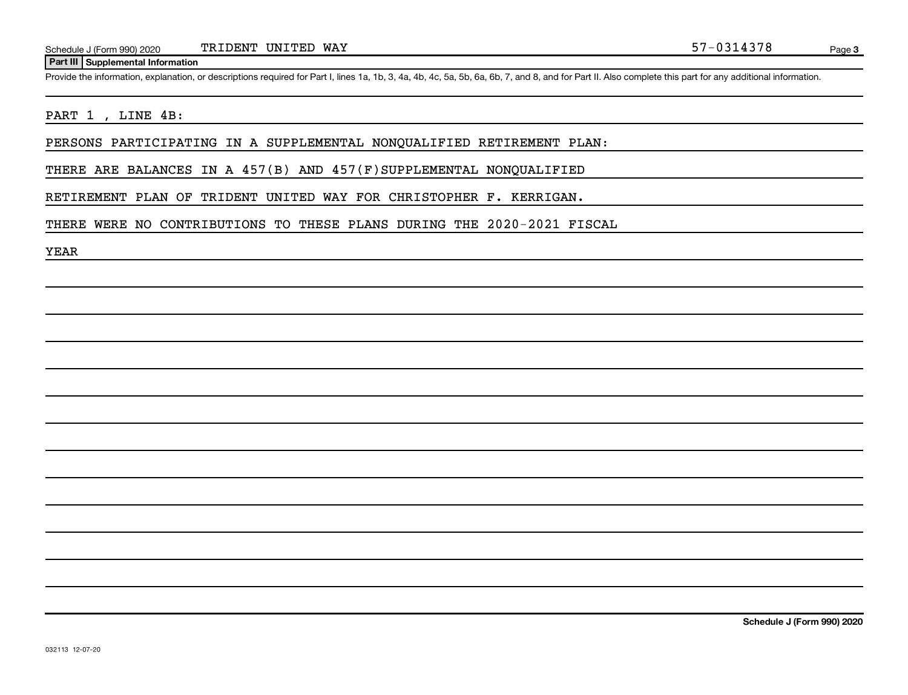### **Part III Supplemental Information**

Provide the information, explanation, or descriptions required for Part I, lines 1a, 1b, 3, 4a, 4b, 4c, 5a, 5b, 6a, 6b, 7, and 8, and for Part II. Also complete this part for any additional information.

# PART 1, LINE 4B:

PERSONS PARTICIPATING IN A SUPPLEMENTAL NONQUALIFIED RETIREMENT PLAN:

THERE ARE BALANCES IN A 457(B) AND 457(F)SUPPLEMENTAL NONQUALIFIED

RETIREMENT PLAN OF TRIDENT UNITED WAY FOR CHRISTOPHER F. KERRIGAN.

THERE WERE NO CONTRIBUTIONS TO THESE PLANS DURING THE 2020-2021 FISCAL

YEAR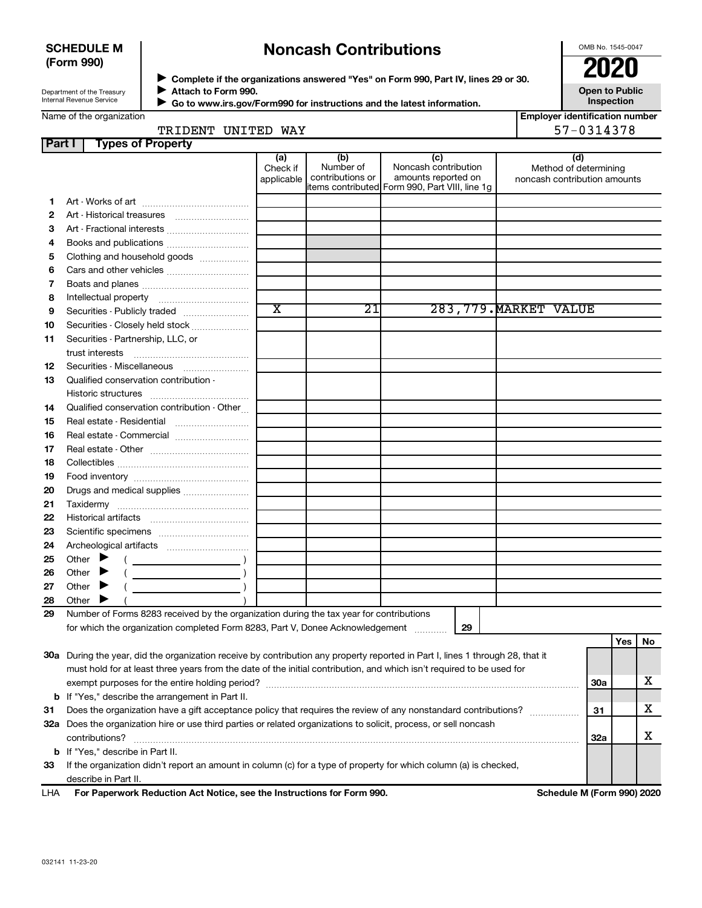# **SCHEDULE M (Form 990)**

# **Noncash Contributions**

OMB No. 1545-0047

| Department of the Treasury |  |
|----------------------------|--|
| Internal Revenue Service   |  |

**Complete if the organizations answered "Yes" on Form 990, Part IV, lines 29 or 30. Attach to Form 990.** →<br>**→** Complete if the organizations answered "Yes" on Form 990, Part IV, lines 29 or 30.<br>● Complete if the organizations answered "Yes" on Form 990, Part IV, lines 29 or 30.  $\blacktriangleright$ 

 **Go to www.irs.gov/Form990 for instructions and the latest information.** J

**Open to Public Inspection**

|  | Name of the organization |
|--|--------------------------|
|  |                          |
|  |                          |

| עגע ההחדותו הזמהרהם |  |  |
|---------------------|--|--|

| <b>Employer identification number</b> |
|---------------------------------------|
| 57-0314378                            |

| Part I | <b>Types of Property</b>                                                                                                       |                               |                                      |                                                                                                       |                                                              |            |     |    |
|--------|--------------------------------------------------------------------------------------------------------------------------------|-------------------------------|--------------------------------------|-------------------------------------------------------------------------------------------------------|--------------------------------------------------------------|------------|-----|----|
|        |                                                                                                                                | (a)<br>Check if<br>applicable | (b)<br>Number of<br>contributions or | (c)<br>Noncash contribution<br>amounts reported on<br>litems contributed Form 990, Part VIII, line 1g | (d)<br>Method of determining<br>noncash contribution amounts |            |     |    |
| 1      |                                                                                                                                |                               |                                      |                                                                                                       |                                                              |            |     |    |
| 2      | Art - Historical treasures                                                                                                     |                               |                                      |                                                                                                       |                                                              |            |     |    |
| з      | Art - Fractional interests                                                                                                     |                               |                                      |                                                                                                       |                                                              |            |     |    |
| 4      |                                                                                                                                |                               |                                      |                                                                                                       |                                                              |            |     |    |
| 5      | Clothing and household goods                                                                                                   |                               |                                      |                                                                                                       |                                                              |            |     |    |
| 6      |                                                                                                                                |                               |                                      |                                                                                                       |                                                              |            |     |    |
| 7      |                                                                                                                                |                               |                                      |                                                                                                       |                                                              |            |     |    |
| 8      |                                                                                                                                |                               |                                      |                                                                                                       |                                                              |            |     |    |
| 9      | Securities - Publicly traded                                                                                                   | $\overline{\text{x}}$         | $\overline{21}$                      |                                                                                                       | 283, 779. MARKET VALUE                                       |            |     |    |
| 10     | Securities - Closely held stock                                                                                                |                               |                                      |                                                                                                       |                                                              |            |     |    |
| 11     | Securities - Partnership, LLC, or                                                                                              |                               |                                      |                                                                                                       |                                                              |            |     |    |
|        | trust interests                                                                                                                |                               |                                      |                                                                                                       |                                                              |            |     |    |
| 12     | Securities - Miscellaneous                                                                                                     |                               |                                      |                                                                                                       |                                                              |            |     |    |
| 13     | Qualified conservation contribution -                                                                                          |                               |                                      |                                                                                                       |                                                              |            |     |    |
|        |                                                                                                                                |                               |                                      |                                                                                                       |                                                              |            |     |    |
| 14     | Qualified conservation contribution - Other                                                                                    |                               |                                      |                                                                                                       |                                                              |            |     |    |
| 15     | Real estate - Residential                                                                                                      |                               |                                      |                                                                                                       |                                                              |            |     |    |
| 16     | Real estate - Commercial                                                                                                       |                               |                                      |                                                                                                       |                                                              |            |     |    |
| 17     |                                                                                                                                |                               |                                      |                                                                                                       |                                                              |            |     |    |
| 18     |                                                                                                                                |                               |                                      |                                                                                                       |                                                              |            |     |    |
| 19     |                                                                                                                                |                               |                                      |                                                                                                       |                                                              |            |     |    |
| 20     | Drugs and medical supplies                                                                                                     |                               |                                      |                                                                                                       |                                                              |            |     |    |
| 21     |                                                                                                                                |                               |                                      |                                                                                                       |                                                              |            |     |    |
| 22     |                                                                                                                                |                               |                                      |                                                                                                       |                                                              |            |     |    |
| 23     |                                                                                                                                |                               |                                      |                                                                                                       |                                                              |            |     |    |
| 24     |                                                                                                                                |                               |                                      |                                                                                                       |                                                              |            |     |    |
| 25     | Other $\blacktriangleright$                                                                                                    |                               |                                      |                                                                                                       |                                                              |            |     |    |
| 26     | Other $\blacktriangleright$                                                                                                    |                               |                                      |                                                                                                       |                                                              |            |     |    |
| 27     | Other $\blacktriangleright$                                                                                                    |                               |                                      |                                                                                                       |                                                              |            |     |    |
| 28     | Other $\blacktriangleright$                                                                                                    |                               |                                      |                                                                                                       |                                                              |            |     |    |
| 29     | Number of Forms 8283 received by the organization during the tax year for contributions                                        |                               |                                      |                                                                                                       |                                                              |            |     |    |
|        | for which the organization completed Form 8283, Part V, Donee Acknowledgement                                                  |                               |                                      | 29                                                                                                    |                                                              |            |     |    |
|        |                                                                                                                                |                               |                                      |                                                                                                       |                                                              |            | Yes | No |
|        | 30a During the year, did the organization receive by contribution any property reported in Part I, lines 1 through 28, that it |                               |                                      |                                                                                                       |                                                              |            |     |    |
|        | must hold for at least three years from the date of the initial contribution, and which isn't required to be used for          |                               |                                      |                                                                                                       |                                                              |            |     |    |
|        |                                                                                                                                |                               |                                      |                                                                                                       |                                                              | <b>30a</b> |     | х  |
|        | <b>b</b> If "Yes," describe the arrangement in Part II.                                                                        |                               |                                      |                                                                                                       |                                                              |            |     |    |
| 31     | Does the organization have a gift acceptance policy that requires the review of any nonstandard contributions?                 |                               |                                      |                                                                                                       |                                                              | 31         |     | х  |
|        | 32a Does the organization hire or use third parties or related organizations to solicit, process, or sell noncash              |                               |                                      |                                                                                                       |                                                              |            |     |    |
|        | contributions?                                                                                                                 |                               |                                      |                                                                                                       |                                                              | 32a        |     | х  |
|        | <b>b</b> If "Yes," describe in Part II.                                                                                        |                               |                                      |                                                                                                       |                                                              |            |     |    |
| 33     | If the organization didn't report an amount in column (c) for a type of property for which column (a) is checked,              |                               |                                      |                                                                                                       |                                                              |            |     |    |
|        | describe in Part II.                                                                                                           |                               |                                      |                                                                                                       |                                                              |            |     |    |
| LHA    | For Paperwork Reduction Act Notice, see the Instructions for Form 990.                                                         |                               |                                      |                                                                                                       | Schedule M (Form 990) 2020                                   |            |     |    |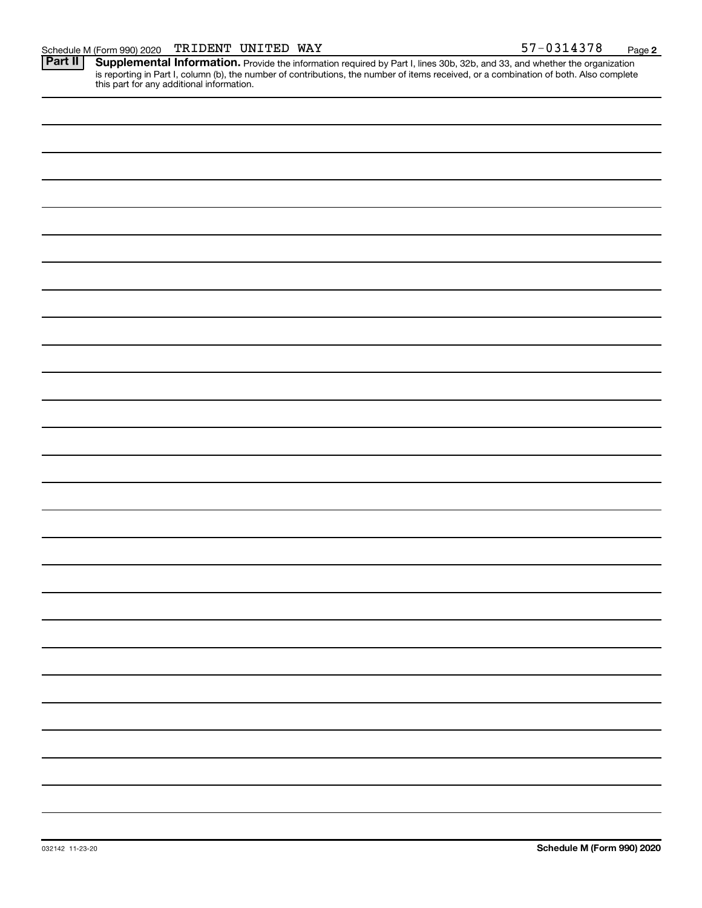Provide the information required by Part I, lines 30b, 32b, and 33, and whether the organization is reporting in Part I, column (b), the number of contributions, the number of items received, or a combination of both. Also complete this part for any additional information. **Part II Supplemental Information.**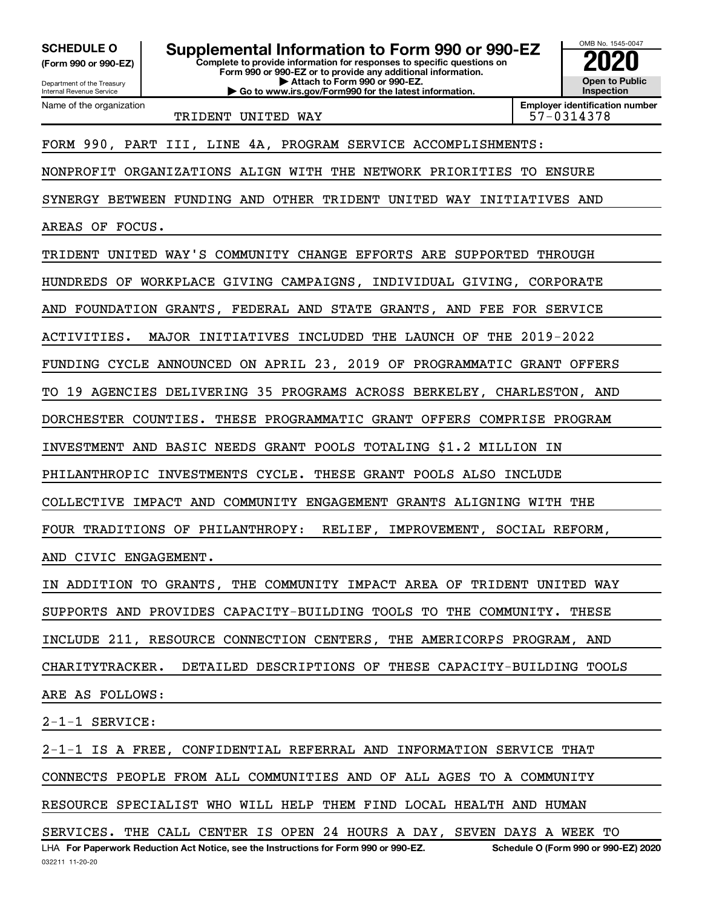**(Form 990 or 990-EZ)**

Department of the Treasury Internal Revenue Service Name of the organization

**Complete to provide information for responses to specific questions on Form 990 or 990-EZ or to provide any additional information. | Attach to Form 990 or 990-EZ. SCHEDULE O Supplemental Information to Form 990 or 990-EZ 2020**<br>(Form 990 or 990-EZ) Complete to provide information for responses to specific questions on

**| Go to www.irs.gov/Form990 for the latest information.**

OMB No. 1545-0047 **Open to Public Inspection**

TRIDENT UNITED WAY TRIDENT 197-0314378

**Employer identification number**

# FORM 990, PART III, LINE 4A, PROGRAM SERVICE ACCOMPLISHMENTS:

NONPROFIT ORGANIZATIONS ALIGN WITH THE NETWORK PRIORITIES TO ENSURE

SYNERGY BETWEEN FUNDING AND OTHER TRIDENT UNITED WAY INITIATIVES AND

AREAS OF FOCUS.

TRIDENT UNITED WAY'S COMMUNITY CHANGE EFFORTS ARE SUPPORTED THROUGH HUNDREDS OF WORKPLACE GIVING CAMPAIGNS, INDIVIDUAL GIVING, CORPORATE AND FOUNDATION GRANTS, FEDERAL AND STATE GRANTS, AND FEE FOR SERVICE ACTIVITIES. MAJOR INITIATIVES INCLUDED THE LAUNCH OF THE 2019-2022 FUNDING CYCLE ANNOUNCED ON APRIL 23, 2019 OF PROGRAMMATIC GRANT OFFERS TO 19 AGENCIES DELIVERING 35 PROGRAMS ACROSS BERKELEY, CHARLESTON, AND DORCHESTER COUNTIES. THESE PROGRAMMATIC GRANT OFFERS COMPRISE PROGRAM INVESTMENT AND BASIC NEEDS GRANT POOLS TOTALING \$1.2 MILLION IN PHILANTHROPIC INVESTMENTS CYCLE. THESE GRANT POOLS ALSO INCLUDE COLLECTIVE IMPACT AND COMMUNITY ENGAGEMENT GRANTS ALIGNING WITH THE FOUR TRADITIONS OF PHILANTHROPY: RELIEF, IMPROVEMENT, SOCIAL REFORM, AND CIVIC ENGAGEMENT. IN ADDITION TO GRANTS, THE COMMUNITY IMPACT AREA OF TRIDENT UNITED WAY

SUPPORTS AND PROVIDES CAPACITY-BUILDING TOOLS TO THE COMMUNITY. THESE

INCLUDE 211, RESOURCE CONNECTION CENTERS, THE AMERICORPS PROGRAM, AND

CHARITYTRACKER. DETAILED DESCRIPTIONS OF THESE CAPACITY-BUILDING TOOLS

ARE AS FOLLOWS:

2-1-1 SERVICE:

2-1-1 IS A FREE, CONFIDENTIAL REFERRAL AND INFORMATION SERVICE THAT

CONNECTS PEOPLE FROM ALL COMMUNITIES AND OF ALL AGES TO A COMMUNITY

RESOURCE SPECIALIST WHO WILL HELP THEM FIND LOCAL HEALTH AND HUMAN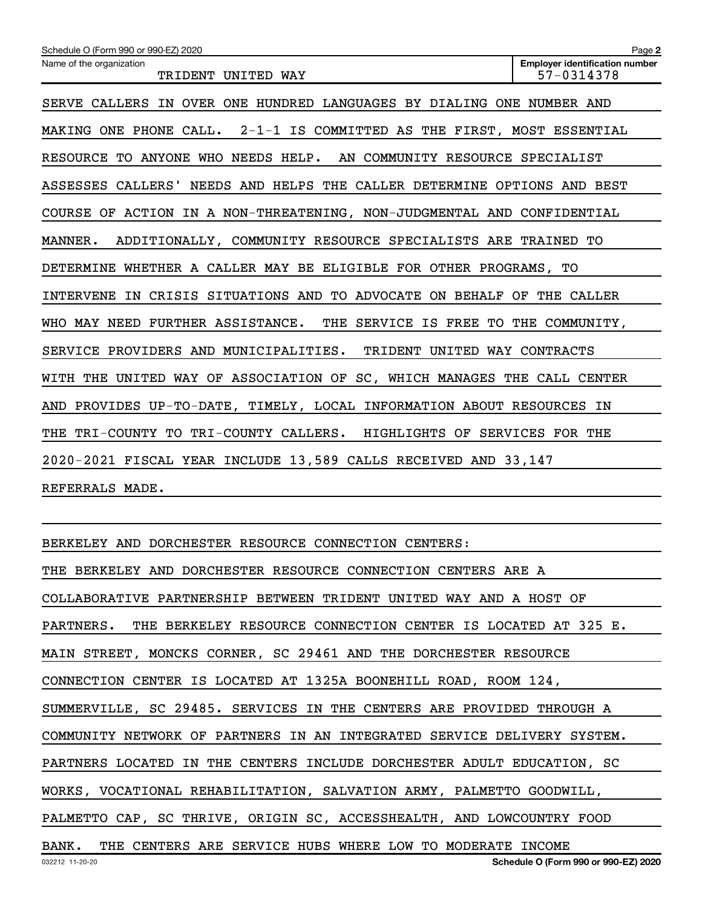BERKELEY AND DORCHESTER RESOURCE CONNECTION CENTERS: THE BERKELEY AND DORCHESTER RESOURCE CONNECTION CENTERS ARE A COLLABORATIVE PARTNERSHIP BETWEEN TRIDENT UNITED WAY AND A HOST OF PARTNERS. THE BERKELEY RESOURCE CONNECTION CENTER IS LOCATED AT 325 E. MAIN STREET, MONCKS CORNER, SC 29461 AND THE DORCHESTER RESOURCE CONNECTION CENTER IS LOCATED AT 1325A BOONEHILL ROAD, ROOM 124, SUMMERVILLE, SC 29485. SERVICES IN THE CENTERS ARE PROVIDED THROUGH A COMMUNITY NETWORK OF PARTNERS IN AN INTEGRATED SERVICE DELIVERY SYSTEM. PARTNERS LOCATED IN THE CENTERS INCLUDE DORCHESTER ADULT EDUCATION, SC WORKS, VOCATIONAL REHABILITATION, SALVATION ARMY, PALMETTO GOODWILL, PALMETTO CAP, SC THRIVE, ORIGIN SC, ACCESSHEALTH, AND LOWCOUNTRY FOOD BANK. THE CENTERS ARE SERVICE HUBS WHERE LOW TO MODERATE INCOME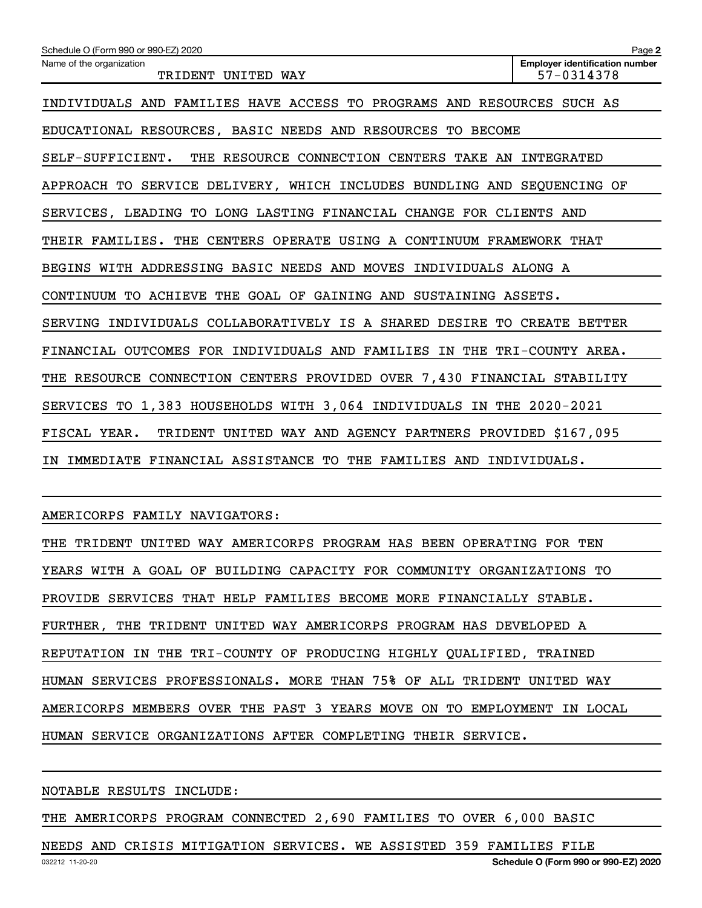| Schedule O (Form 990 or 990-EZ) 2020                                      | Page 2                                              |
|---------------------------------------------------------------------------|-----------------------------------------------------|
| Name of the organization<br>TRIDENT UNITED WAY                            | <b>Employer identification number</b><br>57-0314378 |
| INDIVIDUALS AND FAMILIES HAVE ACCESS TO PROGRAMS AND RESOURCES SUCH AS    |                                                     |
| EDUCATIONAL RESOURCES, BASIC NEEDS AND RESOURCES TO BECOME                |                                                     |
| THE RESOURCE CONNECTION CENTERS TAKE AN INTEGRATED<br>SELF-SUFFICIENT.    |                                                     |
| APPROACH TO SERVICE DELIVERY, WHICH INCLUDES BUNDLING AND SEQUENCING OF   |                                                     |
| SERVICES, LEADING TO LONG LASTING FINANCIAL CHANGE FOR CLIENTS AND        |                                                     |
| THEIR FAMILIES. THE CENTERS OPERATE USING A CONTINUUM FRAMEWORK THAT      |                                                     |
| BEGINS WITH ADDRESSING BASIC NEEDS AND MOVES INDIVIDUALS ALONG A          |                                                     |
| CONTINUUM TO ACHIEVE THE GOAL OF GAINING AND SUSTAINING ASSETS.           |                                                     |
| SERVING INDIVIDUALS COLLABORATIVELY IS A SHARED DESIRE TO CREATE BETTER   |                                                     |
| FINANCIAL OUTCOMES FOR INDIVIDUALS AND FAMILIES IN THE TRI-COUNTY AREA.   |                                                     |
| THE RESOURCE CONNECTION CENTERS PROVIDED OVER 7,430 FINANCIAL STABILITY   |                                                     |
| SERVICES TO 1,383 HOUSEHOLDS WITH 3,064 INDIVIDUALS IN THE 2020-2021      |                                                     |
| TRIDENT UNITED WAY AND AGENCY PARTNERS PROVIDED \$167,095<br>FISCAL YEAR. |                                                     |
| IMMEDIATE FINANCIAL ASSISTANCE TO THE FAMILIES AND INDIVIDUALS.<br>IN     |                                                     |

AMERICORPS FAMILY NAVIGATORS:

THE TRIDENT UNITED WAY AMERICORPS PROGRAM HAS BEEN OPERATING FOR TEN YEARS WITH A GOAL OF BUILDING CAPACITY FOR COMMUNITY ORGANIZATIONS TO PROVIDE SERVICES THAT HELP FAMILIES BECOME MORE FINANCIALLY STABLE. FURTHER, THE TRIDENT UNITED WAY AMERICORPS PROGRAM HAS DEVELOPED A REPUTATION IN THE TRI-COUNTY OF PRODUCING HIGHLY QUALIFIED, TRAINED HUMAN SERVICES PROFESSIONALS. MORE THAN 75% OF ALL TRIDENT UNITED WAY AMERICORPS MEMBERS OVER THE PAST 3 YEARS MOVE ON TO EMPLOYMENT IN LOCAL HUMAN SERVICE ORGANIZATIONS AFTER COMPLETING THEIR SERVICE.

NOTABLE RESULTS INCLUDE:

THE AMERICORPS PROGRAM CONNECTED 2,690 FAMILIES TO OVER 6,000 BASIC

NEEDS AND CRISIS MITIGATION SERVICES. WE ASSISTED 359 FAMILIES FILE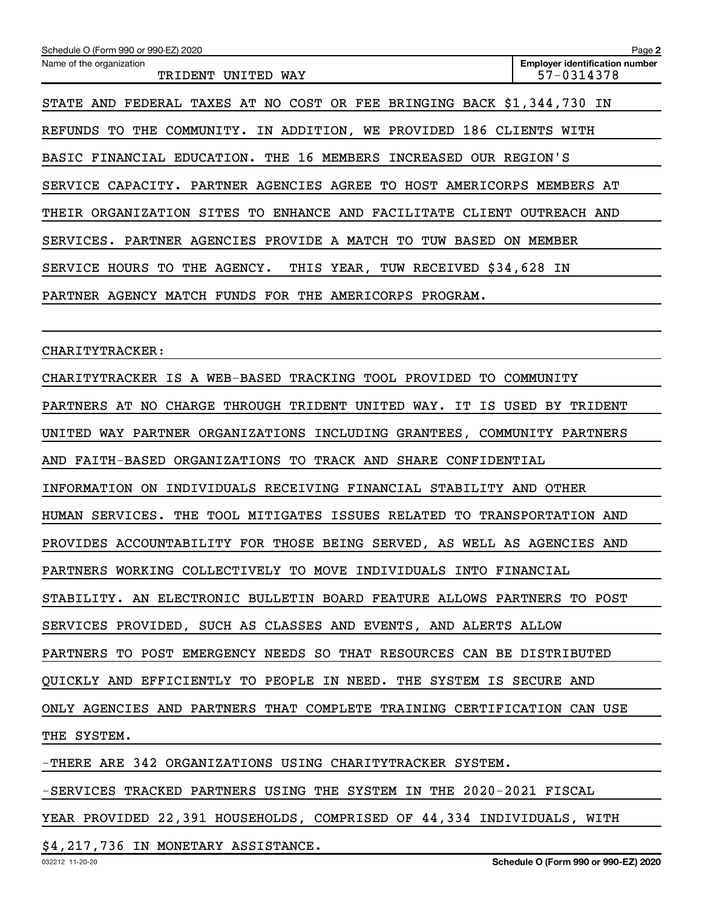| Schedule O (Form 990 or 990-EZ) 2020                                    | Page 2                                              |
|-------------------------------------------------------------------------|-----------------------------------------------------|
| Name of the organization<br>TRIDENT UNITED WAY                          | <b>Employer identification number</b><br>57-0314378 |
| STATE AND FEDERAL TAXES AT NO COST OR FEE BRINGING BACK \$1,344,730 IN  |                                                     |
| REFUNDS TO THE COMMUNITY. IN ADDITION, WE PROVIDED 186 CLIENTS WITH     |                                                     |
| BASIC FINANCIAL EDUCATION. THE 16 MEMBERS INCREASED OUR REGION'S        |                                                     |
| SERVICE CAPACITY. PARTNER AGENCIES AGREE TO HOST AMERICORPS MEMBERS AT  |                                                     |
| THEIR ORGANIZATION SITES TO ENHANCE AND FACILITATE CLIENT OUTREACH AND  |                                                     |
| SERVICES. PARTNER AGENCIES PROVIDE A MATCH TO TUW BASED ON MEMBER       |                                                     |
| SERVICE HOURS TO THE AGENCY.<br>THIS YEAR, TUW RECEIVED \$34,628 IN     |                                                     |
| PARTNER AGENCY MATCH FUNDS FOR THE AMERICORPS PROGRAM.                  |                                                     |
|                                                                         |                                                     |
| CHARITYTRACKER:                                                         |                                                     |
| CHARITYTRACKER IS A WEB-BASED TRACKING TOOL PROVIDED TO COMMUNITY       |                                                     |
| PARTNERS AT NO CHARGE THROUGH TRIDENT UNITED WAY. IT IS USED BY TRIDENT |                                                     |
| UNITED WAY PARTNER ORGANIZATIONS INCLUDING GRANTEES, COMMUNITY PARTNERS |                                                     |
| AND FAITH-BASED ORGANIZATIONS TO TRACK AND SHARE CONFIDENTIAL           |                                                     |
| INFORMATION ON INDIVIDUALS RECEIVING FINANCIAL STABILITY AND OTHER      |                                                     |
| HUMAN SERVICES. THE TOOL MITIGATES ISSUES RELATED TO TRANSPORTATION AND |                                                     |
| PROVIDES ACCOUNTABILITY FOR THOSE BEING SERVED, AS WELL AS AGENCIES AND |                                                     |
| PARTNERS WORKING COLLECTIVELY TO MOVE INDIVIDUALS INTO FINANCIAL        |                                                     |
| STABILITY. AN ELECTRONIC BULLETIN BOARD FEATURE ALLOWS PARTNERS TO POST |                                                     |
| SERVICES PROVIDED, SUCH AS CLASSES AND EVENTS, AND ALERTS ALLOW         |                                                     |
| PARTNERS TO POST EMERGENCY NEEDS SO THAT RESOURCES CAN BE DISTRIBUTED   |                                                     |
| QUICKLY AND EFFICIENTLY TO PEOPLE IN NEED. THE SYSTEM IS SECURE AND     |                                                     |
| ONLY AGENCIES AND PARTNERS THAT COMPLETE TRAINING CERTIFICATION CAN USE |                                                     |
| THE SYSTEM.                                                             |                                                     |
| -THERE ARE 342 ORGANIZATIONS USING CHARITYTRACKER SYSTEM.               |                                                     |

-SERVICES TRACKED PARTNERS USING THE SYSTEM IN THE 2020-2021 FISCAL

YEAR PROVIDED 22,391 HOUSEHOLDS, COMPRISED OF 44,334 INDIVIDUALS, WITH

\$4,217,736 IN MONETARY ASSISTANCE.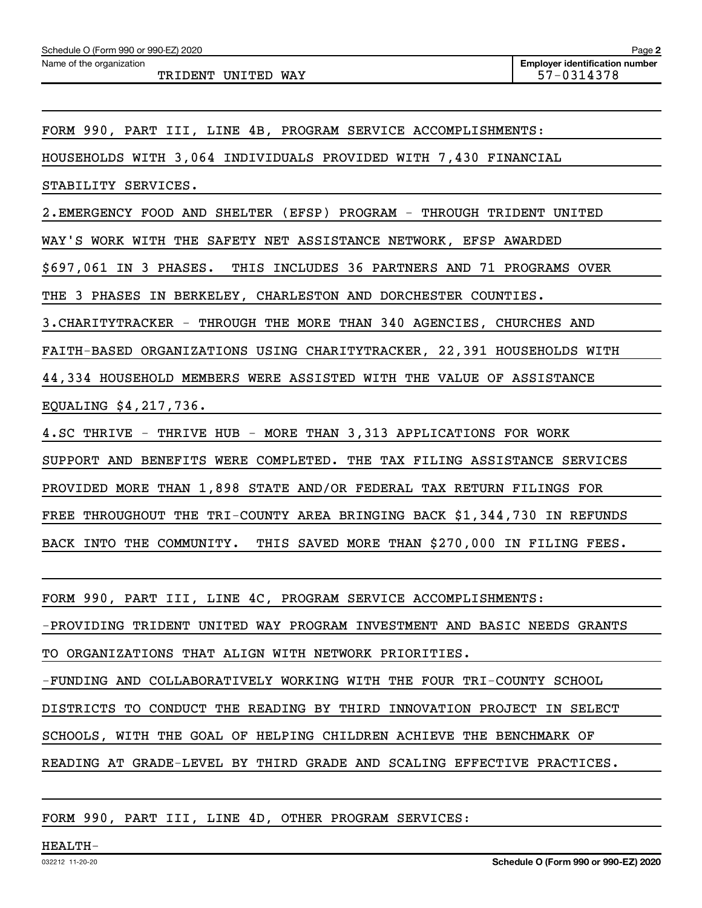Name of the organization

TRIDENT UNITED WAY 57-0314378

FORM 990, PART III, LINE 4B, PROGRAM SERVICE ACCOMPLISHMENTS:

HOUSEHOLDS WITH 3,064 INDIVIDUALS PROVIDED WITH 7,430 FINANCIAL

STABILITY SERVICES.

2. EMERGENCY FOOD AND SHELTER (EFSP) PROGRAM - THROUGH TRIDENT UNITED

WAY'S WORK WITH THE SAFETY NET ASSISTANCE NETWORK, EFSP AWARDED

\$697,061 IN 3 PHASES. THIS INCLUDES 36 PARTNERS AND 71 PROGRAMS OVER

THE 3 PHASES IN BERKELEY, CHARLESTON AND DORCHESTER COUNTIES.

3. CHARITYTRACKER - THROUGH THE MORE THAN 340 AGENCIES, CHURCHES AND

FAITH-BASED ORGANIZATIONS USING CHARITYTRACKER, 22,391 HOUSEHOLDS WITH

44,334 HOUSEHOLD MEMBERS WERE ASSISTED WITH THE VALUE OF ASSISTANCE

EQUALING \$4,217,736.

4. SC THRIVE - THRIVE HUB - MORE THAN 3,313 APPLICATIONS FOR WORK

SUPPORT AND BENEFITS WERE COMPLETED. THE TAX FILING ASSISTANCE SERVICES

PROVIDED MORE THAN 1,898 STATE AND/OR FEDERAL TAX RETURN FILINGS FOR

FREE THROUGHOUT THE TRI-COUNTY AREA BRINGING BACK \$1,344,730 IN REFUNDS

BACK INTO THE COMMUNITY. THIS SAVED MORE THAN \$270,000 IN FILING FEES.

FORM 990, PART III, LINE 4C, PROGRAM SERVICE ACCOMPLISHMENTS:

-PROVIDING TRIDENT UNITED WAY PROGRAM INVESTMENT AND BASIC NEEDS GRANTS

TO ORGANIZATIONS THAT ALIGN WITH NETWORK PRIORITIES.

-FUNDING AND COLLABORATIVELY WORKING WITH THE FOUR TRI-COUNTY SCHOOL

DISTRICTS TO CONDUCT THE READING BY THIRD INNOVATION PROJECT IN SELECT

SCHOOLS, WITH THE GOAL OF HELPING CHILDREN ACHIEVE THE BENCHMARK OF

READING AT GRADE-LEVEL BY THIRD GRADE AND SCALING EFFECTIVE PRACTICES.

FORM 990, PART III, LINE 4D, OTHER PROGRAM SERVICES: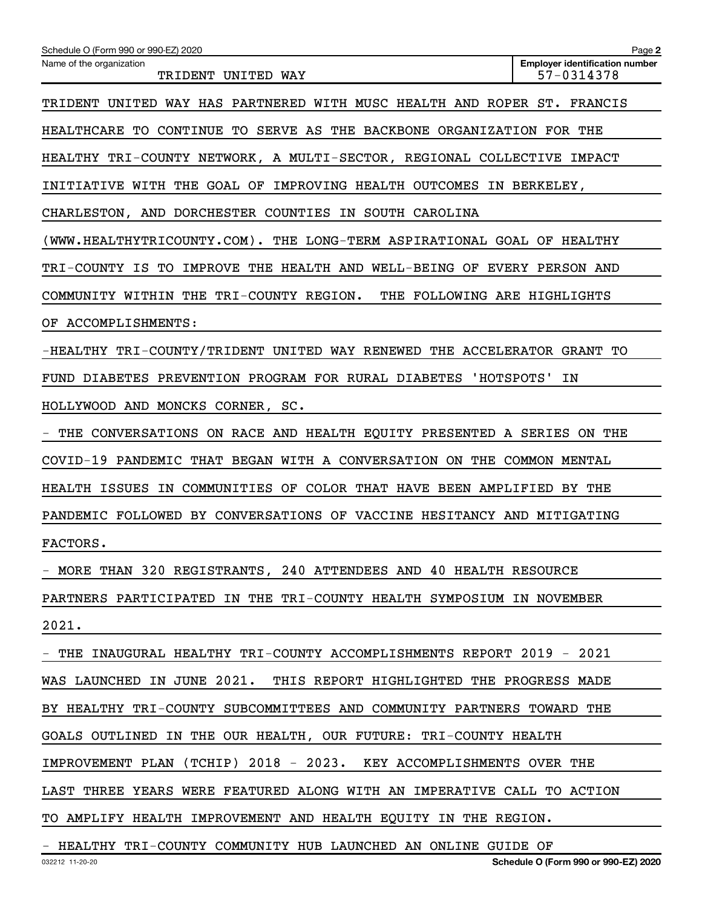| Schedule O (Form 990 or 990-EZ) 2020                                    | Page 2                                              |
|-------------------------------------------------------------------------|-----------------------------------------------------|
| Name of the organization<br>TRIDENT UNITED WAY                          | <b>Employer identification number</b><br>57-0314378 |
| TRIDENT UNITED WAY HAS PARTNERED WITH MUSC HEALTH AND ROPER ST. FRANCIS |                                                     |
| HEALTHCARE TO CONTINUE TO SERVE AS THE BACKBONE ORGANIZATION FOR THE    |                                                     |
| HEALTHY TRI-COUNTY NETWORK, A MULTI-SECTOR, REGIONAL COLLECTIVE IMPACT  |                                                     |
| INITIATIVE WITH THE GOAL OF IMPROVING HEALTH OUTCOMES IN BERKELEY,      |                                                     |
| CHARLESTON, AND DORCHESTER COUNTIES IN SOUTH CAROLINA                   |                                                     |
| (WWW.HEALTHYTRICOUNTY.COM). THE LONG-TERM ASPIRATIONAL GOAL OF HEALTHY  |                                                     |
| TRI-COUNTY IS TO IMPROVE THE HEALTH AND WELL-BEING OF EVERY PERSON AND  |                                                     |
| COMMUNITY WITHIN THE TRI-COUNTY REGION. THE FOLLOWING ARE HIGHLIGHTS    |                                                     |
| OF ACCOMPLISHMENTS:                                                     |                                                     |
| -HEALTHY TRI-COUNTY/TRIDENT UNITED WAY RENEWED THE ACCELERATOR GRANT TO |                                                     |
| FUND DIABETES PREVENTION PROGRAM FOR RURAL DIABETES 'HOTSPOTS'          | ΙN                                                  |
| HOLLYWOOD AND MONCKS CORNER, SC.                                        |                                                     |
| THE CONVERSATIONS ON RACE AND HEALTH EQUITY PRESENTED A SERIES ON THE   |                                                     |
| COVID-19 PANDEMIC THAT BEGAN WITH A CONVERSATION ON THE COMMON MENTAL   |                                                     |
| HEALTH ISSUES IN COMMUNITIES OF COLOR THAT HAVE BEEN AMPLIFIED BY THE   |                                                     |
| PANDEMIC FOLLOWED BY CONVERSATIONS OF VACCINE HESITANCY AND MITIGATING  |                                                     |
| FACTORS.                                                                |                                                     |
| - MORE THAN 320 REGISTRANTS, 240 ATTENDEES AND 40 HEALTH RESOURCE       |                                                     |
| PARTNERS PARTICIPATED IN THE TRI-COUNTY HEALTH SYMPOSIUM IN NOVEMBER    |                                                     |
| 2021.                                                                   |                                                     |
| THE INAUGURAL HEALTHY TRI-COUNTY ACCOMPLISHMENTS REPORT 2019 - 2021     |                                                     |
| WAS LAUNCHED IN JUNE 2021. THIS REPORT HIGHLIGHTED THE PROGRESS MADE    |                                                     |
| BY HEALTHY TRI-COUNTY SUBCOMMITTEES AND COMMUNITY PARTNERS TOWARD THE   |                                                     |
| GOALS OUTLINED IN THE OUR HEALTH, OUR FUTURE: TRI-COUNTY HEALTH         |                                                     |
| IMPROVEMENT PLAN (TCHIP) 2018 - 2023. KEY ACCOMPLISHMENTS OVER THE      |                                                     |
| LAST THREE YEARS WERE FEATURED ALONG WITH AN IMPERATIVE CALL TO ACTION  |                                                     |
| TO AMPLIFY HEALTH IMPROVEMENT AND HEALTH EQUITY IN THE REGION.          |                                                     |
| - HEALTHY TRI-COUNTY COMMUNITY HUB LAUNCHED AN ONLINE GUIDE OF          |                                                     |
| 032212 11-20-20                                                         | Schedule O (Form 990 or 990-EZ) 2020                |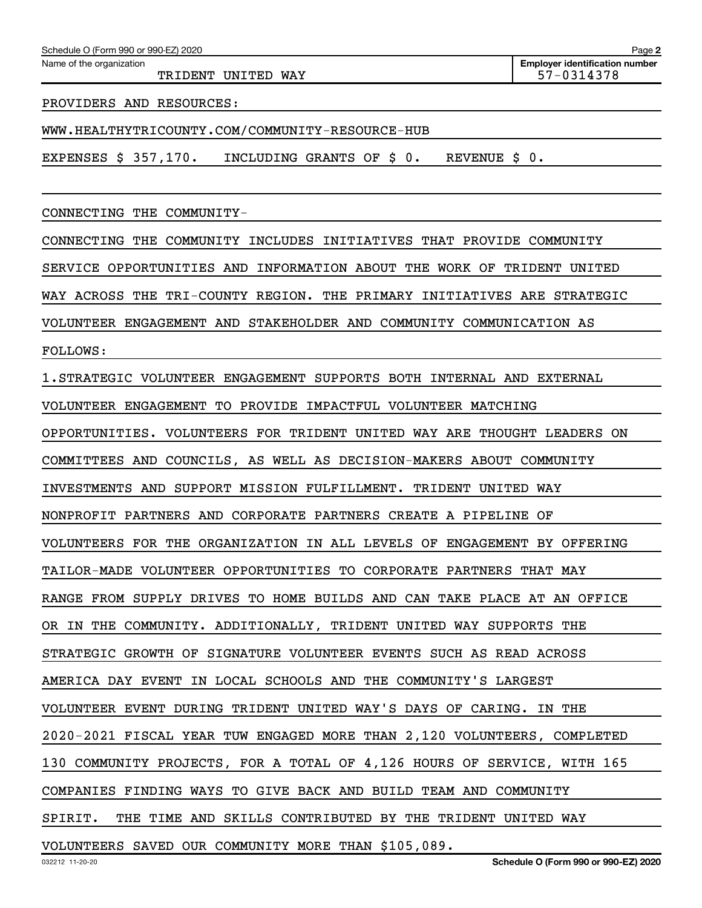| Schedule O (Form 990 or 990-EZ) 2020<br>Name of the organization |                                                                         | Page 2<br><b>Employer identification number</b> |
|------------------------------------------------------------------|-------------------------------------------------------------------------|-------------------------------------------------|
|                                                                  | TRIDENT UNITED WAY                                                      | 57-0314378                                      |
| PROVIDERS AND RESOURCES:                                         |                                                                         |                                                 |
|                                                                  | WWW.HEALTHYTRICOUNTY.COM/COMMUNITY-RESOURCE-HUB                         |                                                 |
| EXPENSES \$ 357,170.                                             | INCLUDING GRANTS OF \$ 0.<br>REVENUE \$                                 | 0.                                              |
| CONNECTING THE                                                   | COMMUNITY-                                                              |                                                 |
| CONNECTING THE                                                   | THAT PROVIDE COMMUNITY<br>COMMUNITY INCLUDES INITIATIVES                |                                                 |
| SERVICE OPPORTUNITIES AND                                        | INFORMATION ABOUT THE WORK OF                                           | TRIDENT<br>UNITED                               |
|                                                                  | WAY ACROSS THE TRI-COUNTY REGION. THE PRIMARY INITIATIVES ARE STRATEGIC |                                                 |
|                                                                  | VOLUNTEER ENGAGEMENT AND STAKEHOLDER AND COMMUNITY COMMUNICATION AS     |                                                 |
| <b>FOLLOWS:</b>                                                  |                                                                         |                                                 |
|                                                                  | 1. STRATEGIC VOLUNTEER ENGAGEMENT SUPPORTS BOTH INTERNAL AND EXTERNAL   |                                                 |
|                                                                  | VOLUNTEER ENGAGEMENT TO PROVIDE IMPACTFUL VOLUNTEER MATCHING            |                                                 |
|                                                                  | OPPORTUNITIES. VOLUNTEERS FOR TRIDENT UNITED WAY ARE THOUGHT LEADERS ON |                                                 |
|                                                                  | COMMITTEES AND COUNCILS, AS WELL AS DECISION-MAKERS ABOUT COMMUNITY     |                                                 |
|                                                                  | INVESTMENTS AND SUPPORT MISSION FULFILLMENT.<br>TRIDENT UNITED WAY      |                                                 |
|                                                                  | NONPROFIT PARTNERS AND CORPORATE PARTNERS CREATE A PIPELINE OF          |                                                 |
|                                                                  | VOLUNTEERS FOR THE ORGANIZATION IN ALL LEVELS OF ENGAGEMENT BY OFFERING |                                                 |
|                                                                  | TAILOR-MADE VOLUNTEER OPPORTUNITIES TO CORPORATE PARTNERS THAT MAY      |                                                 |
|                                                                  | RANGE FROM SUPPLY DRIVES TO HOME BUILDS AND CAN TAKE PLACE AT AN OFFICE |                                                 |
|                                                                  | OR IN THE COMMUNITY. ADDITIONALLY, TRIDENT UNITED WAY SUPPORTS THE      |                                                 |

STRATEGIC GROWTH OF SIGNATURE VOLUNTEER EVENTS SUCH AS READ ACROSS

AMERICA DAY EVENT IN LOCAL SCHOOLS AND THE COMMUNITY'S LARGEST

VOLUNTEER EVENT DURING TRIDENT UNITED WAY'S DAYS OF CARING. IN THE

2020-2021 FISCAL YEAR TUW ENGAGED MORE THAN 2,120 VOLUNTEERS, COMPLETED

130 COMMUNITY PROJECTS, FOR A TOTAL OF 4,126 HOURS OF SERVICE, WITH 165

COMPANIES FINDING WAYS TO GIVE BACK AND BUILD TEAM AND COMMUNITY

SPIRIT. THE TIME AND SKILLS CONTRIBUTED BY THE TRIDENT UNITED WAY

VOLUNTEERS SAVED OUR COMMUNITY MORE THAN \$105,089.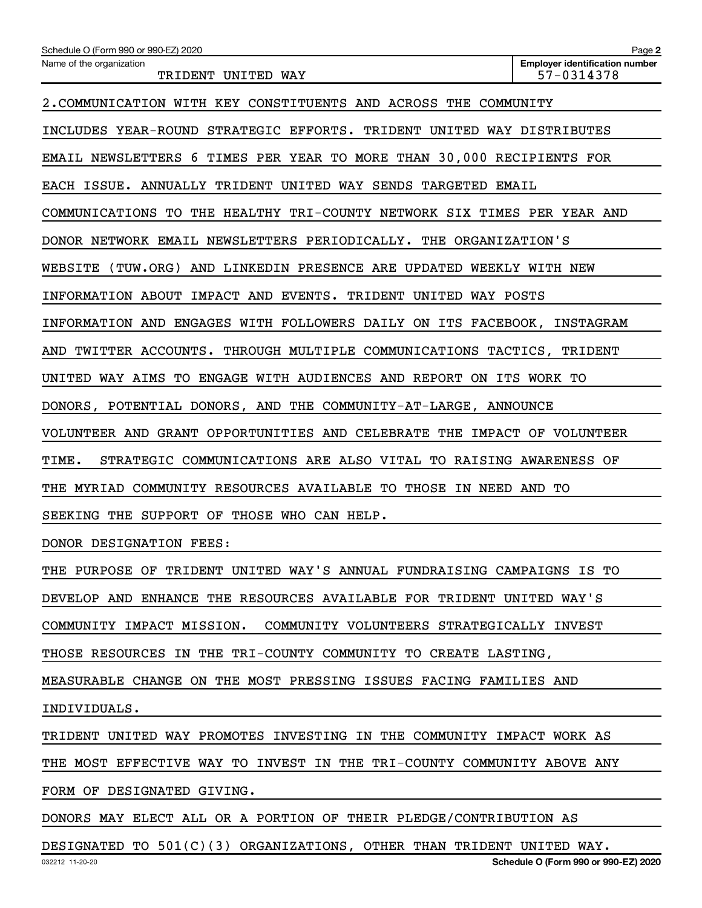| Schedule O (Form 990 or 990-EZ) 2020                                     | Page 2                                              |
|--------------------------------------------------------------------------|-----------------------------------------------------|
| Name of the organization<br>TRIDENT UNITED WAY                           | <b>Employer identification number</b><br>57-0314378 |
| 2. COMMUNICATION WITH KEY CONSTITUENTS AND ACROSS THE COMMUNITY          |                                                     |
| INCLUDES YEAR-ROUND STRATEGIC EFFORTS. TRIDENT UNITED WAY DISTRIBUTES    |                                                     |
| EMAIL NEWSLETTERS 6 TIMES PER YEAR TO MORE THAN 30,000 RECIPIENTS FOR    |                                                     |
| EACH ISSUE. ANNUALLY TRIDENT UNITED WAY SENDS TARGETED EMAIL             |                                                     |
| COMMUNICATIONS TO THE HEALTHY TRI-COUNTY NETWORK SIX TIMES PER YEAR AND  |                                                     |
| DONOR NETWORK EMAIL NEWSLETTERS PERIODICALLY. THE ORGANIZATION'S         |                                                     |
| WEBSITE (TUW.ORG) AND LINKEDIN PRESENCE ARE UPDATED WEEKLY WITH NEW      |                                                     |
| INFORMATION ABOUT IMPACT AND EVENTS. TRIDENT UNITED WAY POSTS            |                                                     |
| INFORMATION AND ENGAGES WITH FOLLOWERS DAILY ON ITS FACEBOOK, INSTAGRAM  |                                                     |
| AND TWITTER ACCOUNTS. THROUGH MULTIPLE COMMUNICATIONS TACTICS, TRIDENT   |                                                     |
| UNITED WAY AIMS TO ENGAGE WITH AUDIENCES AND REPORT ON ITS WORK TO       |                                                     |
| DONORS, POTENTIAL DONORS, AND THE COMMUNITY-AT-LARGE, ANNOUNCE           |                                                     |
| VOLUNTEER AND GRANT OPPORTUNITIES AND CELEBRATE THE IMPACT OF VOLUNTEER  |                                                     |
| TIME.<br>STRATEGIC COMMUNICATIONS ARE ALSO VITAL TO RAISING AWARENESS OF |                                                     |
| THE MYRIAD COMMUNITY RESOURCES AVAILABLE TO THOSE IN NEED AND TO         |                                                     |
| SEEKING THE SUPPORT OF THOSE WHO CAN HELP.                               |                                                     |
| DONOR DESIGNATION FEES:                                                  |                                                     |
| THE PURPOSE OF TRIDENT UNITED WAY'S ANNUAL FUNDRAISING CAMPAIGNS IS TO   |                                                     |
| DEVELOP AND ENHANCE THE RESOURCES AVAILABLE FOR TRIDENT UNITED WAY'S     |                                                     |
| COMMUNITY IMPACT MISSION. COMMUNITY VOLUNTEERS STRATEGICALLY INVEST      |                                                     |
| THOSE RESOURCES IN THE TRI-COUNTY COMMUNITY TO CREATE LASTING,           |                                                     |
| MEASURABLE CHANGE ON THE MOST PRESSING ISSUES FACING FAMILIES AND        |                                                     |
| INDIVIDUALS.                                                             |                                                     |
| TRIDENT UNITED WAY PROMOTES INVESTING IN THE COMMUNITY IMPACT WORK AS    |                                                     |
| THE MOST EFFECTIVE WAY TO INVEST IN THE TRI-COUNTY COMMUNITY ABOVE ANY   |                                                     |
| FORM OF DESIGNATED GIVING.                                               |                                                     |
| DONORS MAY ELECT ALL OR A PORTION OF THEIR PLEDGE/CONTRIBUTION AS        |                                                     |
| DESIGNATED TO 501(C)(3) ORGANIZATIONS, OTHER THAN TRIDENT UNITED WAY.    |                                                     |
| 032212 11-20-20                                                          | Schedule O (Form 990 or 990-EZ) 2020                |
|                                                                          |                                                     |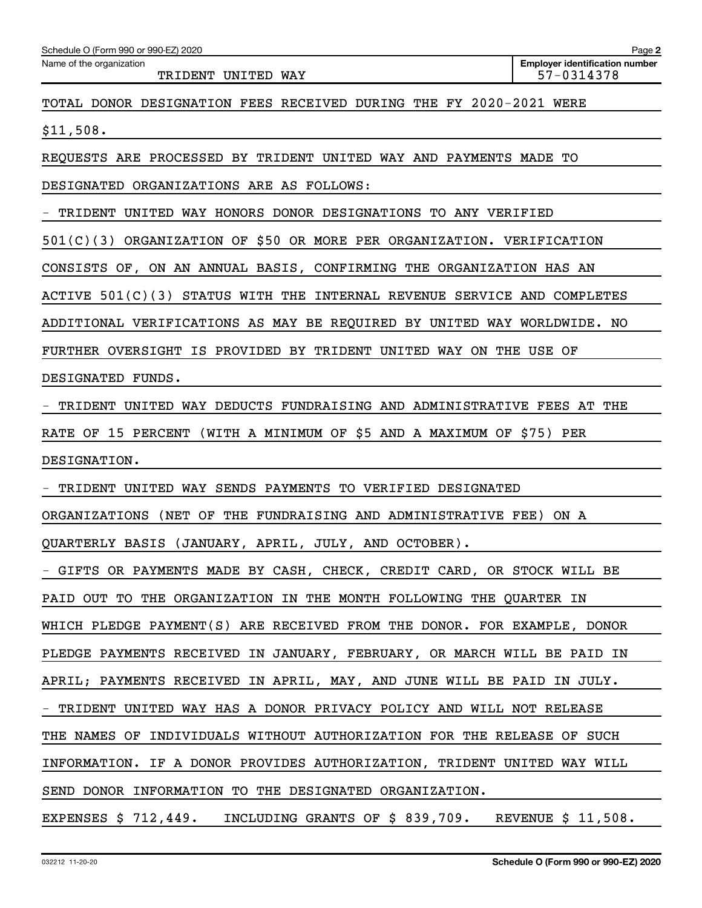| Schedule O (Form 990 or 990-EZ) 2020                                       | Page 2                                              |
|----------------------------------------------------------------------------|-----------------------------------------------------|
| Name of the organization<br>TRIDENT UNITED WAY                             | <b>Employer identification number</b><br>57-0314378 |
| TOTAL DONOR DESIGNATION FEES RECEIVED DURING THE FY 2020-2021 WERE         |                                                     |
| \$11,508.                                                                  |                                                     |
| REQUESTS ARE PROCESSED BY TRIDENT UNITED WAY AND PAYMENTS MADE TO          |                                                     |
| DESIGNATED ORGANIZATIONS ARE AS FOLLOWS:                                   |                                                     |
| TRIDENT<br>UNITED WAY HONORS DONOR DESIGNATIONS TO ANY VERIFIED            |                                                     |
| 501(C)(3) ORGANIZATION OF \$50 OR MORE PER ORGANIZATION. VERIFICATION      |                                                     |
| CONSISTS OF, ON AN ANNUAL BASIS, CONFIRMING THE ORGANIZATION HAS AN        |                                                     |
| ACTIVE 501(C)(3) STATUS WITH THE INTERNAL REVENUE SERVICE AND COMPLETES    |                                                     |
| ADDITIONAL VERIFICATIONS AS MAY BE REQUIRED BY UNITED WAY WORLDWIDE.       | NO                                                  |
| FURTHER OVERSIGHT IS PROVIDED BY TRIDENT UNITED WAY ON THE USE OF          |                                                     |
| DESIGNATED FUNDS.                                                          |                                                     |
| TRIDENT UNITED WAY DEDUCTS FUNDRAISING AND ADMINISTRATIVE FEES AT THE      |                                                     |
| (WITH A MINIMUM OF \$5 AND A MAXIMUM OF \$75) PER<br>RATE OF 15 PERCENT    |                                                     |
| DESIGNATION.                                                               |                                                     |
| UNITED WAY SENDS PAYMENTS TO VERIFIED DESIGNATED<br>TRIDENT                |                                                     |
| ORGANIZATIONS (NET OF THE FUNDRAISING AND ADMINISTRATIVE FEE)              | ON A                                                |
| QUARTERLY BASIS (JANUARY, APRIL, JULY, AND OCTOBER).                       |                                                     |
| - GIFTS OR PAYMENTS MADE BY CASH, CHECK, CREDIT CARD, OR STOCK WILL BE     |                                                     |
| PAID OUT TO THE ORGANIZATION IN THE MONTH FOLLOWING THE QUARTER IN         |                                                     |
| WHICH PLEDGE PAYMENT(S) ARE RECEIVED FROM THE DONOR. FOR EXAMPLE, DONOR    |                                                     |
| PLEDGE PAYMENTS RECEIVED IN JANUARY, FEBRUARY, OR MARCH WILL BE PAID IN    |                                                     |
| APRIL; PAYMENTS RECEIVED IN APRIL, MAY, AND JUNE WILL BE PAID IN JULY.     |                                                     |
| - TRIDENT UNITED WAY HAS A DONOR PRIVACY POLICY AND WILL NOT RELEASE       |                                                     |
| THE NAMES OF INDIVIDUALS WITHOUT AUTHORIZATION FOR THE RELEASE OF SUCH     |                                                     |
| INFORMATION. IF A DONOR PROVIDES AUTHORIZATION, TRIDENT UNITED WAY WILL    |                                                     |
| SEND DONOR INFORMATION TO THE DESIGNATED ORGANIZATION.                     |                                                     |
| EXPENSES $$712,449$ . INCLUDING GRANTS OF $$839,709$ . REVENUE $$11,508$ . |                                                     |